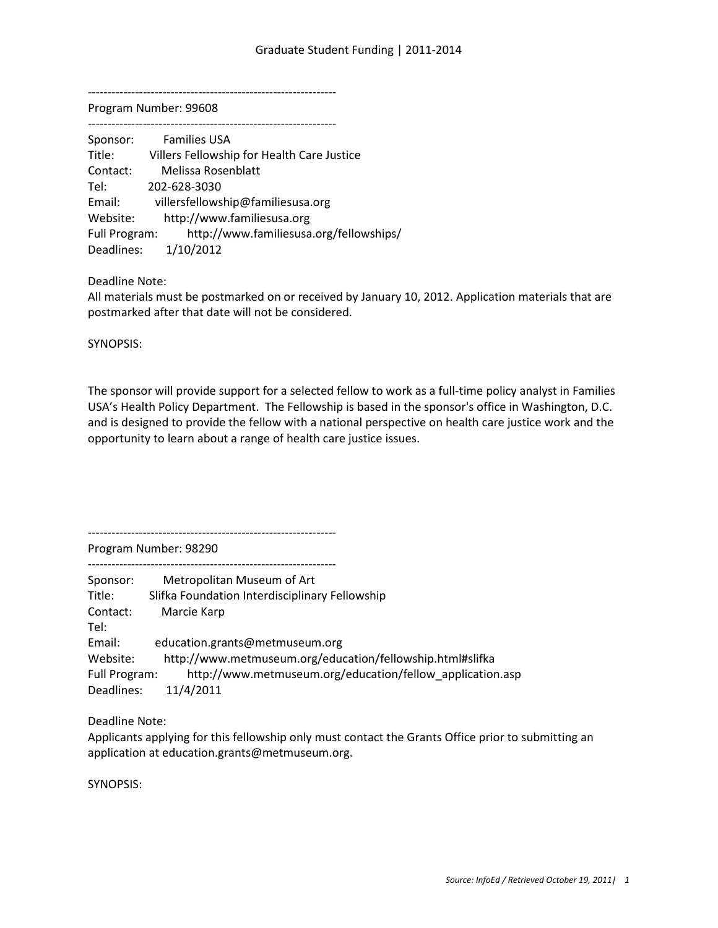---------------------------------------------------------------

Program Number: 99608

| Sponsor:      | <b>Families USA</b>                        |
|---------------|--------------------------------------------|
| Title:        | Villers Fellowship for Health Care Justice |
| Contact:      | Melissa Rosenblatt                         |
| Tel:          | 202-628-3030                               |
| Email:        | villersfellowship@familiesusa.org          |
| Website:      | http://www.familiesusa.org                 |
| Full Program: | http://www.familiesusa.org/fellowships/    |
| Deadlines:    | 1/10/2012                                  |

Deadline Note:

All materials must be postmarked on or received by January 10, 2012. Application materials that are postmarked after that date will not be considered.

SYNOPSIS:

The sponsor will provide support for a selected fellow to work as a full-time policy analyst in Families USA's Health Policy Department. The Fellowship is based in the sponsor's office in Washington, D.C. and is designed to provide the fellow with a national perspective on health care justice work and the opportunity to learn about a range of health care justice issues.

---------------------------------------------------------------

Program Number: 98290

--------------------------------------------------------------- Sponsor: Metropolitan Museum of Art

Title: Slifka Foundation Interdisciplinary Fellowship Contact: Marcie Karp Tel: Email: education.grants@metmuseum.org Website: http://www.metmuseum.org/education/fellowship.html#slifka Full Program: http://www.metmuseum.org/education/fellow\_application.asp Deadlines: 11/4/2011

Deadline Note:

Applicants applying for this fellowship only must contact the Grants Office prior to submitting an application at education.grants@metmuseum.org.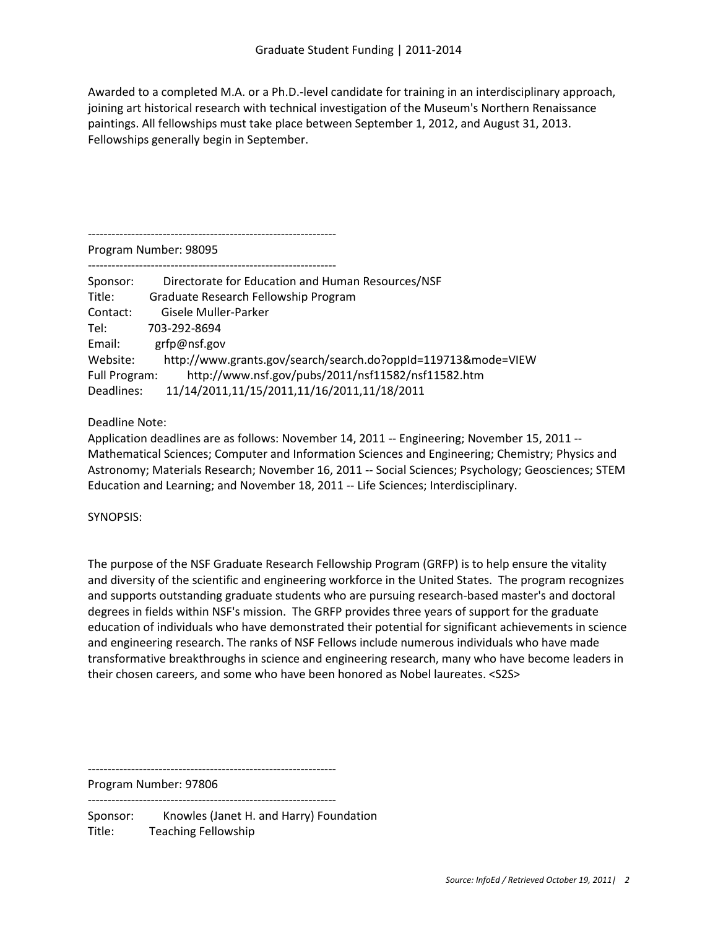Awarded to a completed M.A. or a Ph.D.-level candidate for training in an interdisciplinary approach, joining art historical research with technical investigation of the Museum's Northern Renaissance paintings. All fellowships must take place between September 1, 2012, and August 31, 2013. Fellowships generally begin in September.

---------------------------------------------------------------

Program Number: 98095

| Sponsor:      | Directorate for Education and Human Resources/NSF             |
|---------------|---------------------------------------------------------------|
| Title:        | Graduate Research Fellowship Program                          |
| Contact:      | Gisele Muller-Parker                                          |
| Tel:          | 703-292-8694                                                  |
| Email:        | grfp@nsf.gov                                                  |
| Website:      | http://www.grants.gov/search/search.do?oppId=119713&mode=VIEW |
| Full Program: | http://www.nsf.gov/pubs/2011/nsf11582/nsf11582.htm            |
| Deadlines:    | 11/14/2011,11/15/2011,11/16/2011,11/18/2011                   |

Deadline Note:

Application deadlines are as follows: November 14, 2011 -- Engineering; November 15, 2011 -- Mathematical Sciences; Computer and Information Sciences and Engineering; Chemistry; Physics and Astronomy; Materials Research; November 16, 2011 -- Social Sciences; Psychology; Geosciences; STEM Education and Learning; and November 18, 2011 -- Life Sciences; Interdisciplinary.

# SYNOPSIS:

The purpose of the NSF Graduate Research Fellowship Program (GRFP) is to help ensure the vitality and diversity of the scientific and engineering workforce in the United States. The program recognizes and supports outstanding graduate students who are pursuing research-based master's and doctoral degrees in fields within NSF's mission. The GRFP provides three years of support for the graduate education of individuals who have demonstrated their potential for significant achievements in science and engineering research. The ranks of NSF Fellows include numerous individuals who have made transformative breakthroughs in science and engineering research, many who have become leaders in their chosen careers, and some who have been honored as Nobel laureates. <S2S>

---------------------------------------------------------------

Program Number: 97806 ---------------------------------------------------------------

Sponsor: Knowles (Janet H. and Harry) Foundation Title: Teaching Fellowship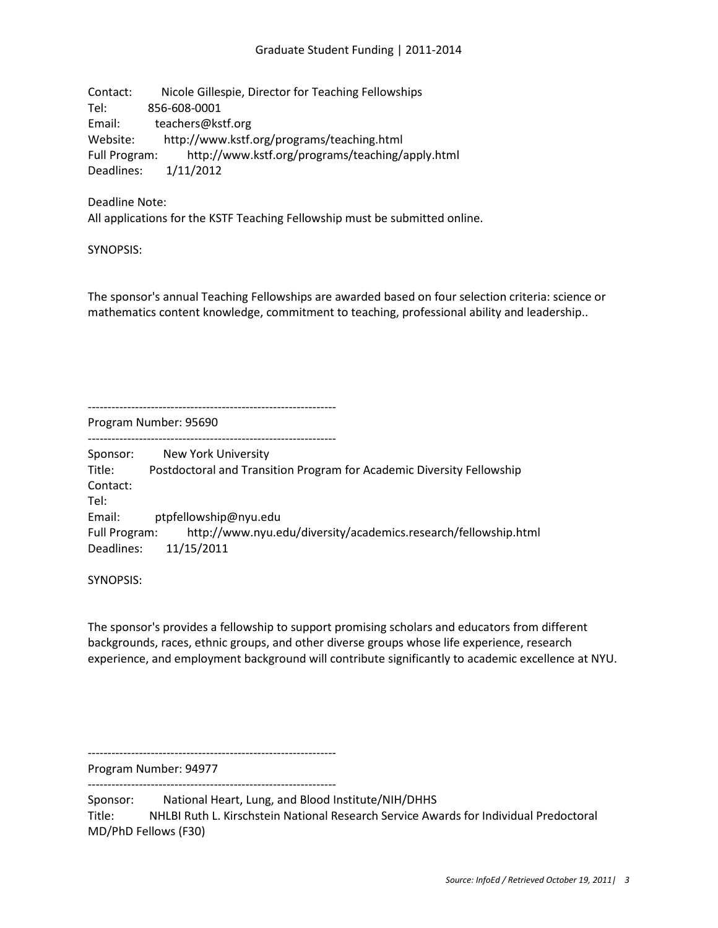Contact: Nicole Gillespie, Director for Teaching Fellowships Tel: 856-608-0001 Email: teachers@kstf.org Website: http://www.kstf.org/programs/teaching.html Full Program: http://www.kstf.org/programs/teaching/apply.html Deadlines: 1/11/2012

Deadline Note:

All applications for the KSTF Teaching Fellowship must be submitted online.

---------------------------------------------------------------

SYNOPSIS:

The sponsor's annual Teaching Fellowships are awarded based on four selection criteria: science or mathematics content knowledge, commitment to teaching, professional ability and leadership..

Program Number: 95690

---------------------------------------------------------------

Sponsor: New York University Title: Postdoctoral and Transition Program for Academic Diversity Fellowship Contact: Tel: Email: ptpfellowship@nyu.edu Full Program: http://www.nyu.edu/diversity/academics.research/fellowship.html Deadlines: 11/15/2011

SYNOPSIS:

The sponsor's provides a fellowship to support promising scholars and educators from different backgrounds, races, ethnic groups, and other diverse groups whose life experience, research experience, and employment background will contribute significantly to academic excellence at NYU.

Program Number: 94977

---------------------------------------------------------------

---------------------------------------------------------------

Sponsor: National Heart, Lung, and Blood Institute/NIH/DHHS

Title: NHLBI Ruth L. Kirschstein National Research Service Awards for Individual Predoctoral MD/PhD Fellows (F30)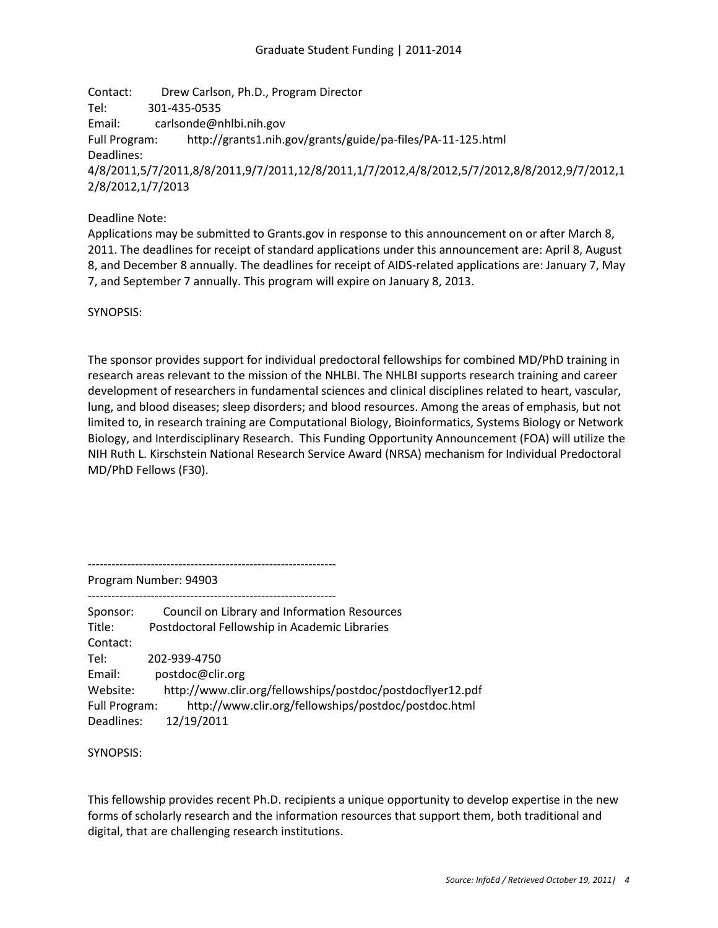Contact: Drew Carlson, Ph.D., Program Director Tel: 301-435-0535 Email: carlsonde@nhlbi.nih.gov Full Program: http://grants1.nih.gov/grants/guide/pa-files/PA-11-125.html Deadlines: 4/8/2011,5/7/2011,8/8/2011,9/7/2011,12/8/2011,1/7/2012,4/8/2012,5/7/2012,8/8/2012,9/7/2012,1 2/8/2012,1/7/2013

Deadline Note:

Applications may be submitted to Grants.gov in response to this announcement on or after March 8, 2011. The deadlines for receipt of standard applications under this announcement are: April 8, August 8, and December 8 annually. The deadlines for receipt of AIDS-related applications are: January 7, May 7, and September 7 annually. This program will expire on January 8, 2013.

SYNOPSIS:

The sponsor provides support for individual predoctoral fellowships for combined MD/PhD training in research areas relevant to the mission of the NHLBI. The NHLBI supports research training and career development of researchers in fundamental sciences and clinical disciplines related to heart, vascular, lung, and blood diseases; sleep disorders; and blood resources. Among the areas of emphasis, but not limited to, in research training are Computational Biology, Bioinformatics, Systems Biology or Network Biology, and Interdisciplinary Research. This Funding Opportunity Announcement (FOA) will utilize the NIH Ruth L. Kirschstein National Research Service Award (NRSA) mechanism for Individual Predoctoral MD/PhD Fellows (F30).

---------------------------------------------------------------

Program Number: 94903

Sponsor: Council on Library and Information Resources Title: Postdoctoral Fellowship in Academic Libraries Contact: Tel: 202-939-4750 Email: postdoc@clir.org Website: http://www.clir.org/fellowships/postdoc/postdocflyer12.pdf Full Program: http://www.clir.org/fellowships/postdoc/postdoc.html Deadlines: 12/19/2011

SYNOPSIS:

This fellowship provides recent Ph.D. recipients a unique opportunity to develop expertise in the new forms of scholarly research and the information resources that support them, both traditional and digital, that are challenging research institutions.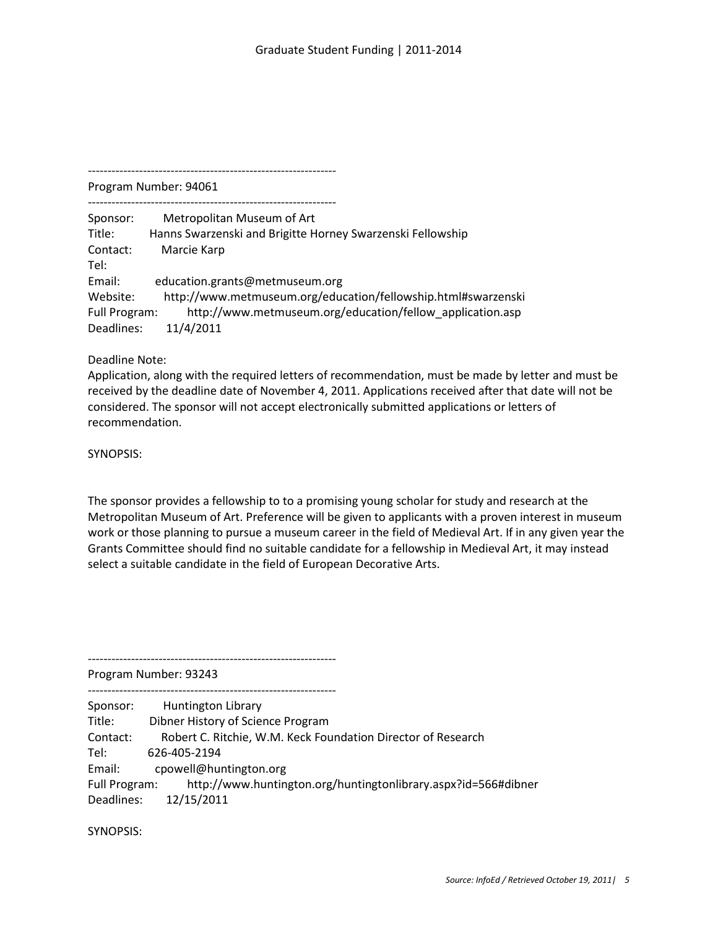Program Number: 94061

---------------------------------------------------------------

| Sponsor:      | Metropolitan Museum of Art                                    |
|---------------|---------------------------------------------------------------|
| Title:        | Hanns Swarzenski and Brigitte Horney Swarzenski Fellowship    |
| Contact:      | Marcie Karp                                                   |
| Tel:          |                                                               |
| Email:        | education.grants@metmuseum.org                                |
| Website:      | http://www.metmuseum.org/education/fellowship.html#swarzenski |
| Full Program: | http://www.metmuseum.org/education/fellow application.asp     |
| Deadlines:    | 11/4/2011                                                     |

---------------------------------------------------------------

Deadline Note:

Application, along with the required letters of recommendation, must be made by letter and must be received by the deadline date of November 4, 2011. Applications received after that date will not be considered. The sponsor will not accept electronically submitted applications or letters of recommendation.

SYNOPSIS:

The sponsor provides a fellowship to to a promising young scholar for study and research at the Metropolitan Museum of Art. Preference will be given to applicants with a proven interest in museum work or those planning to pursue a museum career in the field of Medieval Art. If in any given year the Grants Committee should find no suitable candidate for a fellowship in Medieval Art, it may instead select a suitable candidate in the field of European Decorative Arts.

Program Number: 93243

---------------------------------------------------------------

---------------------------------------------------------------

Sponsor: Huntington Library Title: Dibner History of Science Program Contact: Robert C. Ritchie, W.M. Keck Foundation Director of Research Tel: 626-405-2194 Email: cpowell@huntington.org Full Program: http://www.huntington.org/huntingtonlibrary.aspx?id=566#dibner Deadlines: 12/15/2011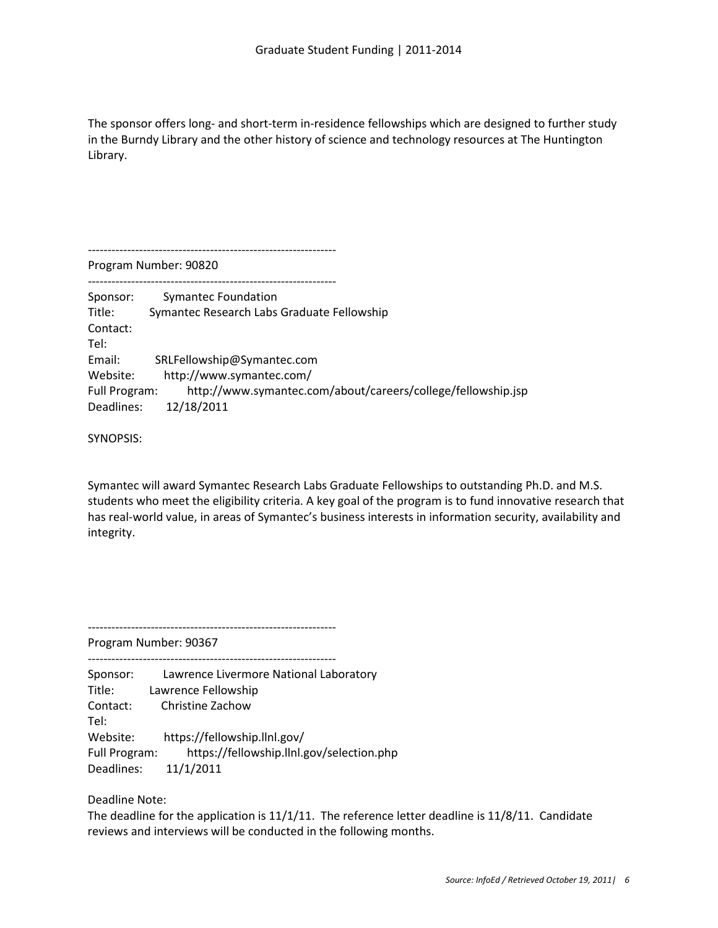The sponsor offers long- and short-term in-residence fellowships which are designed to further study in the Burndy Library and the other history of science and technology resources at The Huntington Library.

Program Number: 90820 --------------------------------------------------------------- Sponsor: Symantec Foundation Title: Symantec Research Labs Graduate Fellowship Contact: Tel: Email: SRLFellowship@Symantec.com Website: http://www.symantec.com/ Full Program: http://www.symantec.com/about/careers/college/fellowship.jsp Deadlines: 12/18/2011

SYNOPSIS:

Symantec will award Symantec Research Labs Graduate Fellowships to outstanding Ph.D. and M.S. students who meet the eligibility criteria. A key goal of the program is to fund innovative research that has real-world value, in areas of Symantec's business interests in information security, availability and integrity.

Program Number: 90367

---------------------------------------------------------------

---------------------------------------------------------------

---------------------------------------------------------------

Sponsor: Lawrence Livermore National Laboratory Title: Lawrence Fellowship Contact: Christine Zachow Tel: Website: https://fellowship.llnl.gov/ Full Program: https://fellowship.llnl.gov/selection.php Deadlines: 11/1/2011

Deadline Note:

The deadline for the application is 11/1/11. The reference letter deadline is 11/8/11. Candidate reviews and interviews will be conducted in the following months.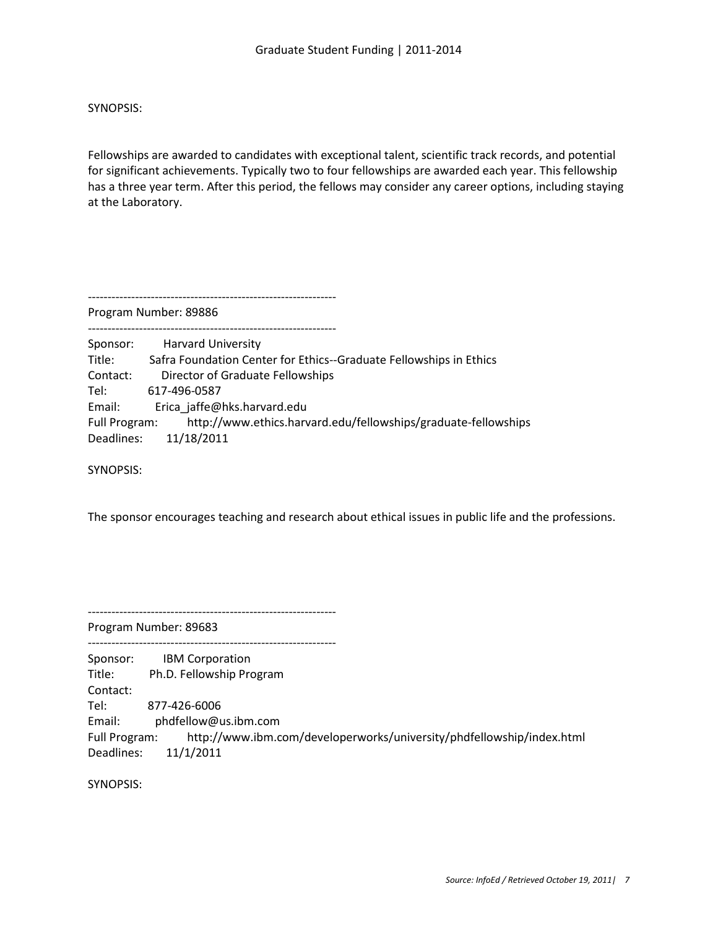Fellowships are awarded to candidates with exceptional talent, scientific track records, and potential for significant achievements. Typically two to four fellowships are awarded each year. This fellowship has a three year term. After this period, the fellows may consider any career options, including staying at the Laboratory.

---------------------------------------------------------------

Program Number: 89886

| Sponsor:      | <b>Harvard University</b>                                          |
|---------------|--------------------------------------------------------------------|
| Title:        | Safra Foundation Center for Ethics--Graduate Fellowships in Ethics |
| Contact:      | Director of Graduate Fellowships                                   |
| Tel:          | 617-496-0587                                                       |
| Email:        | Erica jaffe@hks.harvard.edu                                        |
| Full Program: | http://www.ethics.harvard.edu/fellowships/graduate-fellowships     |
|               | Deadlines: 11/18/2011                                              |

SYNOPSIS:

The sponsor encourages teaching and research about ethical issues in public life and the professions.

---------------------------------------------------------------

Program Number: 89683

--------------------------------------------------------------- Sponsor: IBM Corporation Title: Ph.D. Fellowship Program Contact: Tel: 877-426-6006 Email: phdfellow@us.ibm.com Full Program: http://www.ibm.com/developerworks/university/phdfellowship/index.html Deadlines: 11/1/2011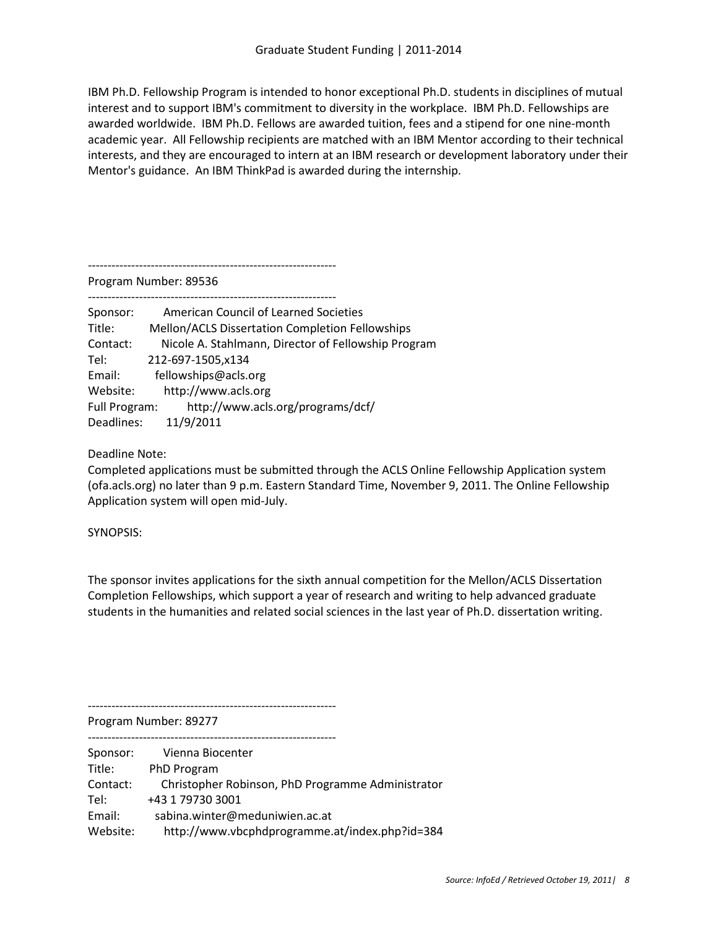IBM Ph.D. Fellowship Program is intended to honor exceptional Ph.D. students in disciplines of mutual interest and to support IBM's commitment to diversity in the workplace. IBM Ph.D. Fellowships are awarded worldwide. IBM Ph.D. Fellows are awarded tuition, fees and a stipend for one nine-month academic year. All Fellowship recipients are matched with an IBM Mentor according to their technical interests, and they are encouraged to intern at an IBM research or development laboratory under their Mentor's guidance. An IBM ThinkPad is awarded during the internship.

---------------------------------------------------------------

Program Number: 89536

--------------------------------------------------------------- Sponsor: American Council of Learned Societies Title: Mellon/ACLS Dissertation Completion Fellowships Contact: Nicole A. Stahlmann, Director of Fellowship Program Tel: 212-697-1505,x134 Email: fellowships@acls.org

Website: http://www.acls.org Full Program: http://www.acls.org/programs/dcf/

Deadlines: 11/9/2011

Deadline Note:

Completed applications must be submitted through the ACLS Online Fellowship Application system (ofa.acls.org) no later than 9 p.m. Eastern Standard Time, November 9, 2011. The Online Fellowship Application system will open mid-July.

SYNOPSIS:

The sponsor invites applications for the sixth annual competition for the Mellon/ACLS Dissertation Completion Fellowships, which support a year of research and writing to help advanced graduate students in the humanities and related social sciences in the last year of Ph.D. dissertation writing.

---------------------------------------------------------------

Program Number: 89277

| Sponsor: | Vienna Biocenter                                  |
|----------|---------------------------------------------------|
| Title:   | PhD Program                                       |
| Contact: | Christopher Robinson, PhD Programme Administrator |
| Tel:     | +43 1 79730 3001                                  |
| Email:   | sabina.winter@meduniwien.ac.at                    |
| Website: | http://www.vbcphdprogramme.at/index.php?id=384    |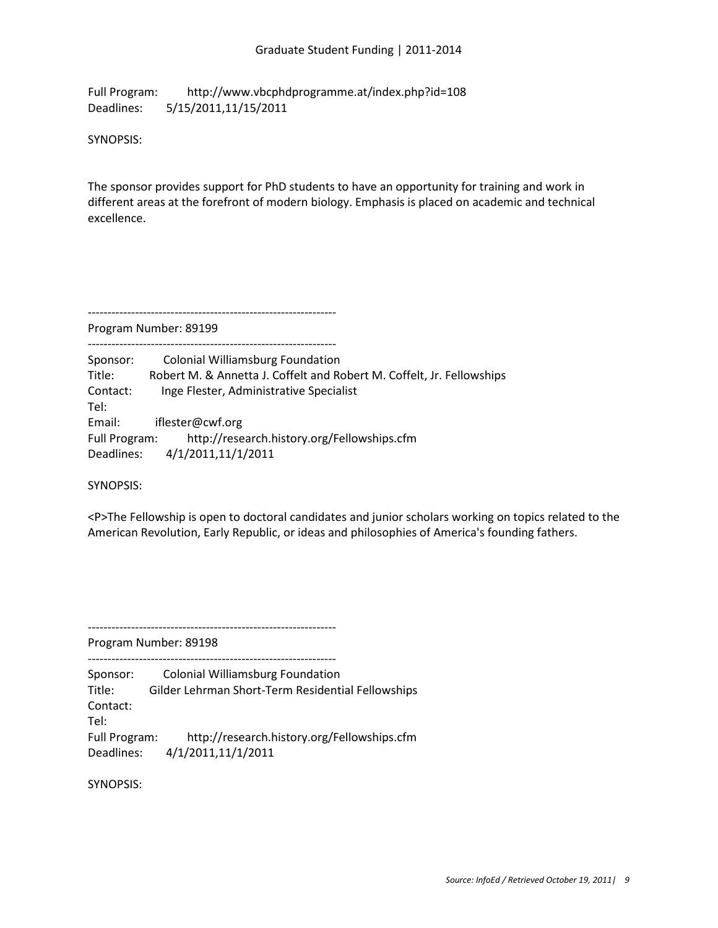Full Program: http://www.vbcphdprogramme.at/index.php?id=108 Deadlines: 5/15/2011,11/15/2011

SYNOPSIS:

The sponsor provides support for PhD students to have an opportunity for training and work in different areas at the forefront of modern biology. Emphasis is placed on academic and technical excellence.

--------------------------------------------------------------- Program Number: 89199

--------------------------------------------------------------- Sponsor: Colonial Williamsburg Foundation Title: Robert M. & Annetta J. Coffelt and Robert M. Coffelt, Jr. Fellowships Contact: Inge Flester, Administrative Specialist Tel: Email: iflester@cwf.org Full Program: http://research.history.org/Fellowships.cfm Deadlines: 4/1/2011,11/1/2011

SYNOPSIS:

<P>The Fellowship is open to doctoral candidates and junior scholars working on topics related to the American Revolution, Early Republic, or ideas and philosophies of America's founding fathers.

Program Number: 89198

--------------------------------------------------------------- Sponsor: Colonial Williamsburg Foundation

---------------------------------------------------------------

Title: Gilder Lehrman Short-Term Residential Fellowships Contact: Tel:

Full Program: http://research.history.org/Fellowships.cfm Deadlines: 4/1/2011,11/1/2011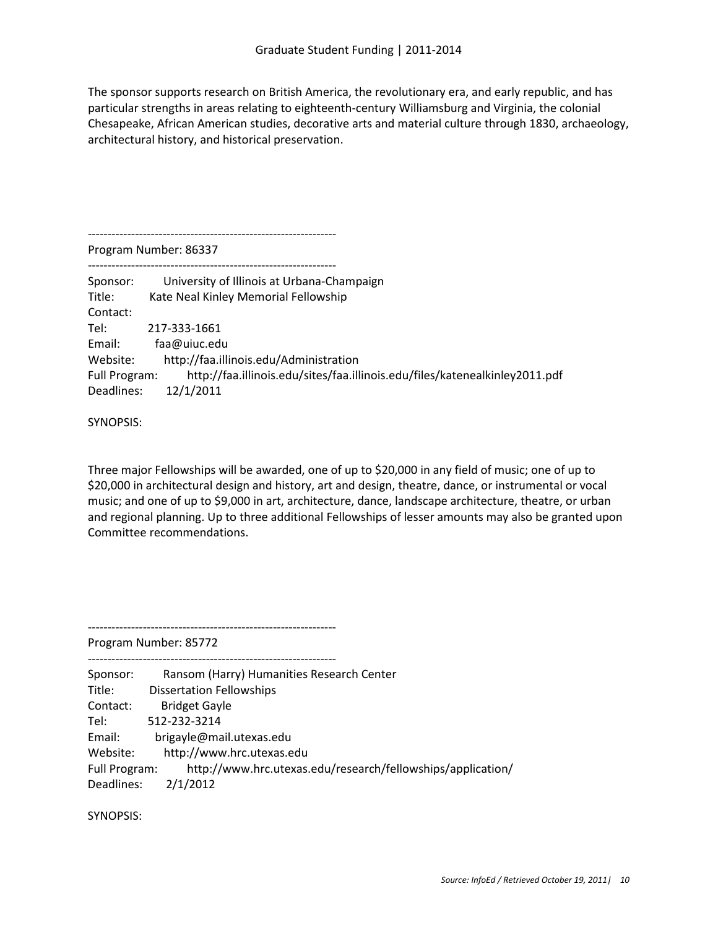The sponsor supports research on British America, the revolutionary era, and early republic, and has particular strengths in areas relating to eighteenth-century Williamsburg and Virginia, the colonial Chesapeake, African American studies, decorative arts and material culture through 1830, archaeology, architectural history, and historical preservation.

Program Number: 86337

---------------------------------------------------------------

| Sponsor:<br>Title: | University of Illinois at Urbana-Champaign<br>Kate Neal Kinley Memorial Fellowship |
|--------------------|------------------------------------------------------------------------------------|
| Contact:           |                                                                                    |
| Tel:               | 217-333-1661                                                                       |
| Email:             | faa@uiuc.edu                                                                       |
| Website:           | http://faa.illinois.edu/Administration                                             |
| Full Program:      | http://faa.illinois.edu/sites/faa.illinois.edu/files/katenealkinley2011.pdf        |
| Deadlines:         | 12/1/2011                                                                          |
|                    |                                                                                    |

SYNOPSIS:

Three major Fellowships will be awarded, one of up to \$20,000 in any field of music; one of up to \$20,000 in architectural design and history, art and design, theatre, dance, or instrumental or vocal music; and one of up to \$9,000 in art, architecture, dance, landscape architecture, theatre, or urban and regional planning. Up to three additional Fellowships of lesser amounts may also be granted upon Committee recommendations.

Program Number: 85772

---------------------------------------------------------------

--------------------------------------------------------------- Sponsor: Ransom (Harry) Humanities Research Center Title: Dissertation Fellowships Contact: Bridget Gayle Tel: 512-232-3214 Email: brigayle@mail.utexas.edu Website: http://www.hrc.utexas.edu Full Program: http://www.hrc.utexas.edu/research/fellowships/application/ Deadlines: 2/1/2012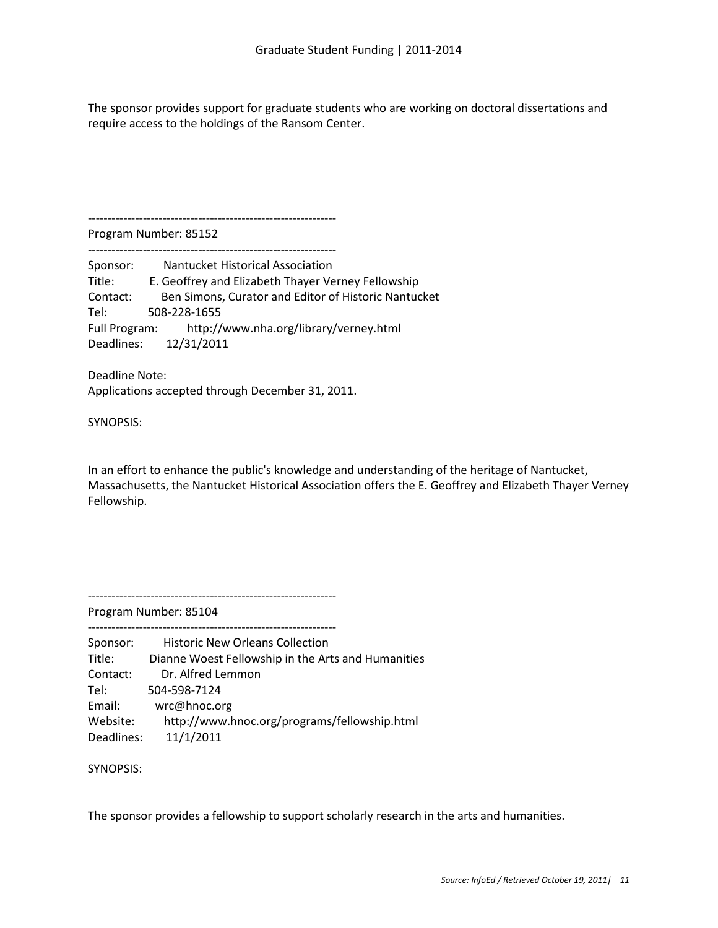The sponsor provides support for graduate students who are working on doctoral dissertations and require access to the holdings of the Ransom Center.

---------------------------------------------------------------

Program Number: 85152 ---------------------------------------------------------------

Sponsor: Nantucket Historical Association Title: E. Geoffrey and Elizabeth Thayer Verney Fellowship Contact: Ben Simons, Curator and Editor of Historic Nantucket Tel: 508-228-1655 Full Program: http://www.nha.org/library/verney.html Deadlines: 12/31/2011

Deadline Note: Applications accepted through December 31, 2011.

SYNOPSIS:

In an effort to enhance the public's knowledge and understanding of the heritage of Nantucket, Massachusetts, the Nantucket Historical Association offers the E. Geoffrey and Elizabeth Thayer Verney Fellowship.

---------------------------------------------------------------

---------------------------------------------------------------

Program Number: 85104

| Sponsor:   | <b>Historic New Orleans Collection</b>             |
|------------|----------------------------------------------------|
| Title:     | Dianne Woest Fellowship in the Arts and Humanities |
| Contact:   | Dr. Alfred Lemmon                                  |
| Tel:       | 504-598-7124                                       |
| Email:     | wrc@hnoc.org                                       |
| Website:   | http://www.hnoc.org/programs/fellowship.html       |
| Deadlines: | 11/1/2011                                          |

SYNOPSIS:

The sponsor provides a fellowship to support scholarly research in the arts and humanities.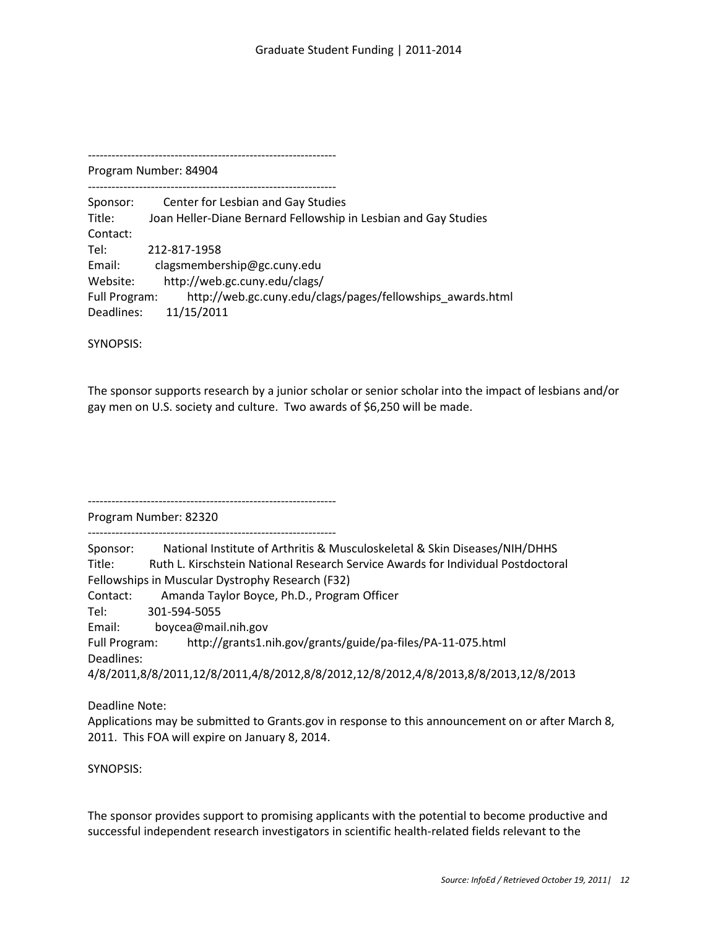--------------------------------------------------------------- Program Number: 84904 --------------------------------------------------------------- Sponsor: Center for Lesbian and Gay Studies Title: Joan Heller-Diane Bernard Fellowship in Lesbian and Gay Studies Contact: Tel: 212-817-1958 Email: clagsmembership@gc.cuny.edu Website: http://web.gc.cuny.edu/clags/ Full Program: http://web.gc.cuny.edu/clags/pages/fellowships\_awards.html Deadlines: 11/15/2011

SYNOPSIS:

The sponsor supports research by a junior scholar or senior scholar into the impact of lesbians and/or gay men on U.S. society and culture. Two awards of \$6,250 will be made.

Program Number: 82320

---------------------------------------------------------------

---------------------------------------------------------------

Sponsor: National Institute of Arthritis & Musculoskeletal & Skin Diseases/NIH/DHHS Title: Ruth L. Kirschstein National Research Service Awards for Individual Postdoctoral Fellowships in Muscular Dystrophy Research (F32) Contact: Amanda Taylor Boyce, Ph.D., Program Officer Tel: 301-594-5055 Email: boycea@mail.nih.gov Full Program: http://grants1.nih.gov/grants/guide/pa-files/PA-11-075.html Deadlines: 4/8/2011,8/8/2011,12/8/2011,4/8/2012,8/8/2012,12/8/2012,4/8/2013,8/8/2013,12/8/2013

Deadline Note:

Applications may be submitted to Grants.gov in response to this announcement on or after March 8, 2011. This FOA will expire on January 8, 2014.

SYNOPSIS:

The sponsor provides support to promising applicants with the potential to become productive and successful independent research investigators in scientific health-related fields relevant to the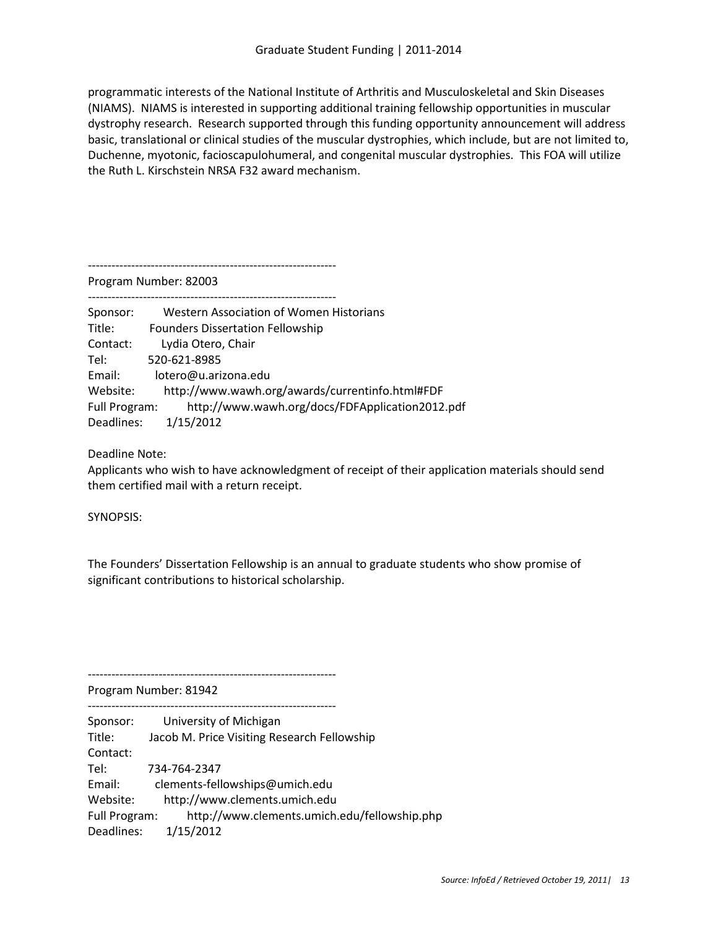programmatic interests of the National Institute of Arthritis and Musculoskeletal and Skin Diseases (NIAMS). NIAMS is interested in supporting additional training fellowship opportunities in muscular dystrophy research. Research supported through this funding opportunity announcement will address basic, translational or clinical studies of the muscular dystrophies, which include, but are not limited to, Duchenne, myotonic, facioscapulohumeral, and congenital muscular dystrophies. This FOA will utilize the Ruth L. Kirschstein NRSA F32 award mechanism.

---------------------------------------------------------------

Program Number: 82003

---------------------------------------------------------------

| Sponsor:      | Western Association of Women Historians         |
|---------------|-------------------------------------------------|
| Title:        | <b>Founders Dissertation Fellowship</b>         |
| Contact:      | Lydia Otero, Chair                              |
| Tel:          | 520-621-8985                                    |
| Email:        | lotero@u.arizona.edu                            |
| Website:      | http://www.wawh.org/awards/currentinfo.html#FDF |
| Full Program: | http://www.wawh.org/docs/FDFApplication2012.pdf |
| Deadlines:    | 1/15/2012                                       |

Deadline Note:

Applicants who wish to have acknowledgment of receipt of their application materials should send them certified mail with a return receipt.

SYNOPSIS:

The Founders' Dissertation Fellowship is an annual to graduate students who show promise of significant contributions to historical scholarship.

Program Number: 81942

--------------------------------------------------------------- Sponsor: University of Michigan Title: Jacob M. Price Visiting Research Fellowship Contact: Tel: 734-764-2347 Email: clements-fellowships@umich.edu Website: http://www.clements.umich.edu Full Program: http://www.clements.umich.edu/fellowship.php Deadlines: 1/15/2012

---------------------------------------------------------------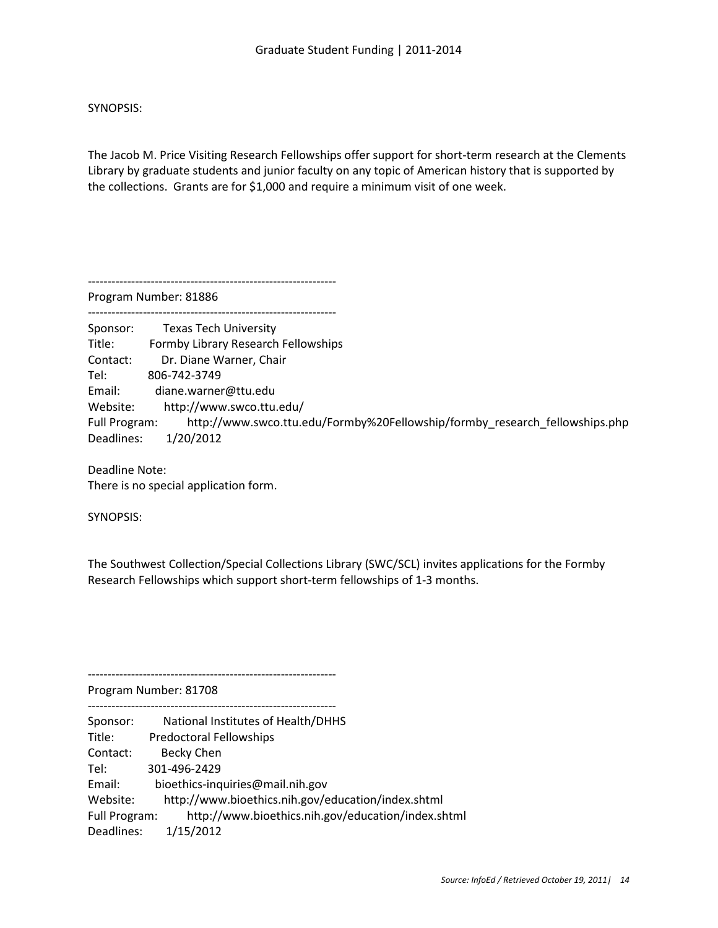The Jacob M. Price Visiting Research Fellowships offer support for short-term research at the Clements Library by graduate students and junior faculty on any topic of American history that is supported by the collections. Grants are for \$1,000 and require a minimum visit of one week.

---------------------------------------------------------------

Program Number: 81886

--------------------------------------------------------------- Sponsor: Texas Tech University Title: Formby Library Research Fellowships Contact: Dr. Diane Warner, Chair Tel: 806-742-3749 Email: diane.warner@ttu.edu Website: http://www.swco.ttu.edu/ Full Program: http://www.swco.ttu.edu/Formby%20Fellowship/formby\_research\_fellowships.php Deadlines: 1/20/2012

Deadline Note: There is no special application form.

SYNOPSIS:

The Southwest Collection/Special Collections Library (SWC/SCL) invites applications for the Formby Research Fellowships which support short-term fellowships of 1-3 months.

Program Number: 81708

---------------------------------------------------------------

---------------------------------------------------------------

Sponsor: National Institutes of Health/DHHS Title: Predoctoral Fellowships Contact: Becky Chen Tel: 301-496-2429 Email: bioethics-inquiries@mail.nih.gov Website: http://www.bioethics.nih.gov/education/index.shtml Full Program: http://www.bioethics.nih.gov/education/index.shtml Deadlines: 1/15/2012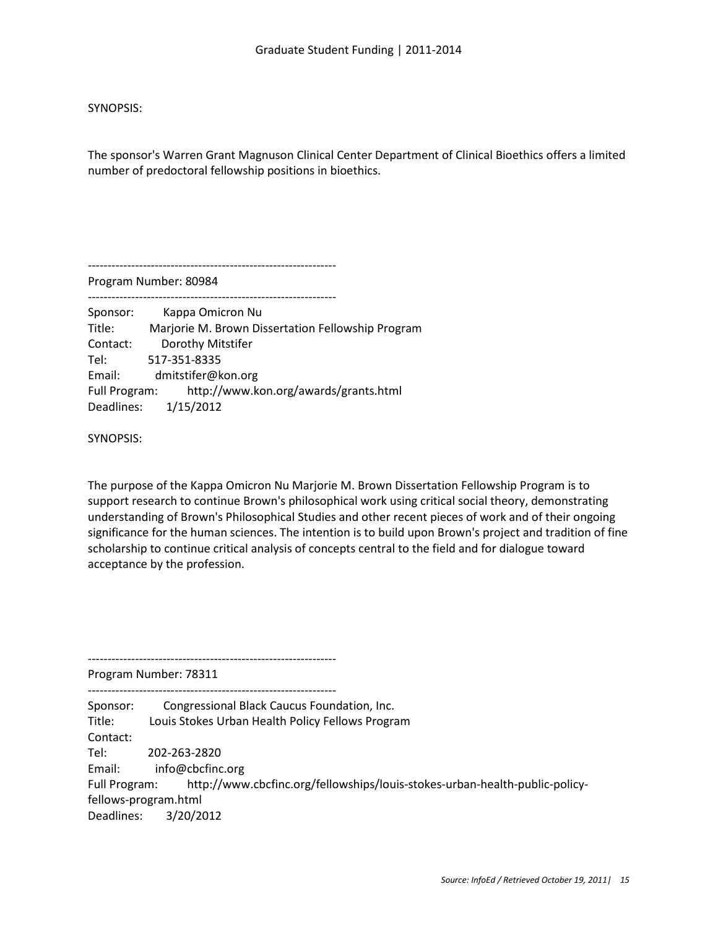The sponsor's Warren Grant Magnuson Clinical Center Department of Clinical Bioethics offers a limited number of predoctoral fellowship positions in bioethics.

---------------------------------------------------------------

Program Number: 80984

---------------------------------------------------------------

Sponsor: Kappa Omicron Nu Title: Marjorie M. Brown Dissertation Fellowship Program Contact: Dorothy Mitstifer Tel: 517-351-8335 Email: dmitstifer@kon.org Full Program: http://www.kon.org/awards/grants.html Deadlines: 1/15/2012

SYNOPSIS:

The purpose of the Kappa Omicron Nu Marjorie M. Brown Dissertation Fellowship Program is to support research to continue Brown's philosophical work using critical social theory, demonstrating understanding of Brown's Philosophical Studies and other recent pieces of work and of their ongoing significance for the human sciences. The intention is to build upon Brown's project and tradition of fine scholarship to continue critical analysis of concepts central to the field and for dialogue toward acceptance by the profession.

Program Number: 78311

---------------------------------------------------------------

---------------------------------------------------------------

Sponsor: Congressional Black Caucus Foundation, Inc. Title: Louis Stokes Urban Health Policy Fellows Program Contact: Tel: 202-263-2820 Email: info@cbcfinc.org Full Program: http://www.cbcfinc.org/fellowships/louis-stokes-urban-health-public-policyfellows-program.html Deadlines: 3/20/2012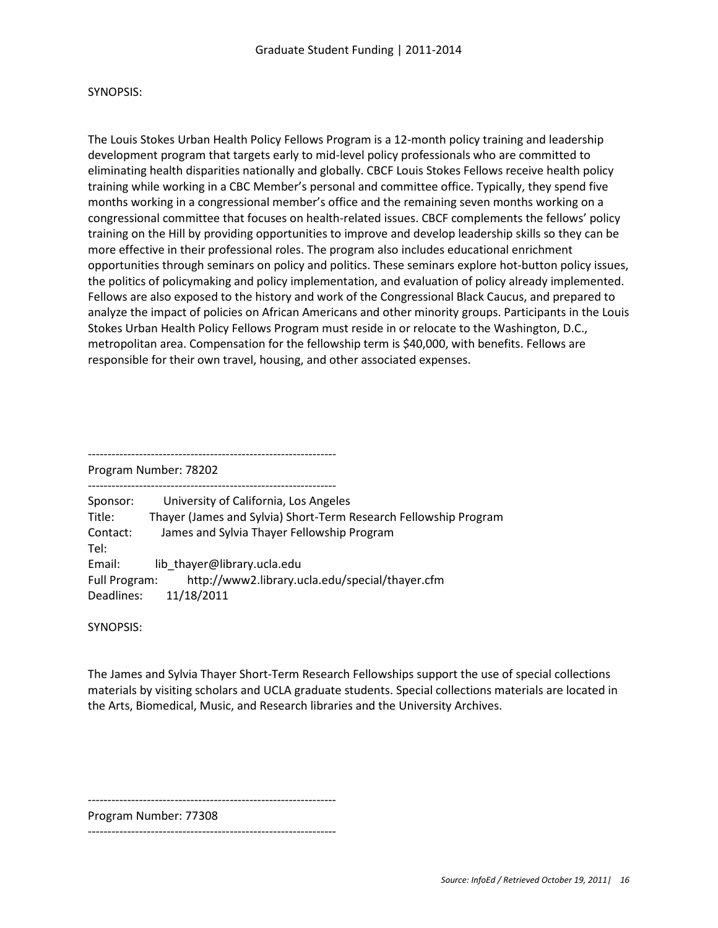The Louis Stokes Urban Health Policy Fellows Program is a 12-month policy training and leadership development program that targets early to mid-level policy professionals who are committed to eliminating health disparities nationally and globally. CBCF Louis Stokes Fellows receive health policy training while working in a CBC Member's personal and committee office. Typically, they spend five months working in a congressional member's office and the remaining seven months working on a congressional committee that focuses on health-related issues. CBCF complements the fellows' policy training on the Hill by providing opportunities to improve and develop leadership skills so they can be more effective in their professional roles. The program also includes educational enrichment opportunities through seminars on policy and politics. These seminars explore hot-button policy issues, the politics of policymaking and policy implementation, and evaluation of policy already implemented. Fellows are also exposed to the history and work of the Congressional Black Caucus, and prepared to analyze the impact of policies on African Americans and other minority groups. Participants in the Louis Stokes Urban Health Policy Fellows Program must reside in or relocate to the Washington, D.C., metropolitan area. Compensation for the fellowship term is \$40,000, with benefits. Fellows are responsible for their own travel, housing, and other associated expenses.

---------------------------------------------------------------

Program Number: 78202

--------------------------------------------------------------- Sponsor: University of California, Los Angeles Title: Thayer (James and Sylvia) Short-Term Research Fellowship Program Contact: James and Sylvia Thayer Fellowship Program Tel: Email: lib thayer@library.ucla.edu Full Program: http://www2.library.ucla.edu/special/thayer.cfm Deadlines: 11/18/2011

SYNOPSIS:

The James and Sylvia Thayer Short-Term Research Fellowships support the use of special collections materials by visiting scholars and UCLA graduate students. Special collections materials are located in the Arts, Biomedical, Music, and Research libraries and the University Archives.

---------------------------------------------------------------

Program Number: 77308

---------------------------------------------------------------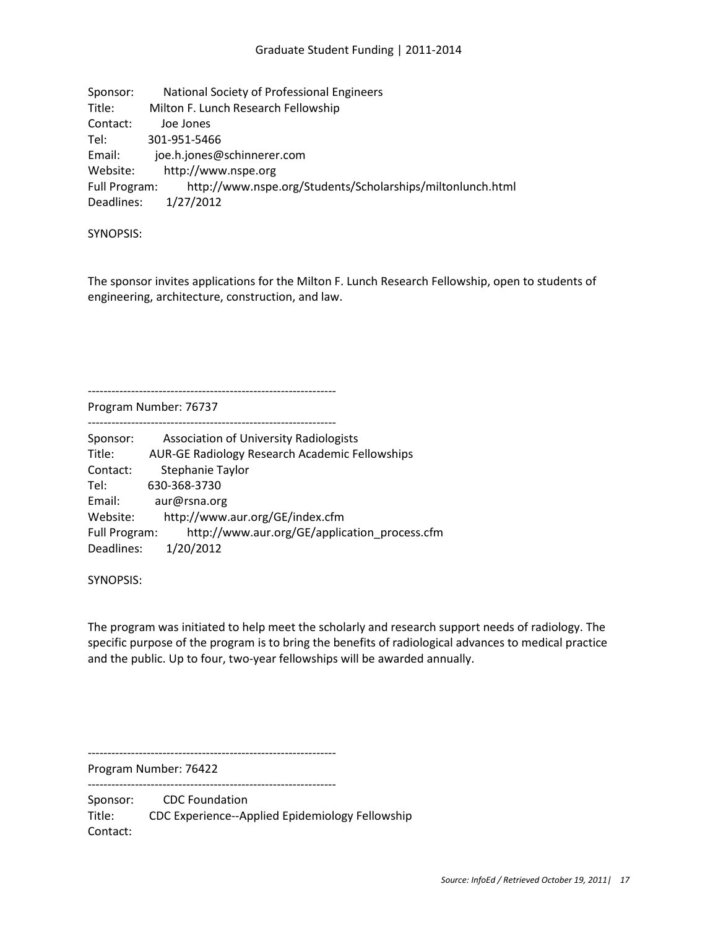| Sponsor:      | National Society of Professional Engineers                 |
|---------------|------------------------------------------------------------|
| Title:        | Milton F. Lunch Research Fellowship                        |
| Contact:      | Joe Jones                                                  |
| Tel:          | 301-951-5466                                               |
| Email:        | joe.h.jones@schinnerer.com                                 |
| Website:      | http://www.nspe.org                                        |
| Full Program: | http://www.nspe.org/Students/Scholarships/miltonlunch.html |
| Deadlines:    | 1/27/2012                                                  |

The sponsor invites applications for the Milton F. Lunch Research Fellowship, open to students of engineering, architecture, construction, and law.

Program Number: 76737

---------------------------------------------------------------

---------------------------------------------------------------

| Sponsor:      | <b>Association of University Radiologists</b>         |
|---------------|-------------------------------------------------------|
| Title:        | <b>AUR-GE Radiology Research Academic Fellowships</b> |
| Contact:      | Stephanie Taylor                                      |
| Tel:          | 630-368-3730                                          |
| Email:        | aur@rsna.org                                          |
| Website:      | http://www.aur.org/GE/index.cfm                       |
| Full Program: | http://www.aur.org/GE/application process.cfm         |
| Deadlines:    | 1/20/2012                                             |

SYNOPSIS:

The program was initiated to help meet the scholarly and research support needs of radiology. The specific purpose of the program is to bring the benefits of radiological advances to medical practice and the public. Up to four, two-year fellowships will be awarded annually.

Program Number: 76422

---------------------------------------------------------------

---------------------------------------------------------------

Sponsor: CDC Foundation Title: CDC Experience--Applied Epidemiology Fellowship Contact: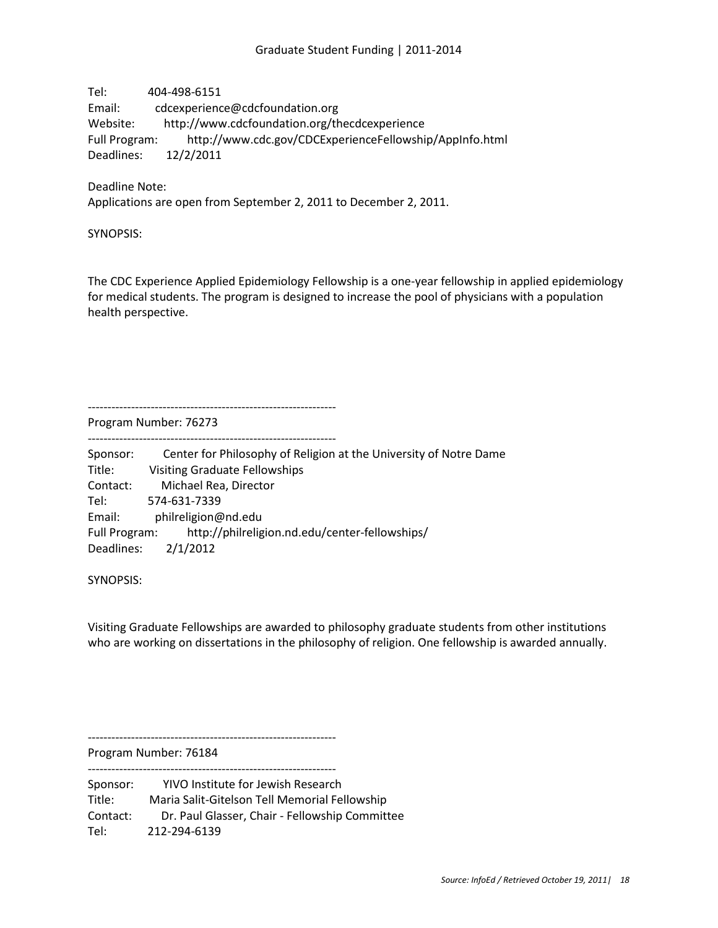Tel: 404-498-6151 Email: cdcexperience@cdcfoundation.org Website: http://www.cdcfoundation.org/thecdcexperience Full Program: http://www.cdc.gov/CDCExperienceFellowship/AppInfo.html Deadlines: 12/2/2011

Deadline Note: Applications are open from September 2, 2011 to December 2, 2011.

SYNOPSIS:

The CDC Experience Applied Epidemiology Fellowship is a one-year fellowship in applied epidemiology for medical students. The program is designed to increase the pool of physicians with a population health perspective.

Program Number: 76273

---------------------------------------------------------------

---------------------------------------------------------------

Sponsor: Center for Philosophy of Religion at the University of Notre Dame Title: Visiting Graduate Fellowships Contact: Michael Rea, Director Tel: 574-631-7339 Email: philreligion@nd.edu Full Program: http://philreligion.nd.edu/center-fellowships/ Deadlines: 2/1/2012

SYNOPSIS:

Visiting Graduate Fellowships are awarded to philosophy graduate students from other institutions who are working on dissertations in the philosophy of religion. One fellowship is awarded annually.

---------------------------------------------------------------

Program Number: 76184 ---------------------------------------------------------------

Sponsor: YIVO Institute for Jewish Research Title: Maria Salit-Gitelson Tell Memorial Fellowship Contact: Dr. Paul Glasser, Chair - Fellowship Committee Tel: 212-294-6139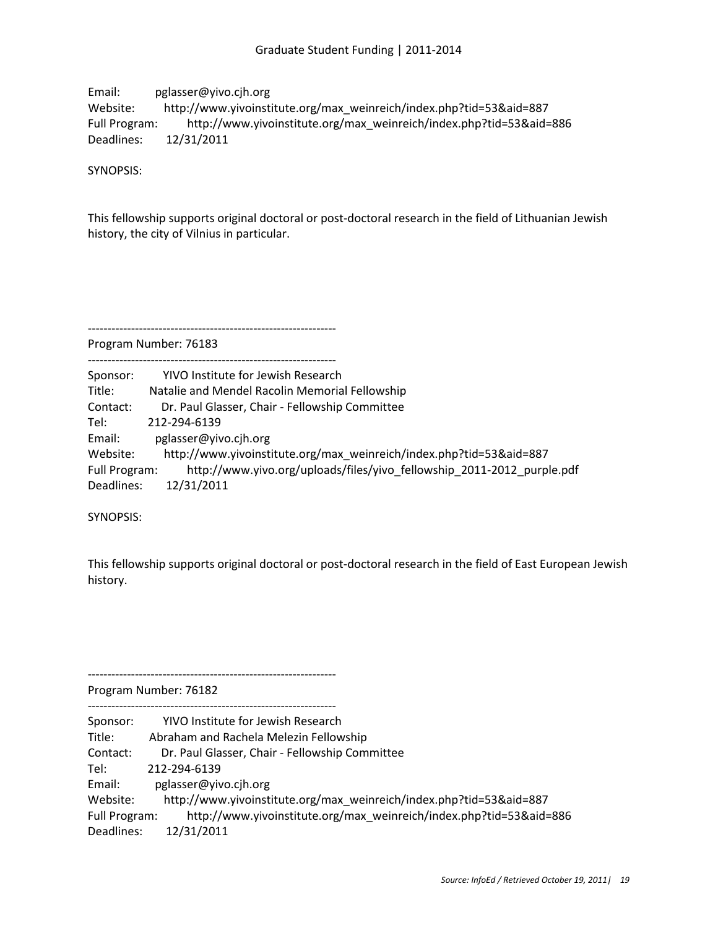Email: pglasser@yivo.cjh.org Website: http://www.yivoinstitute.org/max\_weinreich/index.php?tid=53&aid=887 Full Program: http://www.yivoinstitute.org/max\_weinreich/index.php?tid=53&aid=886 Deadlines: 12/31/2011

SYNOPSIS:

This fellowship supports original doctoral or post-doctoral research in the field of Lithuanian Jewish history, the city of Vilnius in particular.

Program Number: 76183

---------------------------------------------------------------

| Sponsor:      | YIVO Institute for Jewish Research                                     |
|---------------|------------------------------------------------------------------------|
| Title:        | Natalie and Mendel Racolin Memorial Fellowship                         |
| Contact:      | Dr. Paul Glasser, Chair - Fellowship Committee                         |
| Tel:          | 212-294-6139                                                           |
| Email:        | pglasser@yivo.cih.org                                                  |
| Website:      | http://www.yivoinstitute.org/max weinreich/index.php?tid=53&aid=887    |
| Full Program: | http://www.yivo.org/uploads/files/yivo fellowship 2011-2012 purple.pdf |
| Deadlines:    | 12/31/2011                                                             |

SYNOPSIS:

This fellowship supports original doctoral or post-doctoral research in the field of East European Jewish history.

Program Number: 76182

---------------------------------------------------------------

---------------------------------------------------------------

Sponsor: YIVO Institute for Jewish Research Title: Abraham and Rachela Melezin Fellowship Contact: Dr. Paul Glasser, Chair - Fellowship Committee Tel: 212-294-6139 Email: pglasser@yivo.cjh.org Website: http://www.yivoinstitute.org/max\_weinreich/index.php?tid=53&aid=887 Full Program: http://www.yivoinstitute.org/max\_weinreich/index.php?tid=53&aid=886 Deadlines: 12/31/2011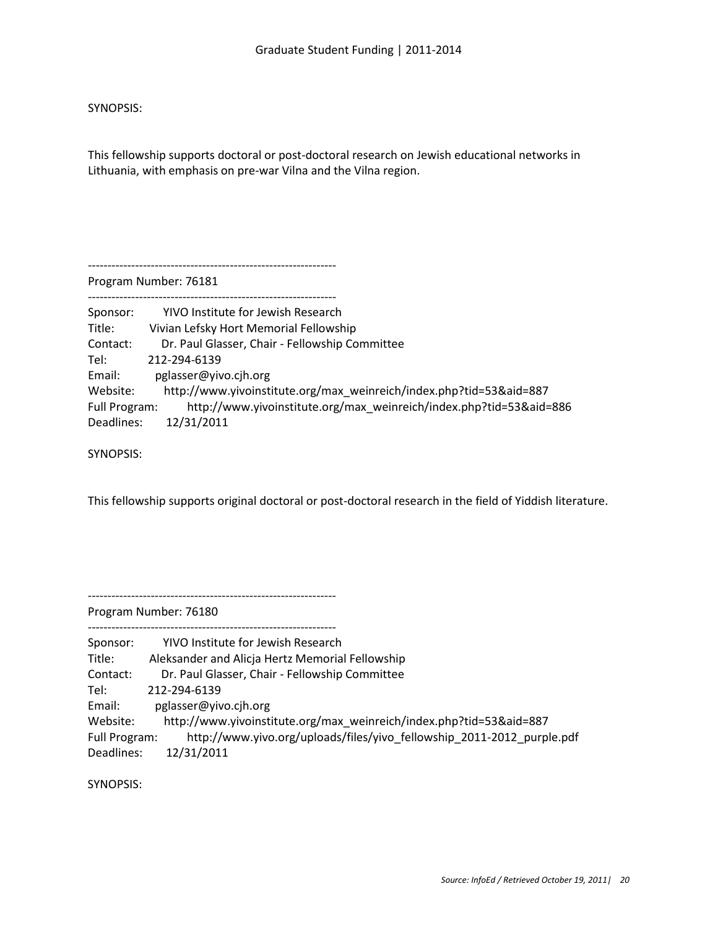This fellowship supports doctoral or post-doctoral research on Jewish educational networks in Lithuania, with emphasis on pre-war Vilna and the Vilna region.

---------------------------------------------------------------

Program Number: 76181

---------------------------------------------------------------

| Sponsor:      | YIVO Institute for Jewish Research                                  |
|---------------|---------------------------------------------------------------------|
| Title:        | Vivian Lefsky Hort Memorial Fellowship                              |
| Contact:      | Dr. Paul Glasser, Chair - Fellowship Committee                      |
| Tel:          | 212-294-6139                                                        |
| Email:        | pglasser@yivo.cih.org                                               |
| Website:      | http://www.yivoinstitute.org/max weinreich/index.php?tid=53&aid=887 |
| Full Program: | http://www.yivoinstitute.org/max_weinreich/index.php?tid=53&aid=886 |
| Deadlines:    | 12/31/2011                                                          |

SYNOPSIS:

This fellowship supports original doctoral or post-doctoral research in the field of Yiddish literature.

---------------------------------------------------------------

---------------------------------------------------------------

Program Number: 76180

| Sponsor:      | YIVO Institute for Jewish Research                                     |
|---------------|------------------------------------------------------------------------|
| Title:        | Aleksander and Alicja Hertz Memorial Fellowship                        |
| Contact:      | Dr. Paul Glasser, Chair - Fellowship Committee                         |
| Tel:          | 212-294-6139                                                           |
| Email:        | pglasser@yivo.cih.org                                                  |
| Website:      | http://www.yivoinstitute.org/max_weinreich/index.php?tid=53&aid=887    |
| Full Program: | http://www.yivo.org/uploads/files/yivo fellowship 2011-2012 purple.pdf |
| Deadlines:    | 12/31/2011                                                             |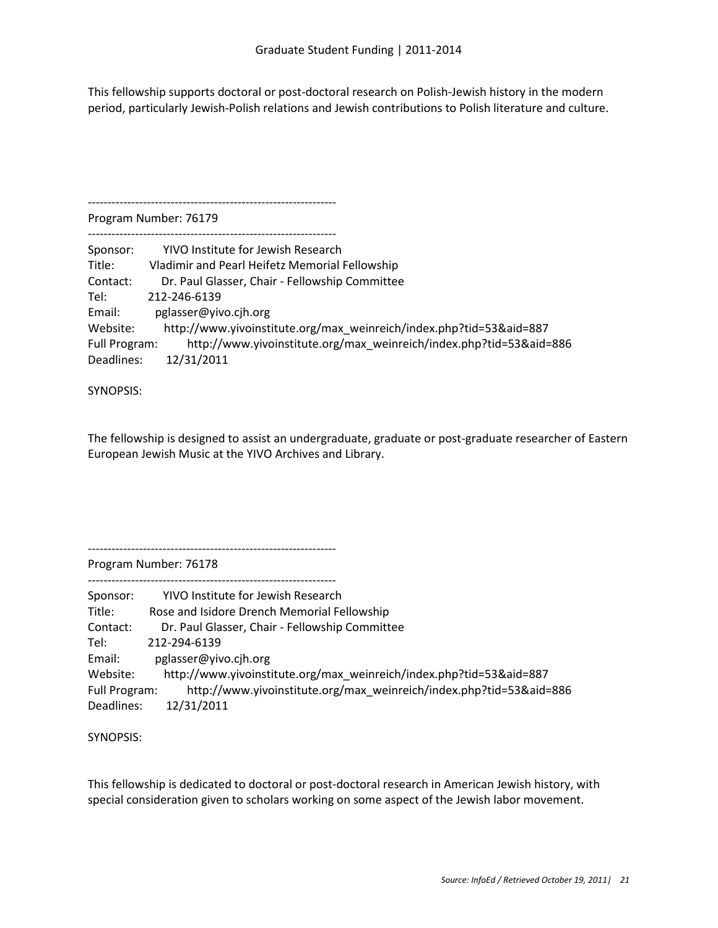This fellowship supports doctoral or post-doctoral research on Polish-Jewish history in the modern period, particularly Jewish-Polish relations and Jewish contributions to Polish literature and culture.

Program Number: 76179

---------------------------------------------------------------

| Sponsor:      | YIVO Institute for Jewish Research                                  |
|---------------|---------------------------------------------------------------------|
| Title:        | Vladimir and Pearl Heifetz Memorial Fellowship                      |
| Contact:      | Dr. Paul Glasser, Chair - Fellowship Committee                      |
| Tel:          | 212-246-6139                                                        |
| Email:        | pglasser@yivo.cih.org                                               |
| Website:      | http://www.yivoinstitute.org/max weinreich/index.php?tid=53&aid=887 |
| Full Program: | http://www.yivoinstitute.org/max weinreich/index.php?tid=53&aid=886 |
| Deadlines:    | 12/31/2011                                                          |

SYNOPSIS:

The fellowship is designed to assist an undergraduate, graduate or post-graduate researcher of Eastern European Jewish Music at the YIVO Archives and Library.

---------------------------------------------------------------

Program Number: 76178

--------------------------------------------------------------- Sponsor: YIVO Institute for Jewish Research Title: Rose and Isidore Drench Memorial Fellowship Contact: Dr. Paul Glasser, Chair - Fellowship Committee Tel: 212-294-6139 Email: pglasser@yivo.cjh.org Website: http://www.yivoinstitute.org/max\_weinreich/index.php?tid=53&aid=887 Full Program: http://www.yivoinstitute.org/max\_weinreich/index.php?tid=53&aid=886 Deadlines: 12/31/2011

SYNOPSIS:

This fellowship is dedicated to doctoral or post-doctoral research in American Jewish history, with special consideration given to scholars working on some aspect of the Jewish labor movement.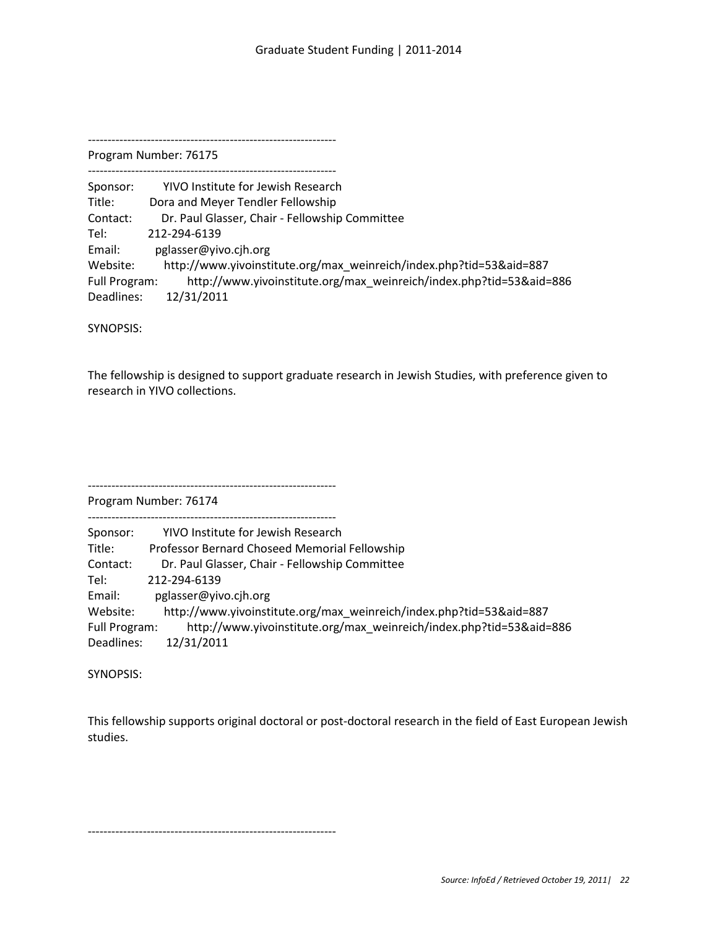--------------------------------------------------------------- Program Number: 76175

---------------------------------------------------------------

| Sponsor:      | YIVO Institute for Jewish Research                                  |
|---------------|---------------------------------------------------------------------|
| Title:        | Dora and Meyer Tendler Fellowship                                   |
| Contact:      | Dr. Paul Glasser, Chair - Fellowship Committee                      |
| Tel:          | 212-294-6139                                                        |
| Email:        | pglasser@yivo.cih.org                                               |
| Website:      | http://www.yivoinstitute.org/max weinreich/index.php?tid=53&aid=887 |
| Full Program: | http://www.yivoinstitute.org/max weinreich/index.php?tid=53&aid=886 |
| Deadlines:    | 12/31/2011                                                          |

SYNOPSIS:

The fellowship is designed to support graduate research in Jewish Studies, with preference given to research in YIVO collections.

--------------------------------------------------------------- Program Number: 76174

| Sponsor:      | YIVO Institute for Jewish Research                                  |
|---------------|---------------------------------------------------------------------|
| Title:        | Professor Bernard Choseed Memorial Fellowship                       |
| Contact:      | Dr. Paul Glasser, Chair - Fellowship Committee                      |
| Tel:          | 212-294-6139                                                        |
| Email:        | pglasser@yivo.cjh.org                                               |
| Website:      | http://www.yivoinstitute.org/max weinreich/index.php?tid=53&aid=887 |
| Full Program: | http://www.yivoinstitute.org/max weinreich/index.php?tid=53&aid=886 |
| Deadlines:    | 12/31/2011                                                          |

SYNOPSIS:

This fellowship supports original doctoral or post-doctoral research in the field of East European Jewish studies.

---------------------------------------------------------------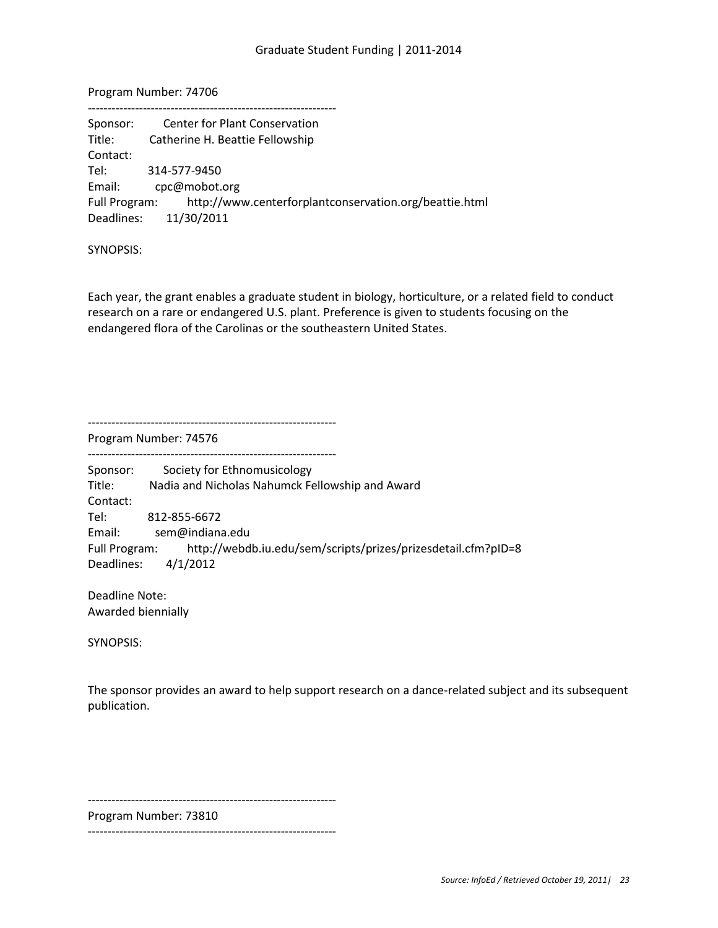Program Number: 74706

| Sponsor: | <b>Center for Plant Conservation</b>                                 |
|----------|----------------------------------------------------------------------|
| Title:   | Catherine H. Beattie Fellowship                                      |
| Contact: |                                                                      |
| Tel: Tel | 314-577-9450                                                         |
| Email:   | cpc@mobot.org                                                        |
|          | Full Program: http://www.centerforplantconservation.org/beattie.html |
|          | Deadlines: 11/30/2011                                                |
|          |                                                                      |

SYNOPSIS:

Each year, the grant enables a graduate student in biology, horticulture, or a related field to conduct research on a rare or endangered U.S. plant. Preference is given to students focusing on the endangered flora of the Carolinas or the southeastern United States.

---------------------------------------------------------------

Program Number: 74576

---------------------------------------------------------------

Sponsor: Society for Ethnomusicology Title: Nadia and Nicholas Nahumck Fellowship and Award Contact: Tel: 812-855-6672 Email: sem@indiana.edu Full Program: http://webdb.iu.edu/sem/scripts/prizes/prizesdetail.cfm?pID=8 Deadlines: 4/1/2012

Deadline Note: Awarded biennially

SYNOPSIS:

The sponsor provides an award to help support research on a dance-related subject and its subsequent publication.

---------------------------------------------------------------

Program Number: 73810

---------------------------------------------------------------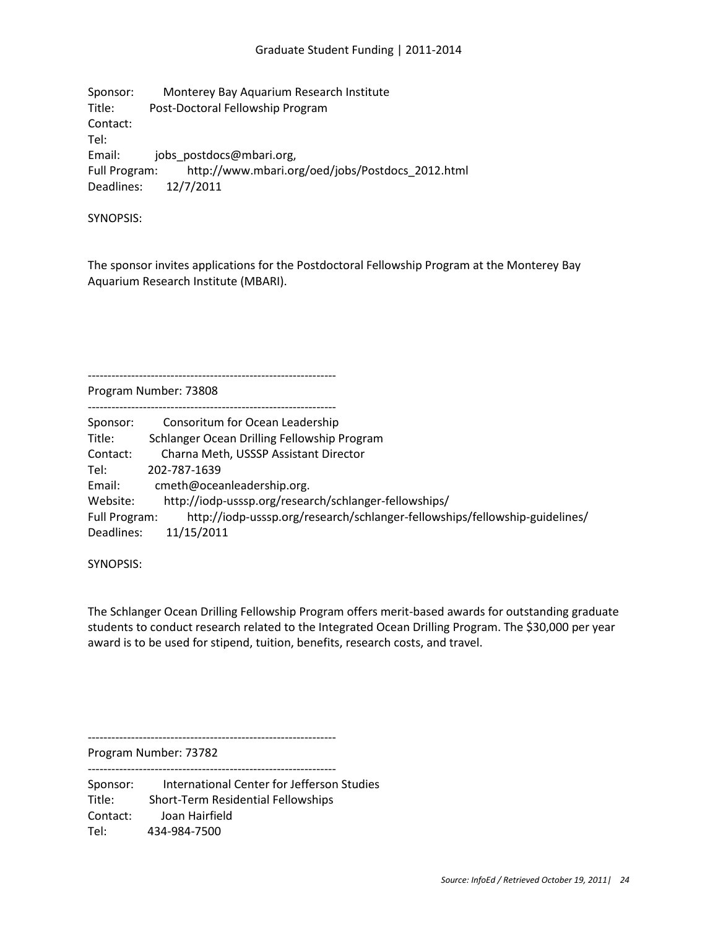Sponsor: Monterey Bay Aquarium Research Institute Title: Post-Doctoral Fellowship Program Contact: Tel: Email: jobs postdocs@mbari.org, Full Program: http://www.mbari.org/oed/jobs/Postdocs\_2012.html Deadlines: 12/7/2011

SYNOPSIS:

The sponsor invites applications for the Postdoctoral Fellowship Program at the Monterey Bay Aquarium Research Institute (MBARI).

--------------------------------------------------------------- Program Number: 73808

| Sponsor:      | Consoritum for Ocean Leadership                                             |
|---------------|-----------------------------------------------------------------------------|
| Title:        | Schlanger Ocean Drilling Fellowship Program                                 |
| Contact:      | Charna Meth, USSSP Assistant Director                                       |
| Tel:          | 202-787-1639                                                                |
| Email:        | cmeth@oceanleadership.org.                                                  |
| Website:      | http://iodp-usssp.org/research/schlanger-fellowships/                       |
| Full Program: | http://iodp-usssp.org/research/schlanger-fellowships/fellowship-guidelines/ |
| Deadlines:    | 11/15/2011                                                                  |

SYNOPSIS:

The Schlanger Ocean Drilling Fellowship Program offers merit-based awards for outstanding graduate students to conduct research related to the Integrated Ocean Drilling Program. The \$30,000 per year award is to be used for stipend, tuition, benefits, research costs, and travel.

---------------------------------------------------------------

Program Number: 73782 ---------------------------------------------------------------

Sponsor: International Center for Jefferson Studies Title: Short-Term Residential Fellowships Contact: Joan Hairfield Tel: 434-984-7500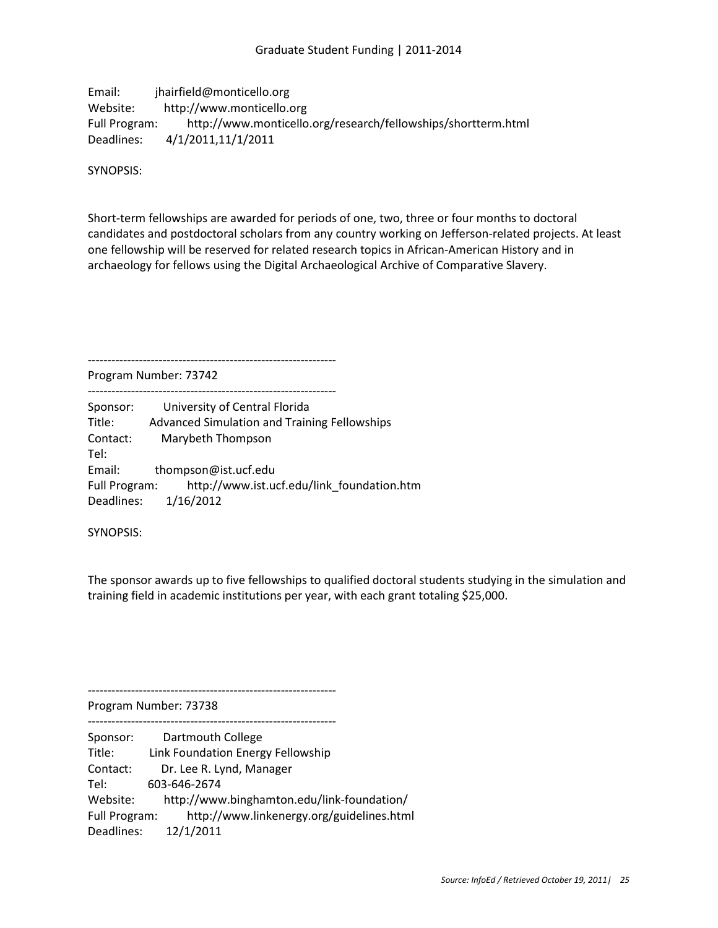# Email: jhairfield@monticello.org Website: http://www.monticello.org Full Program: http://www.monticello.org/research/fellowships/shortterm.html Deadlines: 4/1/2011,11/1/2011

SYNOPSIS:

Short-term fellowships are awarded for periods of one, two, three or four months to doctoral candidates and postdoctoral scholars from any country working on Jefferson-related projects. At least one fellowship will be reserved for related research topics in African-American History and in archaeology for fellows using the Digital Archaeological Archive of Comparative Slavery.

---------------------------------------------------------------

Program Number: 73742

--------------------------------------------------------------- Sponsor: University of Central Florida Title: Advanced Simulation and Training Fellowships Contact: Marybeth Thompson Tel: Email: thompson@ist.ucf.edu Full Program: http://www.ist.ucf.edu/link\_foundation.htm Deadlines: 1/16/2012

SYNOPSIS:

The sponsor awards up to five fellowships to qualified doctoral students studying in the simulation and training field in academic institutions per year, with each grant totaling \$25,000.

---------------------------------------------------------------

Program Number: 73738

---------------------------------------------------------------

Sponsor: Dartmouth College Title: Link Foundation Energy Fellowship Contact: Dr. Lee R. Lynd, Manager Tel: 603-646-2674 Website: http://www.binghamton.edu/link-foundation/ Full Program: http://www.linkenergy.org/guidelines.html Deadlines: 12/1/2011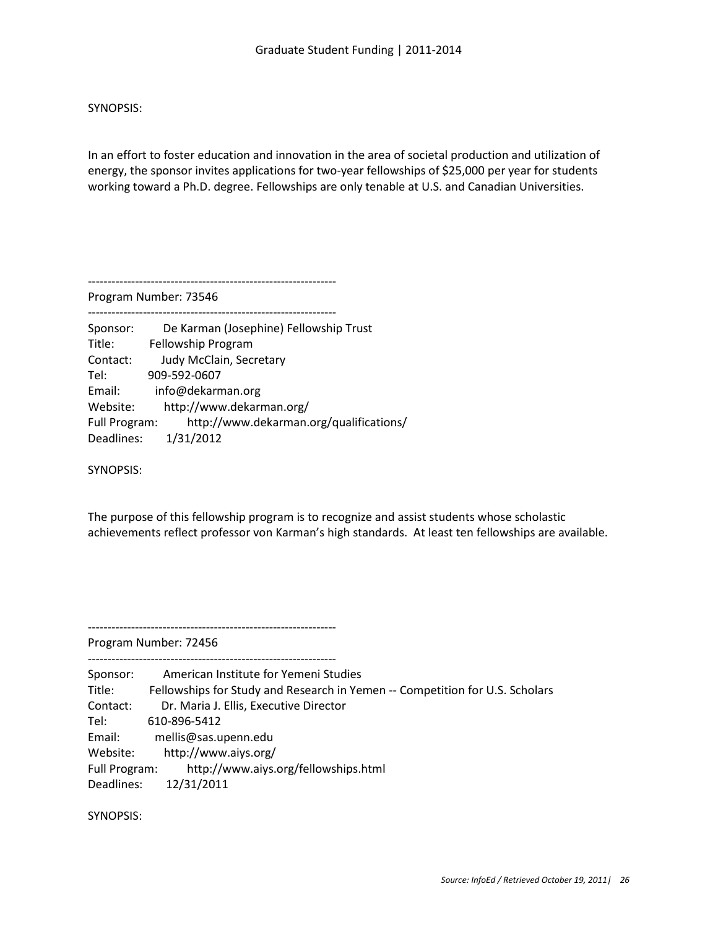In an effort to foster education and innovation in the area of societal production and utilization of energy, the sponsor invites applications for two-year fellowships of \$25,000 per year for students working toward a Ph.D. degree. Fellowships are only tenable at U.S. and Canadian Universities.

---------------------------------------------------------------

Program Number: 73546

--------------------------------------------------------------- Sponsor: De Karman (Josephine) Fellowship Trust Title: Fellowship Program Contact: Judy McClain, Secretary Tel: 909-592-0607 Email: info@dekarman.org Website: http://www.dekarman.org/ Full Program: http://www.dekarman.org/qualifications/ Deadlines: 1/31/2012

SYNOPSIS:

The purpose of this fellowship program is to recognize and assist students whose scholastic achievements reflect professor von Karman's high standards. At least ten fellowships are available.

Program Number: 72456

---------------------------------------------------------------

---------------------------------------------------------------

Sponsor: American Institute for Yemeni Studies Title: Fellowships for Study and Research in Yemen -- Competition for U.S. Scholars Contact: Dr. Maria J. Ellis, Executive Director Tel: 610-896-5412 Email: mellis@sas.upenn.edu Website: http://www.aiys.org/ Full Program: http://www.aiys.org/fellowships.html Deadlines: 12/31/2011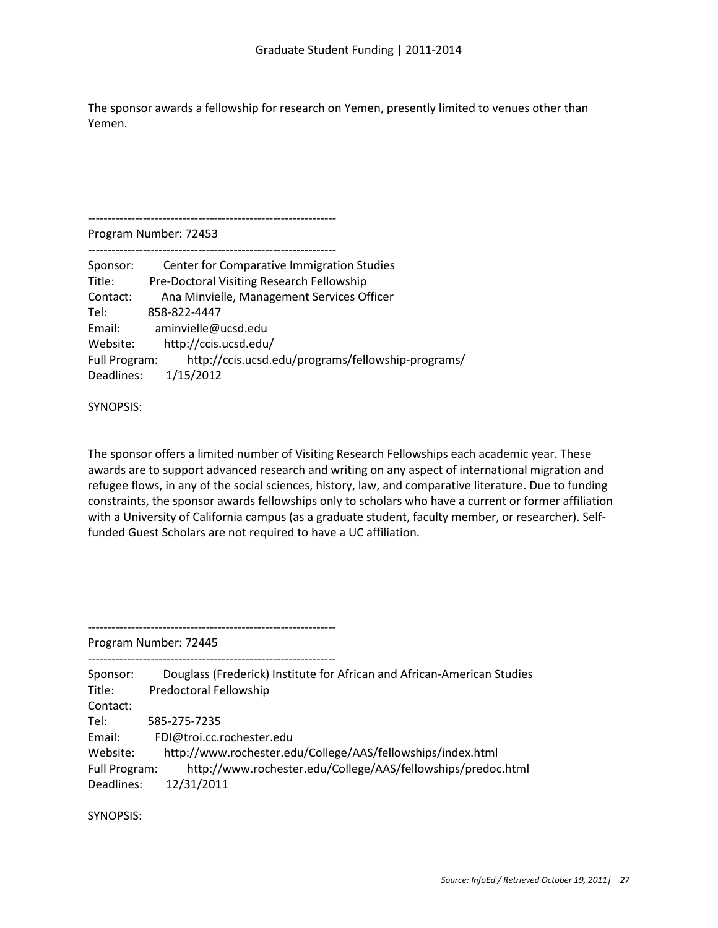The sponsor awards a fellowship for research on Yemen, presently limited to venues other than Yemen.

---------------------------------------------------------------

Program Number: 72453 ---------------------------------------------------------------

| Sponsor:      | Center for Comparative Immigration Studies         |
|---------------|----------------------------------------------------|
| Title:        | Pre-Doctoral Visiting Research Fellowship          |
| Contact:      | Ana Minvielle, Management Services Officer         |
| Tel:          | 858-822-4447                                       |
| Email:        | aminvielle@ucsd.edu                                |
| Website:      | http://ccis.ucsd.edu/                              |
| Full Program: | http://ccis.ucsd.edu/programs/fellowship-programs/ |
| Deadlines:    | 1/15/2012                                          |

SYNOPSIS:

The sponsor offers a limited number of Visiting Research Fellowships each academic year. These awards are to support advanced research and writing on any aspect of international migration and refugee flows, in any of the social sciences, history, law, and comparative literature. Due to funding constraints, the sponsor awards fellowships only to scholars who have a current or former affiliation with a University of California campus (as a graduate student, faculty member, or researcher). Selffunded Guest Scholars are not required to have a UC affiliation.

Program Number: 72445

---------------------------------------------------------------

--------------------------------------------------------------- Sponsor: Douglass (Frederick) Institute for African and African-American Studies Title: Predoctoral Fellowship Contact: Tel: 585-275-7235 Email: FDI@troi.cc.rochester.edu Website: http://www.rochester.edu/College/AAS/fellowships/index.html Full Program: http://www.rochester.edu/College/AAS/fellowships/predoc.html Deadlines: 12/31/2011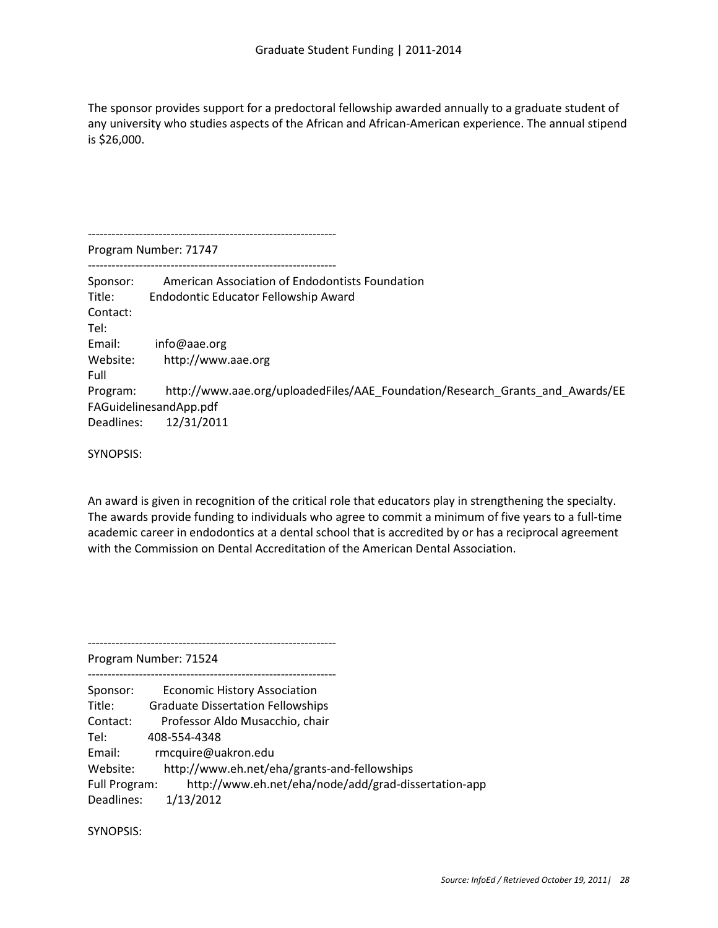The sponsor provides support for a predoctoral fellowship awarded annually to a graduate student of any university who studies aspects of the African and African-American experience. The annual stipend is \$26,000.

Program Number: 71747 --------------------------------------------------------------- Sponsor: American Association of Endodontists Foundation Title: Endodontic Educator Fellowship Award Contact: Tel: Email: info@aae.org Website: http://www.aae.org Full Program: http://www.aae.org/uploadedFiles/AAE\_Foundation/Research\_Grants\_and\_Awards/EE FAGuidelinesandApp.pdf Deadlines: 12/31/2011

SYNOPSIS:

An award is given in recognition of the critical role that educators play in strengthening the specialty. The awards provide funding to individuals who agree to commit a minimum of five years to a full-time academic career in endodontics at a dental school that is accredited by or has a reciprocal agreement with the Commission on Dental Accreditation of the American Dental Association.

Program Number: 71524

---------------------------------------------------------------

Sponsor: Economic History Association

---------------------------------------------------------------

---------------------------------------------------------------

Title: Graduate Dissertation Fellowships

Contact: Professor Aldo Musacchio, chair

Tel: 408-554-4348

Email: rmcquire@uakron.edu

Website: http://www.eh.net/eha/grants-and-fellowships

Full Program: http://www.eh.net/eha/node/add/grad-dissertation-app

Deadlines: 1/13/2012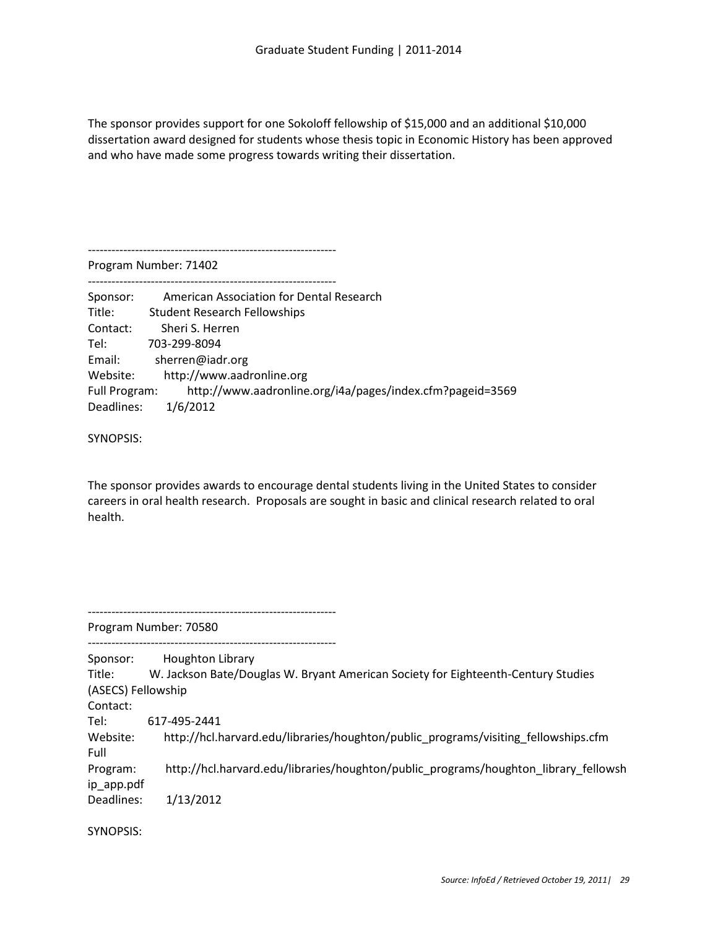The sponsor provides support for one Sokoloff fellowship of \$15,000 and an additional \$10,000 dissertation award designed for students whose thesis topic in Economic History has been approved and who have made some progress towards writing their dissertation.

Program Number: 71402

---------------------------------------------------------------

---------------------------------------------------------------

| Sponsor:      | American Association for Dental Research                  |
|---------------|-----------------------------------------------------------|
| Title:        | <b>Student Research Fellowships</b>                       |
| Contact:      | Sheri S. Herren                                           |
| Tel:          | 703-299-8094                                              |
| Email:        | sherren@iadr.org                                          |
| Website:      | http://www.aadronline.org                                 |
| Full Program: | http://www.aadronline.org/i4a/pages/index.cfm?pageid=3569 |
| Deadlines:    | 1/6/2012                                                  |

SYNOPSIS:

The sponsor provides awards to encourage dental students living in the United States to consider careers in oral health research. Proposals are sought in basic and clinical research related to oral health.

--------------------------------------------------------------- Program Number: 70580 --------------------------------------------------------------- Sponsor: Houghton Library Title: W. Jackson Bate/Douglas W. Bryant American Society for Eighteenth-Century Studies (ASECS) Fellowship Contact: Tel: 617-495-2441 Website: http://hcl.harvard.edu/libraries/houghton/public\_programs/visiting\_fellowships.cfm Full Program: http://hcl.harvard.edu/libraries/houghton/public\_programs/houghton\_library\_fellowsh ip\_app.pdf Deadlines: 1/13/2012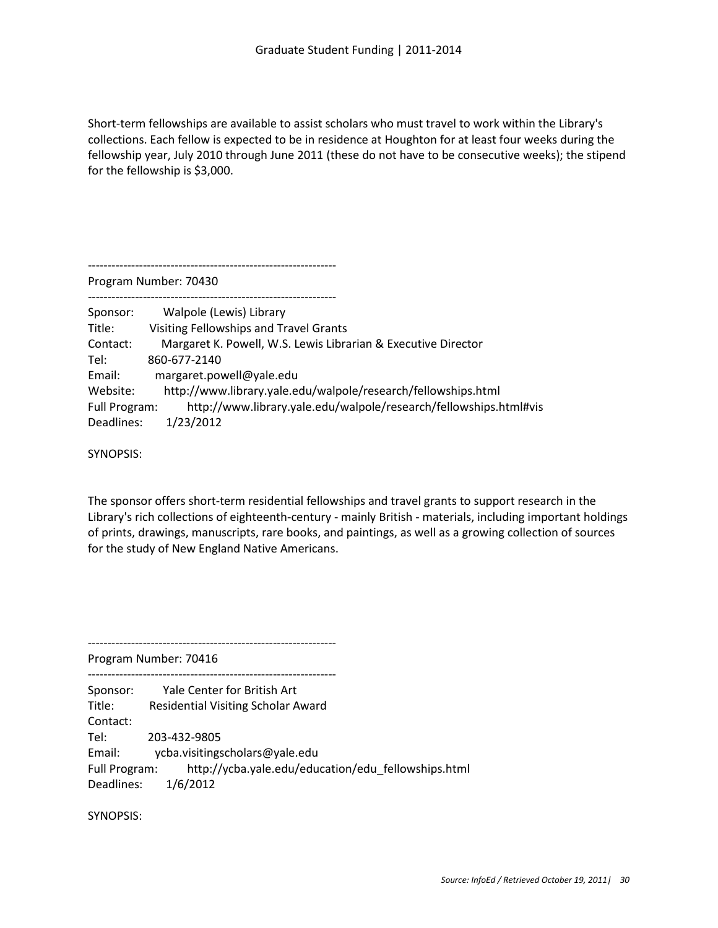Short-term fellowships are available to assist scholars who must travel to work within the Library's collections. Each fellow is expected to be in residence at Houghton for at least four weeks during the fellowship year, July 2010 through June 2011 (these do not have to be consecutive weeks); the stipend for the fellowship is \$3,000.

|               | Program Number: 70430                                             |
|---------------|-------------------------------------------------------------------|
| Sponsor:      | Walpole (Lewis) Library                                           |
| Title:        | <b>Visiting Fellowships and Travel Grants</b>                     |
| Contact:      | Margaret K. Powell, W.S. Lewis Librarian & Executive Director     |
| Tel:          | 860-677-2140                                                      |
| Email:        | margaret.powell@yale.edu                                          |
| Website:      | http://www.library.yale.edu/walpole/research/fellowships.html     |
| Full Program: | http://www.library.yale.edu/walpole/research/fellowships.html#vis |
| Deadlines:    | 1/23/2012                                                         |

SYNOPSIS:

The sponsor offers short-term residential fellowships and travel grants to support research in the Library's rich collections of eighteenth-century - mainly British - materials, including important holdings of prints, drawings, manuscripts, rare books, and paintings, as well as a growing collection of sources for the study of New England Native Americans.

---------------------------------------------------------------

---------------------------------------------------------------

Program Number: 70416

Sponsor: Yale Center for British Art Title: Residential Visiting Scholar Award Contact: Tel: 203-432-9805 Email: ycba.visitingscholars@yale.edu Full Program: http://ycba.yale.edu/education/edu\_fellowships.html Deadlines: 1/6/2012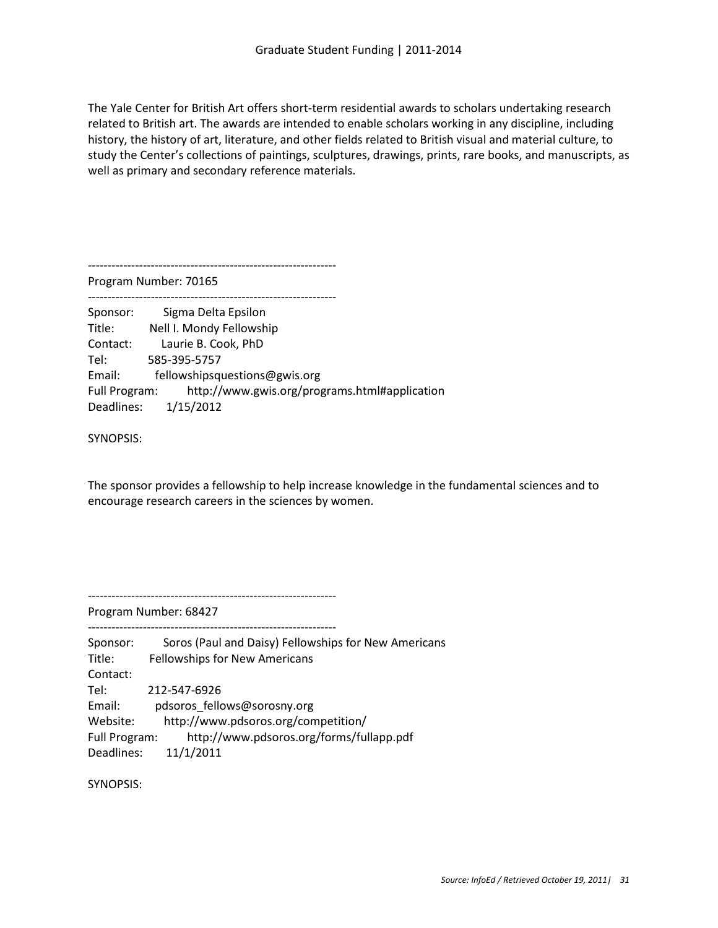The Yale Center for British Art offers short-term residential awards to scholars undertaking research related to British art. The awards are intended to enable scholars working in any discipline, including history, the history of art, literature, and other fields related to British visual and material culture, to study the Center's collections of paintings, sculptures, drawings, prints, rare books, and manuscripts, as well as primary and secondary reference materials.

---------------------------------------------------------------

Program Number: 70165

---------------------------------------------------------------

Sponsor: Sigma Delta Epsilon Title: Nell I. Mondy Fellowship Contact: Laurie B. Cook, PhD Tel: 585-395-5757 Email: fellowshipsquestions@gwis.org Full Program: http://www.gwis.org/programs.html#application Deadlines: 1/15/2012

SYNOPSIS:

The sponsor provides a fellowship to help increase knowledge in the fundamental sciences and to encourage research careers in the sciences by women.

---------------------------------------------------------------

---------------------------------------------------------------

Program Number: 68427

| Sponsor:      | Soros (Paul and Daisy) Fellowships for New Americans |
|---------------|------------------------------------------------------|
| Title:        | <b>Fellowships for New Americans</b>                 |
| Contact:      |                                                      |
| Tel:          | 212-547-6926                                         |
| Email:        | pdsoros fellows@sorosny.org                          |
| Website:      | http://www.pdsoros.org/competition/                  |
| Full Program: | http://www.pdsoros.org/forms/fullapp.pdf             |
| Deadlines:    | 11/1/2011                                            |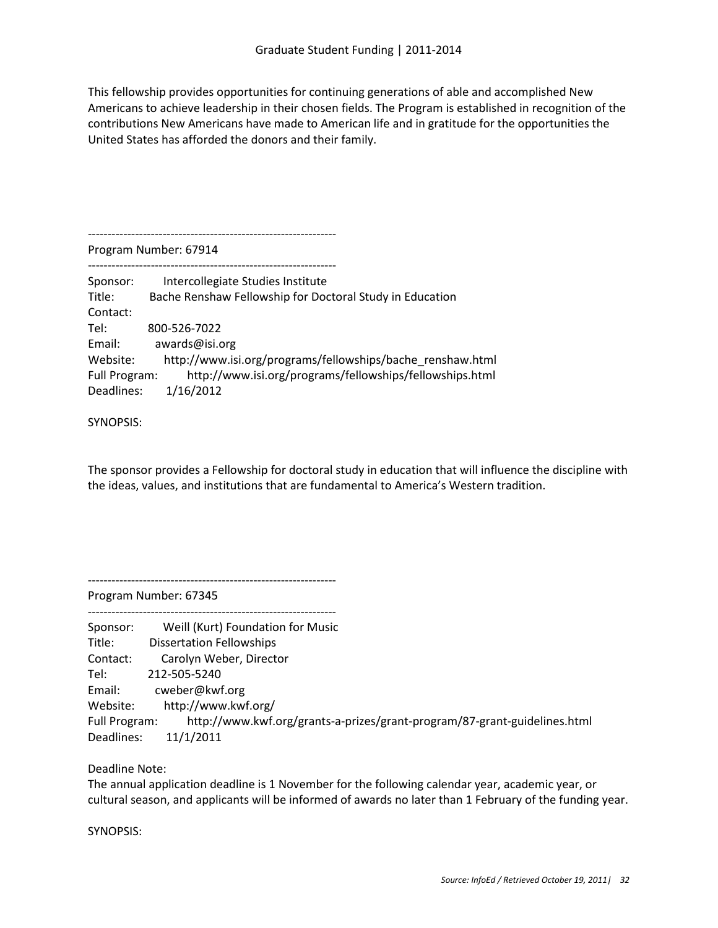This fellowship provides opportunities for continuing generations of able and accomplished New Americans to achieve leadership in their chosen fields. The Program is established in recognition of the contributions New Americans have made to American life and in gratitude for the opportunities the United States has afforded the donors and their family.

--------------------------------------------------------------- Program Number: 67914 --------------------------------------------------------------- Sponsor: Intercollegiate Studies Institute Title: Bache Renshaw Fellowship for Doctoral Study in Education Contact: Tel: 800-526-7022 Email: awards@isi.org Website: http://www.isi.org/programs/fellowships/bache\_renshaw.html Full Program: http://www.isi.org/programs/fellowships/fellowships.html Deadlines: 1/16/2012

### SYNOPSIS:

The sponsor provides a Fellowship for doctoral study in education that will influence the discipline with the ideas, values, and institutions that are fundamental to America's Western tradition.

---------------------------------------------------------------

Program Number: 67345 ---------------------------------------------------------------

| Sponsor:      | Weill (Kurt) Foundation for Music                                         |
|---------------|---------------------------------------------------------------------------|
| Title:        | <b>Dissertation Fellowships</b>                                           |
| Contact:      | Carolyn Weber, Director                                                   |
| Tel:          | 212-505-5240                                                              |
| Email:        | cweber@kwf.org                                                            |
| Website:      | http://www.kwf.org/                                                       |
| Full Program: | http://www.kwf.org/grants-a-prizes/grant-program/87-grant-guidelines.html |
| Deadlines:    | 11/1/2011                                                                 |

# Deadline Note:

The annual application deadline is 1 November for the following calendar year, academic year, or cultural season, and applicants will be informed of awards no later than 1 February of the funding year.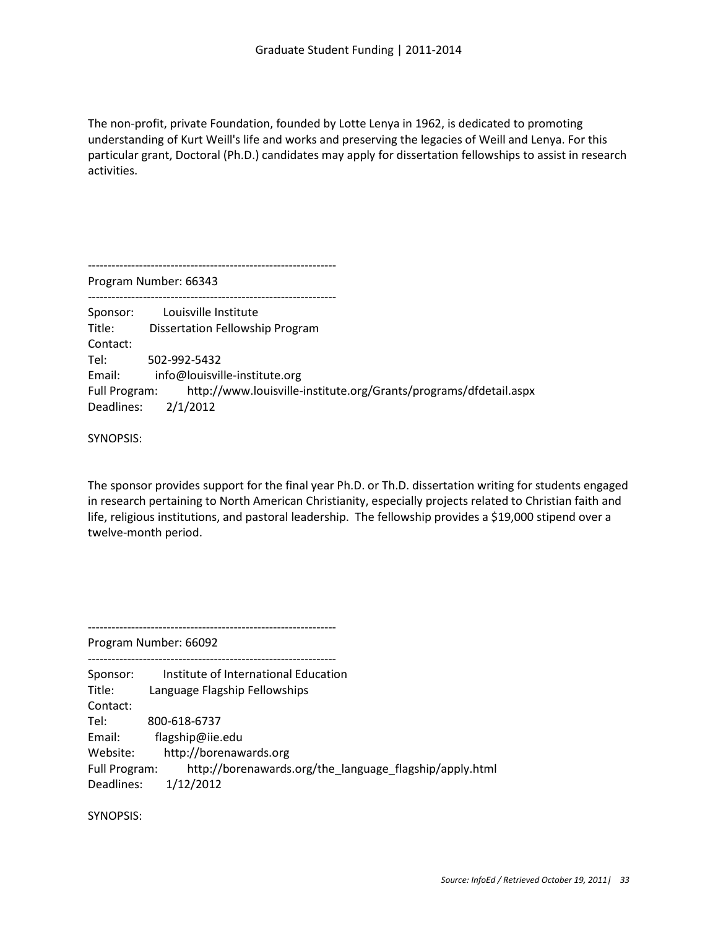The non-profit, private Foundation, founded by Lotte Lenya in 1962, is dedicated to promoting understanding of Kurt Weill's life and works and preserving the legacies of Weill and Lenya. For this particular grant, Doctoral (Ph.D.) candidates may apply for dissertation fellowships to assist in research activities.

--------------------------------------------------------------- Program Number: 66343 --------------------------------------------------------------- Sponsor: Louisville Institute Title: Dissertation Fellowship Program Contact: Tel: 502-992-5432 Email: info@louisville-institute.org Full Program: http://www.louisville-institute.org/Grants/programs/dfdetail.aspx Deadlines: 2/1/2012

SYNOPSIS:

The sponsor provides support for the final year Ph.D. or Th.D. dissertation writing for students engaged in research pertaining to North American Christianity, especially projects related to Christian faith and life, religious institutions, and pastoral leadership. The fellowship provides a \$19,000 stipend over a twelve-month period.

Program Number: 66092

---------------------------------------------------------------

--------------------------------------------------------------- Sponsor: Institute of International Education Title: Language Flagship Fellowships Contact: Tel: 800-618-6737 Email: flagship@iie.edu Website: http://borenawards.org Full Program: http://borenawards.org/the\_language\_flagship/apply.html Deadlines: 1/12/2012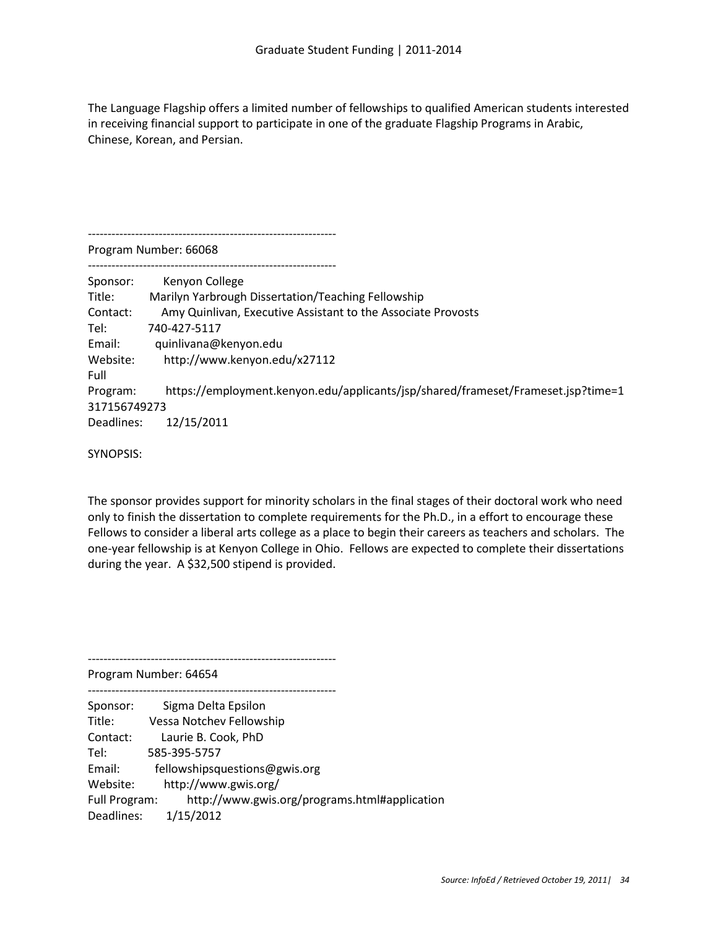The Language Flagship offers a limited number of fellowships to qualified American students interested in receiving financial support to participate in one of the graduate Flagship Programs in Arabic, Chinese, Korean, and Persian.

--------------------------------------------------------------- Program Number: 66068

--------------------------------------------------------------- Sponsor: Kenyon College Title: Marilyn Yarbrough Dissertation/Teaching Fellowship Contact: Amy Quinlivan, Executive Assistant to the Associate Provosts Tel: 740-427-5117 Email: quinlivana@kenyon.edu Website: http://www.kenyon.edu/x27112 Full Program: https://employment.kenyon.edu/applicants/jsp/shared/frameset/Frameset.jsp?time=1 317156749273 Deadlines: 12/15/2011

SYNOPSIS:

The sponsor provides support for minority scholars in the final stages of their doctoral work who need only to finish the dissertation to complete requirements for the Ph.D., in a effort to encourage these Fellows to consider a liberal arts college as a place to begin their careers as teachers and scholars. The one-year fellowship is at Kenyon College in Ohio. Fellows are expected to complete their dissertations during the year. A \$32,500 stipend is provided.

Program Number: 64654

| Sponsor:             | Sigma Delta Epsilon                           |
|----------------------|-----------------------------------------------|
| Title:               | Vessa Notchev Fellowship                      |
| Contact:             | Laurie B. Cook, PhD                           |
| Tel:                 | 585-395-5757                                  |
| Email:               | fellowshipsquestions@gwis.org                 |
| Website:             | http://www.gwis.org/                          |
| <b>Full Program:</b> | http://www.gwis.org/programs.html#application |
| Deadlines:           | 1/15/2012                                     |

---------------------------------------------------------------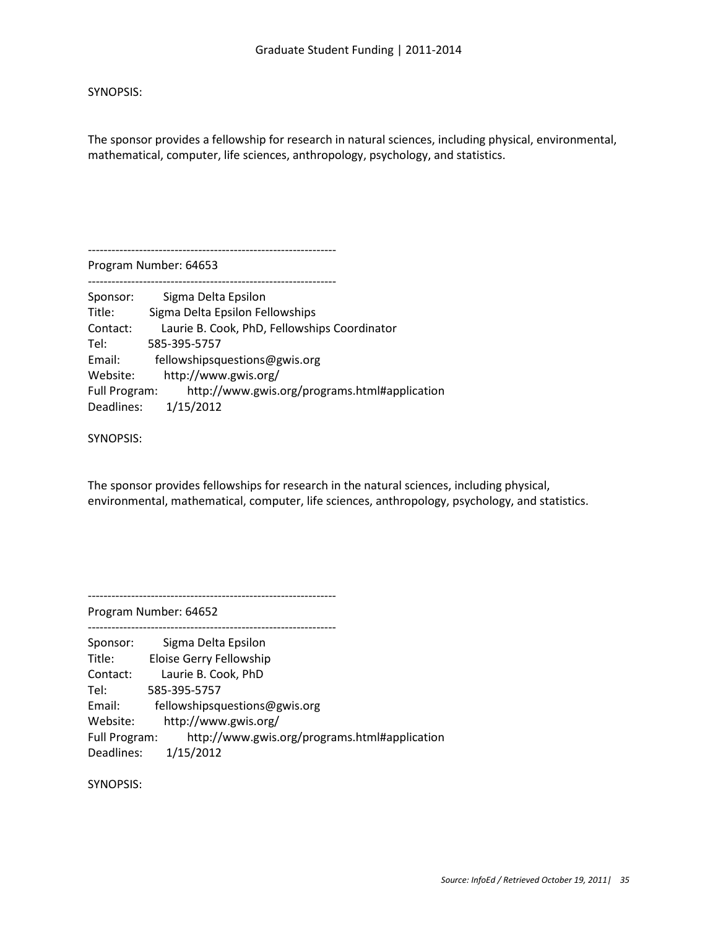The sponsor provides a fellowship for research in natural sciences, including physical, environmental, mathematical, computer, life sciences, anthropology, psychology, and statistics.

Program Number: 64653

---------------------------------------------------------------

---------------------------------------------------------------

| Sponsor:      | Sigma Delta Epsilon                           |
|---------------|-----------------------------------------------|
| Title:        | Sigma Delta Epsilon Fellowships               |
| Contact:      | Laurie B. Cook, PhD, Fellowships Coordinator  |
| Tel:          | 585-395-5757                                  |
| Email:        | fellowshipsquestions@gwis.org                 |
| Website:      | http://www.gwis.org/                          |
| Full Program: | http://www.gwis.org/programs.html#application |
| Deadlines:    | 1/15/2012                                     |

SYNOPSIS:

The sponsor provides fellowships for research in the natural sciences, including physical, environmental, mathematical, computer, life sciences, anthropology, psychology, and statistics.

---------------------------------------------------------------

---------------------------------------------------------------

Program Number: 64652

Sponsor: Sigma Delta Epsilon Title: Eloise Gerry Fellowship Contact: Laurie B. Cook, PhD Tel: 585-395-5757 Email: fellowshipsquestions@gwis.org Website: http://www.gwis.org/ Full Program: http://www.gwis.org/programs.html#application Deadlines: 1/15/2012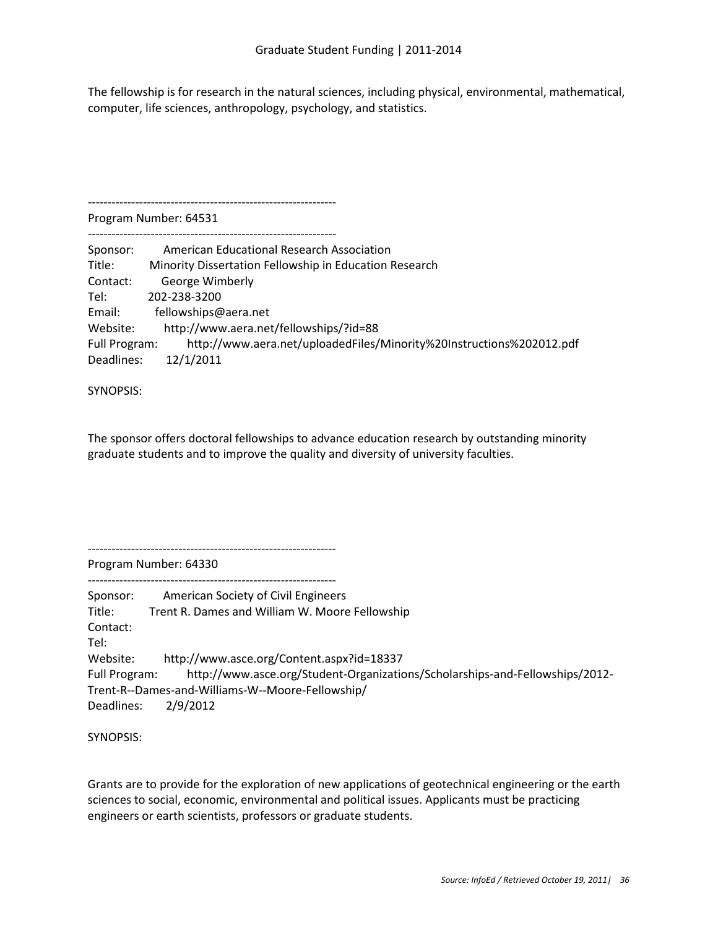The fellowship is for research in the natural sciences, including physical, environmental, mathematical, computer, life sciences, anthropology, psychology, and statistics.

Program Number: 64531

---------------------------------------------------------------

---------------------------------------------------------------

| Sponsor:      | American Educational Research Association                            |
|---------------|----------------------------------------------------------------------|
| Title:        | Minority Dissertation Fellowship in Education Research               |
| Contact:      | George Wimberly                                                      |
| Tel:          | 202-238-3200                                                         |
| Email:        | fellowships@aera.net                                                 |
| Website:      | http://www.aera.net/fellowships/?id=88                               |
| Full Program: | http://www.aera.net/uploadedFiles/Minority%20Instructions%202012.pdf |
| Deadlines:    | 12/1/2011                                                            |

SYNOPSIS:

The sponsor offers doctoral fellowships to advance education research by outstanding minority graduate students and to improve the quality and diversity of university faculties.

---------------------------------------------------------------

Program Number: 64330

--------------------------------------------------------------- Sponsor: American Society of Civil Engineers Title: Trent R. Dames and William W. Moore Fellowship Contact: Tel: Website: http://www.asce.org/Content.aspx?id=18337 Full Program: http://www.asce.org/Student-Organizations/Scholarships-and-Fellowships/2012- Trent-R--Dames-and-Williams-W--Moore-Fellowship/ Deadlines: 2/9/2012

SYNOPSIS:

Grants are to provide for the exploration of new applications of geotechnical engineering or the earth sciences to social, economic, environmental and political issues. Applicants must be practicing engineers or earth scientists, professors or graduate students.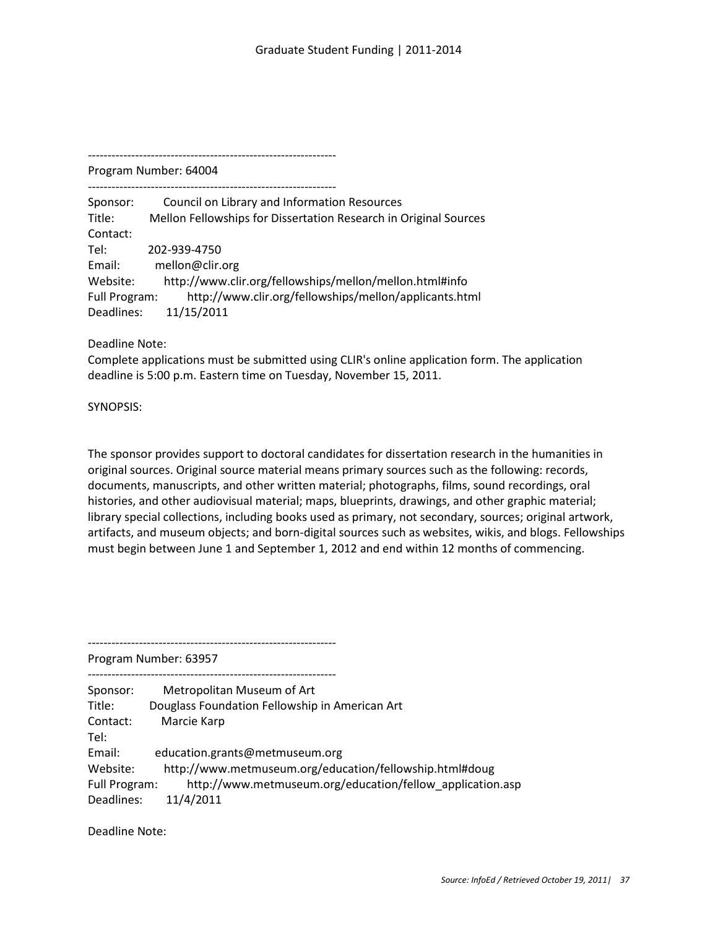---------------------------------------------------------------

Program Number: 64004 ---------------------------------------------------------------

Sponsor: Council on Library and Information Resources Title: Mellon Fellowships for Dissertation Research in Original Sources Contact: Tel: 202-939-4750 Email: mellon@clir.org Website: http://www.clir.org/fellowships/mellon/mellon.html#info Full Program: http://www.clir.org/fellowships/mellon/applicants.html Deadlines: 11/15/2011

Deadline Note:

Complete applications must be submitted using CLIR's online application form. The application deadline is 5:00 p.m. Eastern time on Tuesday, November 15, 2011.

SYNOPSIS:

The sponsor provides support to doctoral candidates for dissertation research in the humanities in original sources. Original source material means primary sources such as the following: records, documents, manuscripts, and other written material; photographs, films, sound recordings, oral histories, and other audiovisual material; maps, blueprints, drawings, and other graphic material; library special collections, including books used as primary, not secondary, sources; original artwork, artifacts, and museum objects; and born-digital sources such as websites, wikis, and blogs. Fellowships must begin between June 1 and September 1, 2012 and end within 12 months of commencing.

---------------------------------------------------------------

Program Number: 63957

--------------------------------------------------------------- Sponsor: Metropolitan Museum of Art Title: Douglass Foundation Fellowship in American Art Contact: Marcie Karp Tel: Email: education.grants@metmuseum.org Website: http://www.metmuseum.org/education/fellowship.html#doug Full Program: http://www.metmuseum.org/education/fellow\_application.asp Deadlines: 11/4/2011

Deadline Note: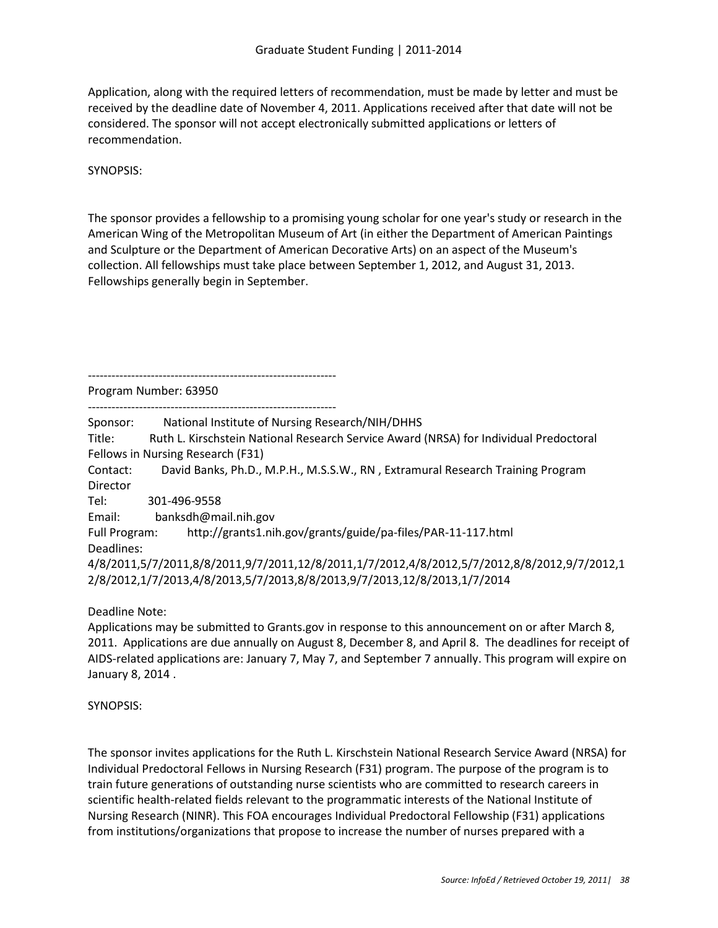Application, along with the required letters of recommendation, must be made by letter and must be received by the deadline date of November 4, 2011. Applications received after that date will not be considered. The sponsor will not accept electronically submitted applications or letters of recommendation.

SYNOPSIS:

The sponsor provides a fellowship to a promising young scholar for one year's study or research in the American Wing of the Metropolitan Museum of Art (in either the Department of American Paintings and Sculpture or the Department of American Decorative Arts) on an aspect of the Museum's collection. All fellowships must take place between September 1, 2012, and August 31, 2013. Fellowships generally begin in September.

---------------------------------------------------------------

Program Number: 63950

--------------------------------------------------------------- Sponsor: National Institute of Nursing Research/NIH/DHHS Title: Ruth L. Kirschstein National Research Service Award (NRSA) for Individual Predoctoral Fellows in Nursing Research (F31) Contact: David Banks, Ph.D., M.P.H., M.S.S.W., RN , Extramural Research Training Program Director Tel: 301-496-9558 Email: banksdh@mail.nih.gov Full Program: http://grants1.nih.gov/grants/guide/pa-files/PAR-11-117.html Deadlines: 4/8/2011,5/7/2011,8/8/2011,9/7/2011,12/8/2011,1/7/2012,4/8/2012,5/7/2012,8/8/2012,9/7/2012,1 2/8/2012,1/7/2013,4/8/2013,5/7/2013,8/8/2013,9/7/2013,12/8/2013,1/7/2014

Deadline Note:

Applications may be submitted to Grants.gov in response to this announcement on or after March 8, 2011. Applications are due annually on August 8, December 8, and April 8. The deadlines for receipt of AIDS-related applications are: January 7, May 7, and September 7 annually. This program will expire on January 8, 2014 .

# SYNOPSIS:

The sponsor invites applications for the Ruth L. Kirschstein National Research Service Award (NRSA) for Individual Predoctoral Fellows in Nursing Research (F31) program. The purpose of the program is to train future generations of outstanding nurse scientists who are committed to research careers in scientific health-related fields relevant to the programmatic interests of the National Institute of Nursing Research (NINR). This FOA encourages Individual Predoctoral Fellowship (F31) applications from institutions/organizations that propose to increase the number of nurses prepared with a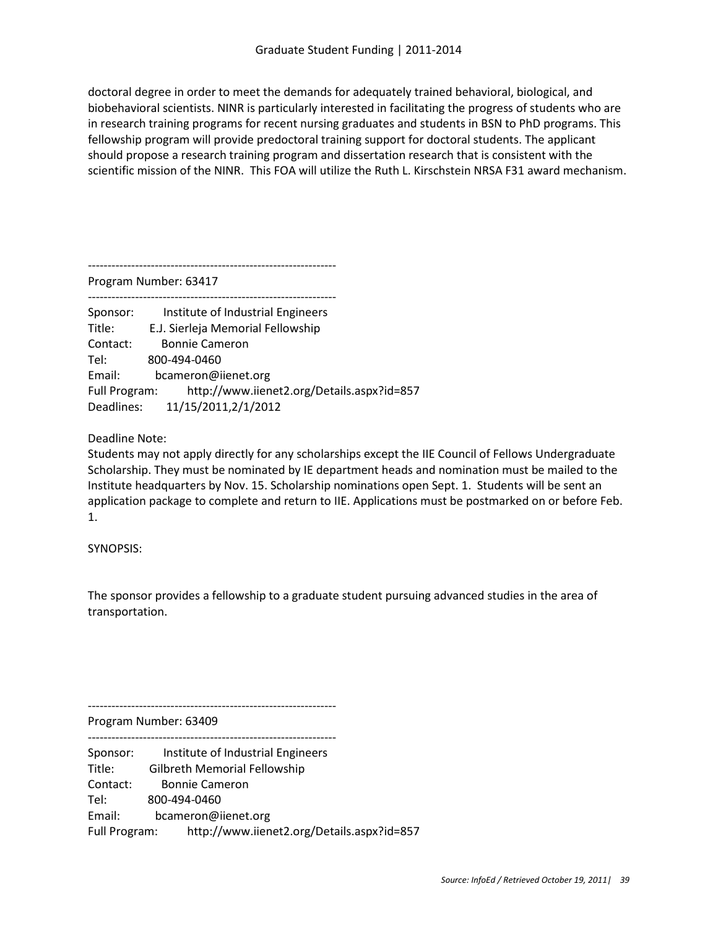doctoral degree in order to meet the demands for adequately trained behavioral, biological, and biobehavioral scientists. NINR is particularly interested in facilitating the progress of students who are in research training programs for recent nursing graduates and students in BSN to PhD programs. This fellowship program will provide predoctoral training support for doctoral students. The applicant should propose a research training program and dissertation research that is consistent with the scientific mission of the NINR. This FOA will utilize the Ruth L. Kirschstein NRSA F31 award mechanism.

---------------------------------------------------------------

Program Number: 63417

--------------------------------------------------------------- Sponsor: Institute of Industrial Engineers Title: E.J. Sierleja Memorial Fellowship Contact: Bonnie Cameron Tel: 800-494-0460 Email: bcameron@iienet.org Full Program: http://www.iienet2.org/Details.aspx?id=857 Deadlines: 11/15/2011,2/1/2012

Deadline Note:

Students may not apply directly for any scholarships except the IIE Council of Fellows Undergraduate Scholarship. They must be nominated by IE department heads and nomination must be mailed to the Institute headquarters by Nov. 15. Scholarship nominations open Sept. 1. Students will be sent an application package to complete and return to IIE. Applications must be postmarked on or before Feb. 1.

SYNOPSIS:

The sponsor provides a fellowship to a graduate student pursuing advanced studies in the area of transportation.

---------------------------------------------------------------

Program Number: 63409

---------------------------------------------------------------

Sponsor: Institute of Industrial Engineers Title: Gilbreth Memorial Fellowship

Contact: Bonnie Cameron

Tel: 800-494-0460

Email: bcameron@iienet.org

Full Program: http://www.iienet2.org/Details.aspx?id=857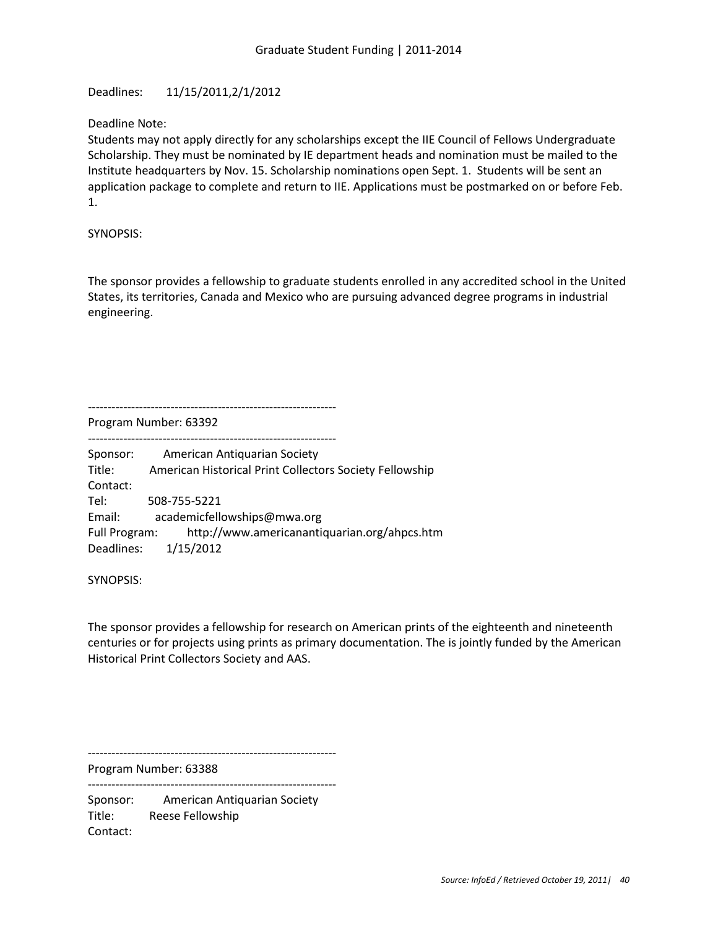Deadlines: 11/15/2011,2/1/2012

Deadline Note:

Students may not apply directly for any scholarships except the IIE Council of Fellows Undergraduate Scholarship. They must be nominated by IE department heads and nomination must be mailed to the Institute headquarters by Nov. 15. Scholarship nominations open Sept. 1. Students will be sent an application package to complete and return to IIE. Applications must be postmarked on or before Feb. 1.

SYNOPSIS:

The sponsor provides a fellowship to graduate students enrolled in any accredited school in the United States, its territories, Canada and Mexico who are pursuing advanced degree programs in industrial engineering.

--------------------------------------------------------------- Program Number: 63392

--------------------------------------------------------------- Sponsor: American Antiquarian Society Title: American Historical Print Collectors Society Fellowship Contact: Tel: 508-755-5221 Email: academicfellowships@mwa.org Full Program: http://www.americanantiquarian.org/ahpcs.htm

Deadlines: 1/15/2012

SYNOPSIS:

The sponsor provides a fellowship for research on American prints of the eighteenth and nineteenth centuries or for projects using prints as primary documentation. The is jointly funded by the American Historical Print Collectors Society and AAS.

Program Number: 63388

---------------------------------------------------------------

---------------------------------------------------------------

Sponsor: American Antiquarian Society Title: Reese Fellowship Contact: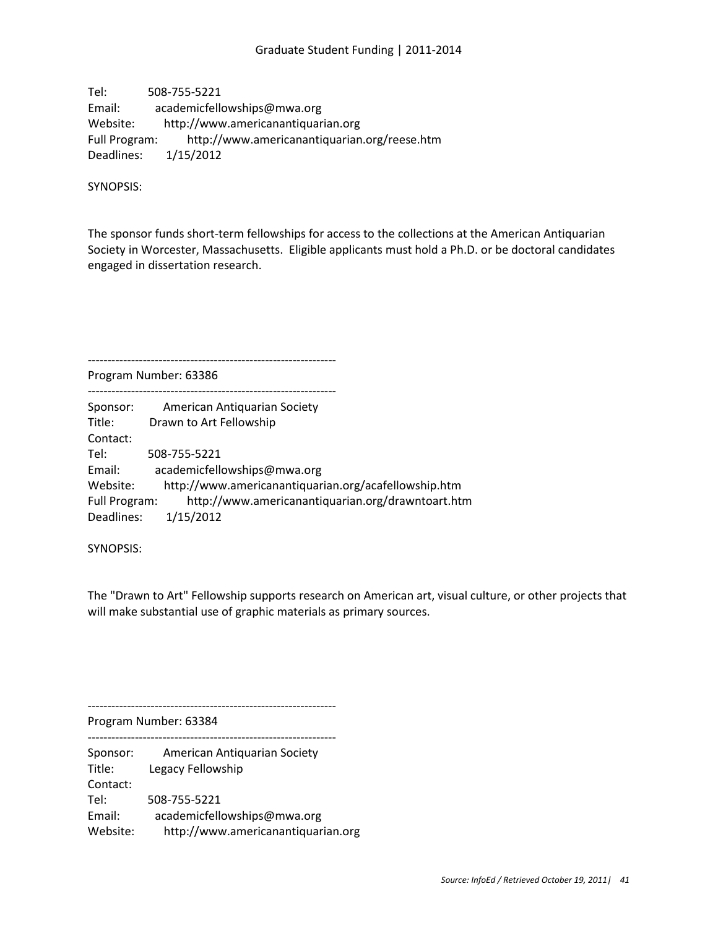Tel: 508-755-5221 Email: academicfellowships@mwa.org Website: http://www.americanantiquarian.org Full Program: http://www.americanantiquarian.org/reese.htm Deadlines: 1/15/2012

SYNOPSIS:

The sponsor funds short-term fellowships for access to the collections at the American Antiquarian Society in Worcester, Massachusetts. Eligible applicants must hold a Ph.D. or be doctoral candidates engaged in dissertation research.

---------------------------------------------------------------

Program Number: 63386 ---------------------------------------------------------------

| Sponsor:      | American Antiquarian Society                         |
|---------------|------------------------------------------------------|
| Title:        | Drawn to Art Fellowship                              |
| Contact:      |                                                      |
| Tel:          | 508-755-5221                                         |
| Email:        | academicfellowships@mwa.org                          |
| Website:      | http://www.americanantiquarian.org/acafellowship.htm |
| Full Program: | http://www.americanantiquarian.org/drawntoart.htm    |
| Deadlines:    | 1/15/2012                                            |

SYNOPSIS:

The "Drawn to Art" Fellowship supports research on American art, visual culture, or other projects that will make substantial use of graphic materials as primary sources.

---------------------------------------------------------------

Program Number: 63384

--------------------------------------------------------------- Sponsor: American Antiquarian Society Title: Legacy Fellowship Contact: Tel: 508-755-5221 Email: academicfellowships@mwa.org Website: http://www.americanantiquarian.org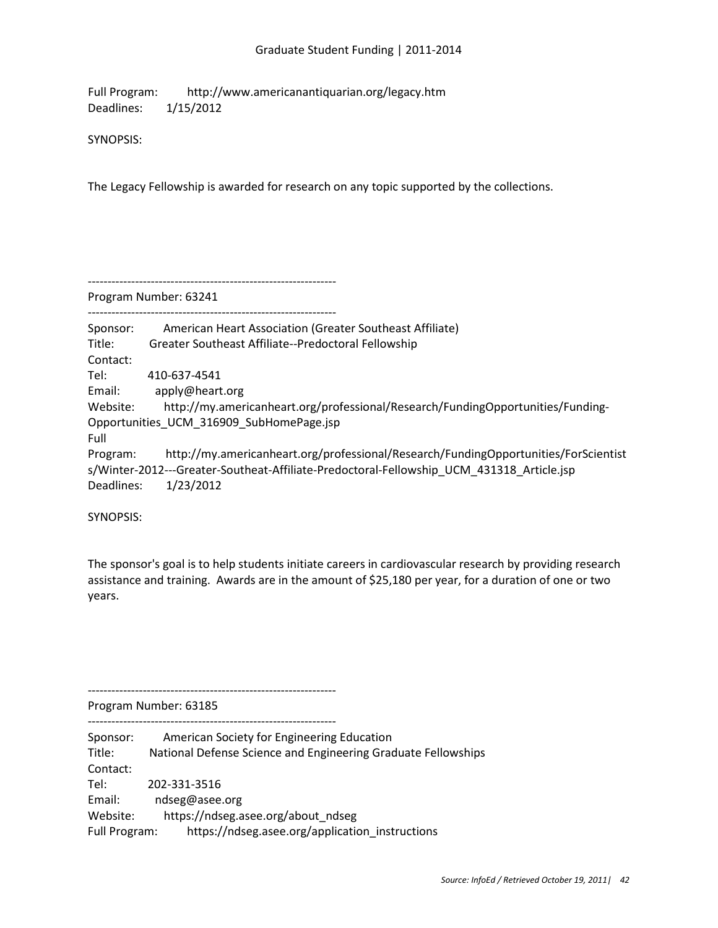Full Program: http://www.americanantiquarian.org/legacy.htm Deadlines: 1/15/2012

SYNOPSIS:

The Legacy Fellowship is awarded for research on any topic supported by the collections.

---------------------------------------------------------------

Program Number: 63241

---------------------------------------------------------------

Sponsor: American Heart Association (Greater Southeast Affiliate) Title: Greater Southeast Affiliate--Predoctoral Fellowship Contact: Tel: 410-637-4541 Email: apply@heart.org Website: http://my.americanheart.org/professional/Research/FundingOpportunities/Funding-Opportunities\_UCM\_316909\_SubHomePage.jsp Full Program: http://my.americanheart.org/professional/Research/FundingOpportunities/ForScientist s/Winter-2012---Greater-Southeat-Affiliate-Predoctoral-Fellowship\_UCM\_431318\_Article.jsp Deadlines: 1/23/2012

SYNOPSIS:

The sponsor's goal is to help students initiate careers in cardiovascular research by providing research assistance and training. Awards are in the amount of \$25,180 per year, for a duration of one or two years.

---------------------------------------------------------------

Program Number: 63185

--------------------------------------------------------------- Sponsor: American Society for Engineering Education Title: National Defense Science and Engineering Graduate Fellowships Contact: Tel: 202-331-3516 Email: ndseg@asee.org Website: https://ndseg.asee.org/about\_ndseg Full Program: https://ndseg.asee.org/application\_instructions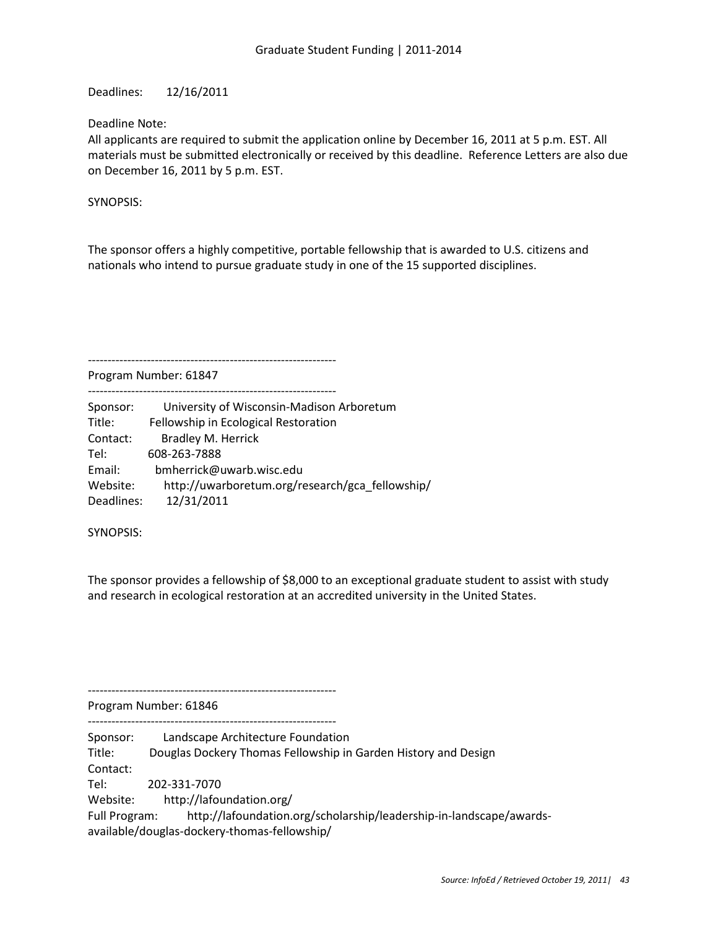Deadlines: 12/16/2011

Deadline Note:

All applicants are required to submit the application online by December 16, 2011 at 5 p.m. EST. All materials must be submitted electronically or received by this deadline. Reference Letters are also due on December 16, 2011 by 5 p.m. EST.

SYNOPSIS:

The sponsor offers a highly competitive, portable fellowship that is awarded to U.S. citizens and nationals who intend to pursue graduate study in one of the 15 supported disciplines.

---------------------------------------------------------------

Program Number: 61847 ---------------------------------------------------------------

| Sponsor:   | University of Wisconsin-Madison Arboretum       |
|------------|-------------------------------------------------|
|            |                                                 |
| Title:     | Fellowship in Ecological Restoration            |
| Contact:   | <b>Bradley M. Herrick</b>                       |
| Tel:       | 608-263-7888                                    |
| Email:     | bmherrick@uwarb.wisc.edu                        |
| Website:   | http://uwarboretum.org/research/gca fellowship/ |
| Deadlines: | 12/31/2011                                      |

SYNOPSIS:

The sponsor provides a fellowship of \$8,000 to an exceptional graduate student to assist with study and research in ecological restoration at an accredited university in the United States.

---------------------------------------------------------------

Program Number: 61846

---------------------------------------------------------------

Sponsor: Landscape Architecture Foundation

Title: Douglas Dockery Thomas Fellowship in Garden History and Design

Contact:

Tel: 202-331-7070

Website: http://lafoundation.org/

Full Program: http://lafoundation.org/scholarship/leadership-in-landscape/awardsavailable/douglas-dockery-thomas-fellowship/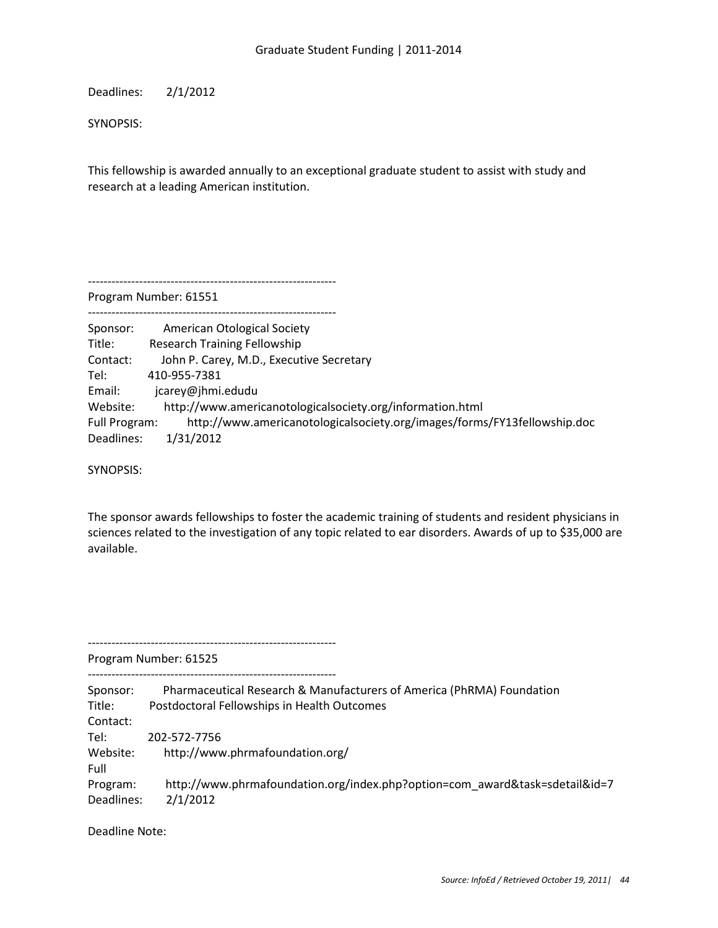Deadlines: 2/1/2012

SYNOPSIS:

This fellowship is awarded annually to an exceptional graduate student to assist with study and research at a leading American institution.

---------------------------------------------------------------

Program Number: 61551

| Sponsor:      | <b>American Otological Society</b>                                       |
|---------------|--------------------------------------------------------------------------|
| Title:        | <b>Research Training Fellowship</b>                                      |
| Contact:      | John P. Carey, M.D., Executive Secretary                                 |
| Tel:          | 410-955-7381                                                             |
| Email:        | jcarey@jhmi.edudu                                                        |
| Website:      | http://www.americanotologicalsociety.org/information.html                |
| Full Program: | http://www.americanotologicalsociety.org/images/forms/FY13fellowship.doc |
| Deadlines:    | 1/31/2012                                                                |

SYNOPSIS:

The sponsor awards fellowships to foster the academic training of students and resident physicians in sciences related to the investigation of any topic related to ear disorders. Awards of up to \$35,000 are available.

Program Number: 61525

---------------------------------------------------------------

--------------------------------------------------------------- Sponsor: Pharmaceutical Research & Manufacturers of America (PhRMA) Foundation Title: Postdoctoral Fellowships in Health Outcomes Contact: Tel: 202-572-7756 Website: http://www.phrmafoundation.org/ Full Program: http://www.phrmafoundation.org/index.php?option=com\_award&task=sdetail&id=7 Deadlines: 2/1/2012

Deadline Note: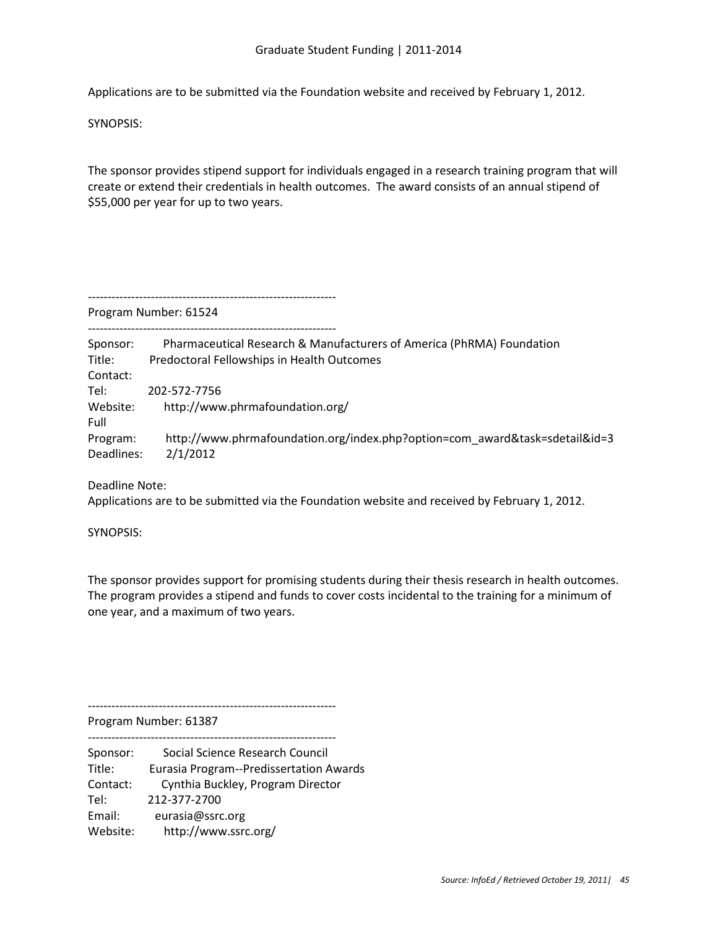Applications are to be submitted via the Foundation website and received by February 1, 2012.

SYNOPSIS:

The sponsor provides stipend support for individuals engaged in a research training program that will create or extend their credentials in health outcomes. The award consists of an annual stipend of \$55,000 per year for up to two years.

---------------------------------------------------------------

Program Number: 61524

| Sponsor:   | Pharmaceutical Research & Manufacturers of America (PhRMA) Foundation       |
|------------|-----------------------------------------------------------------------------|
| Title:     | Predoctoral Fellowships in Health Outcomes                                  |
| Contact:   |                                                                             |
| Tel:       | 202-572-7756                                                                |
| Website:   | http://www.phrmafoundation.org/                                             |
| Full       |                                                                             |
| Program:   | http://www.phrmafoundation.org/index.php?option=com award&task=sdetail&id=3 |
| Deadlines: | 2/1/2012                                                                    |
|            |                                                                             |

Deadline Note:

Applications are to be submitted via the Foundation website and received by February 1, 2012.

SYNOPSIS:

The sponsor provides support for promising students during their thesis research in health outcomes. The program provides a stipend and funds to cover costs incidental to the training for a minimum of one year, and a maximum of two years.

---------------------------------------------------------------

Program Number: 61387

--------------------------------------------------------------- Sponsor: Social Science Research Council Title: Eurasia Program--Predissertation Awards Contact: Cynthia Buckley, Program Director Tel: 212-377-2700 Email: eurasia@ssrc.org Website: http://www.ssrc.org/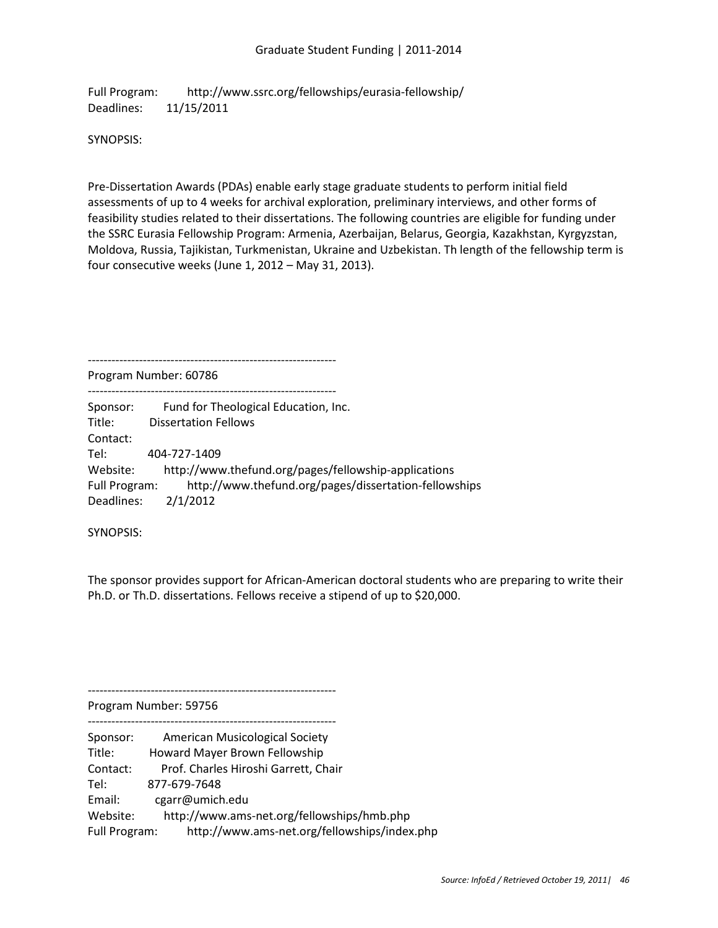Full Program: http://www.ssrc.org/fellowships/eurasia-fellowship/ Deadlines: 11/15/2011

SYNOPSIS:

Pre-Dissertation Awards (PDAs) enable early stage graduate students to perform initial field assessments of up to 4 weeks for archival exploration, preliminary interviews, and other forms of feasibility studies related to their dissertations. The following countries are eligible for funding under the SSRC Eurasia Fellowship Program: Armenia, Azerbaijan, Belarus, Georgia, Kazakhstan, Kyrgyzstan, Moldova, Russia, Tajikistan, Turkmenistan, Ukraine and Uzbekistan. Th length of the fellowship term is four consecutive weeks (June 1, 2012 – May 31, 2013).

---------------------------------------------------------------

Program Number: 60786

| Sponsor:      | Fund for Theological Education, Inc.                  |
|---------------|-------------------------------------------------------|
| Title:        | <b>Dissertation Fellows</b>                           |
| Contact:      |                                                       |
| Tel:          | 404-727-1409                                          |
| Website:      | http://www.thefund.org/pages/fellowship-applications  |
| Full Program: | http://www.thefund.org/pages/dissertation-fellowships |
| Deadlines:    | 2/1/2012                                              |

SYNOPSIS:

The sponsor provides support for African-American doctoral students who are preparing to write their Ph.D. or Th.D. dissertations. Fellows receive a stipend of up to \$20,000.

---------------------------------------------------------------

Program Number: 59756

| Sponsor:      | <b>American Musicological Society</b>        |
|---------------|----------------------------------------------|
| Title:        | Howard Mayer Brown Fellowship                |
| Contact:      | Prof. Charles Hiroshi Garrett, Chair         |
| Tel:          | 877-679-7648                                 |
| Email:        | cgarr@umich.edu                              |
| Website:      | http://www.ams-net.org/fellowships/hmb.php   |
| Full Program: | http://www.ams-net.org/fellowships/index.php |
|               |                                              |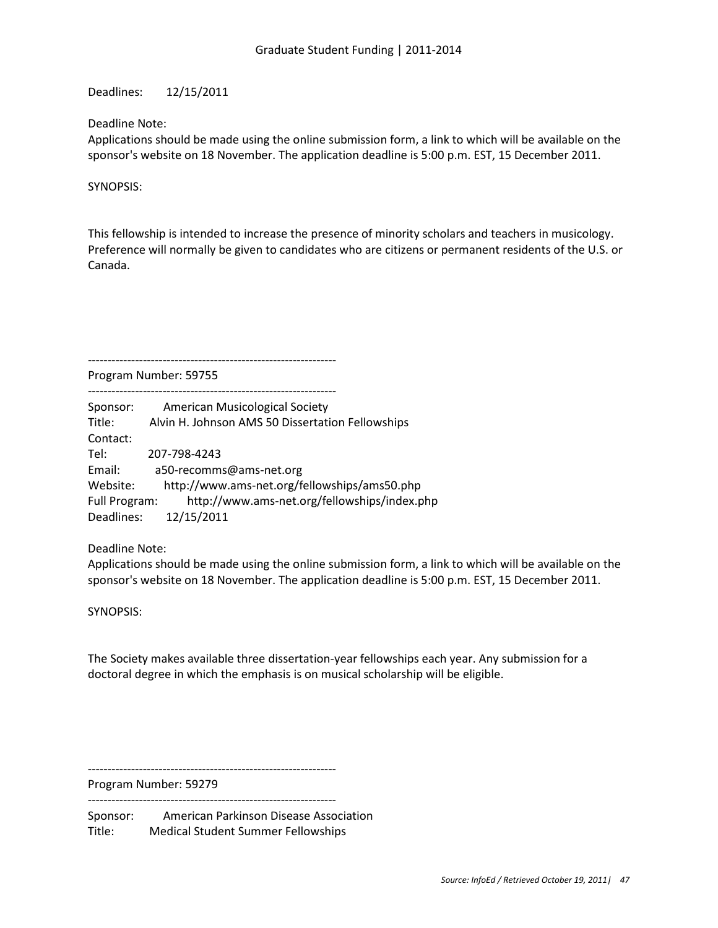Deadlines: 12/15/2011

Deadline Note:

Applications should be made using the online submission form, a link to which will be available on the sponsor's website on 18 November. The application deadline is 5:00 p.m. EST, 15 December 2011.

SYNOPSIS:

This fellowship is intended to increase the presence of minority scholars and teachers in musicology. Preference will normally be given to candidates who are citizens or permanent residents of the U.S. or Canada.

---------------------------------------------------------------

Program Number: 59755

--------------------------------------------------------------- Sponsor: American Musicological Society Title: Alvin H. Johnson AMS 50 Dissertation Fellowships Contact: Tel: 207-798-4243 Email: a50-recomms@ams-net.org Website: http://www.ams-net.org/fellowships/ams50.php Full Program: http://www.ams-net.org/fellowships/index.php Deadlines: 12/15/2011

Deadline Note:

Applications should be made using the online submission form, a link to which will be available on the sponsor's website on 18 November. The application deadline is 5:00 p.m. EST, 15 December 2011.

SYNOPSIS:

The Society makes available three dissertation-year fellowships each year. Any submission for a doctoral degree in which the emphasis is on musical scholarship will be eligible.

---------------------------------------------------------------

Program Number: 59279 ---------------------------------------------------------------

Sponsor: American Parkinson Disease Association Title: Medical Student Summer Fellowships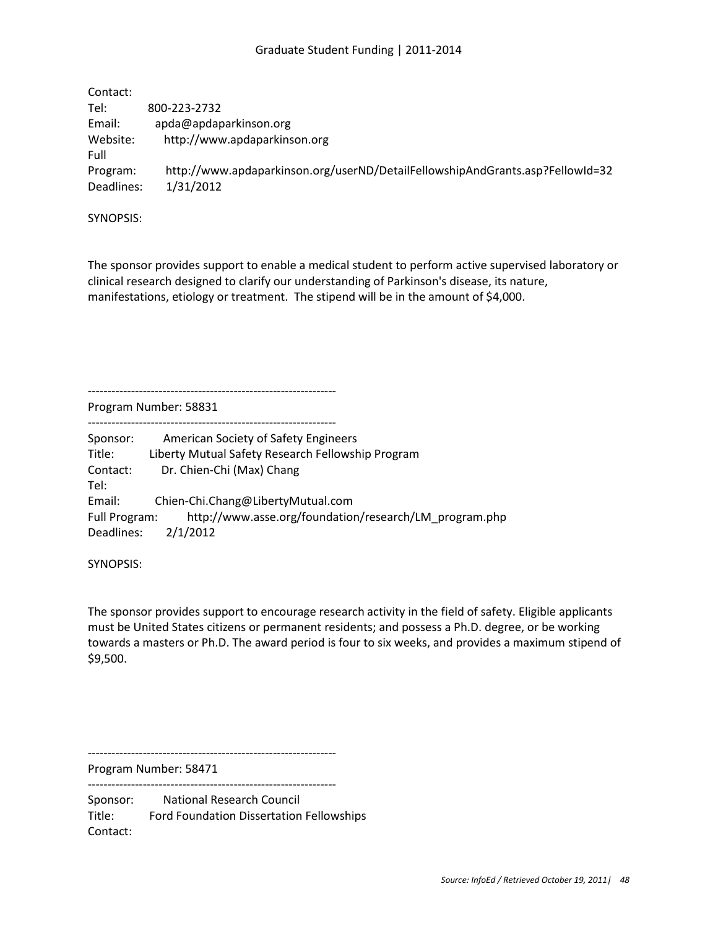# Graduate Student Funding | 2011-2014

| Contact:   |                                                                               |
|------------|-------------------------------------------------------------------------------|
| Tel:       | 800-223-2732                                                                  |
| Email:     | apda@apdaparkinson.org                                                        |
| Website:   | http://www.apdaparkinson.org                                                  |
| Full       |                                                                               |
| Program:   | http://www.apdaparkinson.org/userND/DetailFellowshipAndGrants.asp?FellowId=32 |
| Deadlines: | 1/31/2012                                                                     |

SYNOPSIS:

The sponsor provides support to enable a medical student to perform active supervised laboratory or clinical research designed to clarify our understanding of Parkinson's disease, its nature, manifestations, etiology or treatment. The stipend will be in the amount of \$4,000.

Program Number: 58831

---------------------------------------------------------------

---------------------------------------------------------------

Sponsor: American Society of Safety Engineers Title: Liberty Mutual Safety Research Fellowship Program Contact: Dr. Chien-Chi (Max) Chang Tel: Email: Chien-Chi.Chang@LibertyMutual.com Full Program: http://www.asse.org/foundation/research/LM\_program.php Deadlines: 2/1/2012

SYNOPSIS:

The sponsor provides support to encourage research activity in the field of safety. Eligible applicants must be United States citizens or permanent residents; and possess a Ph.D. degree, or be working towards a masters or Ph.D. The award period is four to six weeks, and provides a maximum stipend of \$9,500.

Program Number: 58471

---------------------------------------------------------------

---------------------------------------------------------------

Sponsor: National Research Council Title: Ford Foundation Dissertation Fellowships Contact: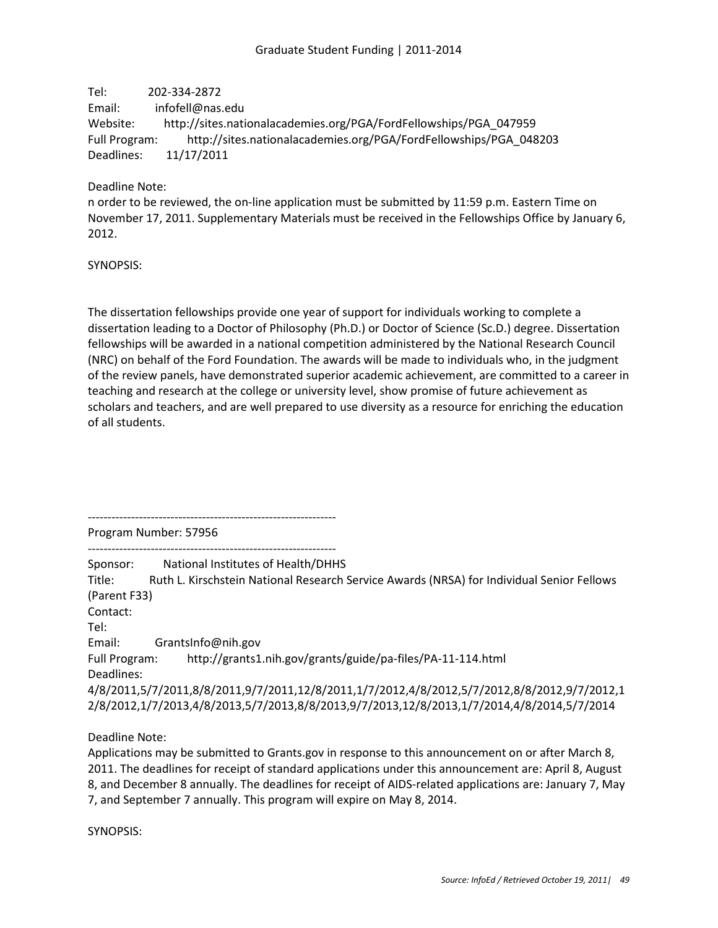Tel: 202-334-2872 Email: infofell@nas.edu Website: http://sites.nationalacademies.org/PGA/FordFellowships/PGA\_047959 Full Program: http://sites.nationalacademies.org/PGA/FordFellowships/PGA\_048203 Deadlines: 11/17/2011

Deadline Note:

n order to be reviewed, the on-line application must be submitted by 11:59 p.m. Eastern Time on November 17, 2011. Supplementary Materials must be received in the Fellowships Office by January 6, 2012.

SYNOPSIS:

The dissertation fellowships provide one year of support for individuals working to complete a dissertation leading to a Doctor of Philosophy (Ph.D.) or Doctor of Science (Sc.D.) degree. Dissertation fellowships will be awarded in a national competition administered by the National Research Council (NRC) on behalf of the Ford Foundation. The awards will be made to individuals who, in the judgment of the review panels, have demonstrated superior academic achievement, are committed to a career in teaching and research at the college or university level, show promise of future achievement as scholars and teachers, and are well prepared to use diversity as a resource for enriching the education of all students.

--------------------------------------------------------------- Program Number: 57956

---------------------------------------------------------------

Sponsor: National Institutes of Health/DHHS Title: Ruth L. Kirschstein National Research Service Awards (NRSA) for Individual Senior Fellows (Parent F33) Contact: Tel: Email: GrantsInfo@nih.gov Full Program: http://grants1.nih.gov/grants/guide/pa-files/PA-11-114.html Deadlines: 4/8/2011,5/7/2011,8/8/2011,9/7/2011,12/8/2011,1/7/2012,4/8/2012,5/7/2012,8/8/2012,9/7/2012,1 2/8/2012,1/7/2013,4/8/2013,5/7/2013,8/8/2013,9/7/2013,12/8/2013,1/7/2014,4/8/2014,5/7/2014

Deadline Note:

Applications may be submitted to Grants.gov in response to this announcement on or after March 8, 2011. The deadlines for receipt of standard applications under this announcement are: April 8, August 8, and December 8 annually. The deadlines for receipt of AIDS-related applications are: January 7, May 7, and September 7 annually. This program will expire on May 8, 2014.

SYNOPSIS: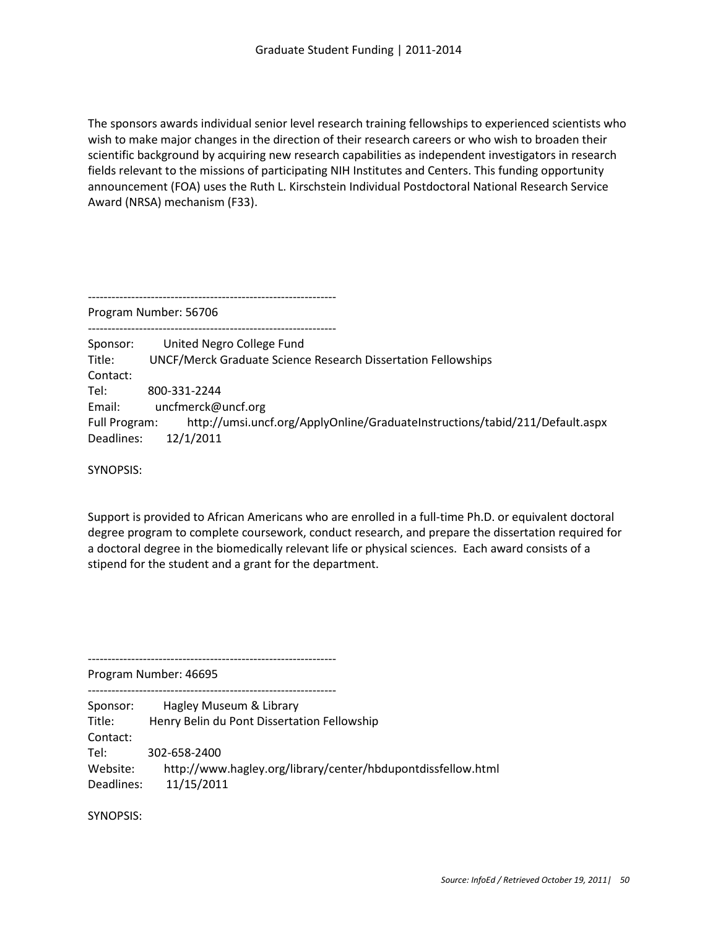The sponsors awards individual senior level research training fellowships to experienced scientists who wish to make major changes in the direction of their research careers or who wish to broaden their scientific background by acquiring new research capabilities as independent investigators in research fields relevant to the missions of participating NIH Institutes and Centers. This funding opportunity announcement (FOA) uses the Ruth L. Kirschstein Individual Postdoctoral National Research Service Award (NRSA) mechanism (F33).

---------------------------------------------------------------

Program Number: 56706

--------------------------------------------------------------- Sponsor: United Negro College Fund Title: UNCF/Merck Graduate Science Research Dissertation Fellowships Contact: Tel: 800-331-2244 Email: uncfmerck@uncf.org Full Program: http://umsi.uncf.org/ApplyOnline/GraduateInstructions/tabid/211/Default.aspx Deadlines: 12/1/2011

SYNOPSIS:

Support is provided to African Americans who are enrolled in a full-time Ph.D. or equivalent doctoral degree program to complete coursework, conduct research, and prepare the dissertation required for a doctoral degree in the biomedically relevant life or physical sciences. Each award consists of a stipend for the student and a grant for the department.

Program Number: 46695

---------------------------------------------------------------

--------------------------------------------------------------- Sponsor: Hagley Museum & Library Title: Henry Belin du Pont Dissertation Fellowship Contact: Tel: 302-658-2400 Website: http://www.hagley.org/library/center/hbdupontdissfellow.html Deadlines: 11/15/2011

SYNOPSIS: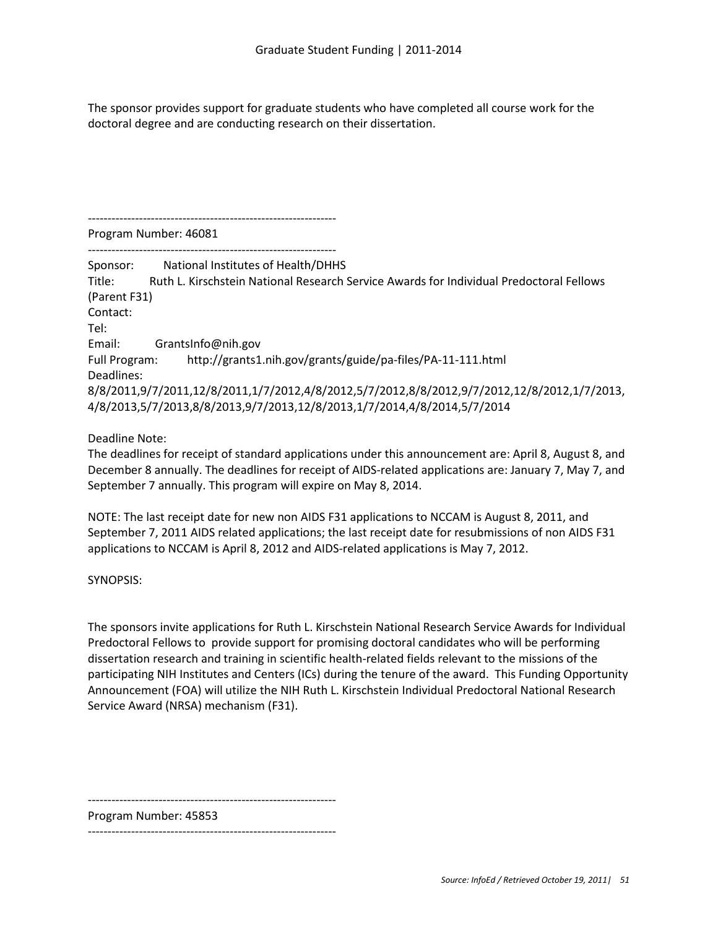The sponsor provides support for graduate students who have completed all course work for the doctoral degree and are conducting research on their dissertation.

--------------------------------------------------------------- Program Number: 46081

--------------------------------------------------------------- Sponsor: National Institutes of Health/DHHS Title: Ruth L. Kirschstein National Research Service Awards for Individual Predoctoral Fellows (Parent F31) Contact: Tel: Email: GrantsInfo@nih.gov Full Program: http://grants1.nih.gov/grants/guide/pa-files/PA-11-111.html Deadlines: 8/8/2011,9/7/2011,12/8/2011,1/7/2012,4/8/2012,5/7/2012,8/8/2012,9/7/2012,12/8/2012,1/7/2013, 4/8/2013,5/7/2013,8/8/2013,9/7/2013,12/8/2013,1/7/2014,4/8/2014,5/7/2014

# Deadline Note:

The deadlines for receipt of standard applications under this announcement are: April 8, August 8, and December 8 annually. The deadlines for receipt of AIDS-related applications are: January 7, May 7, and September 7 annually. This program will expire on May 8, 2014.

NOTE: The last receipt date for new non AIDS F31 applications to NCCAM is August 8, 2011, and September 7, 2011 AIDS related applications; the last receipt date for resubmissions of non AIDS F31 applications to NCCAM is April 8, 2012 and AIDS-related applications is May 7, 2012.

# SYNOPSIS:

The sponsors invite applications for Ruth L. Kirschstein National Research Service Awards for Individual Predoctoral Fellows to provide support for promising doctoral candidates who will be performing dissertation research and training in scientific health-related fields relevant to the missions of the participating NIH Institutes and Centers (ICs) during the tenure of the award. This Funding Opportunity Announcement (FOA) will utilize the NIH Ruth L. Kirschstein Individual Predoctoral National Research Service Award (NRSA) mechanism (F31).

---------------------------------------------------------------

Program Number: 45853

---------------------------------------------------------------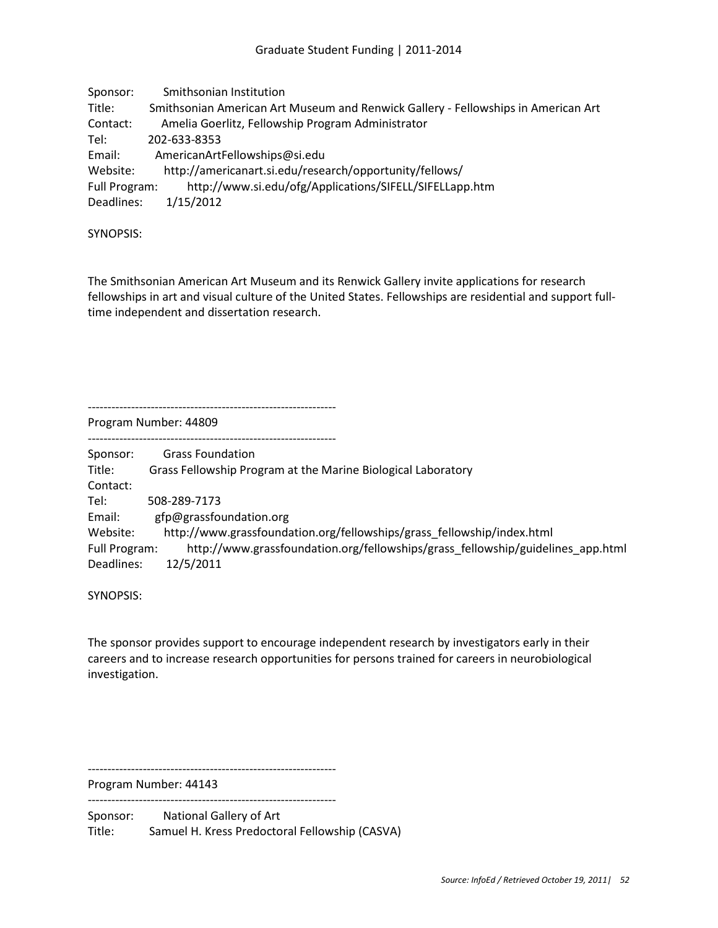Sponsor: Smithsonian Institution Title: Smithsonian American Art Museum and Renwick Gallery - Fellowships in American Art Contact: Amelia Goerlitz, Fellowship Program Administrator Tel: 202-633-8353 Email: AmericanArtFellowships@si.edu Website: http://americanart.si.edu/research/opportunity/fellows/ Full Program: http://www.si.edu/ofg/Applications/SIFELL/SIFELLapp.htm Deadlines: 1/15/2012

SYNOPSIS:

The Smithsonian American Art Museum and its Renwick Gallery invite applications for research fellowships in art and visual culture of the United States. Fellowships are residential and support fulltime independent and dissertation research.

Program Number: 44809

---------------------------------------------------------------

---------------------------------------------------------------

Sponsor: Grass Foundation Title: Grass Fellowship Program at the Marine Biological Laboratory Contact: Tel: 508-289-7173 Email: gfp@grassfoundation.org Website: http://www.grassfoundation.org/fellowships/grass\_fellowship/index.html Full Program: http://www.grassfoundation.org/fellowships/grass\_fellowship/guidelines\_app.html Deadlines: 12/5/2011

SYNOPSIS:

The sponsor provides support to encourage independent research by investigators early in their careers and to increase research opportunities for persons trained for careers in neurobiological investigation.

---------------------------------------------------------------

Program Number: 44143 ---------------------------------------------------------------

Sponsor: National Gallery of Art Title: Samuel H. Kress Predoctoral Fellowship (CASVA)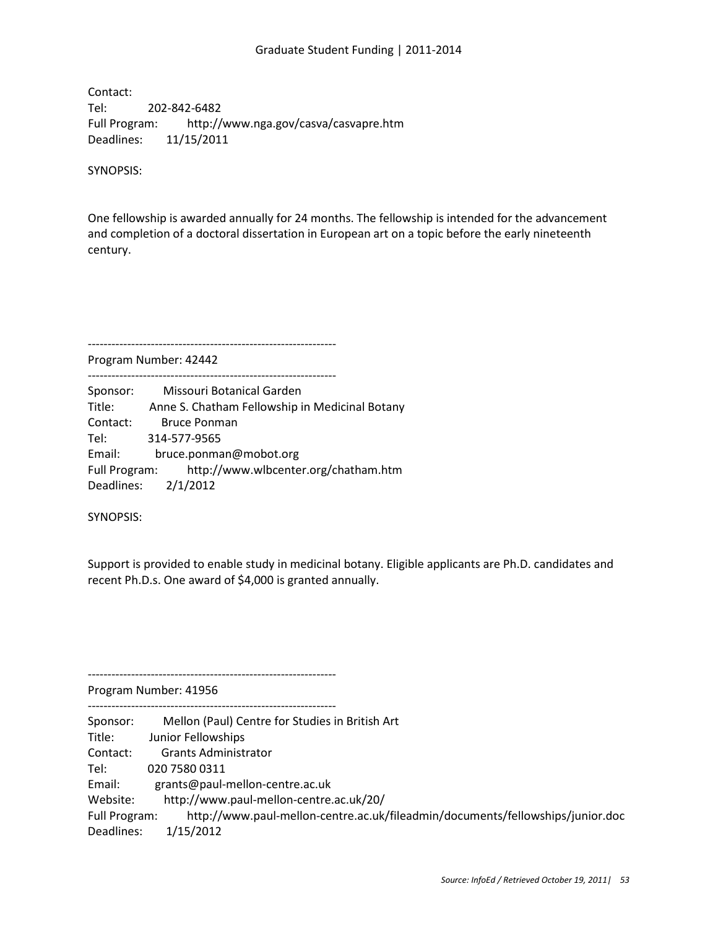#### Graduate Student Funding | 2011-2014

Contact: Tel: 202-842-6482 Full Program: http://www.nga.gov/casva/casvapre.htm Deadlines: 11/15/2011

SYNOPSIS:

One fellowship is awarded annually for 24 months. The fellowship is intended for the advancement and completion of a doctoral dissertation in European art on a topic before the early nineteenth century.

---------------------------------------------------------------

---------------------------------------------------------------

Program Number: 42442

Sponsor: Missouri Botanical Garden Title: Anne S. Chatham Fellowship in Medicinal Botany Contact: Bruce Ponman Tel: 314-577-9565 Email: bruce.ponman@mobot.org Full Program: http://www.wlbcenter.org/chatham.htm Deadlines: 2/1/2012

SYNOPSIS:

Support is provided to enable study in medicinal botany. Eligible applicants are Ph.D. candidates and recent Ph.D.s. One award of \$4,000 is granted annually.

Program Number: 41956

---------------------------------------------------------------

---------------------------------------------------------------

Sponsor: Mellon (Paul) Centre for Studies in British Art Title: Junior Fellowships Contact: Grants Administrator Tel: 020 7580 0311 Email: grants@paul-mellon-centre.ac.uk Website: http://www.paul-mellon-centre.ac.uk/20/ Full Program: http://www.paul-mellon-centre.ac.uk/fileadmin/documents/fellowships/junior.doc Deadlines: 1/15/2012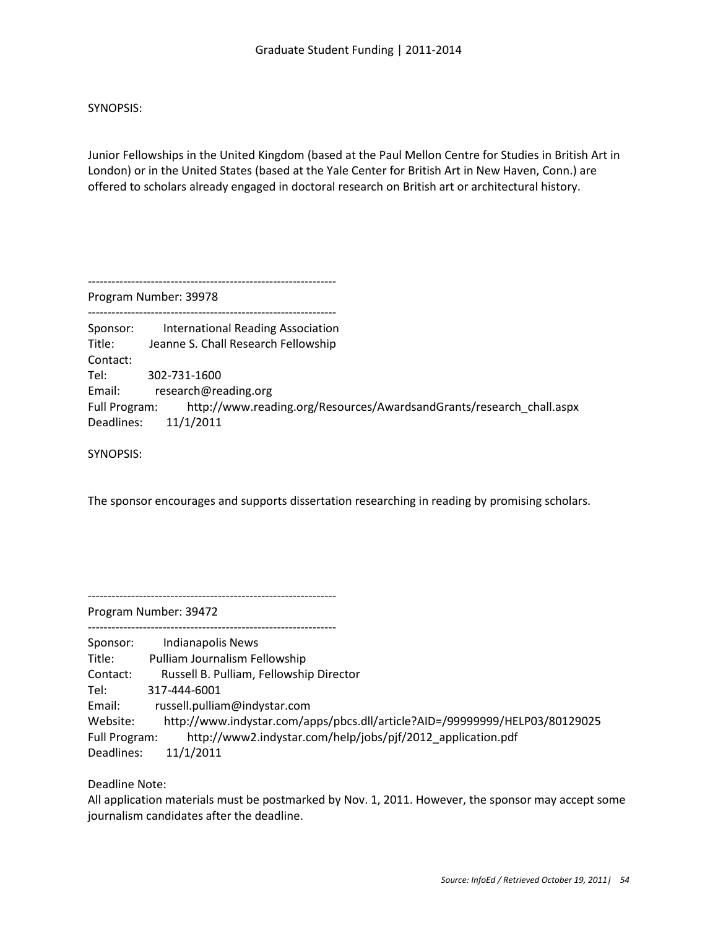SYNOPSIS:

Junior Fellowships in the United Kingdom (based at the Paul Mellon Centre for Studies in British Art in London) or in the United States (based at the Yale Center for British Art in New Haven, Conn.) are offered to scholars already engaged in doctoral research on British art or architectural history.

Program Number: 39978 --------------------------------------------------------------- Sponsor: International Reading Association Title: Jeanne S. Chall Research Fellowship Contact: Tel: 302-731-1600 Email: research@reading.org Full Program: http://www.reading.org/Resources/AwardsandGrants/research\_chall.aspx Deadlines: 11/1/2011

SYNOPSIS:

The sponsor encourages and supports dissertation researching in reading by promising scholars.

---------------------------------------------------------------

---------------------------------------------------------------

---------------------------------------------------------------

Program Number: 39472

Sponsor: Indianapolis News Title: Pulliam Journalism Fellowship Contact: Russell B. Pulliam, Fellowship Director Tel: 317-444-6001 Email: russell.pulliam@indystar.com Website: http://www.indystar.com/apps/pbcs.dll/article?AID=/99999999/HELP03/80129025 Full Program: http://www2.indystar.com/help/jobs/pjf/2012\_application.pdf Deadlines: 11/1/2011

Deadline Note:

All application materials must be postmarked by Nov. 1, 2011. However, the sponsor may accept some journalism candidates after the deadline.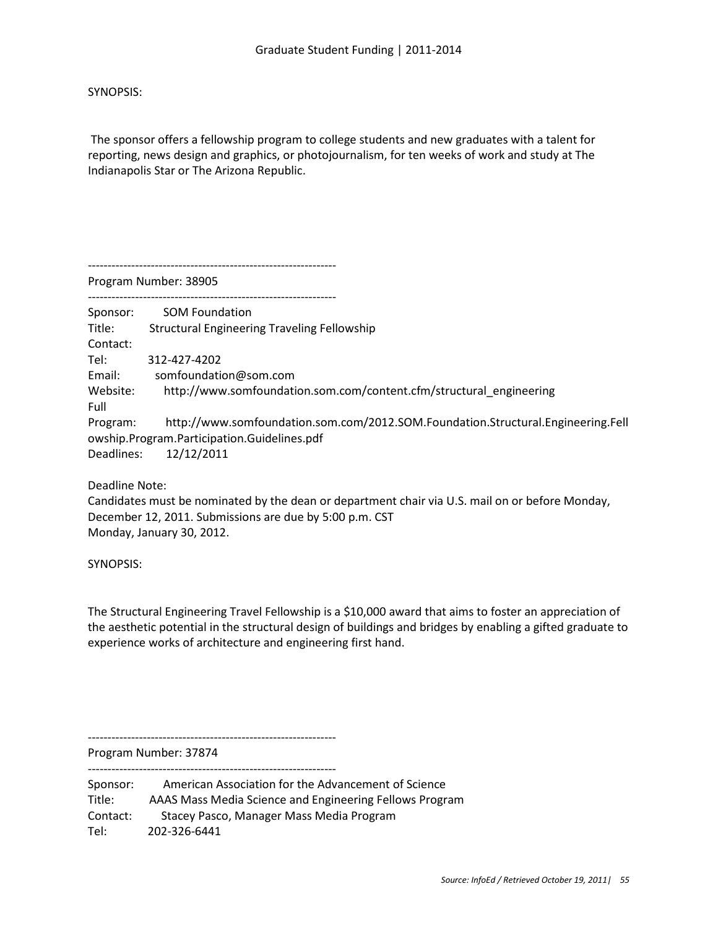SYNOPSIS:

The sponsor offers a fellowship program to college students and new graduates with a talent for reporting, news design and graphics, or photojournalism, for ten weeks of work and study at The Indianapolis Star or The Arizona Republic.

---------------------------------------------------------------

Program Number: 38905

---------------------------------------------------------------

Sponsor: SOM Foundation Title: Structural Engineering Traveling Fellowship Contact: Tel: 312-427-4202 Email: somfoundation@som.com Website: http://www.somfoundation.som.com/content.cfm/structural\_engineering Full Program: http://www.somfoundation.som.com/2012.SOM.Foundation.Structural.Engineering.Fell owship.Program.Participation.Guidelines.pdf Deadlines: 12/12/2011

Deadline Note:

Candidates must be nominated by the dean or department chair via U.S. mail on or before Monday, December 12, 2011. Submissions are due by 5:00 p.m. CST Monday, January 30, 2012.

SYNOPSIS:

The Structural Engineering Travel Fellowship is a \$10,000 award that aims to foster an appreciation of the aesthetic potential in the structural design of buildings and bridges by enabling a gifted graduate to experience works of architecture and engineering first hand.

--------------------------------------------------------------- Program Number: 37874

---------------------------------------------------------------

Sponsor: American Association for the Advancement of Science Title: AAAS Mass Media Science and Engineering Fellows Program Contact: Stacey Pasco, Manager Mass Media Program Tel: 202-326-6441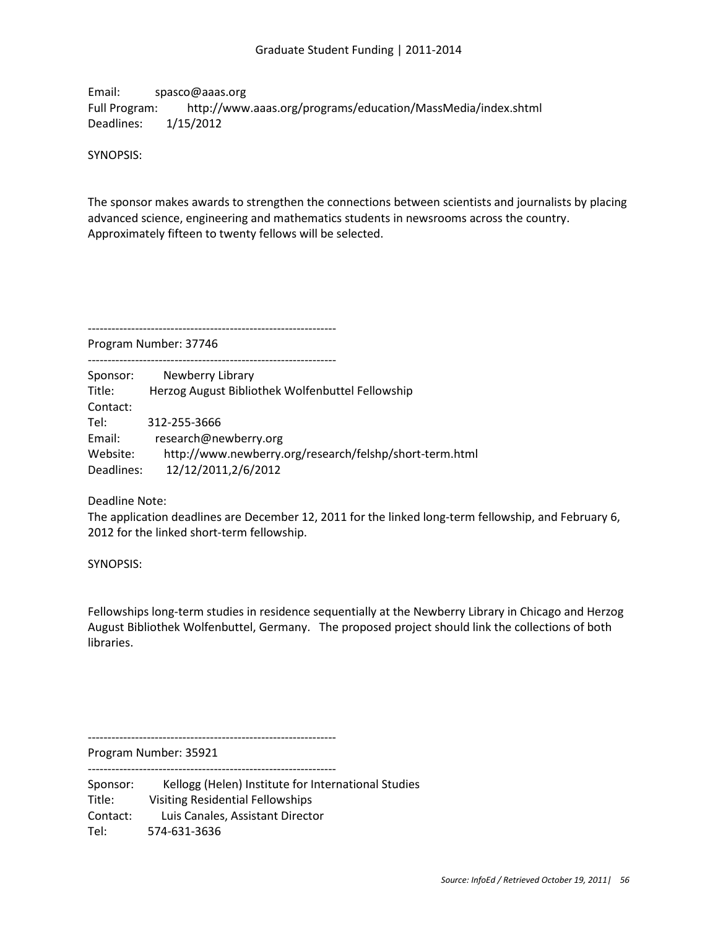Email: spasco@aaas.org Full Program: http://www.aaas.org/programs/education/MassMedia/index.shtml Deadlines: 1/15/2012

SYNOPSIS:

The sponsor makes awards to strengthen the connections between scientists and journalists by placing advanced science, engineering and mathematics students in newsrooms across the country. Approximately fifteen to twenty fellows will be selected.

Program Number: 37746

---------------------------------------------------------------

Sponsor: Newberry Library Title: Herzog August Bibliothek Wolfenbuttel Fellowship Contact: Tel: 312-255-3666 Email: research@newberry.org Website: http://www.newberry.org/research/felshp/short-term.html Deadlines: 12/12/2011,2/6/2012

---------------------------------------------------------------

Deadline Note:

The application deadlines are December 12, 2011 for the linked long-term fellowship, and February 6, 2012 for the linked short-term fellowship.

SYNOPSIS:

Fellowships long-term studies in residence sequentially at the Newberry Library in Chicago and Herzog August Bibliothek Wolfenbuttel, Germany. The proposed project should link the collections of both libraries.

---------------------------------------------------------------

Program Number: 35921 ---------------------------------------------------------------

Sponsor: Kellogg (Helen) Institute for International Studies Title: Visiting Residential Fellowships Contact: Luis Canales, Assistant Director Tel: 574-631-3636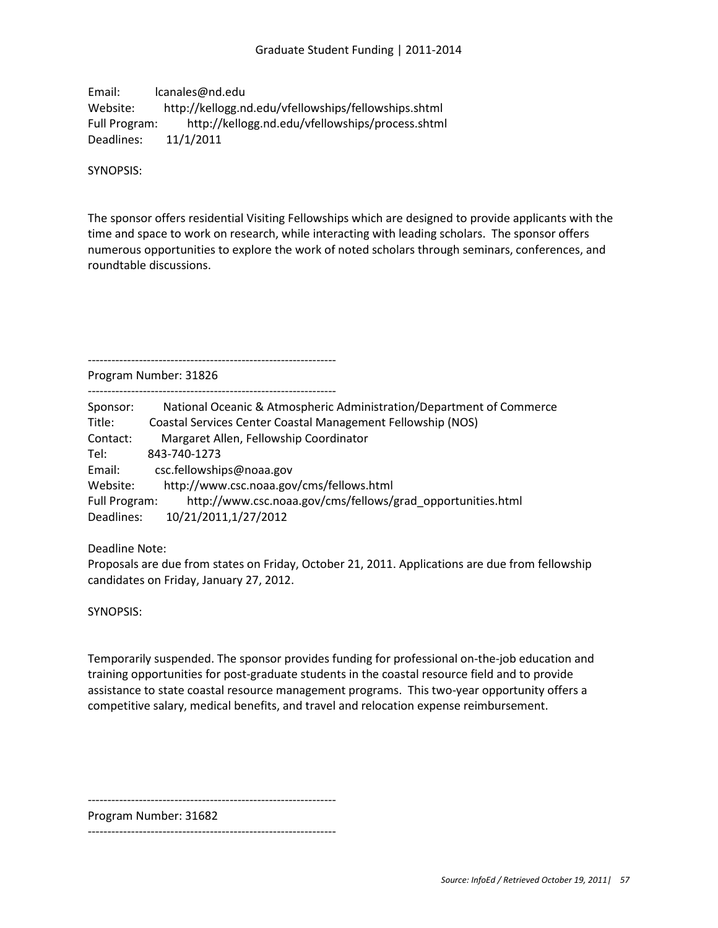Email: lcanales@nd.edu Website: http://kellogg.nd.edu/vfellowships/fellowships.shtml Full Program: http://kellogg.nd.edu/vfellowships/process.shtml Deadlines: 11/1/2011

SYNOPSIS:

The sponsor offers residential Visiting Fellowships which are designed to provide applicants with the time and space to work on research, while interacting with leading scholars. The sponsor offers numerous opportunities to explore the work of noted scholars through seminars, conferences, and roundtable discussions.

---------------------------------------------------------------

Program Number: 31826

---------------------------------------------------------------

| Sponsor:      | National Oceanic & Atmospheric Administration/Department of Commerce |
|---------------|----------------------------------------------------------------------|
| Title:        | <b>Coastal Services Center Coastal Management Fellowship (NOS)</b>   |
| Contact:      | Margaret Allen, Fellowship Coordinator                               |
| Tel:          | 843-740-1273                                                         |
| Email:        | csc.fellowships@noaa.gov                                             |
| Website:      | http://www.csc.noaa.gov/cms/fellows.html                             |
| Full Program: | http://www.csc.noaa.gov/cms/fellows/grad_opportunities.html          |
| Deadlines:    | 10/21/2011,1/27/2012                                                 |

Deadline Note:

Proposals are due from states on Friday, October 21, 2011. Applications are due from fellowship candidates on Friday, January 27, 2012.

SYNOPSIS:

Temporarily suspended. The sponsor provides funding for professional on-the-job education and training opportunities for post-graduate students in the coastal resource field and to provide assistance to state coastal resource management programs. This two-year opportunity offers a competitive salary, medical benefits, and travel and relocation expense reimbursement.

---------------------------------------------------------------

Program Number: 31682

---------------------------------------------------------------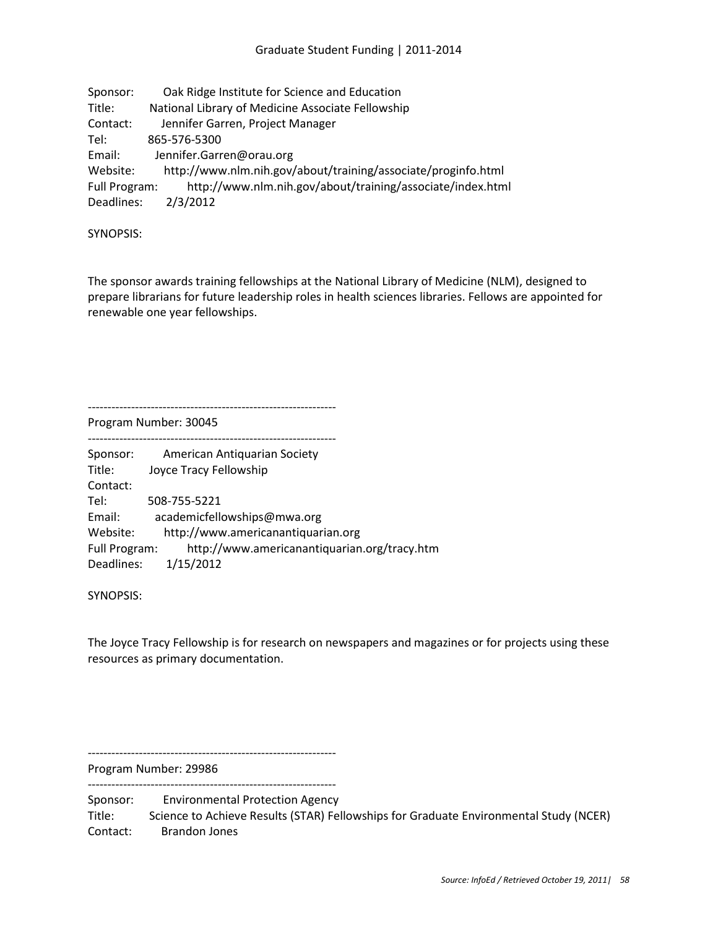| Sponsor:      | Oak Ridge Institute for Science and Education                 |
|---------------|---------------------------------------------------------------|
| Title:        | National Library of Medicine Associate Fellowship             |
| Contact:      | Jennifer Garren, Project Manager                              |
| Tel:          | 865-576-5300                                                  |
| Email:        | Jennifer.Garren@orau.org                                      |
| Website:      | http://www.nlm.nih.gov/about/training/associate/proginfo.html |
| Full Program: | http://www.nlm.nih.gov/about/training/associate/index.html    |
| Deadlines:    | 2/3/2012                                                      |

SYNOPSIS:

The sponsor awards training fellowships at the National Library of Medicine (NLM), designed to prepare librarians for future leadership roles in health sciences libraries. Fellows are appointed for renewable one year fellowships.

Program Number: 30045

---------------------------------------------------------------

| Sponsor:      | American Antiquarian Society                 |
|---------------|----------------------------------------------|
| Title:        | Joyce Tracy Fellowship                       |
| Contact:      |                                              |
| Tel:          | 508-755-5221                                 |
| Email:        | academicfellowships@mwa.org                  |
| Website:      | http://www.americanantiquarian.org           |
| Full Program: | http://www.americanantiquarian.org/tracy.htm |
| Deadlines:    | 1/15/2012                                    |
|               |                                              |

SYNOPSIS:

The Joyce Tracy Fellowship is for research on newspapers and magazines or for projects using these resources as primary documentation.

Program Number: 29986

---------------------------------------------------------------

---------------------------------------------------------------

Sponsor: Environmental Protection Agency Title: Science to Achieve Results (STAR) Fellowships for Graduate Environmental Study (NCER) Contact: Brandon Jones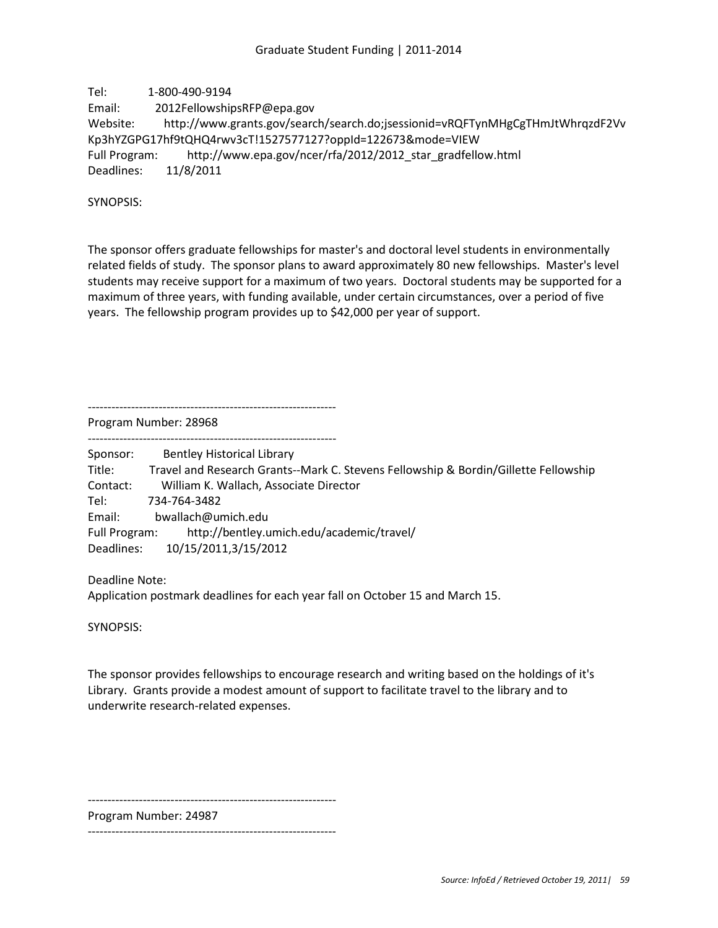Tel: 1-800-490-9194 Email: 2012FellowshipsRFP@epa.gov Website: http://www.grants.gov/search/search.do;jsessionid=vRQFTynMHgCgTHmJtWhrqzdF2Vv Kp3hYZGPG17hf9tQHQ4rwv3cT!1527577127?oppId=122673&mode=VIEW Full Program: http://www.epa.gov/ncer/rfa/2012/2012\_star\_gradfellow.html Deadlines: 11/8/2011

SYNOPSIS:

The sponsor offers graduate fellowships for master's and doctoral level students in environmentally related fields of study. The sponsor plans to award approximately 80 new fellowships. Master's level students may receive support for a maximum of two years. Doctoral students may be supported for a maximum of three years, with funding available, under certain circumstances, over a period of five years. The fellowship program provides up to \$42,000 per year of support.

--------------------------------------------------------------- Program Number: 28968

---------------------------------------------------------------

Sponsor: Bentley Historical Library

Title: Travel and Research Grants--Mark C. Stevens Fellowship & Bordin/Gillette Fellowship Contact: William K. Wallach, Associate Director Tel: 734-764-3482 Email: bwallach@umich.edu Full Program: http://bentley.umich.edu/academic/travel/ Deadlines: 10/15/2011,3/15/2012

Deadline Note:

Application postmark deadlines for each year fall on October 15 and March 15.

SYNOPSIS:

The sponsor provides fellowships to encourage research and writing based on the holdings of it's Library. Grants provide a modest amount of support to facilitate travel to the library and to underwrite research-related expenses.

---------------------------------------------------------------

Program Number: 24987

---------------------------------------------------------------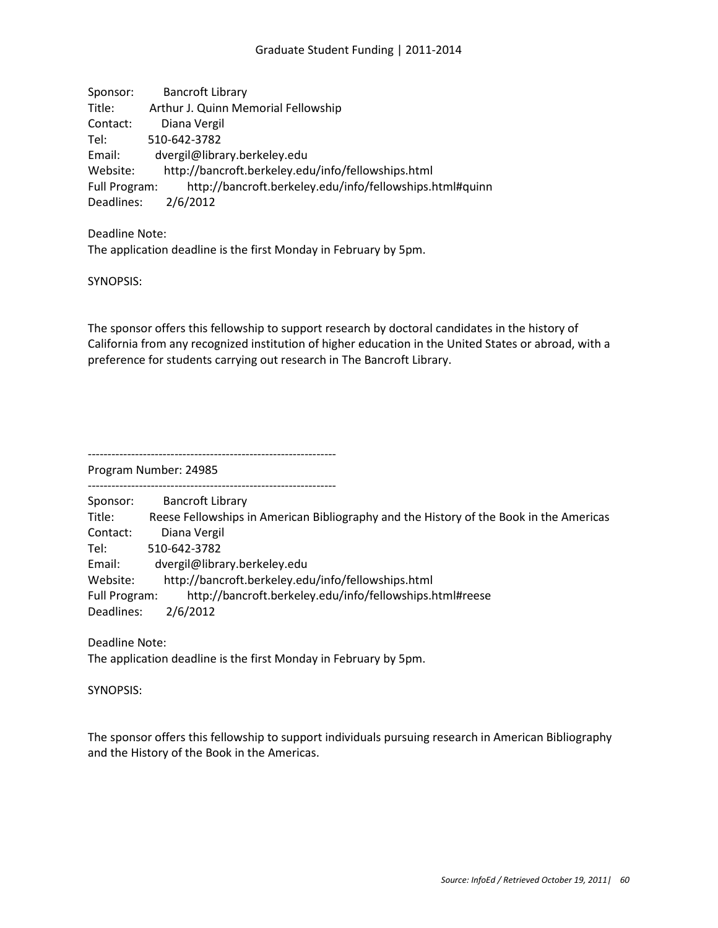Sponsor: Bancroft Library Title: Arthur J. Quinn Memorial Fellowship Contact: Diana Vergil Tel: 510-642-3782 Email: dvergil@library.berkeley.edu Website: http://bancroft.berkeley.edu/info/fellowships.html Full Program: http://bancroft.berkeley.edu/info/fellowships.html#quinn Deadlines: 2/6/2012

Deadline Note: The application deadline is the first Monday in February by 5pm.

SYNOPSIS:

The sponsor offers this fellowship to support research by doctoral candidates in the history of California from any recognized institution of higher education in the United States or abroad, with a preference for students carrying out research in The Bancroft Library.

---------------------------------------------------------------

Program Number: 24985

--------------------------------------------------------------- Sponsor: Bancroft Library Title: Reese Fellowships in American Bibliography and the History of the Book in the Americas Contact: Diana Vergil Tel: 510-642-3782 Email: dvergil@library.berkeley.edu Website: http://bancroft.berkeley.edu/info/fellowships.html Full Program: http://bancroft.berkeley.edu/info/fellowships.html#reese Deadlines: 2/6/2012

Deadline Note: The application deadline is the first Monday in February by 5pm.

SYNOPSIS:

The sponsor offers this fellowship to support individuals pursuing research in American Bibliography and the History of the Book in the Americas.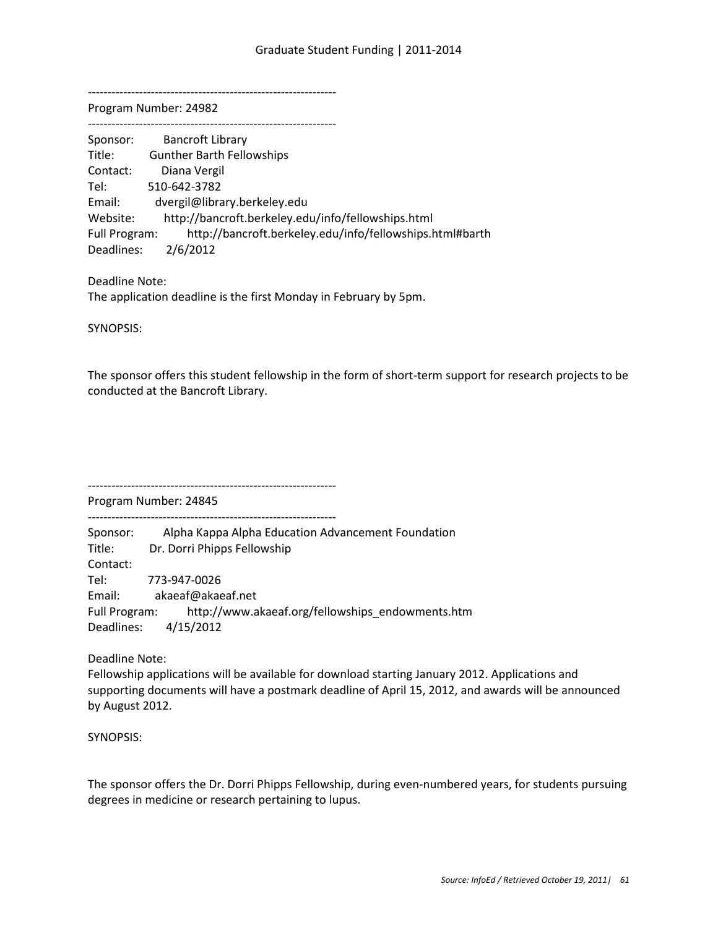---------------------------------------------------------------

Program Number: 24982 ---------------------------------------------------------------

| Sponsor:      | <b>Bancroft Library</b>                                  |
|---------------|----------------------------------------------------------|
| Title:        | <b>Gunther Barth Fellowships</b>                         |
| Contact:      | Diana Vergil                                             |
| Tel:          | 510-642-3782                                             |
| Email:        | dvergil@library.berkeley.edu                             |
| Website:      | http://bancroft.berkeley.edu/info/fellowships.html       |
| Full Program: | http://bancroft.berkeley.edu/info/fellowships.html#barth |
| Deadlines:    | 2/6/2012                                                 |

Deadline Note: The application deadline is the first Monday in February by 5pm.

SYNOPSIS:

The sponsor offers this student fellowship in the form of short-term support for research projects to be conducted at the Bancroft Library.

---------------------------------------------------------------

Program Number: 24845 ---------------------------------------------------------------

Sponsor: Alpha Kappa Alpha Education Advancement Foundation Title: Dr. Dorri Phipps Fellowship Contact: Tel: 773-947-0026 Email: akaeaf@akaeaf.net Full Program: http://www.akaeaf.org/fellowships\_endowments.htm Deadlines: 4/15/2012

Deadline Note:

Fellowship applications will be available for download starting January 2012. Applications and supporting documents will have a postmark deadline of April 15, 2012, and awards will be announced by August 2012.

SYNOPSIS:

The sponsor offers the Dr. Dorri Phipps Fellowship, during even-numbered years, for students pursuing degrees in medicine or research pertaining to lupus.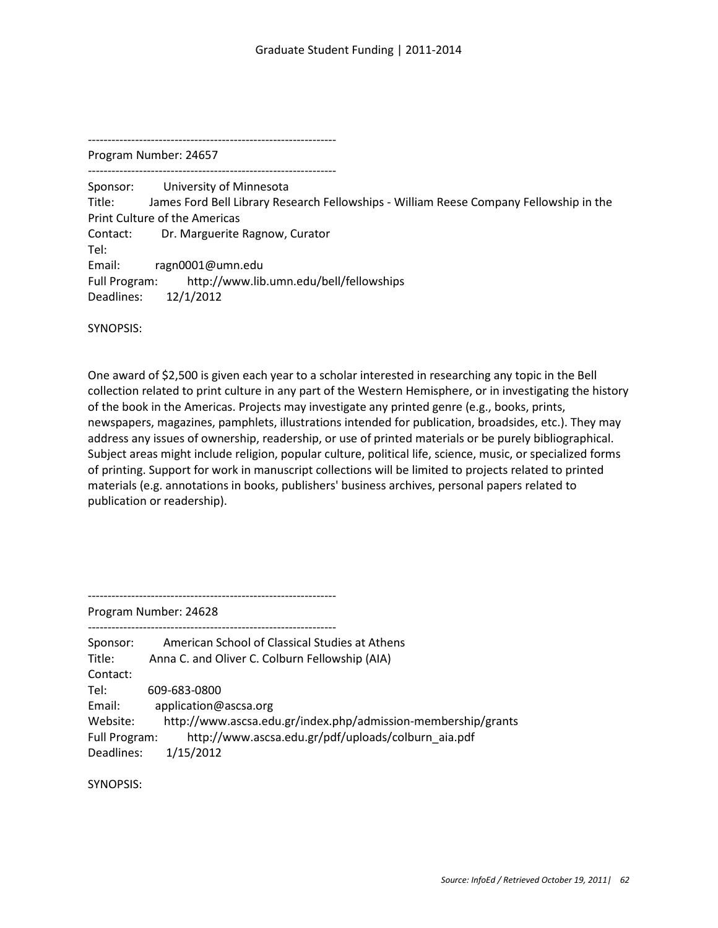---------------------------------------------------------------

Program Number: 24657

--------------------------------------------------------------- Sponsor: University of Minnesota Title: James Ford Bell Library Research Fellowships - William Reese Company Fellowship in the Print Culture of the Americas Contact: Dr. Marguerite Ragnow, Curator Tel: Email: ragn0001@umn.edu Full Program: http://www.lib.umn.edu/bell/fellowships Deadlines: 12/1/2012

SYNOPSIS:

One award of \$2,500 is given each year to a scholar interested in researching any topic in the Bell collection related to print culture in any part of the Western Hemisphere, or in investigating the history of the book in the Americas. Projects may investigate any printed genre (e.g., books, prints, newspapers, magazines, pamphlets, illustrations intended for publication, broadsides, etc.). They may address any issues of ownership, readership, or use of printed materials or be purely bibliographical. Subject areas might include religion, popular culture, political life, science, music, or specialized forms of printing. Support for work in manuscript collections will be limited to projects related to printed materials (e.g. annotations in books, publishers' business archives, personal papers related to publication or readership).

---------------------------------------------------------------

Program Number: 24628

| Sponsor:      | American School of Classical Studies at Athens                |
|---------------|---------------------------------------------------------------|
| Title:        | Anna C. and Oliver C. Colburn Fellowship (AIA)                |
| Contact:      |                                                               |
| Tel:          | 609-683-0800                                                  |
| Email:        | application@ascsa.org                                         |
| Website:      | http://www.ascsa.edu.gr/index.php/admission-membership/grants |
| Full Program: | http://www.ascsa.edu.gr/pdf/uploads/colburn aia.pdf           |
| Deadlines:    | 1/15/2012                                                     |

SYNOPSIS: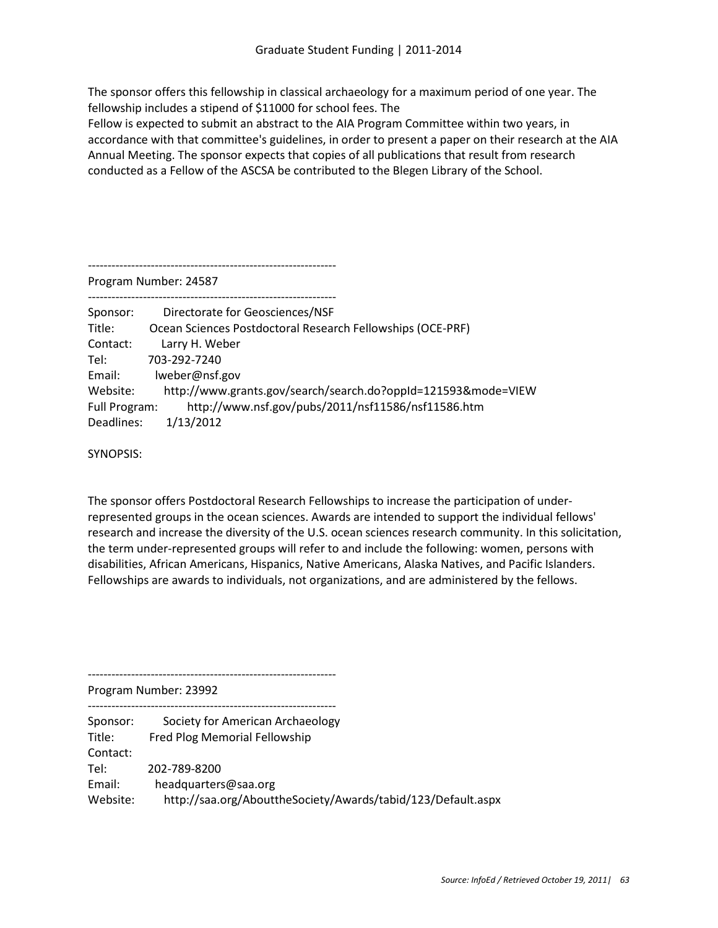The sponsor offers this fellowship in classical archaeology for a maximum period of one year. The fellowship includes a stipend of \$11000 for school fees. The

Fellow is expected to submit an abstract to the AIA Program Committee within two years, in accordance with that committee's guidelines, in order to present a paper on their research at the AIA Annual Meeting. The sponsor expects that copies of all publications that result from research conducted as a Fellow of the ASCSA be contributed to the Blegen Library of the School.

---------------------------------------------------------------

Program Number: 24587

---------------------------------------------------------------

| Sponsor:      | Directorate for Geosciences/NSF                               |
|---------------|---------------------------------------------------------------|
| Title:        | Ocean Sciences Postdoctoral Research Fellowships (OCE-PRF)    |
| Contact:      | Larry H. Weber                                                |
| Tel:          | 703-292-7240                                                  |
| Email:        | lweber@nsf.gov                                                |
| Website:      | http://www.grants.gov/search/search.do?oppId=121593&mode=VIEW |
| Full Program: | http://www.nsf.gov/pubs/2011/nsf11586/nsf11586.htm            |
| Deadlines:    | 1/13/2012                                                     |

SYNOPSIS:

The sponsor offers Postdoctoral Research Fellowships to increase the participation of underrepresented groups in the ocean sciences. Awards are intended to support the individual fellows' research and increase the diversity of the U.S. ocean sciences research community. In this solicitation, the term under-represented groups will refer to and include the following: women, persons with disabilities, African Americans, Hispanics, Native Americans, Alaska Natives, and Pacific Islanders. Fellowships are awards to individuals, not organizations, and are administered by the fellows.

Program Number: 23992

--------------------------------------------------------------- Sponsor: Society for American Archaeology Title: Fred Plog Memorial Fellowship Contact: Tel: 202-789-8200 Email: headquarters@saa.org Website: http://saa.org/AbouttheSociety/Awards/tabid/123/Default.aspx

---------------------------------------------------------------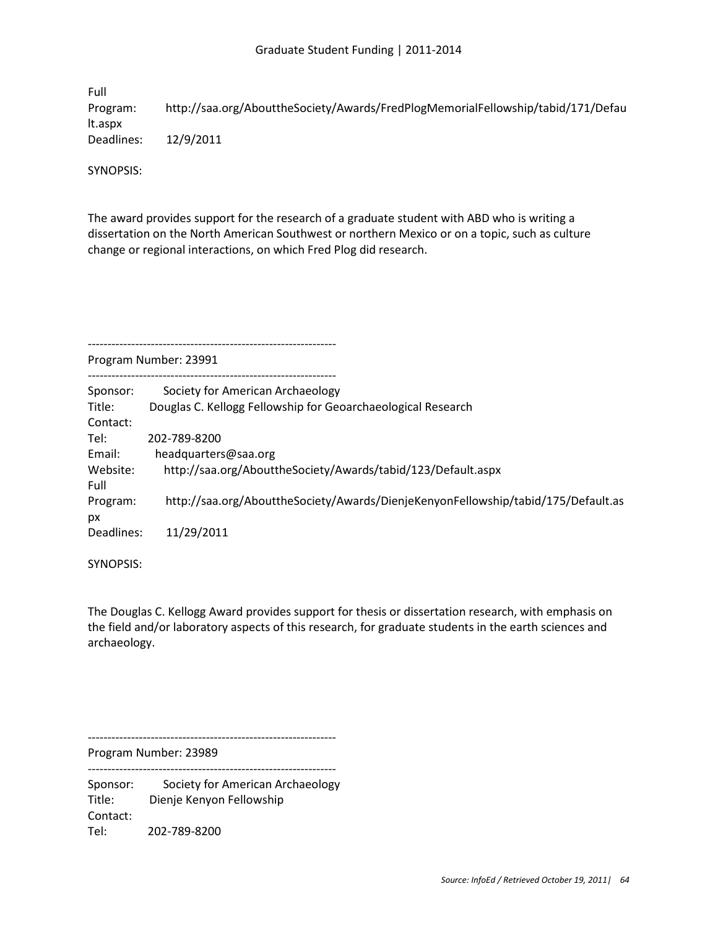Full Program: http://saa.org/AbouttheSociety/Awards/FredPlogMemorialFellowship/tabid/171/Defau lt.aspx Deadlines: 12/9/2011

SYNOPSIS:

The award provides support for the research of a graduate student with ABD who is writing a dissertation on the North American Southwest or northern Mexico or on a topic, such as culture change or regional interactions, on which Fred Plog did research.

---------------------------------------------------------------

Program Number: 23991

| Sponsor:   | Society for American Archaeology                                                  |
|------------|-----------------------------------------------------------------------------------|
| Title:     | Douglas C. Kellogg Fellowship for Geoarchaeological Research                      |
| Contact:   |                                                                                   |
| Tel:       | 202-789-8200                                                                      |
| Email:     | headquarters@saa.org                                                              |
| Website:   | http://saa.org/AbouttheSociety/Awards/tabid/123/Default.aspx                      |
| Full       |                                                                                   |
| Program:   | http://saa.org/AbouttheSociety/Awards/DienjeKenyonFellowship/tabid/175/Default.as |
| рx         |                                                                                   |
| Deadlines: | 11/29/2011                                                                        |
|            |                                                                                   |

SYNOPSIS:

The Douglas C. Kellogg Award provides support for thesis or dissertation research, with emphasis on the field and/or laboratory aspects of this research, for graduate students in the earth sciences and archaeology.

---------------------------------------------------------------

Program Number: 23989 ---------------------------------------------------------------

Sponsor: Society for American Archaeology Title: Dienje Kenyon Fellowship Contact: Tel: 202-789-8200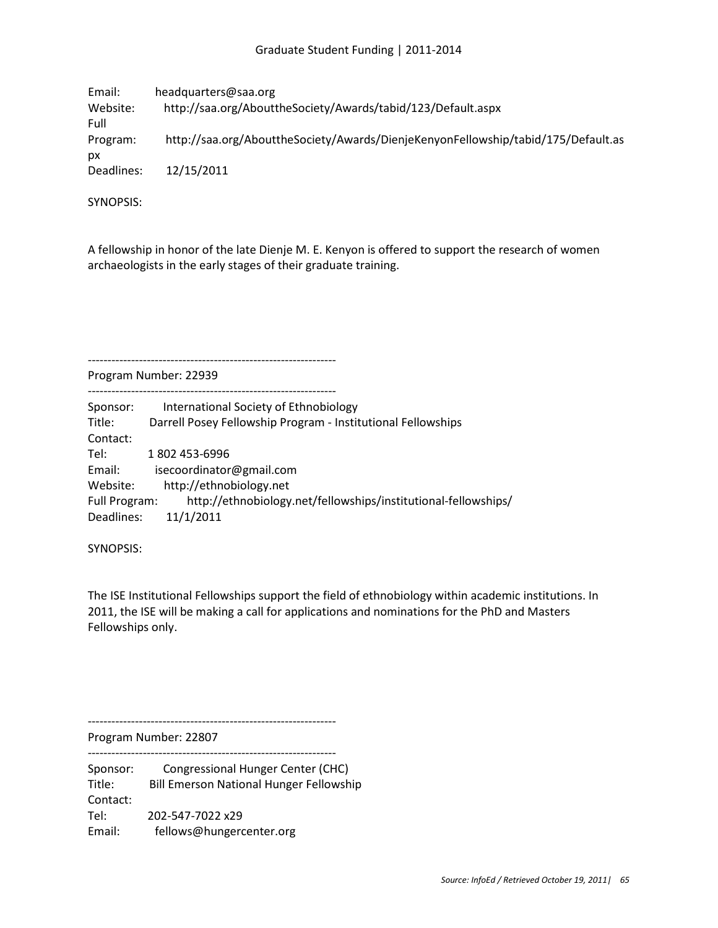| Email:     | headquarters@saa.org                                                              |
|------------|-----------------------------------------------------------------------------------|
| Website:   | http://saa.org/AbouttheSociety/Awards/tabid/123/Default.aspx                      |
| Full       |                                                                                   |
| Program:   | http://saa.org/AbouttheSociety/Awards/DienjeKenyonFellowship/tabid/175/Default.as |
| рx         |                                                                                   |
| Deadlines: | 12/15/2011                                                                        |

SYNOPSIS:

A fellowship in honor of the late Dienje M. E. Kenyon is offered to support the research of women archaeologists in the early stages of their graduate training.

---------------------------------------------------------------

Program Number: 22939 ---------------------------------------------------------------

| Sponsor:             | International Society of Ethnobiology                          |
|----------------------|----------------------------------------------------------------|
| Title:               | Darrell Posey Fellowship Program - Institutional Fellowships   |
| Contact:             |                                                                |
| Tel:                 | 1802 453-6996                                                  |
| Email:               | isecoordinator@gmail.com                                       |
| Website:             | http://ethnobiology.net                                        |
| <b>Full Program:</b> | http://ethnobiology.net/fellowships/institutional-fellowships/ |
| Deadlines:           | 11/1/2011                                                      |

SYNOPSIS:

The ISE Institutional Fellowships support the field of ethnobiology within academic institutions. In 2011, the ISE will be making a call for applications and nominations for the PhD and Masters Fellowships only.

---------------------------------------------------------------

Program Number: 22807

--------------------------------------------------------------- Sponsor: Congressional Hunger Center (CHC) Title: Bill Emerson National Hunger Fellowship Contact: Tel: 202-547-7022 x29 Email: fellows@hungercenter.org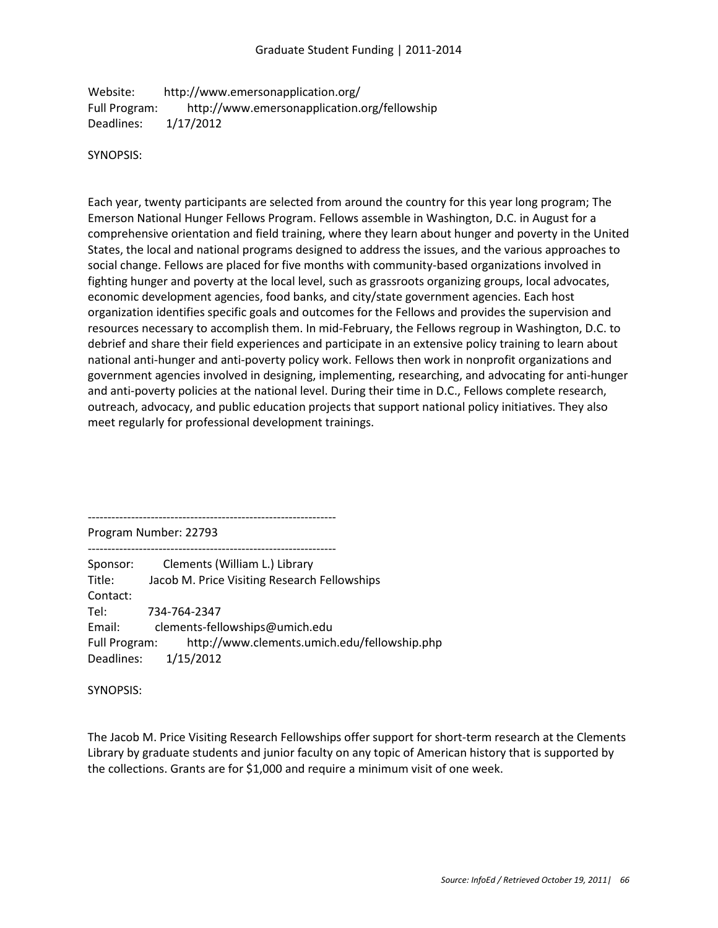Website: http://www.emersonapplication.org/ Full Program: http://www.emersonapplication.org/fellowship Deadlines: 1/17/2012

#### SYNOPSIS:

Each year, twenty participants are selected from around the country for this year long program; The Emerson National Hunger Fellows Program. Fellows assemble in Washington, D.C. in August for a comprehensive orientation and field training, where they learn about hunger and poverty in the United States, the local and national programs designed to address the issues, and the various approaches to social change. Fellows are placed for five months with community-based organizations involved in fighting hunger and poverty at the local level, such as grassroots organizing groups, local advocates, economic development agencies, food banks, and city/state government agencies. Each host organization identifies specific goals and outcomes for the Fellows and provides the supervision and resources necessary to accomplish them. In mid-February, the Fellows regroup in Washington, D.C. to debrief and share their field experiences and participate in an extensive policy training to learn about national anti-hunger and anti-poverty policy work. Fellows then work in nonprofit organizations and government agencies involved in designing, implementing, researching, and advocating for anti-hunger and anti-poverty policies at the national level. During their time in D.C., Fellows complete research, outreach, advocacy, and public education projects that support national policy initiatives. They also meet regularly for professional development trainings.

--------------------------------------------------------------- Program Number: 22793

--------------------------------------------------------------- Sponsor: Clements (William L.) Library Title: Jacob M. Price Visiting Research Fellowships Contact: Tel: 734-764-2347 Email: clements-fellowships@umich.edu Full Program: http://www.clements.umich.edu/fellowship.php Deadlines: 1/15/2012

SYNOPSIS:

The Jacob M. Price Visiting Research Fellowships offer support for short-term research at the Clements Library by graduate students and junior faculty on any topic of American history that is supported by the collections. Grants are for \$1,000 and require a minimum visit of one week.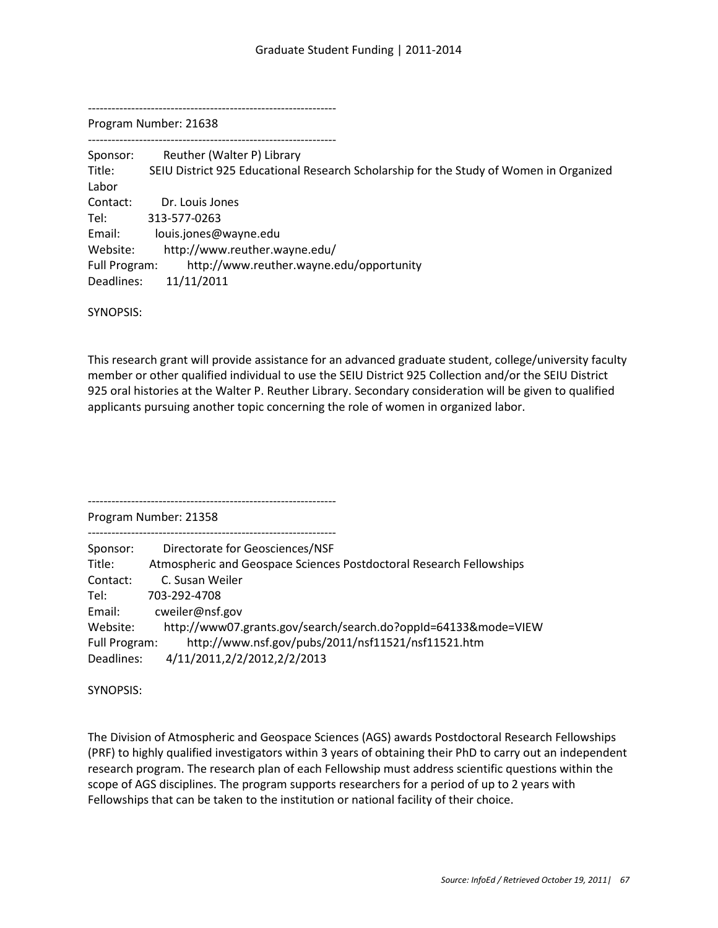---------------------------------------------------------------

Program Number: 21638

--------------------------------------------------------------- Sponsor: Reuther (Walter P) Library Title: SEIU District 925 Educational Research Scholarship for the Study of Women in Organized Labor Contact: Dr. Louis Jones Tel: 313-577-0263 Email: louis.jones@wayne.edu Website: http://www.reuther.wayne.edu/ Full Program: http://www.reuther.wayne.edu/opportunity Deadlines: 11/11/2011

SYNOPSIS:

This research grant will provide assistance for an advanced graduate student, college/university faculty member or other qualified individual to use the SEIU District 925 Collection and/or the SEIU District 925 oral histories at the Walter P. Reuther Library. Secondary consideration will be given to qualified applicants pursuing another topic concerning the role of women in organized labor.

Program Number: 21358

---------------------------------------------------------------

---------------------------------------------------------------

| Sponsor:      | Directorate for Geosciences/NSF                                     |
|---------------|---------------------------------------------------------------------|
| Title:        | Atmospheric and Geospace Sciences Postdoctoral Research Fellowships |
| Contact:      | C. Susan Weiler                                                     |
| Tel:          | 703-292-4708                                                        |
| Email:        | cweiler@nsf.gov                                                     |
| Website:      | http://www07.grants.gov/search/search.do?oppId=64133&mode=VIEW      |
| Full Program: | http://www.nsf.gov/pubs/2011/nsf11521/nsf11521.htm                  |
| Deadlines:    | 4/11/2011,2/2/2012,2/2/2013                                         |

SYNOPSIS:

The Division of Atmospheric and Geospace Sciences (AGS) awards Postdoctoral Research Fellowships (PRF) to highly qualified investigators within 3 years of obtaining their PhD to carry out an independent research program. The research plan of each Fellowship must address scientific questions within the scope of AGS disciplines. The program supports researchers for a period of up to 2 years with Fellowships that can be taken to the institution or national facility of their choice.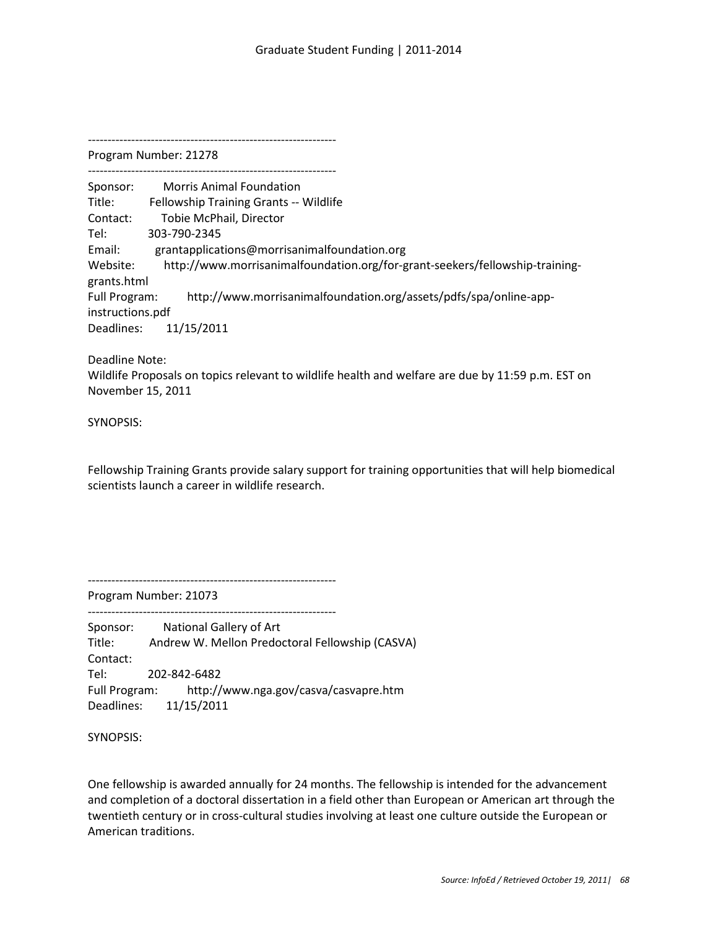Program Number: 21278

---------------------------------------------------------------

--------------------------------------------------------------- Sponsor: Morris Animal Foundation Title: Fellowship Training Grants -- Wildlife Contact: Tobie McPhail, Director Tel: 303-790-2345 Email: grantapplications@morrisanimalfoundation.org Website: http://www.morrisanimalfoundation.org/for-grant-seekers/fellowship-traininggrants.html Full Program: http://www.morrisanimalfoundation.org/assets/pdfs/spa/online-appinstructions.pdf Deadlines: 11/15/2011

Deadline Note:

Wildlife Proposals on topics relevant to wildlife health and welfare are due by 11:59 p.m. EST on November 15, 2011

SYNOPSIS:

Fellowship Training Grants provide salary support for training opportunities that will help biomedical scientists launch a career in wildlife research.

---------------------------------------------------------------

Program Number: 21073 ---------------------------------------------------------------

Sponsor: National Gallery of Art Title: Andrew W. Mellon Predoctoral Fellowship (CASVA) Contact: Tel: 202-842-6482 Full Program: http://www.nga.gov/casva/casvapre.htm Deadlines: 11/15/2011

SYNOPSIS:

One fellowship is awarded annually for 24 months. The fellowship is intended for the advancement and completion of a doctoral dissertation in a field other than European or American art through the twentieth century or in cross-cultural studies involving at least one culture outside the European or American traditions.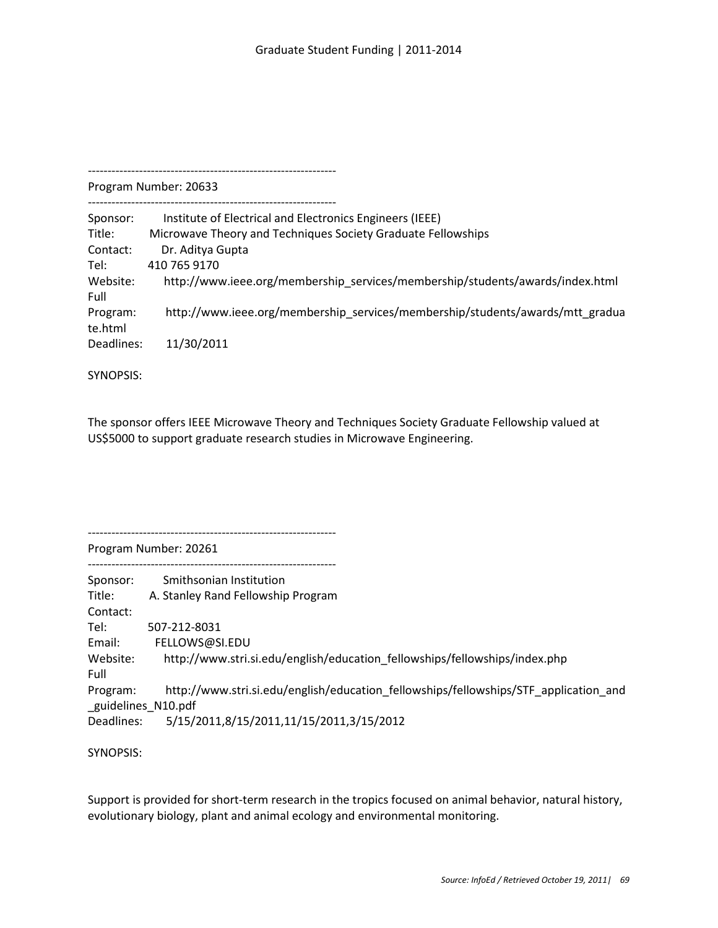---------------------------------------------------------------

Program Number: 20633 ---------------------------------------------------------------

Sponsor: Institute of Electrical and Electronics Engineers (IEEE) Title: Microwave Theory and Techniques Society Graduate Fellowships Contact: Dr. Aditya Gupta Tel: 410 765 9170 Website: http://www.ieee.org/membership\_services/membership/students/awards/index.html Full Program: http://www.ieee.org/membership\_services/membership/students/awards/mtt\_gradua te.html Deadlines: 11/30/2011

SYNOPSIS:

The sponsor offers IEEE Microwave Theory and Techniques Society Graduate Fellowship valued at US\$5000 to support graduate research studies in Microwave Engineering.

---------------------------------------------------------------

---------------------------------------------------------------

Program Number: 20261

Sponsor: Smithsonian Institution Title: A. Stanley Rand Fellowship Program Contact: Tel: 507-212-8031 Email: FELLOWS@SI.EDU Website: http://www.stri.si.edu/english/education\_fellowships/fellowships/index.php Full Program: http://www.stri.si.edu/english/education\_fellowships/fellowships/STF\_application\_and \_guidelines\_N10.pdf Deadlines: 5/15/2011,8/15/2011,11/15/2011,3/15/2012

SYNOPSIS:

Support is provided for short-term research in the tropics focused on animal behavior, natural history, evolutionary biology, plant and animal ecology and environmental monitoring.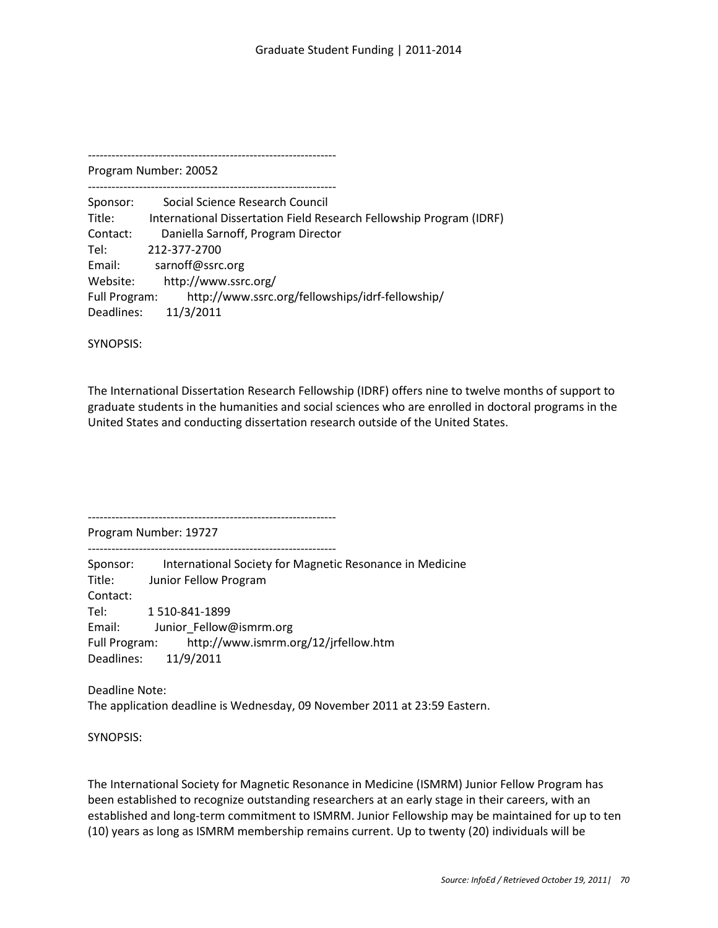---------------------------------------------------------------

Program Number: 20052 ---------------------------------------------------------------

Sponsor: Social Science Research Council Title: International Dissertation Field Research Fellowship Program (IDRF) Contact: Daniella Sarnoff, Program Director Tel: 212-377-2700 Email: sarnoff@ssrc.org Website: http://www.ssrc.org/ Full Program: http://www.ssrc.org/fellowships/idrf-fellowship/ Deadlines: 11/3/2011

SYNOPSIS:

The International Dissertation Research Fellowship (IDRF) offers nine to twelve months of support to graduate students in the humanities and social sciences who are enrolled in doctoral programs in the United States and conducting dissertation research outside of the United States.

--------------------------------------------------------------- Program Number: 19727

---------------------------------------------------------------

Sponsor: International Society for Magnetic Resonance in Medicine Title: Junior Fellow Program Contact: Tel: 1 510-841-1899 Email: Junior Fellow@ismrm.org Full Program: http://www.ismrm.org/12/jrfellow.htm Deadlines: 11/9/2011

Deadline Note: The application deadline is Wednesday, 09 November 2011 at 23:59 Eastern.

SYNOPSIS:

The International Society for Magnetic Resonance in Medicine (ISMRM) Junior Fellow Program has been established to recognize outstanding researchers at an early stage in their careers, with an established and long-term commitment to ISMRM. Junior Fellowship may be maintained for up to ten (10) years as long as ISMRM membership remains current. Up to twenty (20) individuals will be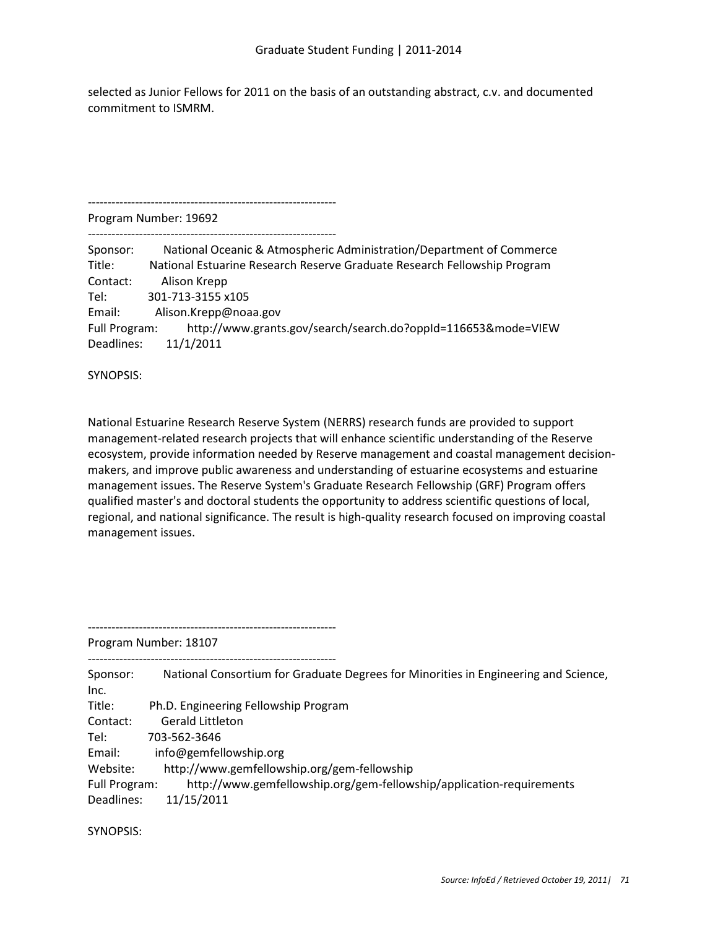selected as Junior Fellows for 2011 on the basis of an outstanding abstract, c.v. and documented commitment to ISMRM.

Program Number: 19692

---------------------------------------------------------------

---------------------------------------------------------------

| Sponsor:      | National Oceanic & Atmospheric Administration/Department of Commerce     |
|---------------|--------------------------------------------------------------------------|
| Title:        | National Estuarine Research Reserve Graduate Research Fellowship Program |
| Contact:      | Alison Krepp                                                             |
| Tel:          | 301-713-3155 x105                                                        |
| Email:        | Alison.Krepp@noaa.gov                                                    |
| Full Program: | http://www.grants.gov/search/search.do?oppId=116653&mode=VIEW            |
| Deadlines:    | 11/1/2011                                                                |

SYNOPSIS:

National Estuarine Research Reserve System (NERRS) research funds are provided to support management-related research projects that will enhance scientific understanding of the Reserve ecosystem, provide information needed by Reserve management and coastal management decisionmakers, and improve public awareness and understanding of estuarine ecosystems and estuarine management issues. The Reserve System's Graduate Research Fellowship (GRF) Program offers qualified master's and doctoral students the opportunity to address scientific questions of local, regional, and national significance. The result is high-quality research focused on improving coastal management issues.

Program Number: 18107

---------------------------------------------------------------

---------------------------------------------------------------

Sponsor: National Consortium for Graduate Degrees for Minorities in Engineering and Science, Inc. Title: Ph.D. Engineering Fellowship Program Contact: Gerald Littleton Tel: 703-562-3646 Email: info@gemfellowship.org Website: http://www.gemfellowship.org/gem-fellowship Full Program: http://www.gemfellowship.org/gem-fellowship/application-requirements Deadlines: 11/15/2011

SYNOPSIS: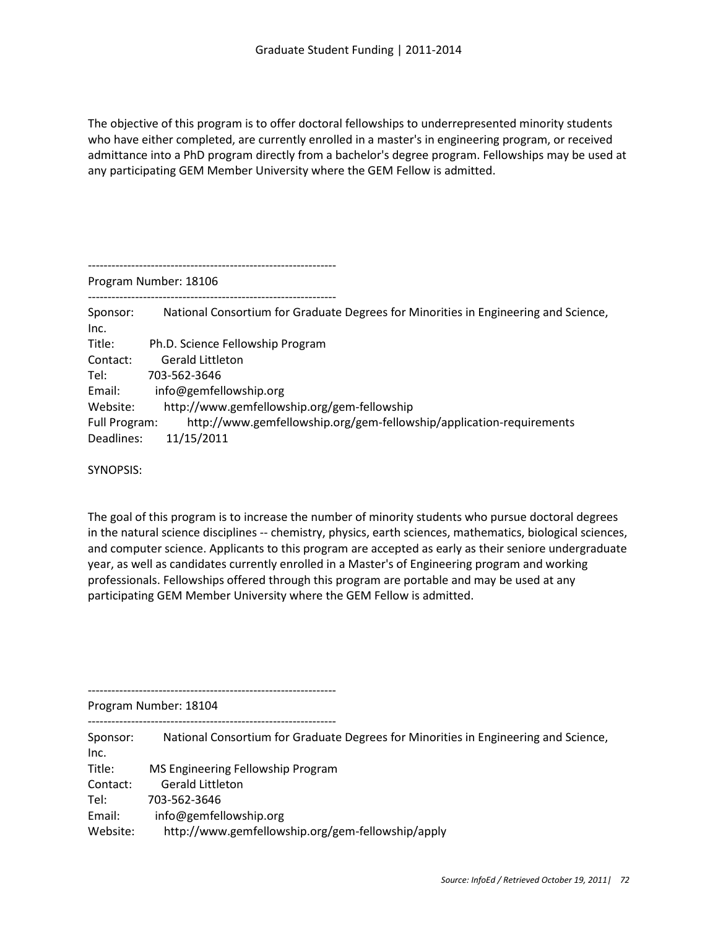The objective of this program is to offer doctoral fellowships to underrepresented minority students who have either completed, are currently enrolled in a master's in engineering program, or received admittance into a PhD program directly from a bachelor's degree program. Fellowships may be used at any participating GEM Member University where the GEM Fellow is admitted.

--------------------------------------------------------------- Program Number: 18106 --------------------------------------------------------------- Sponsor: National Consortium for Graduate Degrees for Minorities in Engineering and Science, Inc. Title: Ph.D. Science Fellowship Program Contact: Gerald Littleton Tel: 703-562-3646 Email: info@gemfellowship.org Website: http://www.gemfellowship.org/gem-fellowship Full Program: http://www.gemfellowship.org/gem-fellowship/application-requirements Deadlines: 11/15/2011

SYNOPSIS:

The goal of this program is to increase the number of minority students who pursue doctoral degrees in the natural science disciplines -- chemistry, physics, earth sciences, mathematics, biological sciences, and computer science. Applicants to this program are accepted as early as their seniore undergraduate year, as well as candidates currently enrolled in a Master's of Engineering program and working professionals. Fellowships offered through this program are portable and may be used at any participating GEM Member University where the GEM Fellow is admitted.

---------------------------------------------------------------

Program Number: 18104

---------------------------------------------------------------

| Sponsor: | National Consortium for Graduate Degrees for Minorities in Engineering and Science, |
|----------|-------------------------------------------------------------------------------------|
| Inc.     |                                                                                     |
| Title:   | MS Engineering Fellowship Program                                                   |
| Contact: | <b>Gerald Littleton</b>                                                             |
| Tel:     | 703-562-3646                                                                        |
| Email:   | info@gemfellowship.org                                                              |
| Website: | http://www.gemfellowship.org/gem-fellowship/apply                                   |
|          |                                                                                     |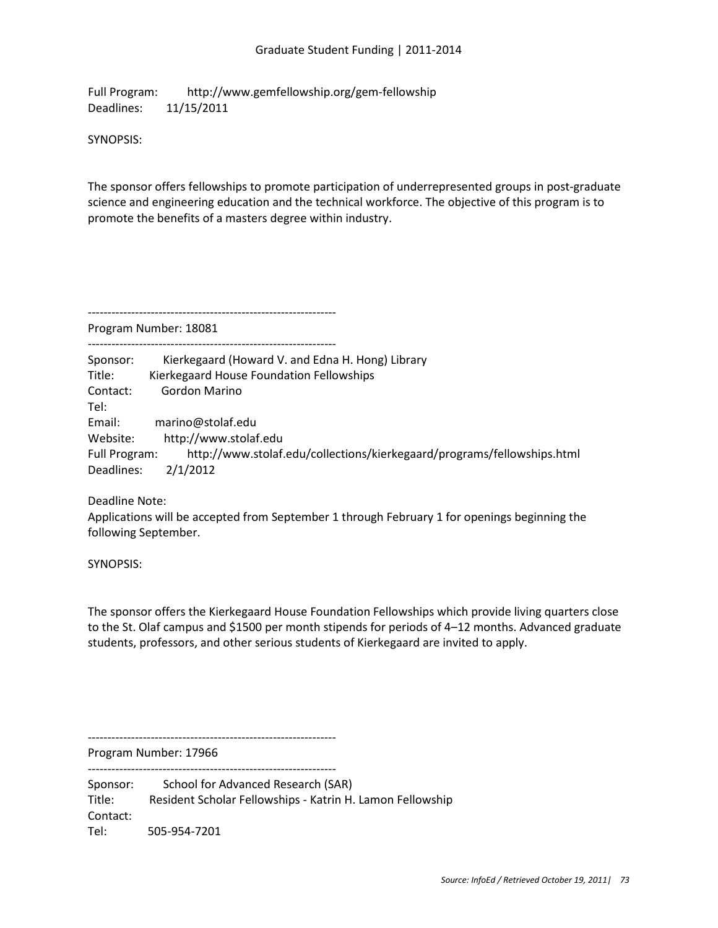Full Program: http://www.gemfellowship.org/gem-fellowship Deadlines: 11/15/2011

SYNOPSIS:

The sponsor offers fellowships to promote participation of underrepresented groups in post-graduate science and engineering education and the technical workforce. The objective of this program is to promote the benefits of a masters degree within industry.

Program Number: 18081

---------------------------------------------------------------

--------------------------------------------------------------- Sponsor: Kierkegaard (Howard V. and Edna H. Hong) Library Title: Kierkegaard House Foundation Fellowships Contact: Gordon Marino Tel: Email: marino@stolaf.edu Website: http://www.stolaf.edu Full Program: http://www.stolaf.edu/collections/kierkegaard/programs/fellowships.html Deadlines: 2/1/2012

Deadline Note:

Applications will be accepted from September 1 through February 1 for openings beginning the following September.

SYNOPSIS:

The sponsor offers the Kierkegaard House Foundation Fellowships which provide living quarters close to the St. Olaf campus and \$1500 per month stipends for periods of 4–12 months. Advanced graduate students, professors, and other serious students of Kierkegaard are invited to apply.

---------------------------------------------------------------

Program Number: 17966 ---------------------------------------------------------------

Sponsor: School for Advanced Research (SAR) Title: Resident Scholar Fellowships - Katrin H. Lamon Fellowship Contact: Tel: 505-954-7201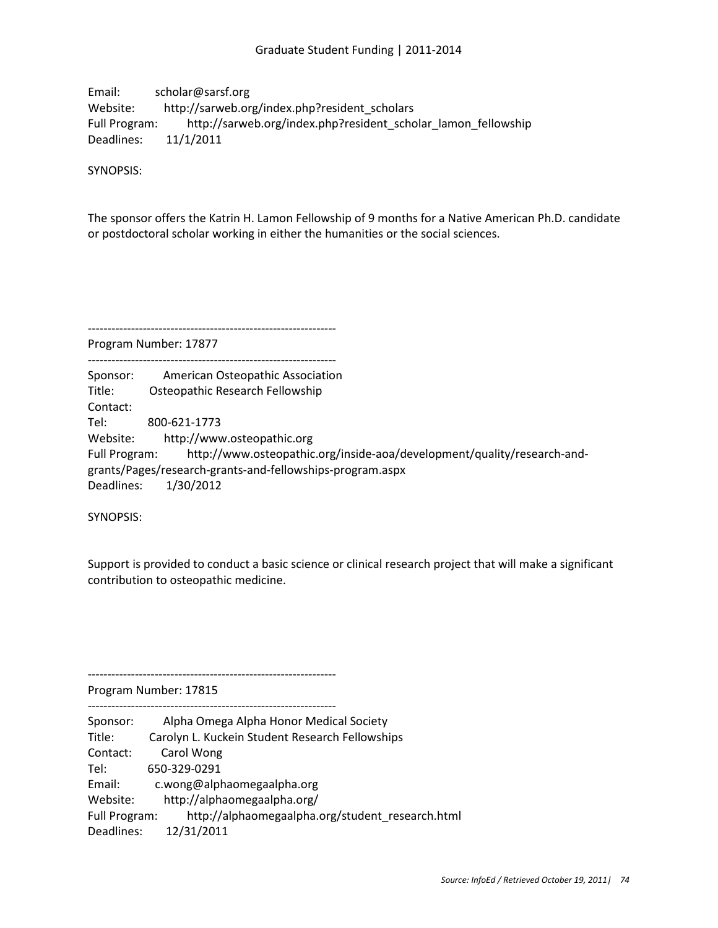Email: scholar@sarsf.org Website: http://sarweb.org/index.php?resident\_scholars Full Program: http://sarweb.org/index.php?resident\_scholar\_lamon\_fellowship Deadlines: 11/1/2011

SYNOPSIS:

The sponsor offers the Katrin H. Lamon Fellowship of 9 months for a Native American Ph.D. candidate or postdoctoral scholar working in either the humanities or the social sciences.

--------------------------------------------------------------- Program Number: 17877

---------------------------------------------------------------

Sponsor: American Osteopathic Association Title: Osteopathic Research Fellowship Contact: Tel: 800-621-1773 Website: http://www.osteopathic.org

Full Program: http://www.osteopathic.org/inside-aoa/development/quality/research-andgrants/Pages/research-grants-and-fellowships-program.aspx Deadlines: 1/30/2012

SYNOPSIS:

Support is provided to conduct a basic science or clinical research project that will make a significant contribution to osteopathic medicine.

Program Number: 17815

---------------------------------------------------------------

---------------------------------------------------------------

| Sponsor:      | Alpha Omega Alpha Honor Medical Society          |
|---------------|--------------------------------------------------|
| Title:        | Carolyn L. Kuckein Student Research Fellowships  |
| Contact:      | Carol Wong                                       |
| Tel:          | 650-329-0291                                     |
| Email:        | c.wong@alphaomegaalpha.org                       |
| Website:      | http://alphaomegaalpha.org/                      |
| Full Program: | http://alphaomegaalpha.org/student_research.html |
| Deadlines:    | 12/31/2011                                       |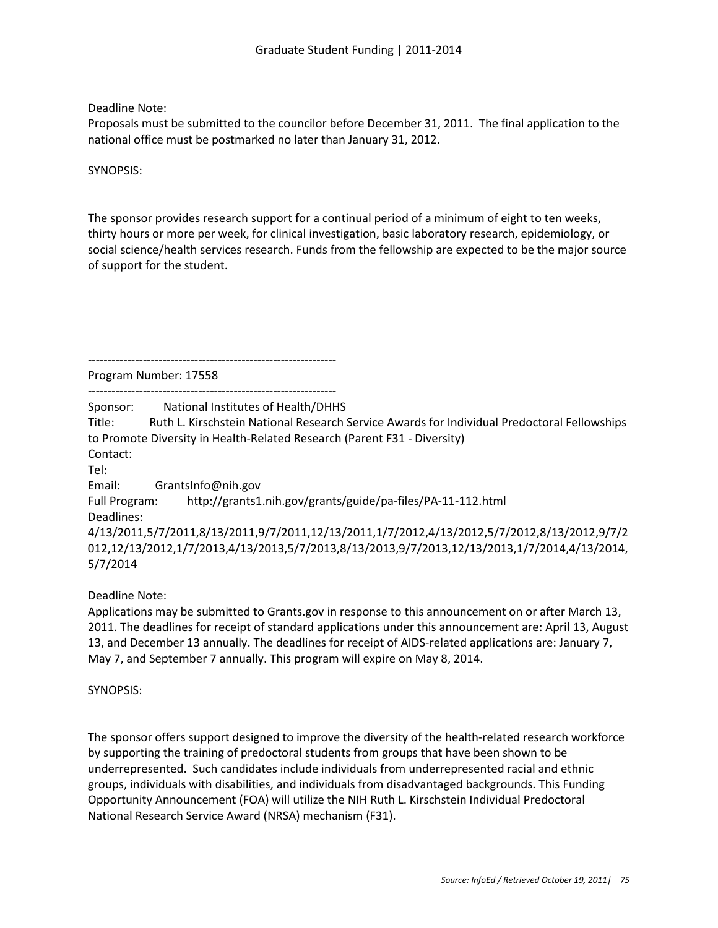Deadline Note:

Proposals must be submitted to the councilor before December 31, 2011. The final application to the national office must be postmarked no later than January 31, 2012.

SYNOPSIS:

The sponsor provides research support for a continual period of a minimum of eight to ten weeks, thirty hours or more per week, for clinical investigation, basic laboratory research, epidemiology, or social science/health services research. Funds from the fellowship are expected to be the major source of support for the student.

---------------------------------------------------------------

Program Number: 17558

---------------------------------------------------------------

Sponsor: National Institutes of Health/DHHS

Title: Ruth L. Kirschstein National Research Service Awards for Individual Predoctoral Fellowships to Promote Diversity in Health-Related Research (Parent F31 - Diversity) Contact:

Tel:

Email: GrantsInfo@nih.gov

Full Program: http://grants1.nih.gov/grants/guide/pa-files/PA-11-112.html Deadlines:

4/13/2011,5/7/2011,8/13/2011,9/7/2011,12/13/2011,1/7/2012,4/13/2012,5/7/2012,8/13/2012,9/7/2 012,12/13/2012,1/7/2013,4/13/2013,5/7/2013,8/13/2013,9/7/2013,12/13/2013,1/7/2014,4/13/2014, 5/7/2014

Deadline Note:

Applications may be submitted to Grants.gov in response to this announcement on or after March 13, 2011. The deadlines for receipt of standard applications under this announcement are: April 13, August 13, and December 13 annually. The deadlines for receipt of AIDS-related applications are: January 7, May 7, and September 7 annually. This program will expire on May 8, 2014.

SYNOPSIS:

The sponsor offers support designed to improve the diversity of the health-related research workforce by supporting the training of predoctoral students from groups that have been shown to be underrepresented. Such candidates include individuals from underrepresented racial and ethnic groups, individuals with disabilities, and individuals from disadvantaged backgrounds. This Funding Opportunity Announcement (FOA) will utilize the NIH Ruth L. Kirschstein Individual Predoctoral National Research Service Award (NRSA) mechanism (F31).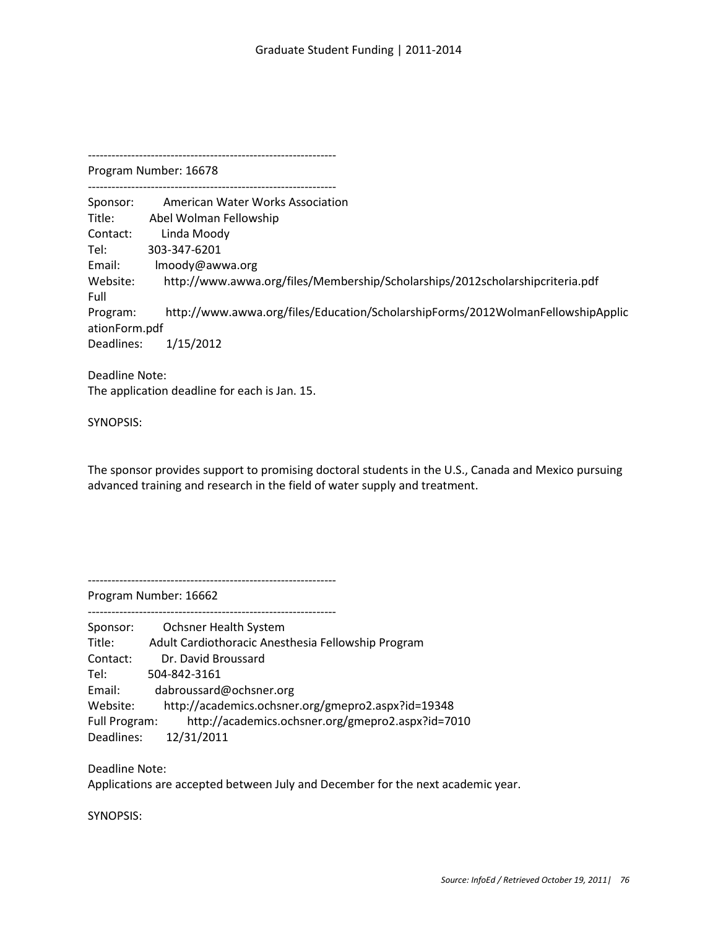--------------------------------------------------------------- Program Number: 16678 --------------------------------------------------------------- Sponsor: American Water Works Association Title: Abel Wolman Fellowship Contact: Linda Moody Tel: 303-347-6201 Email: lmoody@awwa.org Website: http://www.awwa.org/files/Membership/Scholarships/2012scholarshipcriteria.pdf Full Program: http://www.awwa.org/files/Education/ScholarshipForms/2012WolmanFellowshipApplic ationForm.pdf Deadlines: 1/15/2012 Deadline Note: The application deadline for each is Jan. 15.

SYNOPSIS:

The sponsor provides support to promising doctoral students in the U.S., Canada and Mexico pursuing advanced training and research in the field of water supply and treatment.

---------------------------------------------------------------

Program Number: 16662 ---------------------------------------------------------------

| Sponsor:      | Ochsner Health System                              |
|---------------|----------------------------------------------------|
| Title:        |                                                    |
|               | Adult Cardiothoracic Anesthesia Fellowship Program |
| Contact:      | Dr. David Broussard                                |
| Tel:          | 504-842-3161                                       |
| Email:        | dabroussard@ochsner.org                            |
| Website:      | http://academics.ochsner.org/gmepro2.aspx?id=19348 |
| Full Program: | http://academics.ochsner.org/gmepro2.aspx?id=7010  |
| Deadlines:    | 12/31/2011                                         |

Deadline Note:

Applications are accepted between July and December for the next academic year.

SYNOPSIS: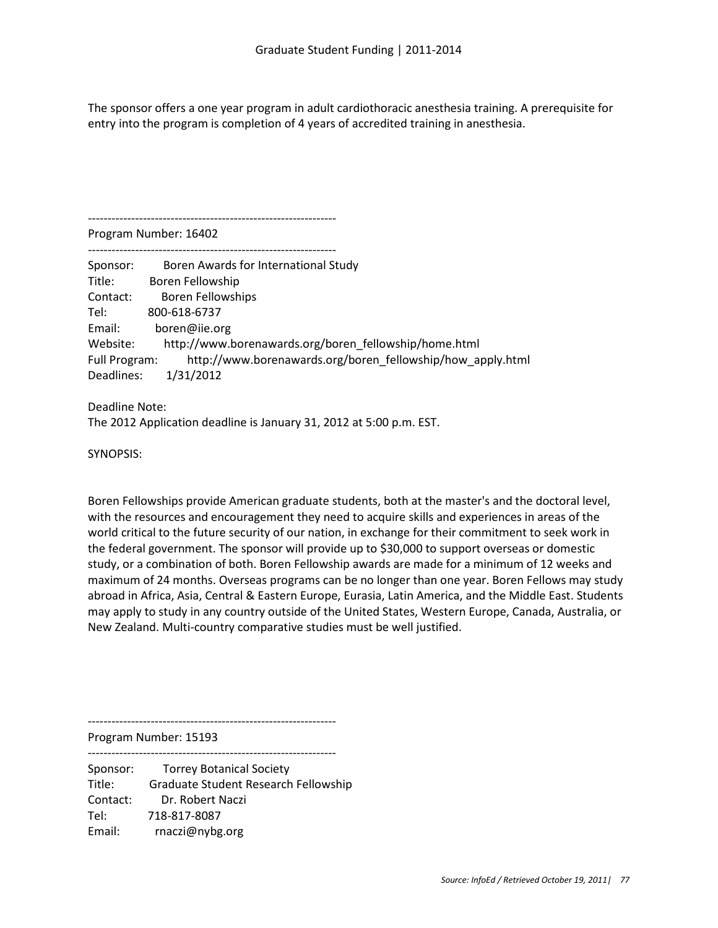The sponsor offers a one year program in adult cardiothoracic anesthesia training. A prerequisite for entry into the program is completion of 4 years of accredited training in anesthesia.

---------------------------------------------------------------

Program Number: 16402 ---------------------------------------------------------------

| Sponsor:      | Boren Awards for International Study                       |
|---------------|------------------------------------------------------------|
| Title:        | Boren Fellowship                                           |
| Contact:      | Boren Fellowships                                          |
| Tel:          | 800-618-6737                                               |
| Email:        | boren@iie.org                                              |
| Website:      | http://www.borenawards.org/boren fellowship/home.html      |
| Full Program: | http://www.borenawards.org/boren fellowship/how apply.html |
| Deadlines:    | 1/31/2012                                                  |

Deadline Note: The 2012 Application deadline is January 31, 2012 at 5:00 p.m. EST.

SYNOPSIS:

Boren Fellowships provide American graduate students, both at the master's and the doctoral level, with the resources and encouragement they need to acquire skills and experiences in areas of the world critical to the future security of our nation, in exchange for their commitment to seek work in the federal government. The sponsor will provide up to \$30,000 to support overseas or domestic study, or a combination of both. Boren Fellowship awards are made for a minimum of 12 weeks and maximum of 24 months. Overseas programs can be no longer than one year. Boren Fellows may study abroad in Africa, Asia, Central & Eastern Europe, Eurasia, Latin America, and the Middle East. Students may apply to study in any country outside of the United States, Western Europe, Canada, Australia, or New Zealand. Multi-country comparative studies must be well justified.

---------------------------------------------------------------

Program Number: 15193

Sponsor: Torrey Botanical Society Title: Graduate Student Research Fellowship Contact: Dr. Robert Naczi Tel: 718-817-8087 Email: rnaczi@nybg.org

---------------------------------------------------------------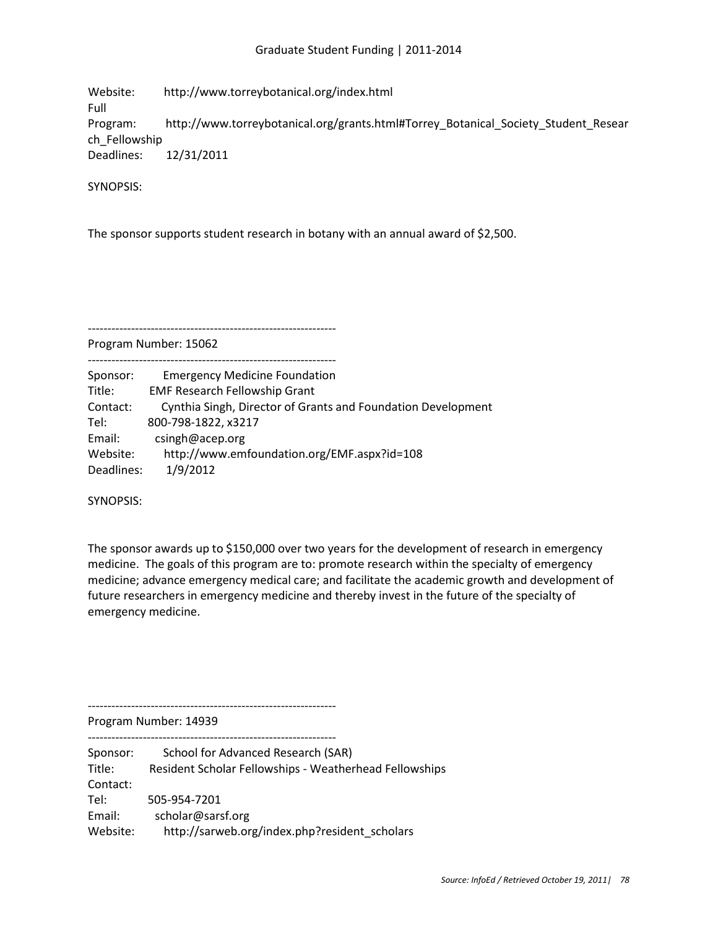Website: http://www.torreybotanical.org/index.html Full Program: http://www.torreybotanical.org/grants.html#Torrey\_Botanical\_Society\_Student\_Resear ch\_Fellowship Deadlines: 12/31/2011

SYNOPSIS:

The sponsor supports student research in botany with an annual award of \$2,500.

Program Number: 15062

--------------------------------------------------------------- Sponsor: Emergency Medicine Foundation Title: EMF Research Fellowship Grant Contact: Cynthia Singh, Director of Grants and Foundation Development Tel: 800-798-1822, x3217

---------------------------------------------------------------

Email: csingh@acep.org Website: http://www.emfoundation.org/EMF.aspx?id=108

Deadlines: 1/9/2012

SYNOPSIS:

The sponsor awards up to \$150,000 over two years for the development of research in emergency medicine. The goals of this program are to: promote research within the specialty of emergency medicine; advance emergency medical care; and facilitate the academic growth and development of future researchers in emergency medicine and thereby invest in the future of the specialty of emergency medicine.

---------------------------------------------------------------

Program Number: 14939

| Sponsor: | School for Advanced Research (SAR)                     |
|----------|--------------------------------------------------------|
| Title:   | Resident Scholar Fellowships - Weatherhead Fellowships |
| Contact: |                                                        |
| Tel:     | 505-954-7201                                           |
| Email:   | scholar@sarsf.org                                      |
| Website: | http://sarweb.org/index.php?resident scholars          |
|          |                                                        |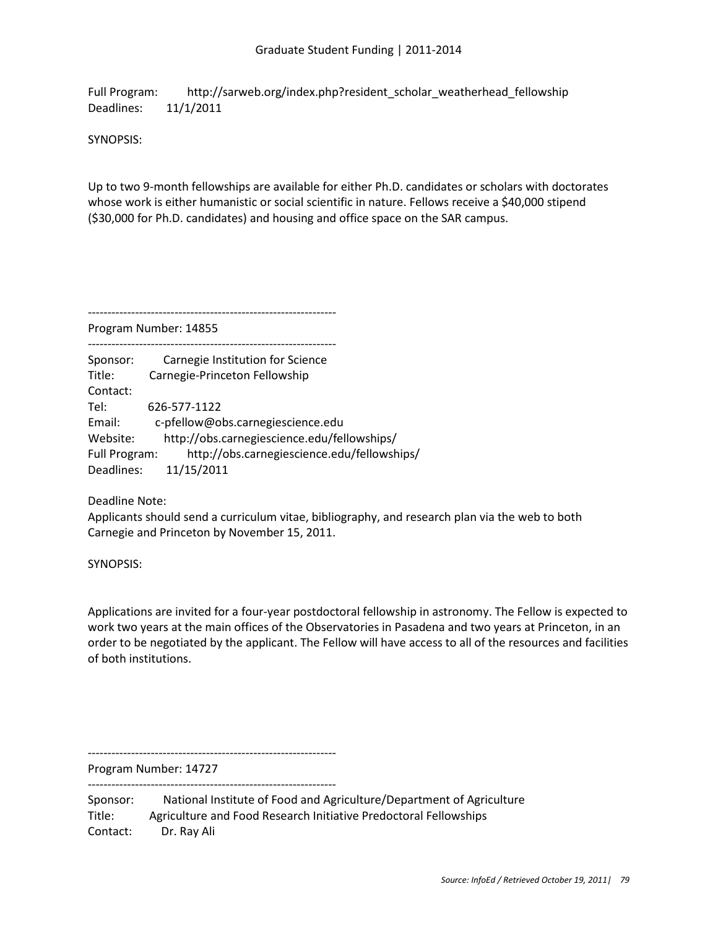Full Program: http://sarweb.org/index.php?resident\_scholar\_weatherhead\_fellowship Deadlines: 11/1/2011

SYNOPSIS:

Up to two 9-month fellowships are available for either Ph.D. candidates or scholars with doctorates whose work is either humanistic or social scientific in nature. Fellows receive a \$40,000 stipend (\$30,000 for Ph.D. candidates) and housing and office space on the SAR campus.

---------------------------------------------------------------

Program Number: 14855 ---------------------------------------------------------------

| Sponsor:      | Carnegie Institution for Science            |
|---------------|---------------------------------------------|
| Title:        | Carnegie-Princeton Fellowship               |
| Contact:      |                                             |
| Tel:          | 626-577-1122                                |
| Email:        | c-pfellow@obs.carnegiescience.edu           |
| Website:      | http://obs.carnegiescience.edu/fellowships/ |
| Full Program: | http://obs.carnegiescience.edu/fellowships/ |
| Deadlines:    | 11/15/2011                                  |

Deadline Note:

Applicants should send a curriculum vitae, bibliography, and research plan via the web to both Carnegie and Princeton by November 15, 2011.

SYNOPSIS:

Applications are invited for a four-year postdoctoral fellowship in astronomy. The Fellow is expected to work two years at the main offices of the Observatories in Pasadena and two years at Princeton, in an order to be negotiated by the applicant. The Fellow will have access to all of the resources and facilities of both institutions.

Program Number: 14727

---------------------------------------------------------------

---------------------------------------------------------------

Sponsor: National Institute of Food and Agriculture/Department of Agriculture Title: Agriculture and Food Research Initiative Predoctoral Fellowships Contact: Dr. Ray Ali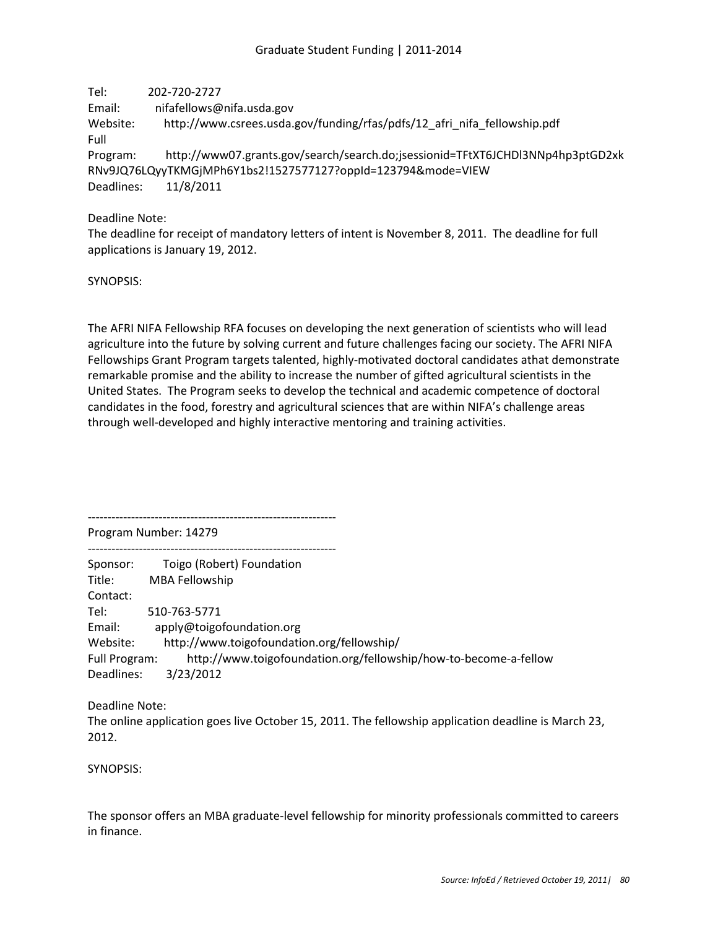Tel: 202-720-2727 Email: nifafellows@nifa.usda.gov Website: http://www.csrees.usda.gov/funding/rfas/pdfs/12\_afri\_nifa\_fellowship.pdf Full Program: http://www07.grants.gov/search/search.do;jsessionid=TFtXT6JCHDl3NNp4hp3ptGD2xk RNv9JQ76LQyyTKMGjMPh6Y1bs2!1527577127?oppId=123794&mode=VIEW Deadlines: 11/8/2011

Deadline Note:

The deadline for receipt of mandatory letters of intent is November 8, 2011. The deadline for full applications is January 19, 2012.

SYNOPSIS:

The AFRI NIFA Fellowship RFA focuses on developing the next generation of scientists who will lead agriculture into the future by solving current and future challenges facing our society. The AFRI NIFA Fellowships Grant Program targets talented, highly-motivated doctoral candidates athat demonstrate remarkable promise and the ability to increase the number of gifted agricultural scientists in the United States. The Program seeks to develop the technical and academic competence of doctoral candidates in the food, forestry and agricultural sciences that are within NIFA's challenge areas through well-developed and highly interactive mentoring and training activities.

--------------------------------------------------------------- Program Number: 14279

--------------------------------------------------------------- Sponsor: Toigo (Robert) Foundation Title: MBA Fellowship Contact: Tel: 510-763-5771 Email: apply@toigofoundation.org Website: http://www.toigofoundation.org/fellowship/ Full Program: http://www.toigofoundation.org/fellowship/how-to-become-a-fellow Deadlines: 3/23/2012

Deadline Note: The online application goes live October 15, 2011. The fellowship application deadline is March 23, 2012.

SYNOPSIS:

The sponsor offers an MBA graduate-level fellowship for minority professionals committed to careers in finance.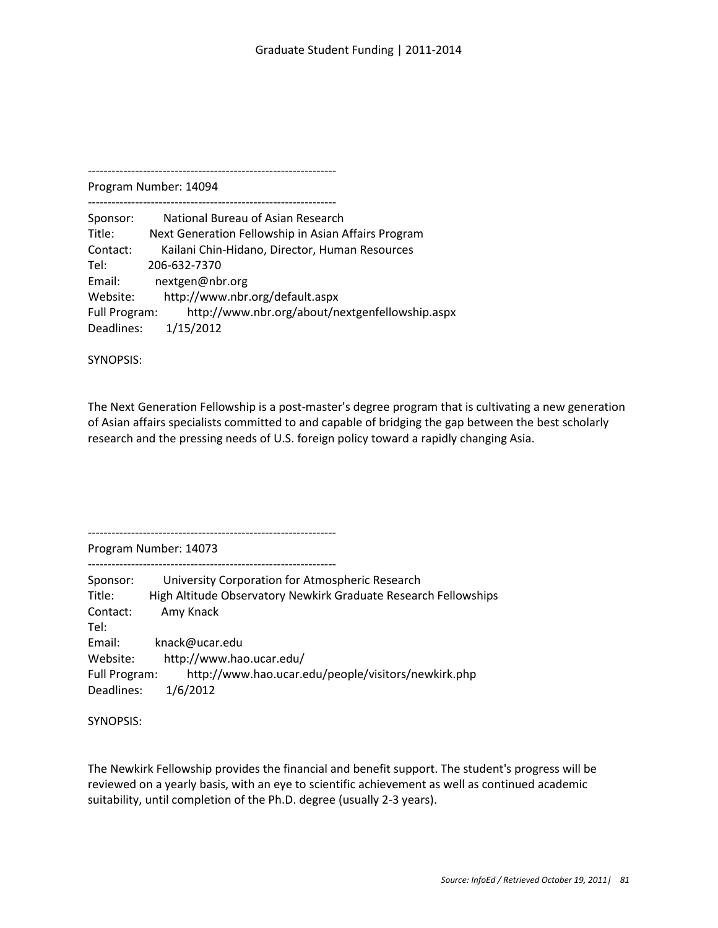Program Number: 14094 ---------------------------------------------------------------

Sponsor: National Bureau of Asian Research Title: Next Generation Fellowship in Asian Affairs Program Contact: Kailani Chin-Hidano, Director, Human Resources Tel: 206-632-7370 Email: nextgen@nbr.org Website: http://www.nbr.org/default.aspx Full Program: http://www.nbr.org/about/nextgenfellowship.aspx Deadlines: 1/15/2012

SYNOPSIS:

The Next Generation Fellowship is a post-master's degree program that is cultivating a new generation of Asian affairs specialists committed to and capable of bridging the gap between the best scholarly research and the pressing needs of U.S. foreign policy toward a rapidly changing Asia.

---------------------------------------------------------------

Program Number: 14073 ---------------------------------------------------------------

Sponsor: University Corporation for Atmospheric Research Title: High Altitude Observatory Newkirk Graduate Research Fellowships Contact: Amy Knack Tel: Email: knack@ucar.edu Website: http://www.hao.ucar.edu/ Full Program: http://www.hao.ucar.edu/people/visitors/newkirk.php Deadlines: 1/6/2012

SYNOPSIS:

The Newkirk Fellowship provides the financial and benefit support. The student's progress will be reviewed on a yearly basis, with an eye to scientific achievement as well as continued academic suitability, until completion of the Ph.D. degree (usually 2-3 years).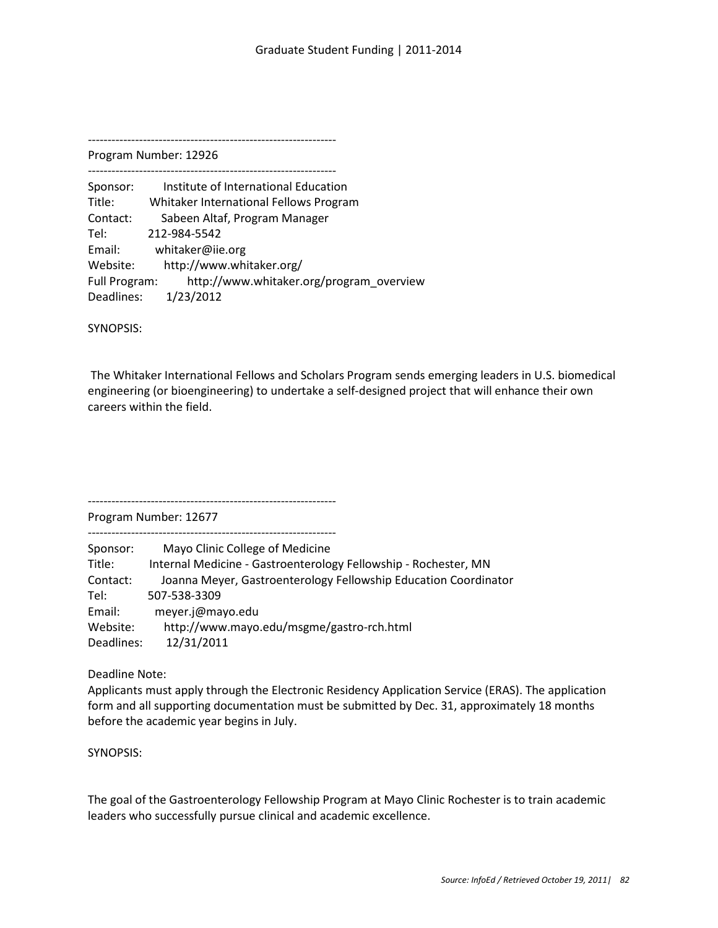Program Number: 12926 ---------------------------------------------------------------

Sponsor: Institute of International Education Title: Whitaker International Fellows Program Contact: Sabeen Altaf, Program Manager Tel: 212-984-5542 Email: whitaker@iie.org Website: http://www.whitaker.org/ Full Program: http://www.whitaker.org/program\_overview Deadlines: 1/23/2012

SYNOPSIS:

The Whitaker International Fellows and Scholars Program sends emerging leaders in U.S. biomedical engineering (or bioengineering) to undertake a self-designed project that will enhance their own careers within the field.

Program Number: 12677

---------------------------------------------------------------

---------------------------------------------------------------

Sponsor: Mayo Clinic College of Medicine Title: Internal Medicine - Gastroenterology Fellowship - Rochester, MN Contact: Joanna Meyer, Gastroenterology Fellowship Education Coordinator Tel: 507-538-3309 Email: meyer.j@mayo.edu Website: http://www.mayo.edu/msgme/gastro-rch.html Deadlines: 12/31/2011

Deadline Note:

Applicants must apply through the Electronic Residency Application Service (ERAS). The application form and all supporting documentation must be submitted by Dec. 31, approximately 18 months before the academic year begins in July.

SYNOPSIS:

The goal of the Gastroenterology Fellowship Program at Mayo Clinic Rochester is to train academic leaders who successfully pursue clinical and academic excellence.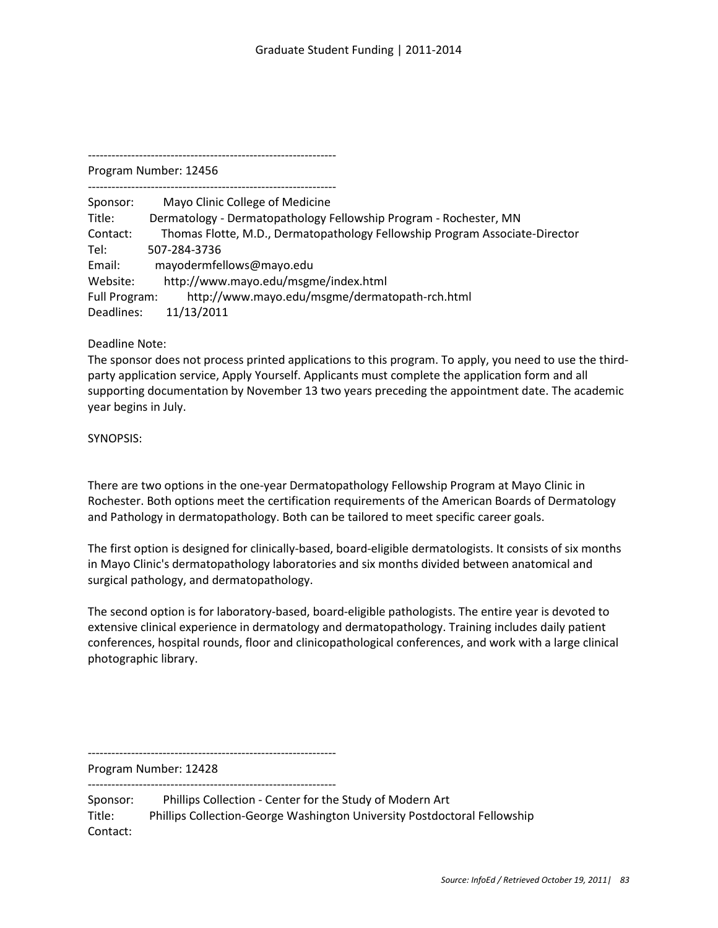Program Number: 12456 ---------------------------------------------------------------

Sponsor: Mayo Clinic College of Medicine Title: Dermatology - Dermatopathology Fellowship Program - Rochester, MN Contact: Thomas Flotte, M.D., Dermatopathology Fellowship Program Associate-Director Tel: 507-284-3736 Email: mayodermfellows@mayo.edu Website: http://www.mayo.edu/msgme/index.html Full Program: http://www.mayo.edu/msgme/dermatopath-rch.html Deadlines: 11/13/2011

Deadline Note:

The sponsor does not process printed applications to this program. To apply, you need to use the thirdparty application service, Apply Yourself. Applicants must complete the application form and all supporting documentation by November 13 two years preceding the appointment date. The academic year begins in July.

SYNOPSIS:

There are two options in the one-year Dermatopathology Fellowship Program at Mayo Clinic in Rochester. Both options meet the certification requirements of the American Boards of Dermatology and Pathology in dermatopathology. Both can be tailored to meet specific career goals.

The first option is designed for clinically-based, board-eligible dermatologists. It consists of six months in Mayo Clinic's dermatopathology laboratories and six months divided between anatomical and surgical pathology, and dermatopathology.

The second option is for laboratory-based, board-eligible pathologists. The entire year is devoted to extensive clinical experience in dermatology and dermatopathology. Training includes daily patient conferences, hospital rounds, floor and clinicopathological conferences, and work with a large clinical photographic library.

--------------------------------------------------------------- Program Number: 12428

---------------------------------------------------------------

Sponsor: Phillips Collection - Center for the Study of Modern Art Title: Phillips Collection-George Washington University Postdoctoral Fellowship Contact: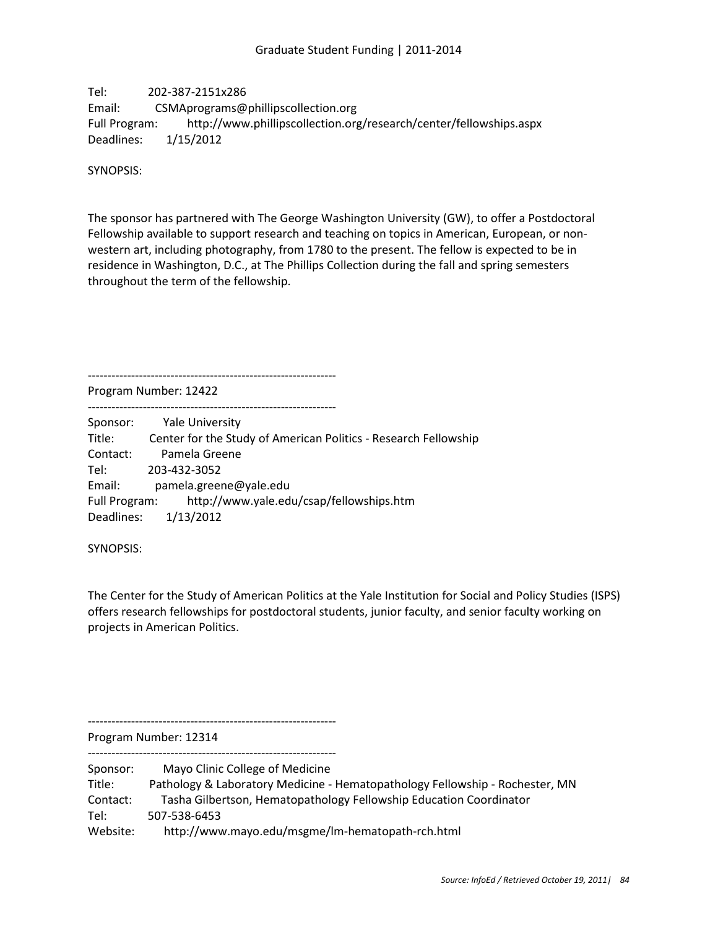Tel: 202-387-2151x286 Email: CSMAprograms@phillipscollection.org Full Program: http://www.phillipscollection.org/research/center/fellowships.aspx Deadlines: 1/15/2012

SYNOPSIS:

The sponsor has partnered with The George Washington University (GW), to offer a Postdoctoral Fellowship available to support research and teaching on topics in American, European, or nonwestern art, including photography, from 1780 to the present. The fellow is expected to be in residence in Washington, D.C., at The Phillips Collection during the fall and spring semesters throughout the term of the fellowship.

--------------------------------------------------------------- Program Number: 12422

--------------------------------------------------------------- Sponsor: Yale University Title: Center for the Study of American Politics - Research Fellowship Contact: Pamela Greene Tel: 203-432-3052 Email: pamela.greene@yale.edu Full Program: http://www.yale.edu/csap/fellowships.htm Deadlines: 1/13/2012

SYNOPSIS:

The Center for the Study of American Politics at the Yale Institution for Social and Policy Studies (ISPS) offers research fellowships for postdoctoral students, junior faculty, and senior faculty working on projects in American Politics.

---------------------------------------------------------------

Program Number: 12314

--------------------------------------------------------------- Sponsor: Mayo Clinic College of Medicine

Title: Pathology & Laboratory Medicine - Hematopathology Fellowship - Rochester, MN Contact: Tasha Gilbertson, Hematopathology Fellowship Education Coordinator Tel: 507-538-6453 Website: http://www.mayo.edu/msgme/lm-hematopath-rch.html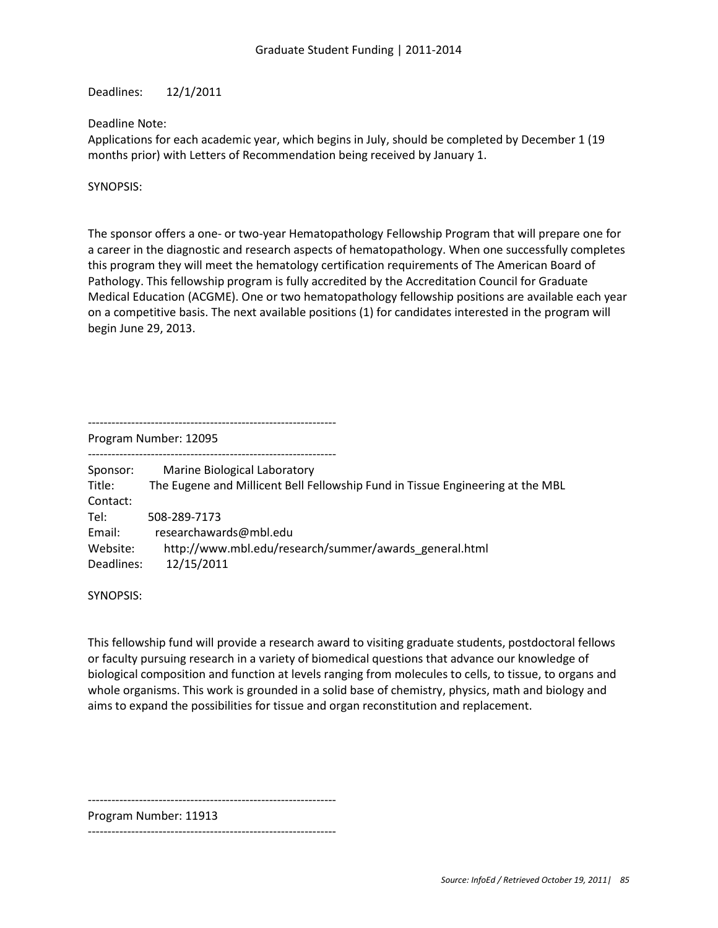Deadlines: 12/1/2011

## Deadline Note:

Applications for each academic year, which begins in July, should be completed by December 1 (19 months prior) with Letters of Recommendation being received by January 1.

SYNOPSIS:

The sponsor offers a one- or two-year Hematopathology Fellowship Program that will prepare one for a career in the diagnostic and research aspects of hematopathology. When one successfully completes this program they will meet the hematology certification requirements of The American Board of Pathology. This fellowship program is fully accredited by the Accreditation Council for Graduate Medical Education (ACGME). One or two hematopathology fellowship positions are available each year on a competitive basis. The next available positions (1) for candidates interested in the program will begin June 29, 2013.

---------------------------------------------------------------

Program Number: 12095

---------------------------------------------------------------

Sponsor: Marine Biological Laboratory Title: The Eugene and Millicent Bell Fellowship Fund in Tissue Engineering at the MBL Contact: Tel: 508-289-7173 Email: researchawards@mbl.edu Website: http://www.mbl.edu/research/summer/awards\_general.html Deadlines: 12/15/2011

SYNOPSIS:

This fellowship fund will provide a research award to visiting graduate students, postdoctoral fellows or faculty pursuing research in a variety of biomedical questions that advance our knowledge of biological composition and function at levels ranging from molecules to cells, to tissue, to organs and whole organisms. This work is grounded in a solid base of chemistry, physics, math and biology and aims to expand the possibilities for tissue and organ reconstitution and replacement.

---------------------------------------------------------------

Program Number: 11913

---------------------------------------------------------------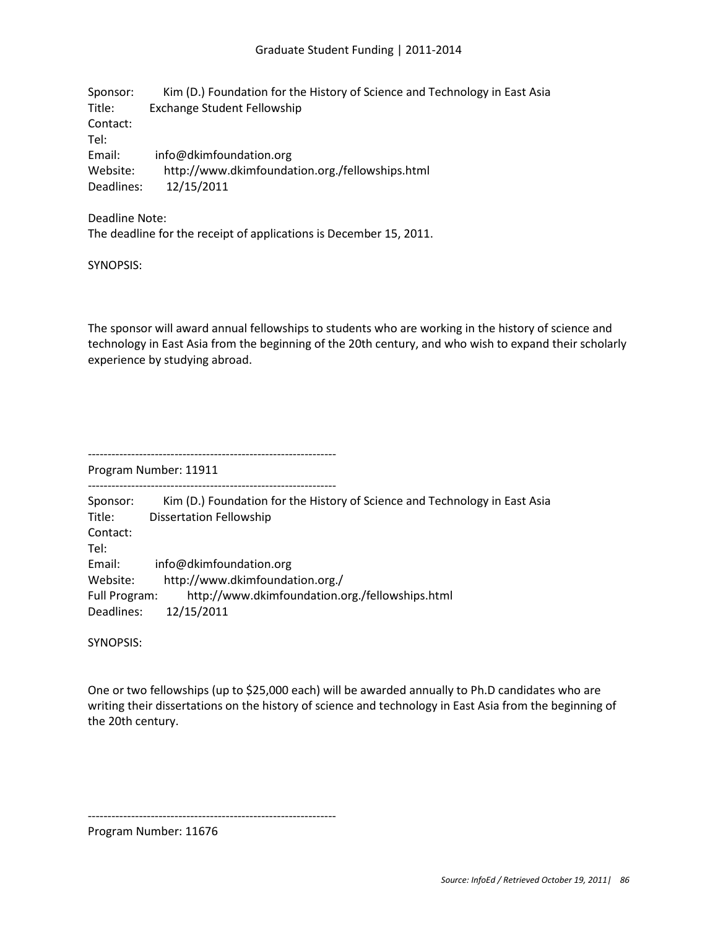| Sponsor:   | Kim (D.) Foundation for the History of Science and Technology in East Asia |
|------------|----------------------------------------------------------------------------|
| Title:     | <b>Exchange Student Fellowship</b>                                         |
| Contact:   |                                                                            |
| Tel:       |                                                                            |
| Email:     | info@dkimfoundation.org                                                    |
| Website:   | http://www.dkimfoundation.org./fellowships.html                            |
| Deadlines: | 12/15/2011                                                                 |

#### Deadline Note:

The deadline for the receipt of applications is December 15, 2011.

SYNOPSIS:

The sponsor will award annual fellowships to students who are working in the history of science and technology in East Asia from the beginning of the 20th century, and who wish to expand their scholarly experience by studying abroad.

---------------------------------------------------------------

Program Number: 11911

--------------------------------------------------------------- Sponsor: Kim (D.) Foundation for the History of Science and Technology in East Asia Title: Dissertation Fellowship Contact: Tel: Email: info@dkimfoundation.org Website: http://www.dkimfoundation.org./ Full Program: http://www.dkimfoundation.org./fellowships.html Deadlines: 12/15/2011

SYNOPSIS:

One or two fellowships (up to \$25,000 each) will be awarded annually to Ph.D candidates who are writing their dissertations on the history of science and technology in East Asia from the beginning of the 20th century.

---------------------------------------------------------------

Program Number: 11676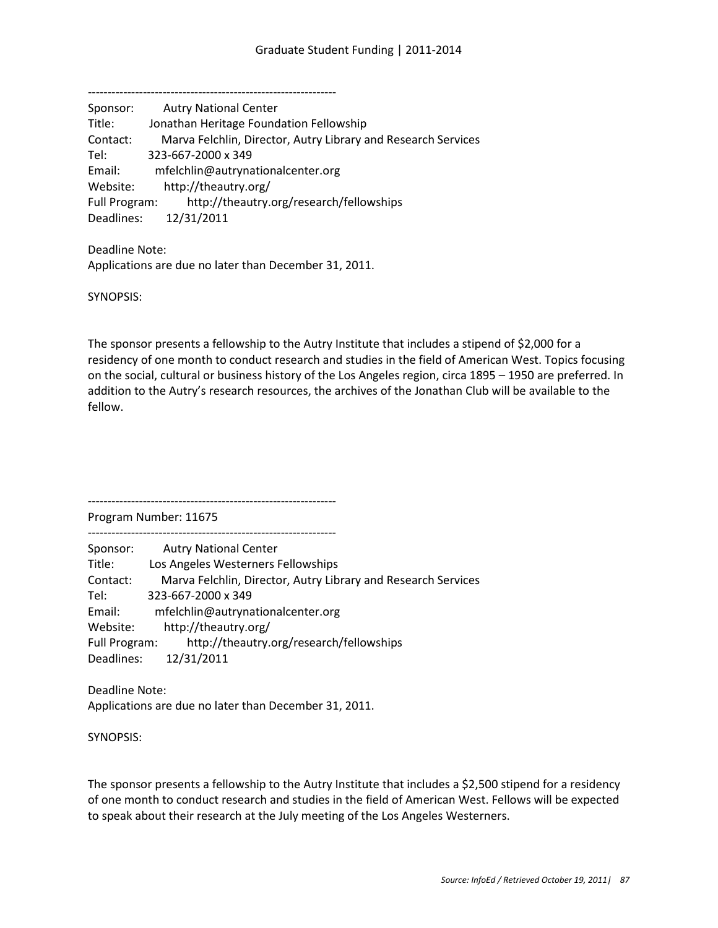--------------------------------------------------------------- Sponsor: Autry National Center Title: Jonathan Heritage Foundation Fellowship Contact: Marva Felchlin, Director, Autry Library and Research Services Tel: 323-667-2000 x 349 Email: mfelchlin@autrynationalcenter.org Website: http://theautry.org/ Full Program: http://theautry.org/research/fellowships Deadlines: 12/31/2011

Deadline Note: Applications are due no later than December 31, 2011.

SYNOPSIS:

The sponsor presents a fellowship to the Autry Institute that includes a stipend of \$2,000 for a residency of one month to conduct research and studies in the field of American West. Topics focusing on the social, cultural or business history of the Los Angeles region, circa 1895 – 1950 are preferred. In addition to the Autry's research resources, the archives of the Jonathan Club will be available to the fellow.

Program Number: 11675

--------------------------------------------------------------- Sponsor: Autry National Center Title: Los Angeles Westerners Fellowships Contact: Marva Felchlin, Director, Autry Library and Research Services Tel: 323-667-2000 x 349 Email: mfelchlin@autrynationalcenter.org Website: http://theautry.org/ Full Program: http://theautry.org/research/fellowships

Deadlines: 12/31/2011

Deadline Note: Applications are due no later than December 31, 2011.

---------------------------------------------------------------

SYNOPSIS:

The sponsor presents a fellowship to the Autry Institute that includes a \$2,500 stipend for a residency of one month to conduct research and studies in the field of American West. Fellows will be expected to speak about their research at the July meeting of the Los Angeles Westerners.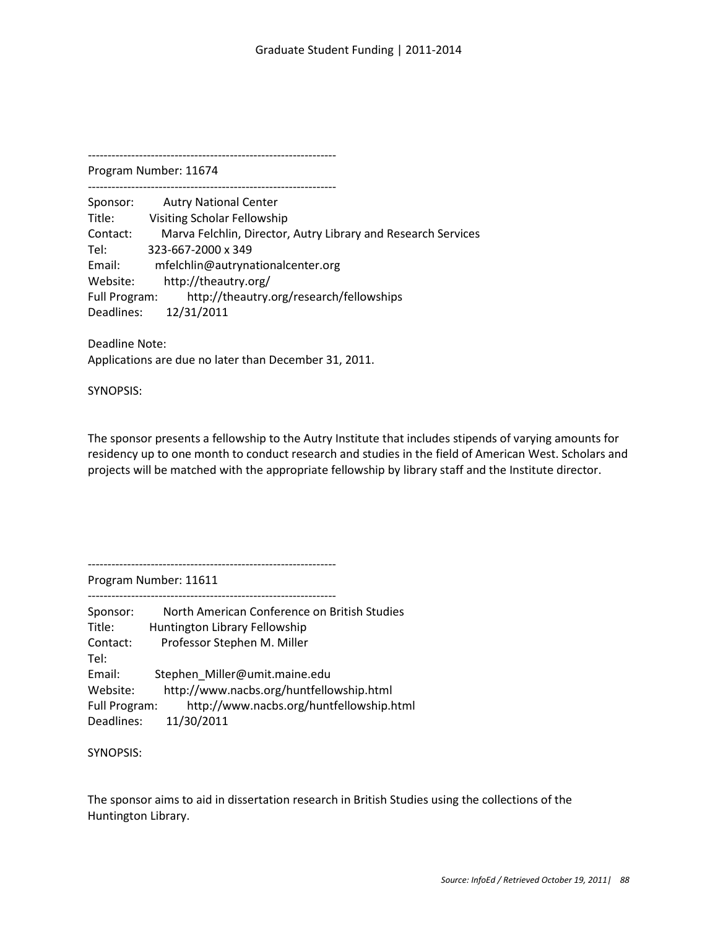--------------------------------------------------------------- Program Number: 11674

---------------------------------------------------------------

Sponsor: Autry National Center Title: Visiting Scholar Fellowship Contact: Marva Felchlin, Director, Autry Library and Research Services Tel: 323-667-2000 x 349 Email: mfelchlin@autrynationalcenter.org Website: http://theautry.org/ Full Program: http://theautry.org/research/fellowships Deadlines: 12/31/2011

Deadline Note: Applications are due no later than December 31, 2011.

SYNOPSIS:

The sponsor presents a fellowship to the Autry Institute that includes stipends of varying amounts for residency up to one month to conduct research and studies in the field of American West. Scholars and projects will be matched with the appropriate fellowship by library staff and the Institute director.

---------------------------------------------------------------

Program Number: 11611

| Sponsor:      | North American Conference on British Studies |
|---------------|----------------------------------------------|
| Title:        | Huntington Library Fellowship                |
| Contact:      | Professor Stephen M. Miller                  |
| Tel:          |                                              |
| Email:        | Stephen Miller@umit.maine.edu                |
| Website:      | http://www.nacbs.org/huntfellowship.html     |
| Full Program: | http://www.nacbs.org/huntfellowship.html     |
| Deadlines:    | 11/30/2011                                   |

SYNOPSIS:

The sponsor aims to aid in dissertation research in British Studies using the collections of the Huntington Library.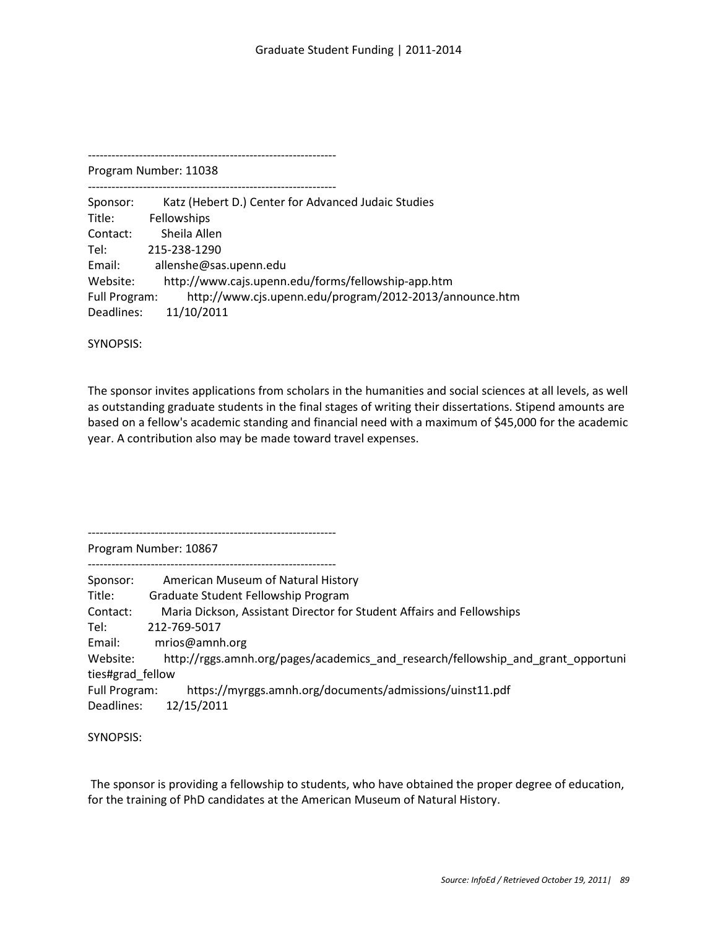Program Number: 11038 ---------------------------------------------------------------

Sponsor: Katz (Hebert D.) Center for Advanced Judaic Studies Title: Fellowships Contact: Sheila Allen Tel: 215-238-1290 Email: allenshe@sas.upenn.edu Website: http://www.cajs.upenn.edu/forms/fellowship-app.htm Full Program: http://www.cjs.upenn.edu/program/2012-2013/announce.htm Deadlines: 11/10/2011

SYNOPSIS:

The sponsor invites applications from scholars in the humanities and social sciences at all levels, as well as outstanding graduate students in the final stages of writing their dissertations. Stipend amounts are based on a fellow's academic standing and financial need with a maximum of \$45,000 for the academic year. A contribution also may be made toward travel expenses.

---------------------------------------------------------------

Program Number: 10867

--------------------------------------------------------------- Sponsor: American Museum of Natural History Title: Graduate Student Fellowship Program Contact: Maria Dickson, Assistant Director for Student Affairs and Fellowships Tel: 212-769-5017 Email: mrios@amnh.org Website: http://rggs.amnh.org/pages/academics\_and\_research/fellowship\_and\_grant\_opportuni ties#grad\_fellow Full Program: https://myrggs.amnh.org/documents/admissions/uinst11.pdf Deadlines: 12/15/2011

SYNOPSIS:

The sponsor is providing a fellowship to students, who have obtained the proper degree of education, for the training of PhD candidates at the American Museum of Natural History.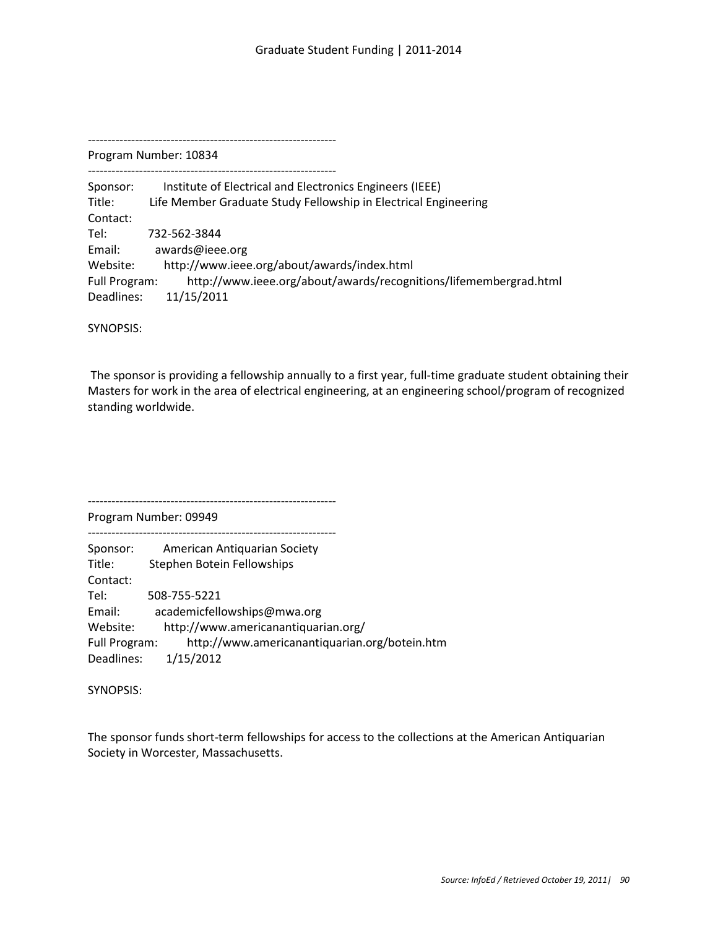--------------------------------------------------------------- Program Number: 10834

---------------------------------------------------------------

Sponsor: Institute of Electrical and Electronics Engineers (IEEE) Title: Life Member Graduate Study Fellowship in Electrical Engineering Contact: Tel: 732-562-3844 Email: awards@ieee.org Website: http://www.ieee.org/about/awards/index.html Full Program: http://www.ieee.org/about/awards/recognitions/lifemembergrad.html Deadlines: 11/15/2011

SYNOPSIS:

The sponsor is providing a fellowship annually to a first year, full-time graduate student obtaining their Masters for work in the area of electrical engineering, at an engineering school/program of recognized standing worldwide.

Program Number: 09949 --------------------------------------------------------------- Sponsor: American Antiquarian Society Title: Stephen Botein Fellowships Contact: Tel: 508-755-5221 Email: academicfellowships@mwa.org Website: http://www.americanantiquarian.org/ Full Program: http://www.americanantiquarian.org/botein.htm Deadlines: 1/15/2012

---------------------------------------------------------------

SYNOPSIS:

The sponsor funds short-term fellowships for access to the collections at the American Antiquarian Society in Worcester, Massachusetts.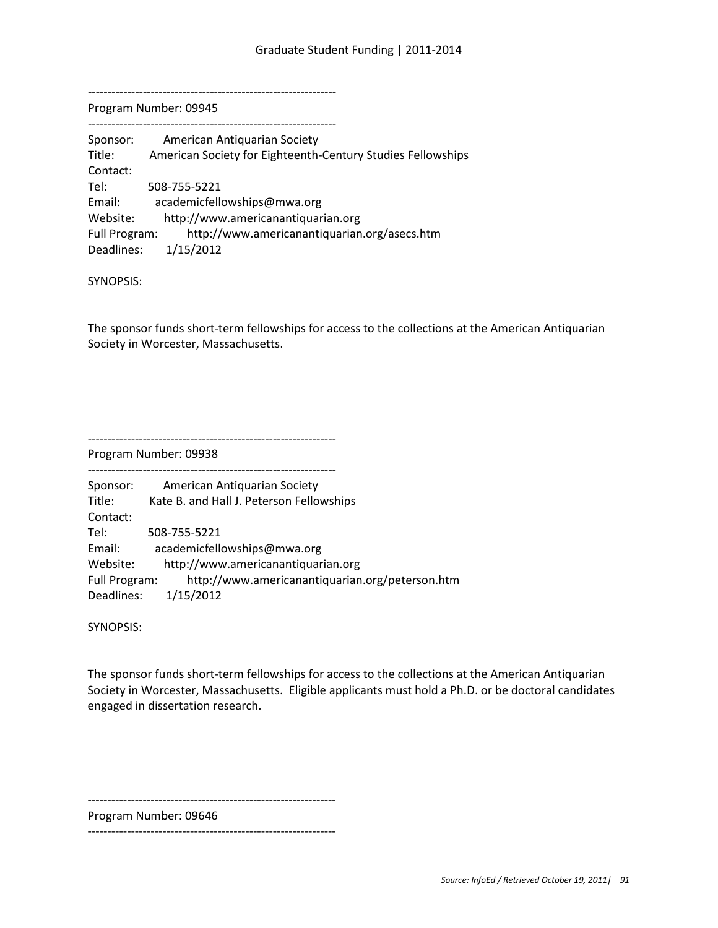---------------------------------------------------------------

Program Number: 09945

| Sponsor:      | American Antiguarian Society                                |
|---------------|-------------------------------------------------------------|
| Title:        | American Society for Eighteenth-Century Studies Fellowships |
| Contact:      |                                                             |
| Tel:          | 508-755-5221                                                |
| Email:        | academicfellowships@mwa.org                                 |
| Website:      | http://www.americanantiquarian.org                          |
| Full Program: | http://www.americanantiquarian.org/asecs.htm                |
| Deadlines:    | 1/15/2012                                                   |

SYNOPSIS:

The sponsor funds short-term fellowships for access to the collections at the American Antiquarian Society in Worcester, Massachusetts.

---------------------------------------------------------------

Program Number: 09938

| Sponsor:      | American Antiquarian Society                    |
|---------------|-------------------------------------------------|
| Title:        | Kate B. and Hall J. Peterson Fellowships        |
| Contact:      |                                                 |
| Tel:          | 508-755-5221                                    |
| Email:        | academicfellowships@mwa.org                     |
| Website:      | http://www.americanantiquarian.org              |
| Full Program: | http://www.americanantiquarian.org/peterson.htm |
| Deadlines:    | 1/15/2012                                       |
|               |                                                 |

SYNOPSIS:

The sponsor funds short-term fellowships for access to the collections at the American Antiquarian Society in Worcester, Massachusetts. Eligible applicants must hold a Ph.D. or be doctoral candidates engaged in dissertation research.

---------------------------------------------------------------

Program Number: 09646

---------------------------------------------------------------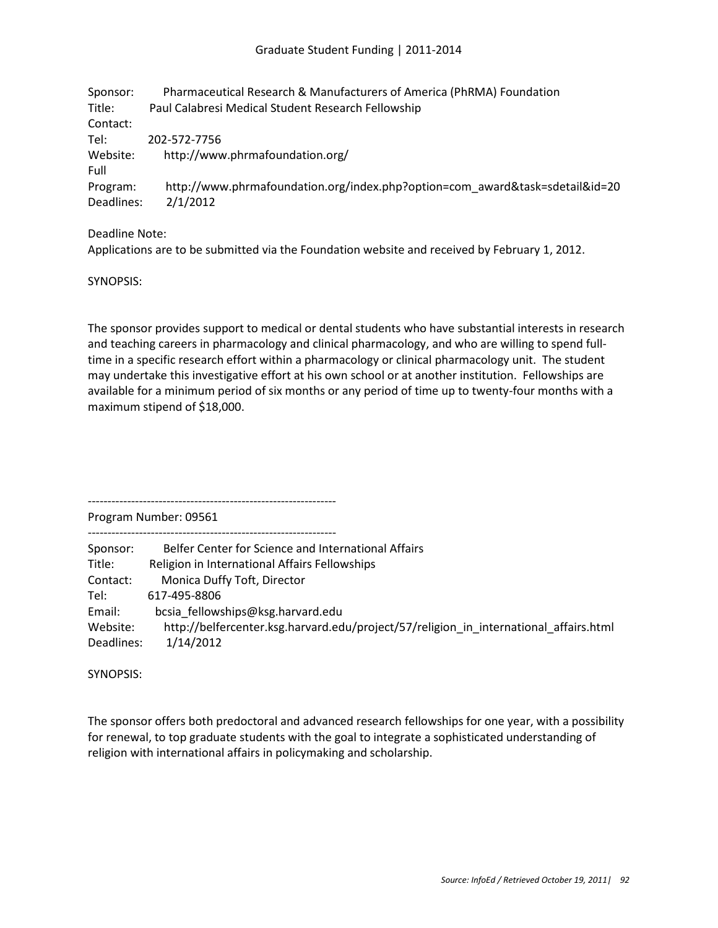## Graduate Student Funding | 2011-2014

| Sponsor:   | Pharmaceutical Research & Manufacturers of America (PhRMA) Foundation        |
|------------|------------------------------------------------------------------------------|
| Title:     | Paul Calabresi Medical Student Research Fellowship                           |
| Contact:   |                                                                              |
| Tel:       | 202-572-7756                                                                 |
| Website:   | http://www.phrmafoundation.org/                                              |
| Full       |                                                                              |
| Program:   | http://www.phrmafoundation.org/index.php?option=com award&task=sdetail&id=20 |
| Deadlines: | 2/1/2012                                                                     |

Deadline Note:

Applications are to be submitted via the Foundation website and received by February 1, 2012.

SYNOPSIS:

The sponsor provides support to medical or dental students who have substantial interests in research and teaching careers in pharmacology and clinical pharmacology, and who are willing to spend fulltime in a specific research effort within a pharmacology or clinical pharmacology unit. The student may undertake this investigative effort at his own school or at another institution. Fellowships are available for a minimum period of six months or any period of time up to twenty-four months with a maximum stipend of \$18,000.

Program Number: 09561

---------------------------------------------------------------

---------------------------------------------------------------

| Sponsor:   | Belfer Center for Science and International Affairs                                   |
|------------|---------------------------------------------------------------------------------------|
| Title:     | Religion in International Affairs Fellowships                                         |
| Contact:   | Monica Duffy Toft, Director                                                           |
| Tel:       | 617-495-8806                                                                          |
| Email:     | bcsia fellowships@ksg.harvard.edu                                                     |
| Website:   | http://belfercenter.ksg.harvard.edu/project/57/religion in international affairs.html |
| Deadlines: | 1/14/2012                                                                             |

SYNOPSIS:

The sponsor offers both predoctoral and advanced research fellowships for one year, with a possibility for renewal, to top graduate students with the goal to integrate a sophisticated understanding of religion with international affairs in policymaking and scholarship.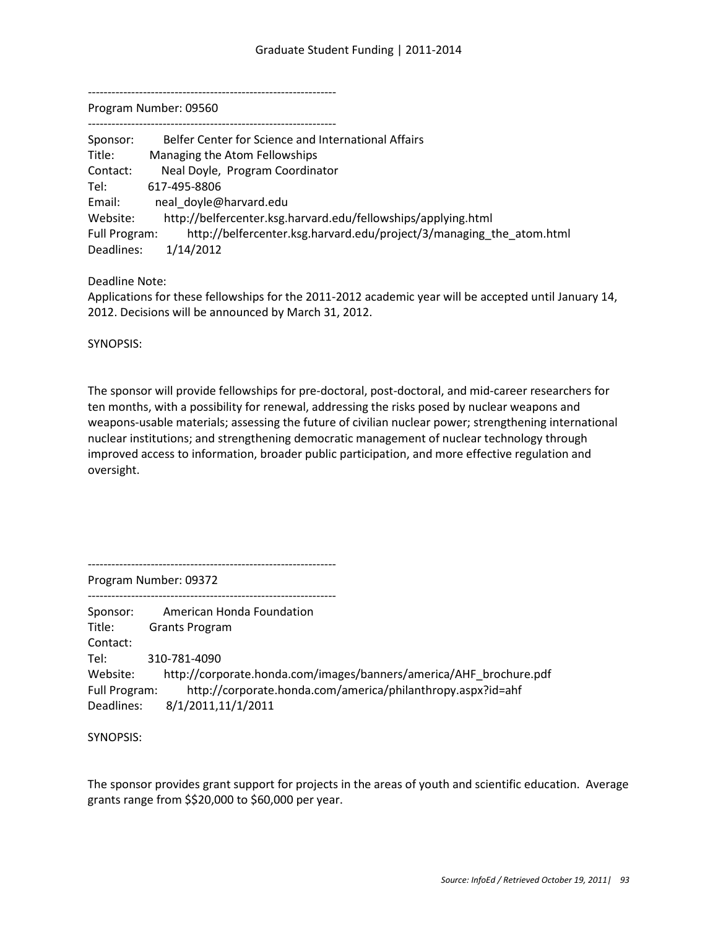---------------------------------------------------------------

Program Number: 09560

| Sponsor:      | Belfer Center for Science and International Affairs                  |
|---------------|----------------------------------------------------------------------|
| Title:        | Managing the Atom Fellowships                                        |
| Contact:      | Neal Doyle, Program Coordinator                                      |
| Tel:          | 617-495-8806                                                         |
| Email:        | neal doyle@harvard.edu                                               |
| Website:      | http://belfercenter.ksg.harvard.edu/fellowships/applying.html        |
| Full Program: | http://belfercenter.ksg.harvard.edu/project/3/managing_the_atom.html |
| Deadlines:    | 1/14/2012                                                            |

Deadline Note:

Applications for these fellowships for the 2011-2012 academic year will be accepted until January 14, 2012. Decisions will be announced by March 31, 2012.

SYNOPSIS:

The sponsor will provide fellowships for pre-doctoral, post-doctoral, and mid-career researchers for ten months, with a possibility for renewal, addressing the risks posed by nuclear weapons and weapons-usable materials; assessing the future of civilian nuclear power; strengthening international nuclear institutions; and strengthening democratic management of nuclear technology through improved access to information, broader public participation, and more effective regulation and oversight.

---------------------------------------------------------------

Program Number: 09372

--------------------------------------------------------------- Sponsor: American Honda Foundation Title: Grants Program Contact: Tel: 310-781-4090 Website: http://corporate.honda.com/images/banners/america/AHF\_brochure.pdf Full Program: http://corporate.honda.com/america/philanthropy.aspx?id=ahf Deadlines: 8/1/2011,11/1/2011

SYNOPSIS:

The sponsor provides grant support for projects in the areas of youth and scientific education. Average grants range from \$\$20,000 to \$60,000 per year.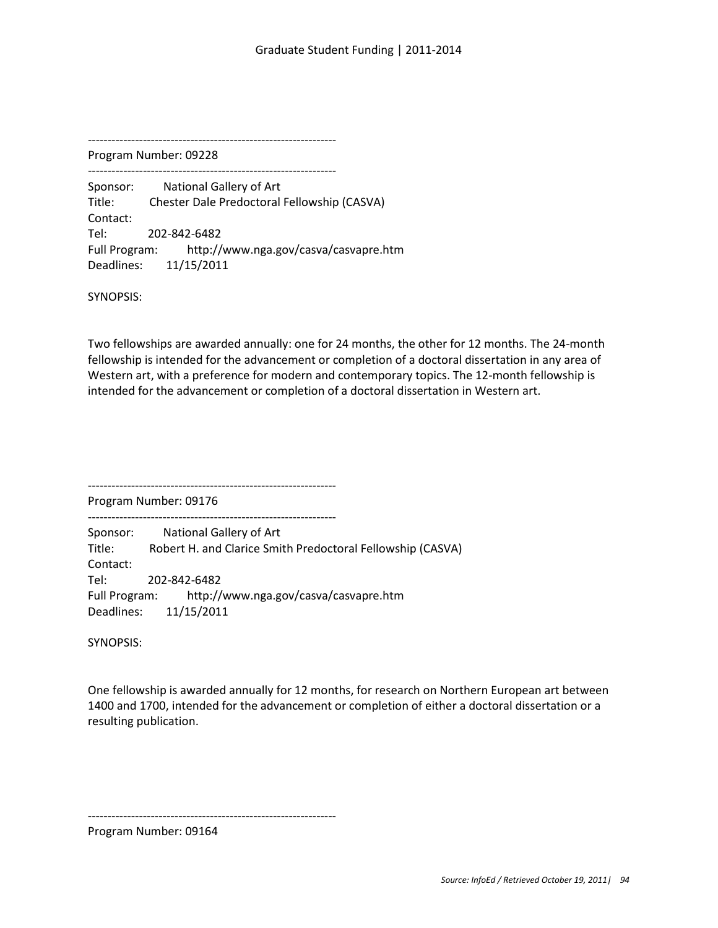Program Number: 09228 ---------------------------------------------------------------

Sponsor: National Gallery of Art Title: Chester Dale Predoctoral Fellowship (CASVA) Contact: Tel: 202-842-6482 Full Program: http://www.nga.gov/casva/casvapre.htm Deadlines: 11/15/2011

SYNOPSIS:

Two fellowships are awarded annually: one for 24 months, the other for 12 months. The 24-month fellowship is intended for the advancement or completion of a doctoral dissertation in any area of Western art, with a preference for modern and contemporary topics. The 12-month fellowship is intended for the advancement or completion of a doctoral dissertation in Western art.

---------------------------------------------------------------

---------------------------------------------------------------

Program Number: 09176

Sponsor: National Gallery of Art Title: Robert H. and Clarice Smith Predoctoral Fellowship (CASVA) Contact: Tel: 202-842-6482 Full Program: http://www.nga.gov/casva/casvapre.htm Deadlines: 11/15/2011

SYNOPSIS:

One fellowship is awarded annually for 12 months, for research on Northern European art between 1400 and 1700, intended for the advancement or completion of either a doctoral dissertation or a resulting publication.

---------------------------------------------------------------

Program Number: 09164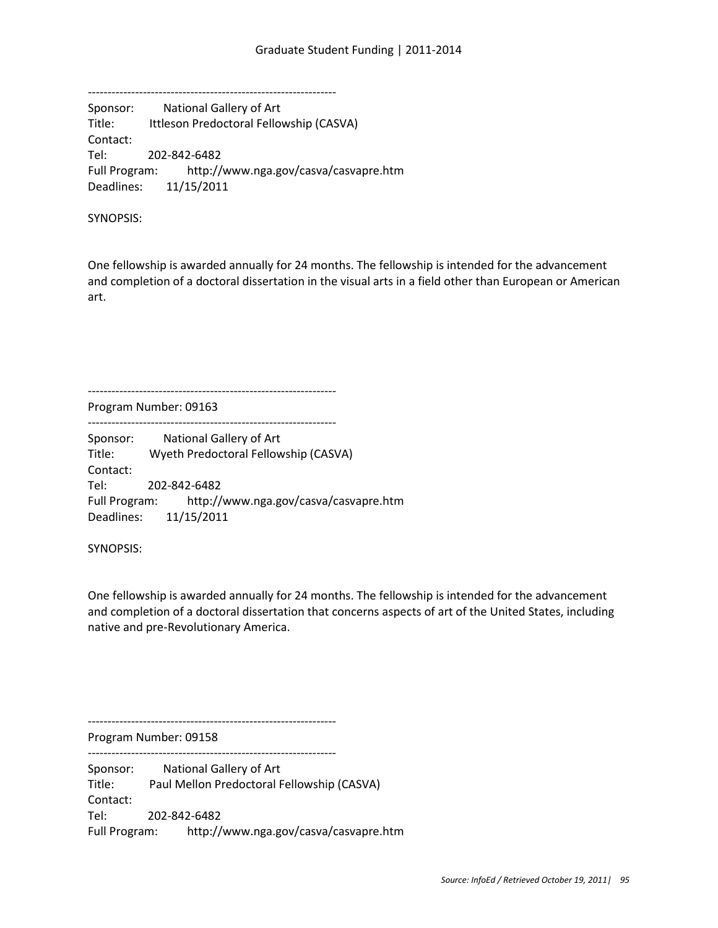--------------------------------------------------------------- Sponsor: National Gallery of Art Title: Ittleson Predoctoral Fellowship (CASVA) Contact: Tel: 202-842-6482 Full Program: http://www.nga.gov/casva/casvapre.htm Deadlines: 11/15/2011

SYNOPSIS:

One fellowship is awarded annually for 24 months. The fellowship is intended for the advancement and completion of a doctoral dissertation in the visual arts in a field other than European or American art.

Program Number: 09163

--------------------------------------------------------------- Sponsor: National Gallery of Art Title: Wyeth Predoctoral Fellowship (CASVA) Contact: Tel: 202-842-6482 Full Program: http://www.nga.gov/casva/casvapre.htm Deadlines: 11/15/2011

---------------------------------------------------------------

SYNOPSIS:

One fellowship is awarded annually for 24 months. The fellowship is intended for the advancement and completion of a doctoral dissertation that concerns aspects of art of the United States, including native and pre-Revolutionary America.

---------------------------------------------------------------

---------------------------------------------------------------

Program Number: 09158

Sponsor: National Gallery of Art Title: Paul Mellon Predoctoral Fellowship (CASVA) Contact: Tel: 202-842-6482 Full Program: http://www.nga.gov/casva/casvapre.htm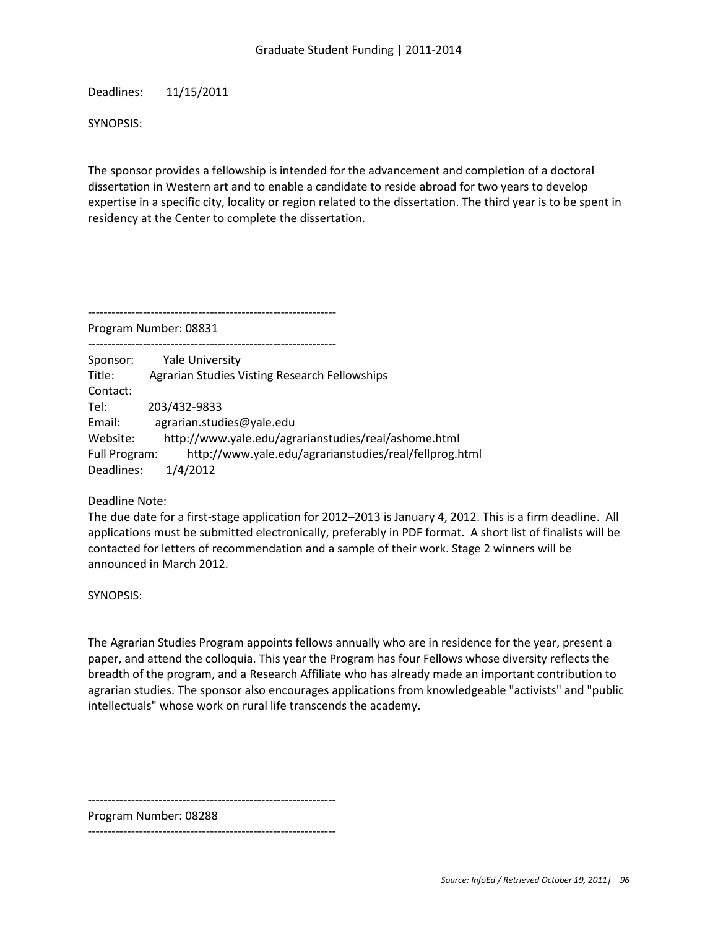Deadlines: 11/15/2011

SYNOPSIS:

The sponsor provides a fellowship is intended for the advancement and completion of a doctoral dissertation in Western art and to enable a candidate to reside abroad for two years to develop expertise in a specific city, locality or region related to the dissertation. The third year is to be spent in residency at the Center to complete the dissertation.

Program Number: 08831

---------------------------------------------------------------

--------------------------------------------------------------- Sponsor: Yale University Title: Agrarian Studies Visting Research Fellowships Contact: Tel: 203/432-9833 Email: agrarian.studies@yale.edu Website: http://www.yale.edu/agrarianstudies/real/ashome.html Full Program: http://www.yale.edu/agrarianstudies/real/fellprog.html Deadlines: 1/4/2012

Deadline Note:

The due date for a first-stage application for 2012–2013 is January 4, 2012. This is a firm deadline. All applications must be submitted electronically, preferably in PDF format. A short list of finalists will be contacted for letters of recommendation and a sample of their work. Stage 2 winners will be announced in March 2012.

SYNOPSIS:

The Agrarian Studies Program appoints fellows annually who are in residence for the year, present a paper, and attend the colloquia. This year the Program has four Fellows whose diversity reflects the breadth of the program, and a Research Affiliate who has already made an important contribution to agrarian studies. The sponsor also encourages applications from knowledgeable "activists" and "public intellectuals" whose work on rural life transcends the academy.

---------------------------------------------------------------

Program Number: 08288

---------------------------------------------------------------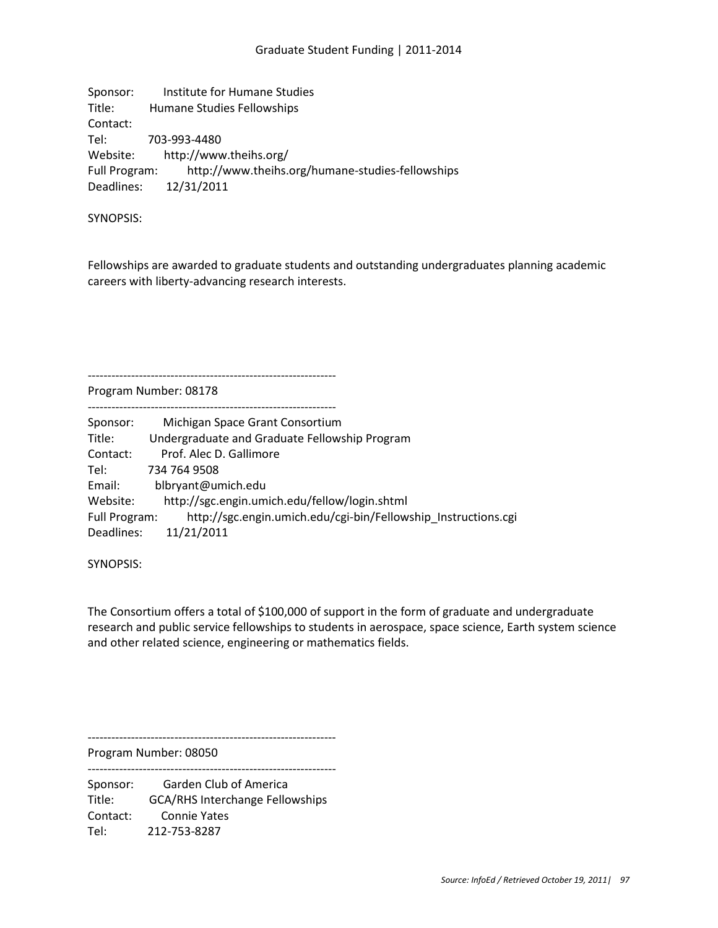Sponsor: Institute for Humane Studies Title: Humane Studies Fellowships Contact: Tel: 703-993-4480 Website: http://www.theihs.org/ Full Program: http://www.theihs.org/humane-studies-fellowships Deadlines: 12/31/2011

SYNOPSIS:

Fellowships are awarded to graduate students and outstanding undergraduates planning academic careers with liberty-advancing research interests.

Program Number: 08178

---------------------------------------------------------------

| Sponsor:      | Michigan Space Grant Consortium                                |
|---------------|----------------------------------------------------------------|
| Title:        | Undergraduate and Graduate Fellowship Program                  |
| Contact:      | Prof. Alec D. Gallimore                                        |
| Tel:          | 734 764 9508                                                   |
| Email:        | blbryant@umich.edu                                             |
| Website:      | http://sgc.engin.umich.edu/fellow/login.shtml                  |
| Full Program: | http://sgc.engin.umich.edu/cgi-bin/Fellowship Instructions.cgi |
| Deadlines:    | 11/21/2011                                                     |

SYNOPSIS:

The Consortium offers a total of \$100,000 of support in the form of graduate and undergraduate research and public service fellowships to students in aerospace, space science, Earth system science and other related science, engineering or mathematics fields.

---------------------------------------------------------------

Program Number: 08050 ---------------------------------------------------------------

Sponsor: Garden Club of America Title: GCA/RHS Interchange Fellowships Contact: Connie Yates Tel: 212-753-8287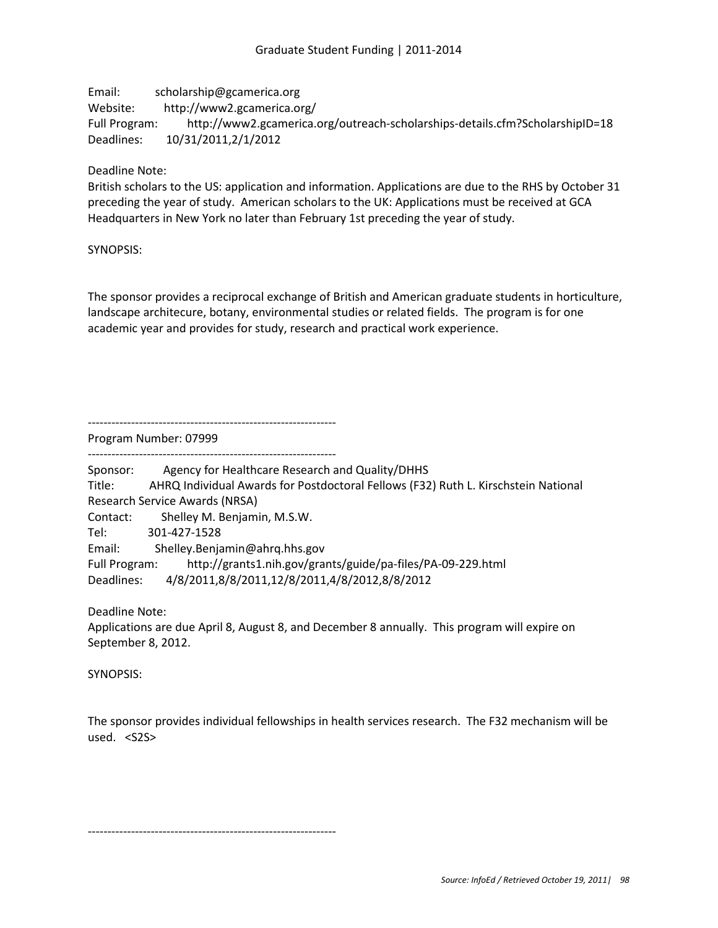Email: scholarship@gcamerica.org Website: http://www2.gcamerica.org/ Full Program: http://www2.gcamerica.org/outreach-scholarships-details.cfm?ScholarshipID=18 Deadlines: 10/31/2011,2/1/2012

Deadline Note:

British scholars to the US: application and information. Applications are due to the RHS by October 31 preceding the year of study. American scholars to the UK: Applications must be received at GCA Headquarters in New York no later than February 1st preceding the year of study.

SYNOPSIS:

The sponsor provides a reciprocal exchange of British and American graduate students in horticulture, landscape architecure, botany, environmental studies or related fields. The program is for one academic year and provides for study, research and practical work experience.

---------------------------------------------------------------

Program Number: 07999

---------------------------------------------------------------

Sponsor: Agency for Healthcare Research and Quality/DHHS Title: AHRQ Individual Awards for Postdoctoral Fellows (F32) Ruth L. Kirschstein National Research Service Awards (NRSA) Contact: Shelley M. Benjamin, M.S.W. Tel: 301-427-1528 Email: Shelley.Benjamin@ahrq.hhs.gov Full Program: http://grants1.nih.gov/grants/guide/pa-files/PA-09-229.html Deadlines: 4/8/2011,8/8/2011,12/8/2011,4/8/2012,8/8/2012

Deadline Note:

Applications are due April 8, August 8, and December 8 annually. This program will expire on September 8, 2012.

SYNOPSIS:

The sponsor provides individual fellowships in health services research. The F32 mechanism will be used. <S2S>

---------------------------------------------------------------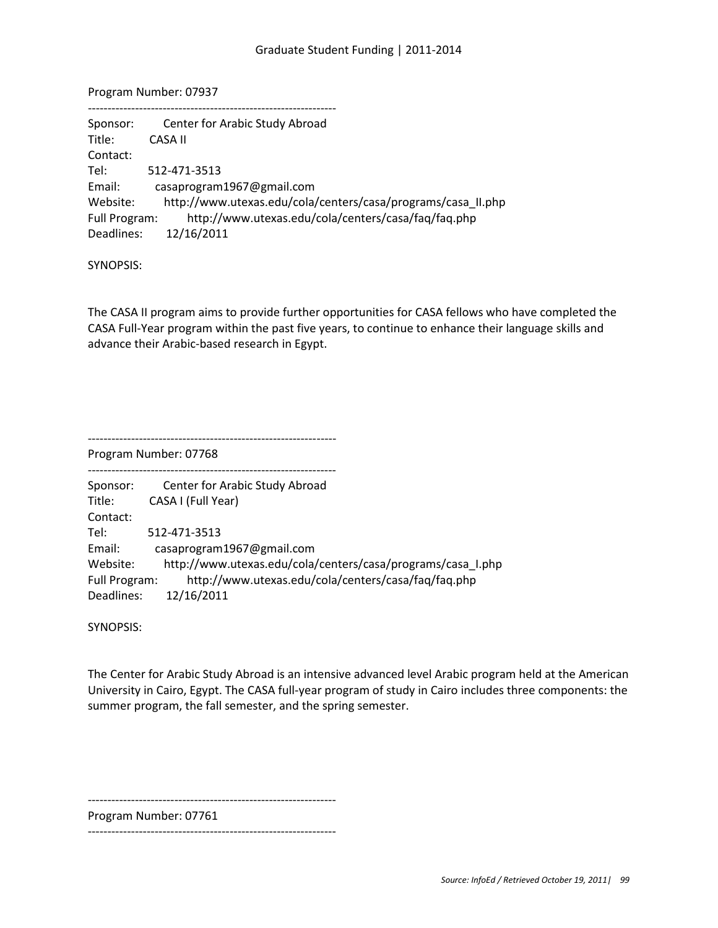Program Number: 07937

| Center for Arabic Study Abroad                                       |
|----------------------------------------------------------------------|
| CASA II                                                              |
|                                                                      |
| 512-471-3513                                                         |
| casaprogram1967@gmail.com                                            |
| http://www.utexas.edu/cola/centers/casa/programs/casa II.php         |
| http://www.utexas.edu/cola/centers/casa/faq/faq.php<br>Full Program: |
| 12/16/2011                                                           |
|                                                                      |

SYNOPSIS:

The CASA II program aims to provide further opportunities for CASA fellows who have completed the CASA Full-Year program within the past five years, to continue to enhance their language skills and advance their Arabic-based research in Egypt.

---------------------------------------------------------------

Program Number: 07768

| Sponsor:      | Center for Arabic Study Abroad                              |
|---------------|-------------------------------------------------------------|
| Title:        | CASA I (Full Year)                                          |
| Contact:      |                                                             |
| Tel:          | 512-471-3513                                                |
| Email:        | casaprogram1967@gmail.com                                   |
| Website:      | http://www.utexas.edu/cola/centers/casa/programs/casa_I.php |
| Full Program: | http://www.utexas.edu/cola/centers/casa/faq/faq.php         |
| Deadlines:    | 12/16/2011                                                  |

SYNOPSIS:

The Center for Arabic Study Abroad is an intensive advanced level Arabic program held at the American University in Cairo, Egypt. The CASA full-year program of study in Cairo includes three components: the summer program, the fall semester, and the spring semester.

---------------------------------------------------------------

Program Number: 07761

---------------------------------------------------------------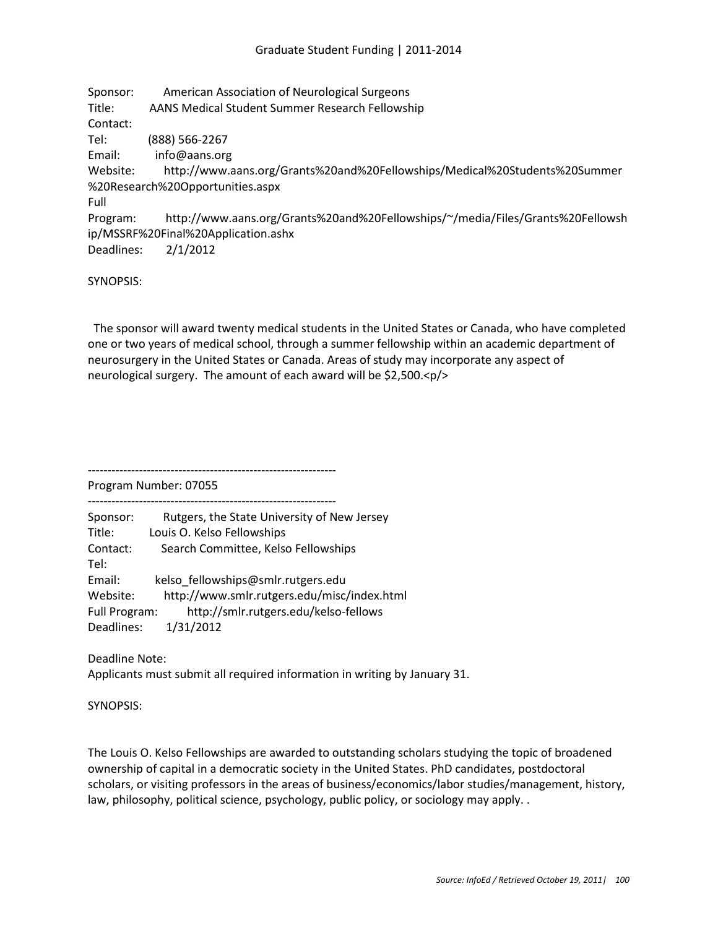Sponsor: American Association of Neurological Surgeons Title: AANS Medical Student Summer Research Fellowship Contact: Tel: (888) 566-2267 Email: info@aans.org Website: http://www.aans.org/Grants%20and%20Fellowships/Medical%20Students%20Summer %20Research%20Opportunities.aspx Full Program: http://www.aans.org/Grants%20and%20Fellowships/~/media/Files/Grants%20Fellowsh ip/MSSRF%20Final%20Application.ashx Deadlines: 2/1/2012

SYNOPSIS:

 The sponsor will award twenty medical students in the United States or Canada, who have completed one or two years of medical school, through a summer fellowship within an academic department of neurosurgery in the United States or Canada. Areas of study may incorporate any aspect of neurological surgery. The amount of each award will be \$2,500.<p/>

--------------------------------------------------------------- Program Number: 07055

--------------------------------------------------------------- Sponsor: Rutgers, the State University of New Jersey Title: Louis O. Kelso Fellowships Contact: Search Committee, Kelso Fellowships Tel: Email: kelso\_fellowships@smlr.rutgers.edu Website: http://www.smlr.rutgers.edu/misc/index.html Full Program: http://smlr.rutgers.edu/kelso-fellows Deadlines: 1/31/2012

Deadline Note:

Applicants must submit all required information in writing by January 31.

SYNOPSIS:

The Louis O. Kelso Fellowships are awarded to outstanding scholars studying the topic of broadened ownership of capital in a democratic society in the United States. PhD candidates, postdoctoral scholars, or visiting professors in the areas of business/economics/labor studies/management, history, law, philosophy, political science, psychology, public policy, or sociology may apply. .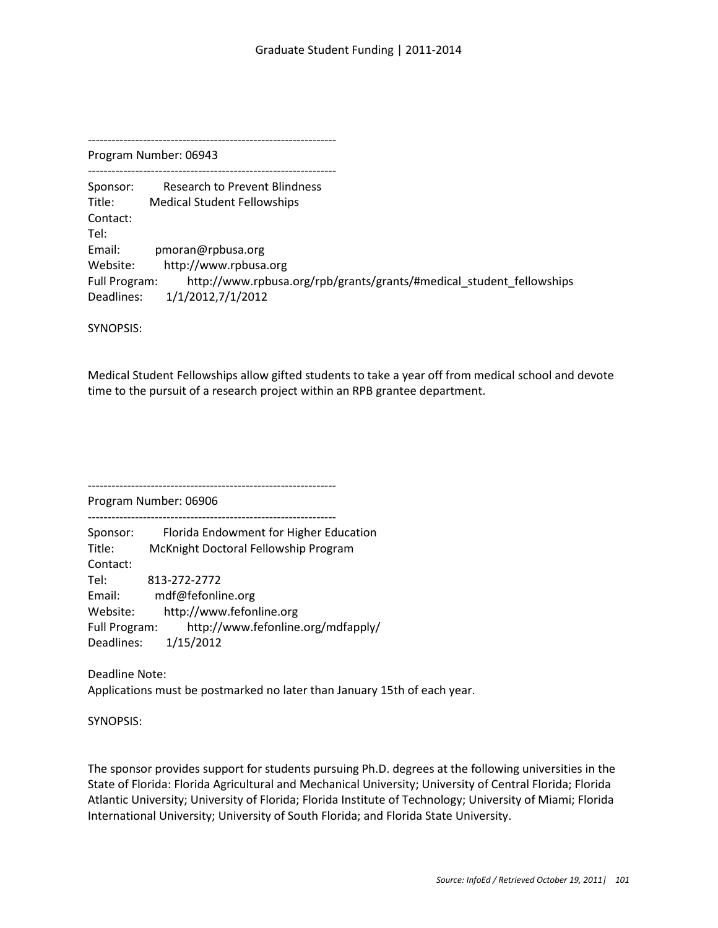--------------------------------------------------------------- Program Number: 06943

---------------------------------------------------------------

Sponsor: Research to Prevent Blindness Title: Medical Student Fellowships Contact: Tel: Email: pmoran@rpbusa.org Website: http://www.rpbusa.org Full Program: http://www.rpbusa.org/rpb/grants/grants/#medical\_student\_fellowships Deadlines: 1/1/2012,7/1/2012

SYNOPSIS:

Medical Student Fellowships allow gifted students to take a year off from medical school and devote time to the pursuit of a research project within an RPB grantee department.

---------------------------------------------------------------

Program Number: 06906

Sponsor: Florida Endowment for Higher Education Title: McKnight Doctoral Fellowship Program Contact: Tel: 813-272-2772 Email: mdf@fefonline.org Website: http://www.fefonline.org Full Program: http://www.fefonline.org/mdfapply/ Deadlines: 1/15/2012

---------------------------------------------------------------

Deadline Note: Applications must be postmarked no later than January 15th of each year.

SYNOPSIS:

The sponsor provides support for students pursuing Ph.D. degrees at the following universities in the State of Florida: Florida Agricultural and Mechanical University; University of Central Florida; Florida Atlantic University; University of Florida; Florida Institute of Technology; University of Miami; Florida International University; University of South Florida; and Florida State University.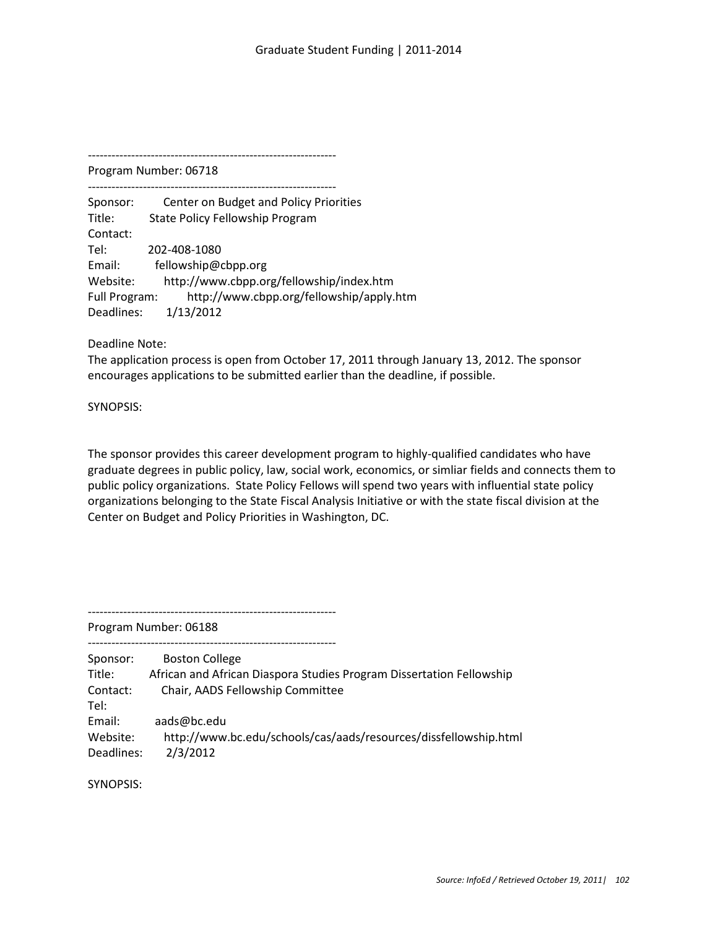--------------------------------------------------------------- Program Number: 06718

---------------------------------------------------------------

Sponsor: Center on Budget and Policy Priorities Title: State Policy Fellowship Program Contact: Tel: 202-408-1080 Email: fellowship@cbpp.org Website: http://www.cbpp.org/fellowship/index.htm Full Program: http://www.cbpp.org/fellowship/apply.htm Deadlines: 1/13/2012

Deadline Note:

The application process is open from October 17, 2011 through January 13, 2012. The sponsor encourages applications to be submitted earlier than the deadline, if possible.

SYNOPSIS:

The sponsor provides this career development program to highly-qualified candidates who have graduate degrees in public policy, law, social work, economics, or simliar fields and connects them to public policy organizations. State Policy Fellows will spend two years with influential state policy organizations belonging to the State Fiscal Analysis Initiative or with the state fiscal division at the Center on Budget and Policy Priorities in Washington, DC.

---------------------------------------------------------------

Program Number: 06188

| Sponsor:   | <b>Boston College</b>                                                |
|------------|----------------------------------------------------------------------|
| Title:     | African and African Diaspora Studies Program Dissertation Fellowship |
| Contact:   | Chair, AADS Fellowship Committee                                     |
| Tel:       |                                                                      |
| Email:     | aads@bc.edu                                                          |
| Website:   | http://www.bc.edu/schools/cas/aads/resources/dissfellowship.html     |
| Deadlines: | 2/3/2012                                                             |

SYNOPSIS: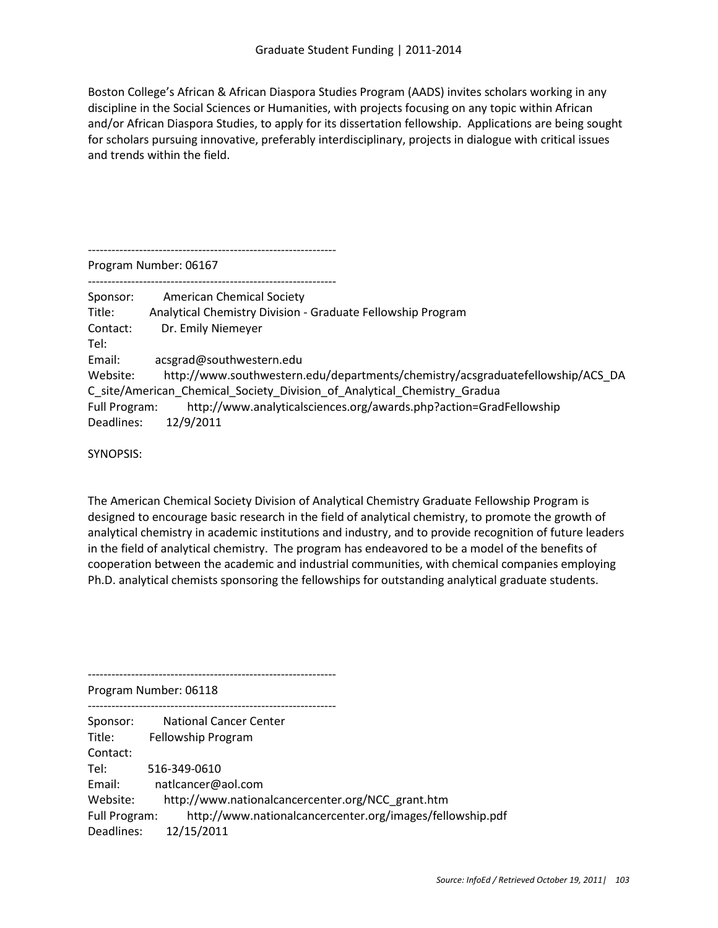Boston College's African & African Diaspora Studies Program (AADS) invites scholars working in any discipline in the Social Sciences or Humanities, with projects focusing on any topic within African and/or African Diaspora Studies, to apply for its dissertation fellowship. Applications are being sought for scholars pursuing innovative, preferably interdisciplinary, projects in dialogue with critical issues and trends within the field.

Program Number: 06167

---------------------------------------------------------------

---------------------------------------------------------------

Sponsor: American Chemical Society Title: Analytical Chemistry Division - Graduate Fellowship Program Contact: Dr. Emily Niemeyer Tel: Email: acsgrad@southwestern.edu Website: http://www.southwestern.edu/departments/chemistry/acsgraduatefellowship/ACS\_DA C\_site/American\_Chemical\_Society\_Division\_of\_Analytical\_Chemistry\_Gradua Full Program: http://www.analyticalsciences.org/awards.php?action=GradFellowship Deadlines: 12/9/2011

SYNOPSIS:

The American Chemical Society Division of Analytical Chemistry Graduate Fellowship Program is designed to encourage basic research in the field of analytical chemistry, to promote the growth of analytical chemistry in academic institutions and industry, and to provide recognition of future leaders in the field of analytical chemistry. The program has endeavored to be a model of the benefits of cooperation between the academic and industrial communities, with chemical companies employing Ph.D. analytical chemists sponsoring the fellowships for outstanding analytical graduate students.

--------------------------------------------------------------- Program Number: 06118

--------------------------------------------------------------- Sponsor: National Cancer Center Title: Fellowship Program Contact: Tel: 516-349-0610 Email: natlcancer@aol.com Website: http://www.nationalcancercenter.org/NCC\_grant.htm Full Program: http://www.nationalcancercenter.org/images/fellowship.pdf Deadlines: 12/15/2011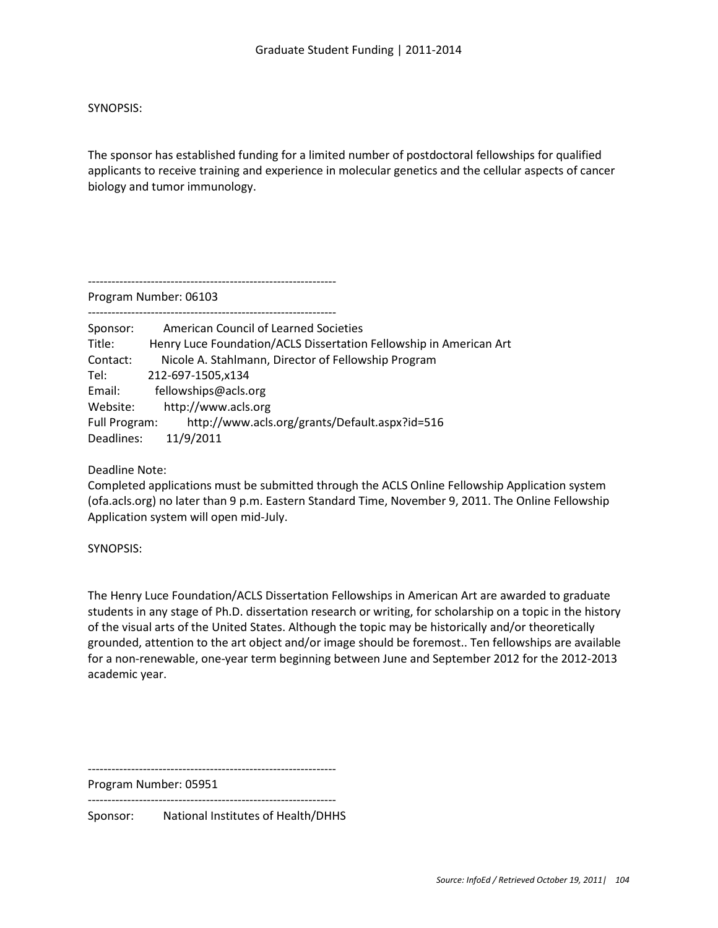# SYNOPSIS:

The sponsor has established funding for a limited number of postdoctoral fellowships for qualified applicants to receive training and experience in molecular genetics and the cellular aspects of cancer biology and tumor immunology.

---------------------------------------------------------------

---------------------------------------------------------------

Program Number: 06103

Sponsor: American Council of Learned Societies Title: Henry Luce Foundation/ACLS Dissertation Fellowship in American Art Contact: Nicole A. Stahlmann, Director of Fellowship Program Tel: 212-697-1505,x134 Email: fellowships@acls.org Website: http://www.acls.org Full Program: http://www.acls.org/grants/Default.aspx?id=516 Deadlines: 11/9/2011

Deadline Note:

Completed applications must be submitted through the ACLS Online Fellowship Application system (ofa.acls.org) no later than 9 p.m. Eastern Standard Time, November 9, 2011. The Online Fellowship Application system will open mid-July.

SYNOPSIS:

The Henry Luce Foundation/ACLS Dissertation Fellowships in American Art are awarded to graduate students in any stage of Ph.D. dissertation research or writing, for scholarship on a topic in the history of the visual arts of the United States. Although the topic may be historically and/or theoretically grounded, attention to the art object and/or image should be foremost.. Ten fellowships are available for a non-renewable, one-year term beginning between June and September 2012 for the 2012-2013 academic year.

---------------------------------------------------------------

Program Number: 05951 ---------------------------------------------------------------

Sponsor: National Institutes of Health/DHHS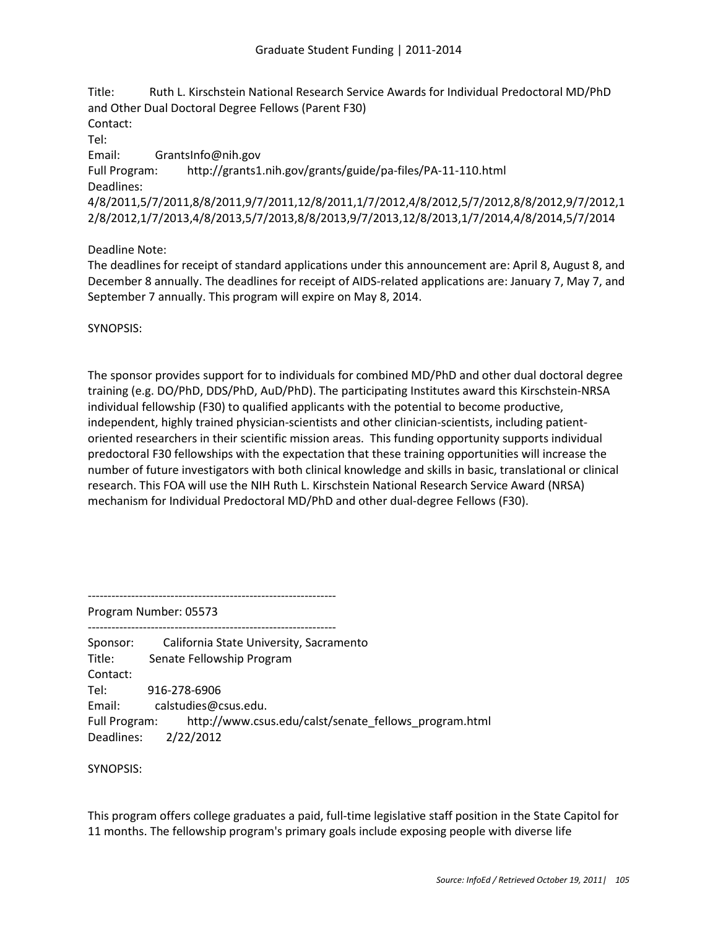Title: Ruth L. Kirschstein National Research Service Awards for Individual Predoctoral MD/PhD and Other Dual Doctoral Degree Fellows (Parent F30) Contact: Tel: Email: GrantsInfo@nih.gov Full Program: http://grants1.nih.gov/grants/guide/pa-files/PA-11-110.html

Deadlines: 4/8/2011,5/7/2011,8/8/2011,9/7/2011,12/8/2011,1/7/2012,4/8/2012,5/7/2012,8/8/2012,9/7/2012,1

2/8/2012,1/7/2013,4/8/2013,5/7/2013,8/8/2013,9/7/2013,12/8/2013,1/7/2014,4/8/2014,5/7/2014

Deadline Note:

The deadlines for receipt of standard applications under this announcement are: April 8, August 8, and December 8 annually. The deadlines for receipt of AIDS-related applications are: January 7, May 7, and September 7 annually. This program will expire on May 8, 2014.

SYNOPSIS:

The sponsor provides support for to individuals for combined MD/PhD and other dual doctoral degree training (e.g. DO/PhD, DDS/PhD, AuD/PhD). The participating Institutes award this Kirschstein-NRSA individual fellowship (F30) to qualified applicants with the potential to become productive, independent, highly trained physician-scientists and other clinician-scientists, including patientoriented researchers in their scientific mission areas. This funding opportunity supports individual predoctoral F30 fellowships with the expectation that these training opportunities will increase the number of future investigators with both clinical knowledge and skills in basic, translational or clinical research. This FOA will use the NIH Ruth L. Kirschstein National Research Service Award (NRSA) mechanism for Individual Predoctoral MD/PhD and other dual-degree Fellows (F30).

---------------------------------------------------------------

Program Number: 05573

Sponsor: California State University, Sacramento Title: Senate Fellowship Program Contact: Tel: 916-278-6906 Email: calstudies@csus.edu. Full Program: http://www.csus.edu/calst/senate\_fellows\_program.html Deadlines: 2/22/2012

---------------------------------------------------------------

SYNOPSIS:

This program offers college graduates a paid, full-time legislative staff position in the State Capitol for 11 months. The fellowship program's primary goals include exposing people with diverse life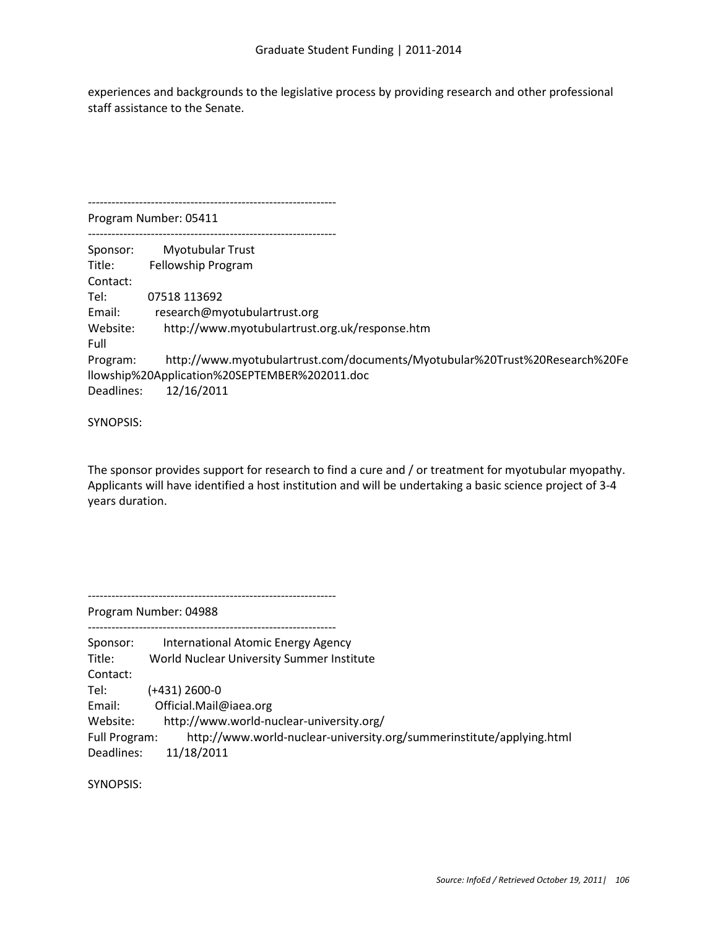experiences and backgrounds to the legislative process by providing research and other professional staff assistance to the Senate.

--------------------------------------------------------------- Program Number: 05411 --------------------------------------------------------------- Sponsor: Myotubular Trust Title: Fellowship Program Contact: Tel: 07518 113692 Email: research@myotubulartrust.org Website: http://www.myotubulartrust.org.uk/response.htm Full Program: http://www.myotubulartrust.com/documents/Myotubular%20Trust%20Research%20Fe llowship%20Application%20SEPTEMBER%202011.doc Deadlines: 12/16/2011

SYNOPSIS:

The sponsor provides support for research to find a cure and / or treatment for myotubular myopathy. Applicants will have identified a host institution and will be undertaking a basic science project of 3-4 years duration.

---------------------------------------------------------------

---------------------------------------------------------------

Program Number: 04988

| Sponsor:<br>Title:<br>Contact: | International Atomic Energy Agency<br>World Nuclear University Summer Institute     |
|--------------------------------|-------------------------------------------------------------------------------------|
| Tel:                           | $(+431)$ 2600-0                                                                     |
| Email:                         | Official.Mail@iaea.org                                                              |
| Website:                       | http://www.world-nuclear-university.org/                                            |
| Full Program:<br>Deadlines:    | http://www.world-nuclear-university.org/summerinstitute/applying.html<br>11/18/2011 |

SYNOPSIS: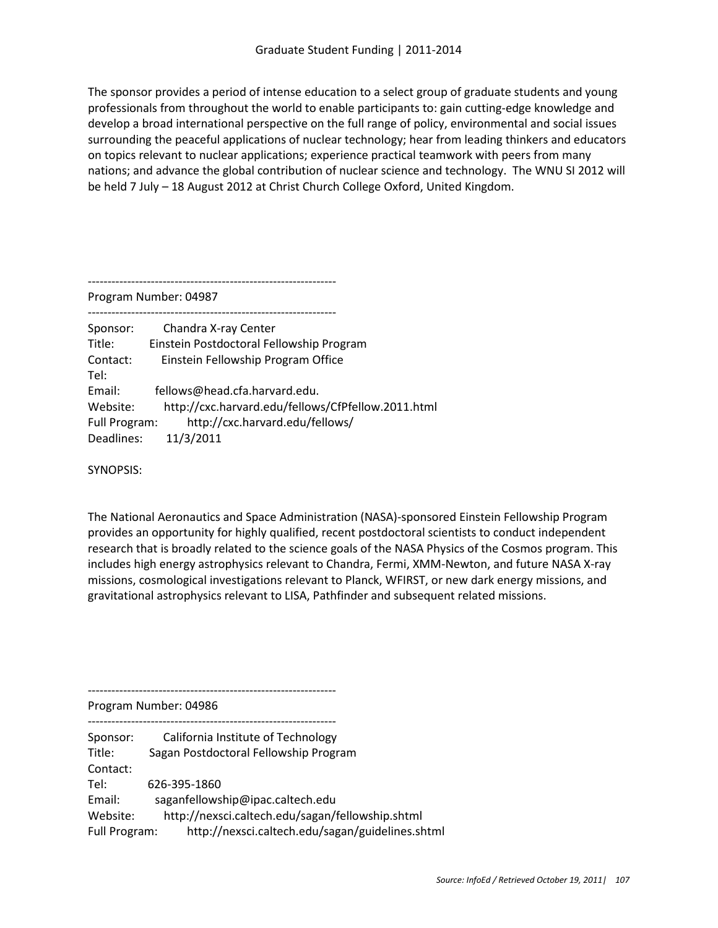The sponsor provides a period of intense education to a select group of graduate students and young professionals from throughout the world to enable participants to: gain cutting-edge knowledge and develop a broad international perspective on the full range of policy, environmental and social issues surrounding the peaceful applications of nuclear technology; hear from leading thinkers and educators on topics relevant to nuclear applications; experience practical teamwork with peers from many nations; and advance the global contribution of nuclear science and technology. The WNU SI 2012 will be held 7 July – 18 August 2012 at Christ Church College Oxford, United Kingdom.

---------------------------------------------------------------

Program Number: 04987

--------------------------------------------------------------- Sponsor: Chandra X-ray Center Title: Einstein Postdoctoral Fellowship Program Contact: Einstein Fellowship Program Office Tel: Email: fellows@head.cfa.harvard.edu. Website: http://cxc.harvard.edu/fellows/CfPfellow.2011.html Full Program: http://cxc.harvard.edu/fellows/ Deadlines: 11/3/2011

SYNOPSIS:

The National Aeronautics and Space Administration (NASA)-sponsored Einstein Fellowship Program provides an opportunity for highly qualified, recent postdoctoral scientists to conduct independent research that is broadly related to the science goals of the NASA Physics of the Cosmos program. This includes high energy astrophysics relevant to Chandra, Fermi, XMM-Newton, and future NASA X-ray missions, cosmological investigations relevant to Planck, WFIRST, or new dark energy missions, and gravitational astrophysics relevant to LISA, Pathfinder and subsequent related missions.

--------------------------------------------------------------- Program Number: 04986 --------------------------------------------------------------- Sponsor: California Institute of Technology Title: Sagan Postdoctoral Fellowship Program Contact: Tel: 626-395-1860 Email: saganfellowship@ipac.caltech.edu Website: http://nexsci.caltech.edu/sagan/fellowship.shtml Full Program: http://nexsci.caltech.edu/sagan/guidelines.shtml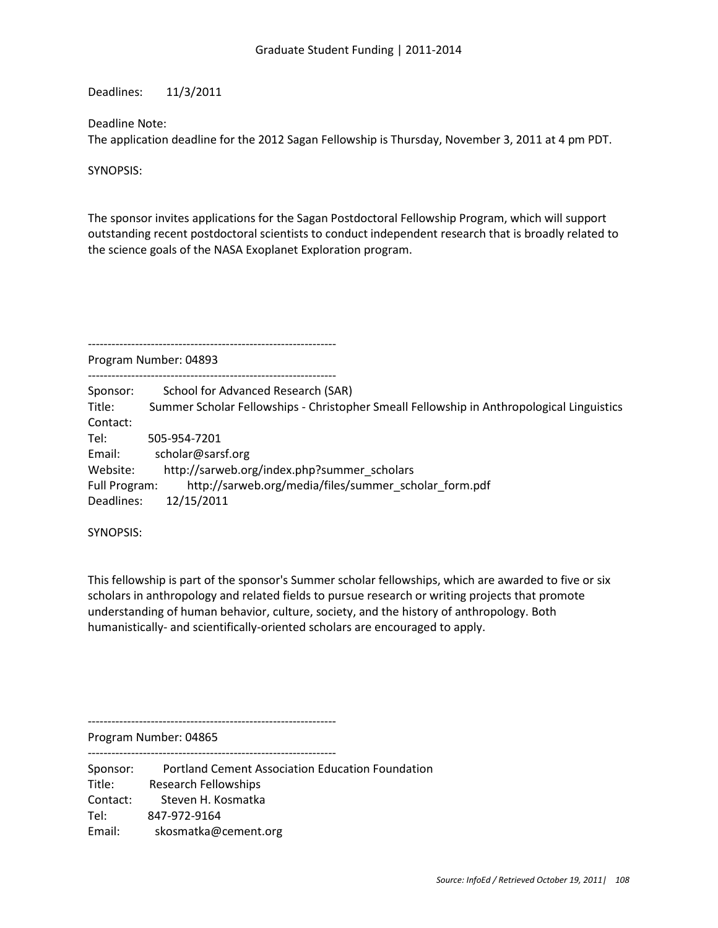Deadlines: 11/3/2011

## Deadline Note:

The application deadline for the 2012 Sagan Fellowship is Thursday, November 3, 2011 at 4 pm PDT.

SYNOPSIS:

The sponsor invites applications for the Sagan Postdoctoral Fellowship Program, which will support outstanding recent postdoctoral scientists to conduct independent research that is broadly related to the science goals of the NASA Exoplanet Exploration program.

---------------------------------------------------------------

Program Number: 04893

--------------------------------------------------------------- Sponsor: School for Advanced Research (SAR) Title: Summer Scholar Fellowships - Christopher Smeall Fellowship in Anthropological Linguistics Contact: Tel: 505-954-7201 Email: scholar@sarsf.org Website: http://sarweb.org/index.php?summer\_scholars Full Program: http://sarweb.org/media/files/summer\_scholar\_form.pdf Deadlines: 12/15/2011

SYNOPSIS:

This fellowship is part of the sponsor's Summer scholar fellowships, which are awarded to five or six scholars in anthropology and related fields to pursue research or writing projects that promote understanding of human behavior, culture, society, and the history of anthropology. Both humanistically- and scientifically-oriented scholars are encouraged to apply.

---------------------------------------------------------------

Program Number: 04865

--------------------------------------------------------------- Sponsor: Portland Cement Association Education Foundation Title: Research Fellowships Contact: Steven H. Kosmatka Tel: 847-972-9164 Email: skosmatka@cement.org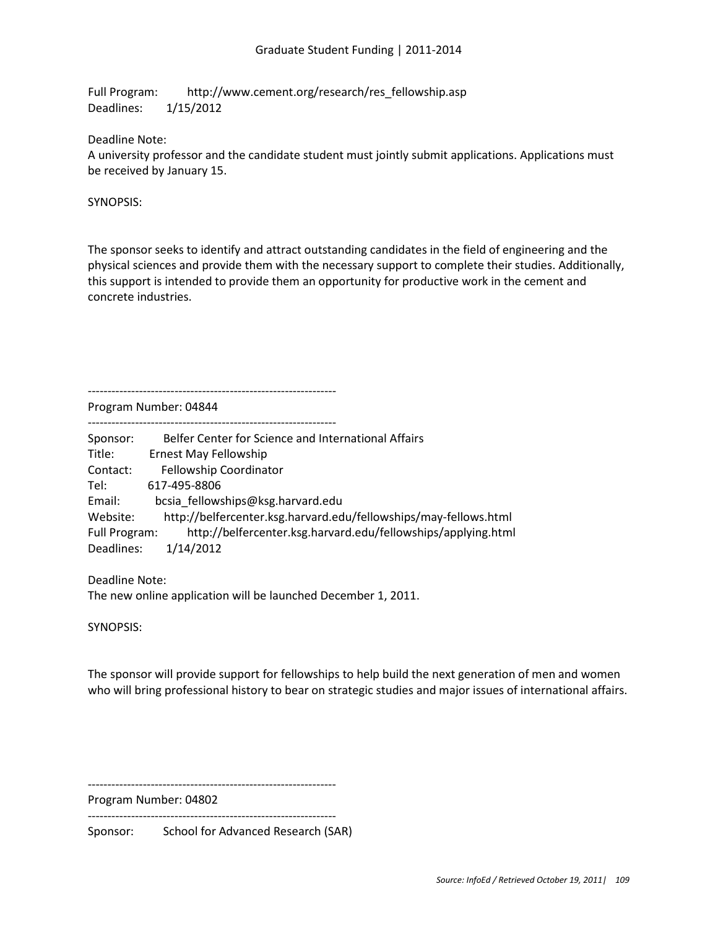Full Program: http://www.cement.org/research/res\_fellowship.asp Deadlines: 1/15/2012

Deadline Note:

A university professor and the candidate student must jointly submit applications. Applications must be received by January 15.

SYNOPSIS:

The sponsor seeks to identify and attract outstanding candidates in the field of engineering and the physical sciences and provide them with the necessary support to complete their studies. Additionally, this support is intended to provide them an opportunity for productive work in the cement and concrete industries.

Program Number: 04844

---------------------------------------------------------------

| Belfer Center for Science and International Affairs                            |
|--------------------------------------------------------------------------------|
| Ernest May Fellowship                                                          |
| Fellowship Coordinator                                                         |
| 617-495-8806                                                                   |
| bcsia fellowships@ksg.harvard.edu                                              |
| http://belfercenter.ksg.harvard.edu/fellowships/may-fellows.html               |
| http://belfercenter.ksg.harvard.edu/fellowships/applying.html<br>Full Program: |
| 1/14/2012                                                                      |
|                                                                                |

Deadline Note: The new online application will be launched December 1, 2011.

SYNOPSIS:

The sponsor will provide support for fellowships to help build the next generation of men and women who will bring professional history to bear on strategic studies and major issues of international affairs.

---------------------------------------------------------------

Program Number: 04802

---------------------------------------------------------------

Sponsor: School for Advanced Research (SAR)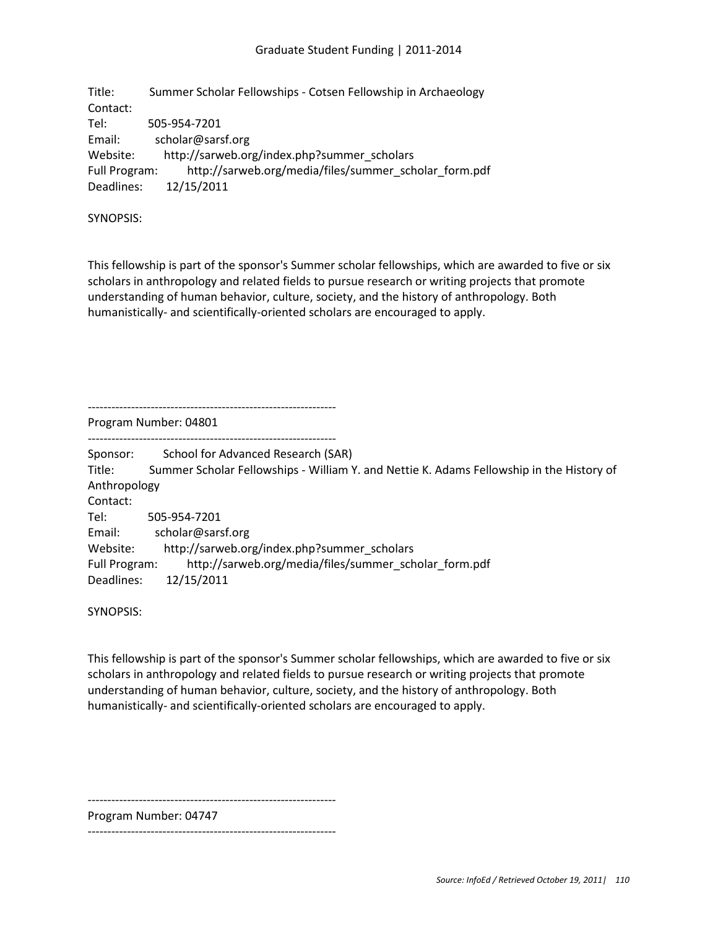Title: Summer Scholar Fellowships - Cotsen Fellowship in Archaeology Contact: Tel: 505-954-7201 Email: scholar@sarsf.org Website: http://sarweb.org/index.php?summer\_scholars Full Program: http://sarweb.org/media/files/summer\_scholar\_form.pdf Deadlines: 12/15/2011

SYNOPSIS:

This fellowship is part of the sponsor's Summer scholar fellowships, which are awarded to five or six scholars in anthropology and related fields to pursue research or writing projects that promote understanding of human behavior, culture, society, and the history of anthropology. Both humanistically- and scientifically-oriented scholars are encouraged to apply.

--------------------------------------------------------------- Program Number: 04801

---------------------------------------------------------------

Sponsor: School for Advanced Research (SAR)

Title: Summer Scholar Fellowships - William Y. and Nettie K. Adams Fellowship in the History of Anthropology

Contact:

Tel: 505-954-7201 Email: scholar@sarsf.org Website: http://sarweb.org/index.php?summer\_scholars Full Program: http://sarweb.org/media/files/summer\_scholar\_form.pdf Deadlines: 12/15/2011

SYNOPSIS:

This fellowship is part of the sponsor's Summer scholar fellowships, which are awarded to five or six scholars in anthropology and related fields to pursue research or writing projects that promote understanding of human behavior, culture, society, and the history of anthropology. Both humanistically- and scientifically-oriented scholars are encouraged to apply.

---------------------------------------------------------------

Program Number: 04747

---------------------------------------------------------------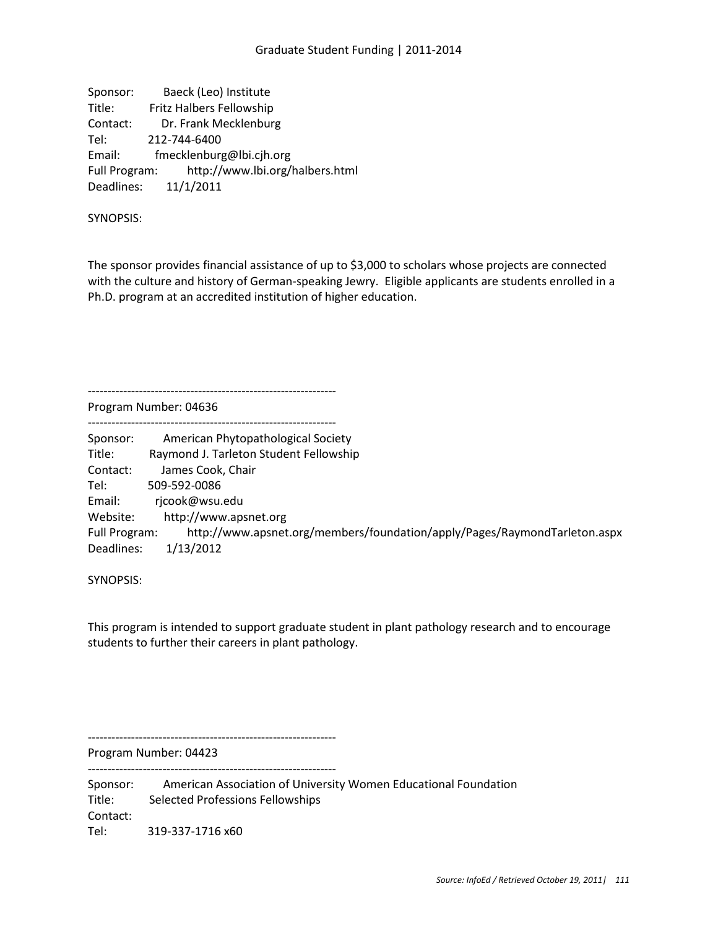Sponsor: Baeck (Leo) Institute Title: Fritz Halbers Fellowship Contact: Dr. Frank Mecklenburg Tel: 212-744-6400 Email: fmecklenburg@lbi.cjh.org Full Program: http://www.lbi.org/halbers.html Deadlines: 11/1/2011

---------------------------------------------------------------

SYNOPSIS:

The sponsor provides financial assistance of up to \$3,000 to scholars whose projects are connected with the culture and history of German-speaking Jewry. Eligible applicants are students enrolled in a Ph.D. program at an accredited institution of higher education.

Program Number: 04636

--------------------------------------------------------------- Sponsor: American Phytopathological Society Title: Raymond J. Tarleton Student Fellowship Contact: James Cook, Chair Tel: 509-592-0086 Email: rjcook@wsu.edu Website: http://www.apsnet.org Full Program: http://www.apsnet.org/members/foundation/apply/Pages/RaymondTarleton.aspx Deadlines: 1/13/2012

SYNOPSIS:

This program is intended to support graduate student in plant pathology research and to encourage students to further their careers in plant pathology.

---------------------------------------------------------------

Program Number: 04423 ---------------------------------------------------------------

Sponsor: American Association of University Women Educational Foundation Title: Selected Professions Fellowships Contact: Tel: 319-337-1716 x60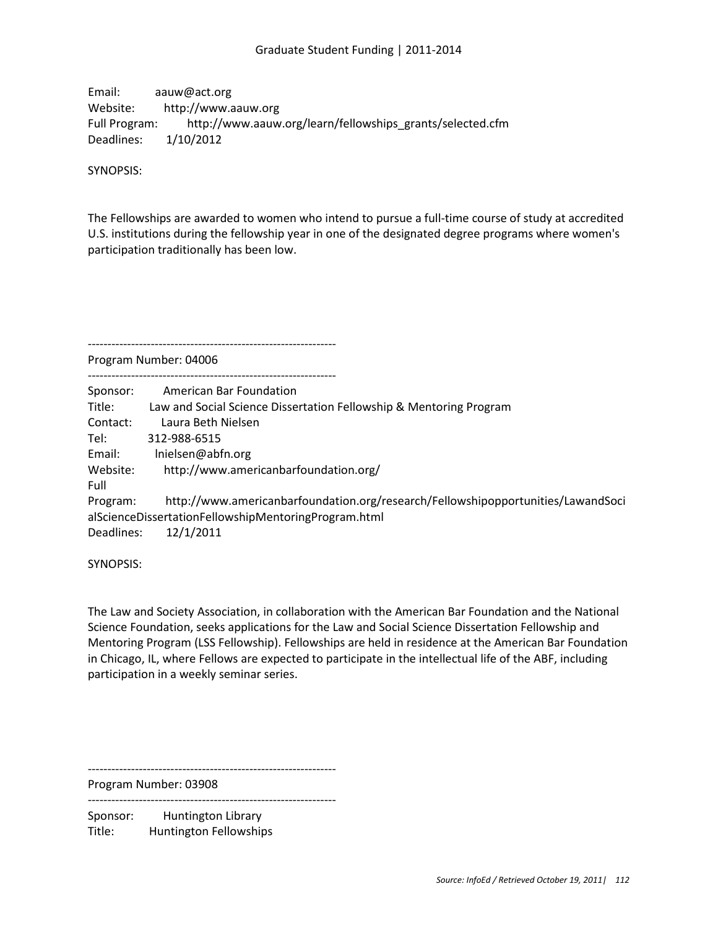Email: aauw@act.org Website: http://www.aauw.org Full Program: http://www.aauw.org/learn/fellowships\_grants/selected.cfm Deadlines: 1/10/2012

SYNOPSIS:

The Fellowships are awarded to women who intend to pursue a full-time course of study at accredited U.S. institutions during the fellowship year in one of the designated degree programs where women's participation traditionally has been low.

---------------------------------------------------------------

Program Number: 04006

| Sponsor:         | American Bar Foundation                                                          |
|------------------|----------------------------------------------------------------------------------|
| Title:           | Law and Social Science Dissertation Fellowship & Mentoring Program               |
| Contact:         | Laura Beth Nielsen                                                               |
| Tel:             | 312-988-6515                                                                     |
| Email:           | Inielsen@abfn.org                                                                |
| Website:<br>Full | http://www.americanbarfoundation.org/                                            |
| Program:         | http://www.americanbarfoundation.org/research/Fellowshipopportunities/LawandSoci |
|                  | alScienceDissertationFellowshipMentoringProgram.html                             |
| Deadlines:       | 12/1/2011                                                                        |
|                  |                                                                                  |

SYNOPSIS:

The Law and Society Association, in collaboration with the American Bar Foundation and the National Science Foundation, seeks applications for the Law and Social Science Dissertation Fellowship and Mentoring Program (LSS Fellowship). Fellowships are held in residence at the American Bar Foundation in Chicago, IL, where Fellows are expected to participate in the intellectual life of the ABF, including participation in a weekly seminar series.

---------------------------------------------------------------

---------------------------------------------------------------

Program Number: 03908

Sponsor: Huntington Library Title: Huntington Fellowships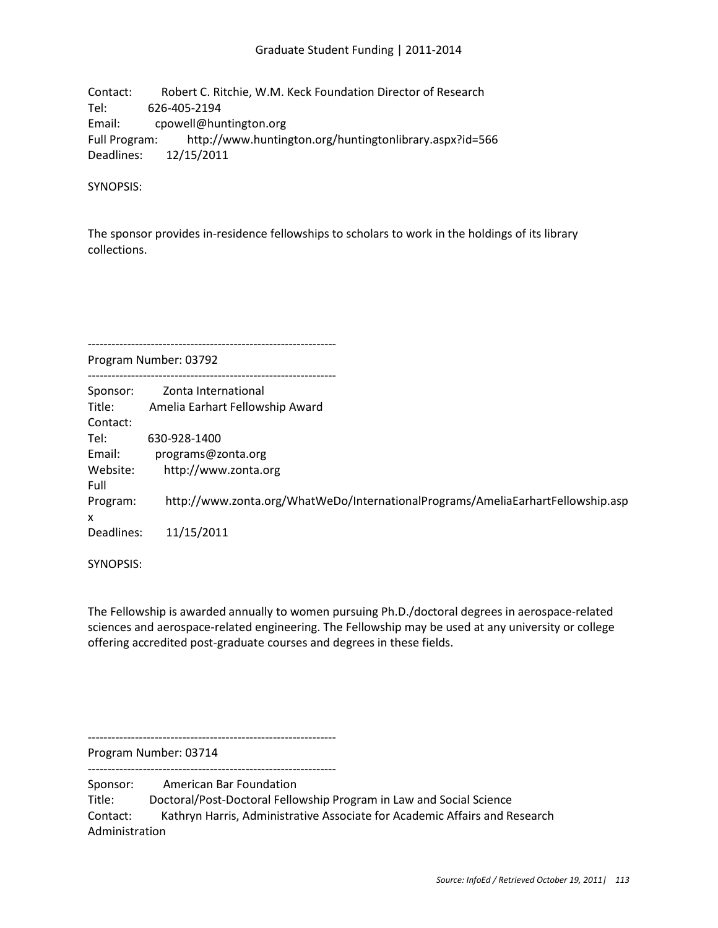Contact: Robert C. Ritchie, W.M. Keck Foundation Director of Research Tel: 626-405-2194 Email: cpowell@huntington.org Full Program: http://www.huntington.org/huntingtonlibrary.aspx?id=566 Deadlines: 12/15/2011

SYNOPSIS:

The sponsor provides in-residence fellowships to scholars to work in the holdings of its library collections.

---------------------------------------------------------------

---------------------------------------------------------------

Program Number: 03792

| Sponsor:   | Zonta International                                                             |
|------------|---------------------------------------------------------------------------------|
| Title:     | Amelia Earhart Fellowship Award                                                 |
| Contact:   |                                                                                 |
| Tel:       | 630-928-1400                                                                    |
| Email:     | programs@zonta.org                                                              |
| Website:   | http://www.zonta.org                                                            |
| Full       |                                                                                 |
| Program:   | http://www.zonta.org/WhatWeDo/InternationalPrograms/AmeliaEarhartFellowship.asp |
| x          |                                                                                 |
| Deadlines: | 11/15/2011                                                                      |
|            |                                                                                 |

SYNOPSIS:

The Fellowship is awarded annually to women pursuing Ph.D./doctoral degrees in aerospace-related sciences and aerospace-related engineering. The Fellowship may be used at any university or college offering accredited post-graduate courses and degrees in these fields.

---------------------------------------------------------------

Program Number: 03714 ---------------------------------------------------------------

Sponsor: American Bar Foundation

Title: Doctoral/Post-Doctoral Fellowship Program in Law and Social Science

Contact: Kathryn Harris, Administrative Associate for Academic Affairs and Research Administration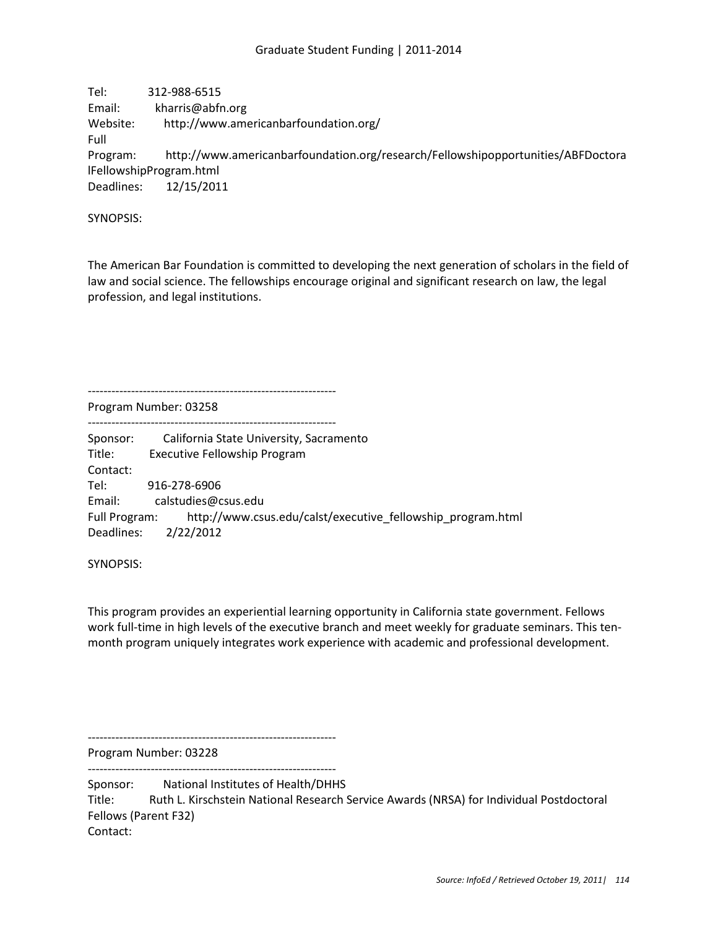Tel: 312-988-6515 Email: kharris@abfn.org Website: http://www.americanbarfoundation.org/ Full Program: http://www.americanbarfoundation.org/research/Fellowshipopportunities/ABFDoctora lFellowshipProgram.html Deadlines: 12/15/2011

SYNOPSIS:

The American Bar Foundation is committed to developing the next generation of scholars in the field of law and social science. The fellowships encourage original and significant research on law, the legal profession, and legal institutions.

Program Number: 03258

---------------------------------------------------------------

--------------------------------------------------------------- Sponsor: California State University, Sacramento Title: Executive Fellowship Program Contact: Tel: 916-278-6906 Email: calstudies@csus.edu Full Program: http://www.csus.edu/calst/executive\_fellowship\_program.html Deadlines: 2/22/2012

SYNOPSIS:

This program provides an experiential learning opportunity in California state government. Fellows work full-time in high levels of the executive branch and meet weekly for graduate seminars. This tenmonth program uniquely integrates work experience with academic and professional development.

---------------------------------------------------------------

Program Number: 03228 ---------------------------------------------------------------

Sponsor: National Institutes of Health/DHHS Title: Ruth L. Kirschstein National Research Service Awards (NRSA) for Individual Postdoctoral Fellows (Parent F32) Contact: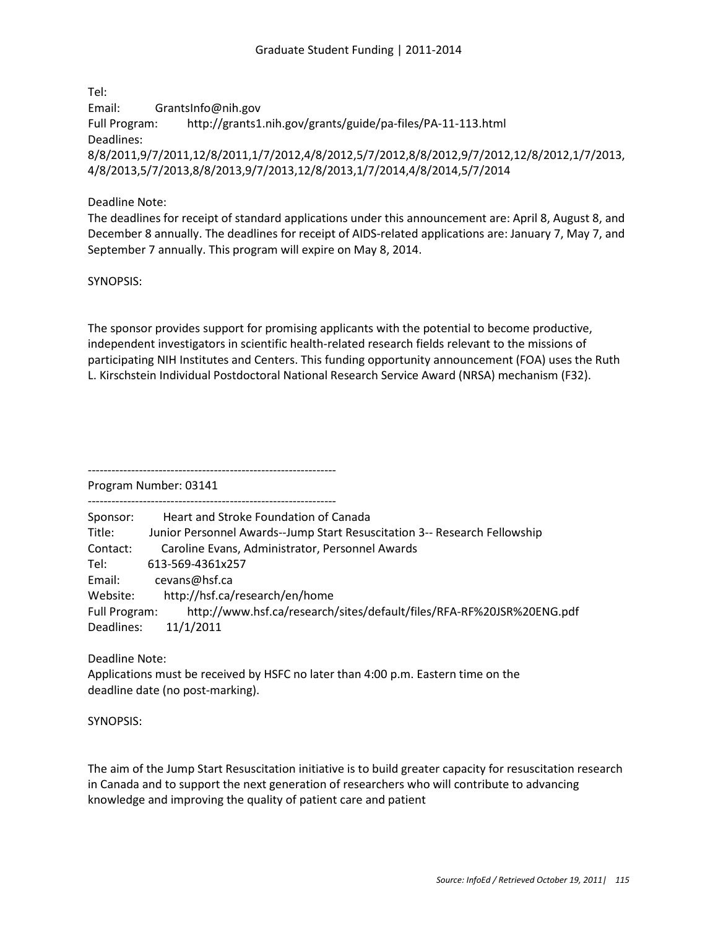Tel:

Email: GrantsInfo@nih.gov Full Program: http://grants1.nih.gov/grants/guide/pa-files/PA-11-113.html Deadlines: 8/8/2011,9/7/2011,12/8/2011,1/7/2012,4/8/2012,5/7/2012,8/8/2012,9/7/2012,12/8/2012,1/7/2013, 4/8/2013,5/7/2013,8/8/2013,9/7/2013,12/8/2013,1/7/2014,4/8/2014,5/7/2014

## Deadline Note:

The deadlines for receipt of standard applications under this announcement are: April 8, August 8, and December 8 annually. The deadlines for receipt of AIDS-related applications are: January 7, May 7, and September 7 annually. This program will expire on May 8, 2014.

SYNOPSIS:

The sponsor provides support for promising applicants with the potential to become productive, independent investigators in scientific health-related research fields relevant to the missions of participating NIH Institutes and Centers. This funding opportunity announcement (FOA) uses the Ruth L. Kirschstein Individual Postdoctoral National Research Service Award (NRSA) mechanism (F32).

Program Number: 03141

---------------------------------------------------------------

| Sponsor:      | Heart and Stroke Foundation of Canada                                     |
|---------------|---------------------------------------------------------------------------|
| Title:        | Junior Personnel Awards--Jump Start Resuscitation 3-- Research Fellowship |
| Contact:      | Caroline Evans, Administrator, Personnel Awards                           |
| Tel:          | 613-569-4361x257                                                          |
| Email:        | cevans@hsf.ca                                                             |
| Website:      | http://hsf.ca/research/en/home                                            |
| Full Program: | http://www.hsf.ca/research/sites/default/files/RFA-RF%20JSR%20ENG.pdf     |
| Deadlines:    | 11/1/2011                                                                 |

Deadline Note:

Applications must be received by HSFC no later than 4:00 p.m. Eastern time on the deadline date (no post-marking).

SYNOPSIS:

The aim of the Jump Start Resuscitation initiative is to build greater capacity for resuscitation research in Canada and to support the next generation of researchers who will contribute to advancing knowledge and improving the quality of patient care and patient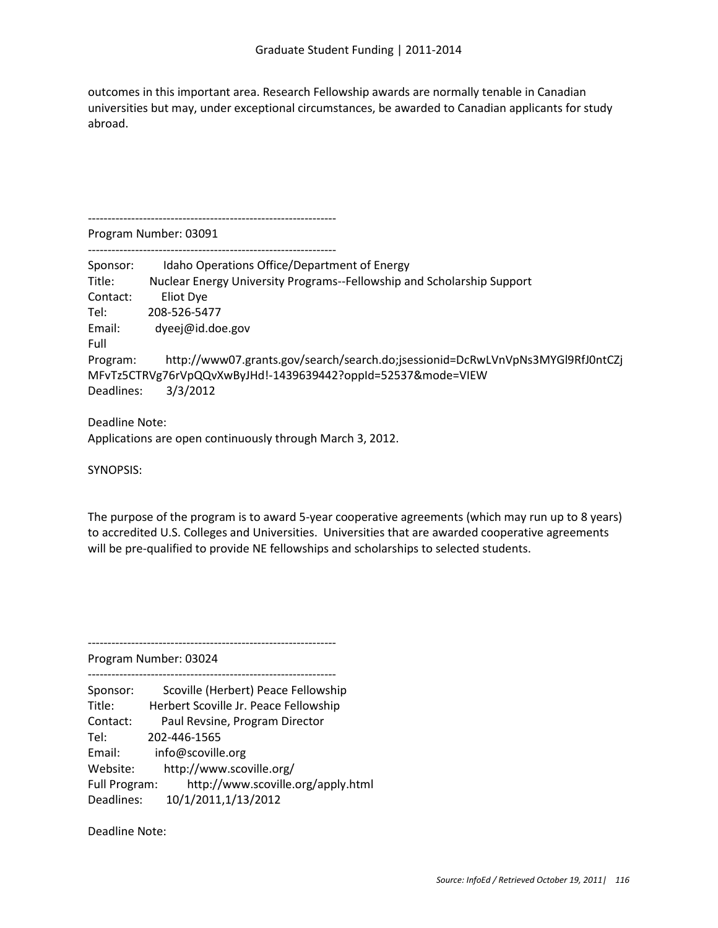outcomes in this important area. Research Fellowship awards are normally tenable in Canadian universities but may, under exceptional circumstances, be awarded to Canadian applicants for study abroad.

--------------------------------------------------------------- Program Number: 03091

| Sponsor:   | Idaho Operations Office/Department of Energy                                   |
|------------|--------------------------------------------------------------------------------|
| Title:     | Nuclear Energy University Programs--Fellowship and Scholarship Support         |
| Contact:   | Eliot Dye                                                                      |
| Tel:       | 208-526-5477                                                                   |
| Email:     | dyeej@id.doe.gov                                                               |
| Full       |                                                                                |
| Program:   | http://www07.grants.gov/search/search.do;jsessionid=DcRwLVnVpNs3MYGl9RfJ0ntCZj |
|            | MFvTz5CTRVg76rVpQQvXwByJHd!-1439639442?oppId=52537&mode=VIEW                   |
| Deadlines: | 3/3/2012                                                                       |

Deadline Note: Applications are open continuously through March 3, 2012.

SYNOPSIS:

The purpose of the program is to award 5-year cooperative agreements (which may run up to 8 years) to accredited U.S. Colleges and Universities. Universities that are awarded cooperative agreements will be pre-qualified to provide NE fellowships and scholarships to selected students.

Program Number: 03024

---------------------------------------------------------------

Sponsor: Scoville (Herbert) Peace Fellowship Title: Herbert Scoville Jr. Peace Fellowship Contact: Paul Revsine, Program Director Tel: 202-446-1565 Email: info@scoville.org Website: http://www.scoville.org/ Full Program: http://www.scoville.org/apply.html Deadlines: 10/1/2011,1/13/2012

---------------------------------------------------------------

Deadline Note: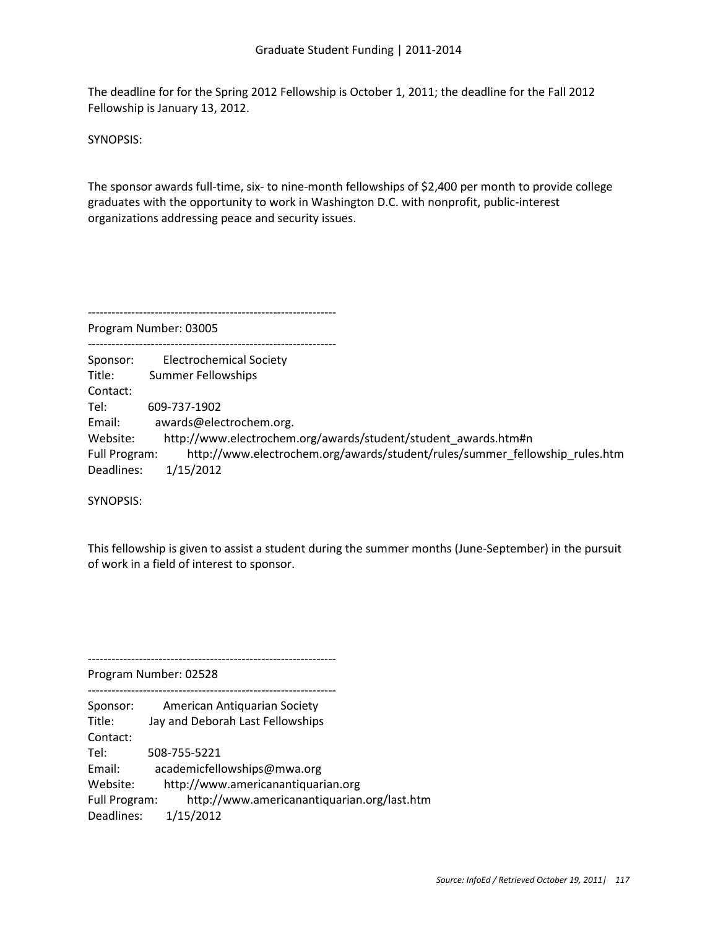The deadline for for the Spring 2012 Fellowship is October 1, 2011; the deadline for the Fall 2012 Fellowship is January 13, 2012.

SYNOPSIS:

The sponsor awards full-time, six- to nine-month fellowships of \$2,400 per month to provide college graduates with the opportunity to work in Washington D.C. with nonprofit, public-interest organizations addressing peace and security issues.

Program Number: 03005

---------------------------------------------------------------

--------------------------------------------------------------- Sponsor: Electrochemical Society Title: Summer Fellowships Contact: Tel: 609-737-1902 Email: awards@electrochem.org. Website: http://www.electrochem.org/awards/student/student\_awards.htm#n Full Program: http://www.electrochem.org/awards/student/rules/summer\_fellowship\_rules.htm Deadlines: 1/15/2012

SYNOPSIS:

This fellowship is given to assist a student during the summer months (June-September) in the pursuit of work in a field of interest to sponsor.

Program Number: 02528

--------------------------------------------------------------- Sponsor: American Antiquarian Society Title: Jay and Deborah Last Fellowships Contact: Tel: 508-755-5221 Email: academicfellowships@mwa.org Website: http://www.americanantiquarian.org Full Program: http://www.americanantiquarian.org/last.htm Deadlines: 1/15/2012

---------------------------------------------------------------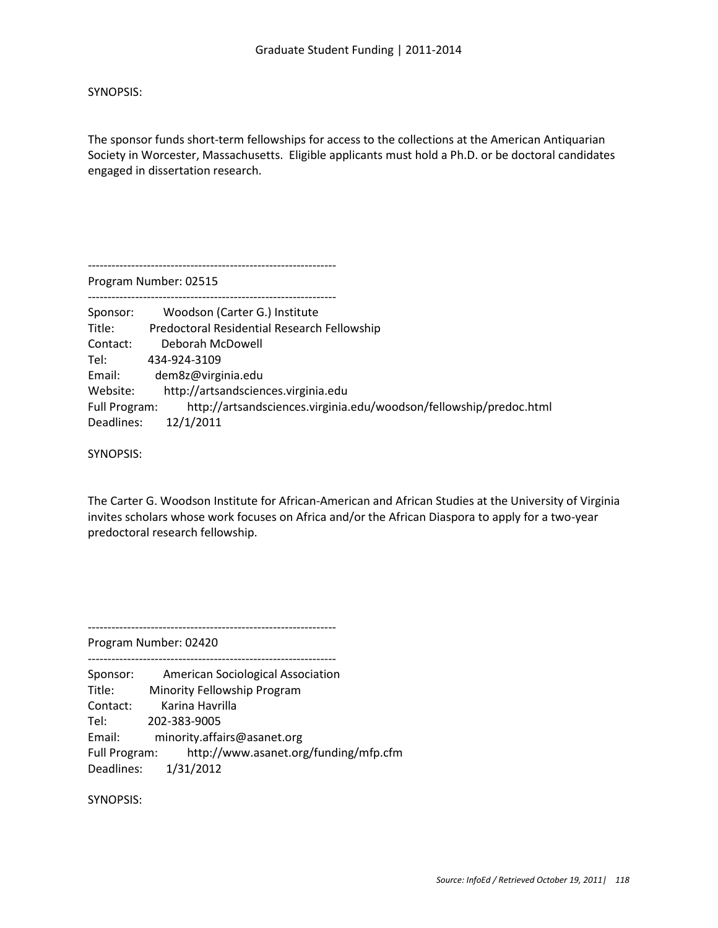SYNOPSIS:

The sponsor funds short-term fellowships for access to the collections at the American Antiquarian Society in Worcester, Massachusetts. Eligible applicants must hold a Ph.D. or be doctoral candidates engaged in dissertation research.

--------------------------------------------------------------- Program Number: 02515 --------------------------------------------------------------- Sponsor: Woodson (Carter G.) Institute Title: Predoctoral Residential Research Fellowship Contact: Deborah McDowell Tel: 434-924-3109 Email: dem8z@virginia.edu Website: http://artsandsciences.virginia.edu Full Program: http://artsandsciences.virginia.edu/woodson/fellowship/predoc.html Deadlines: 12/1/2011

SYNOPSIS:

The Carter G. Woodson Institute for African-American and African Studies at the University of Virginia invites scholars whose work focuses on Africa and/or the African Diaspora to apply for a two-year predoctoral research fellowship.

Program Number: 02420

--------------------------------------------------------------- Sponsor: American Sociological Association Title: Minority Fellowship Program Contact: Karina Havrilla Tel: 202-383-9005 Email: minority.affairs@asanet.org Full Program: http://www.asanet.org/funding/mfp.cfm Deadlines: 1/31/2012

---------------------------------------------------------------

SYNOPSIS: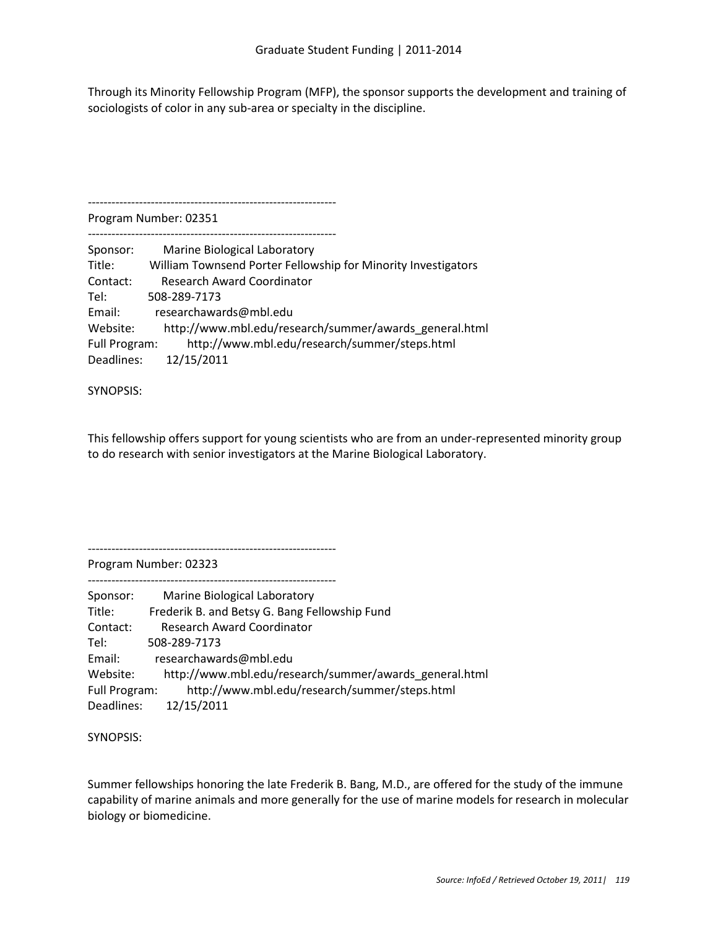Through its Minority Fellowship Program (MFP), the sponsor supports the development and training of sociologists of color in any sub-area or specialty in the discipline.

--------------------------------------------------------------- Program Number: 02351 --------------------------------------------------------------- Sponsor: Marine Biological Laboratory Title: William Townsend Porter Fellowship for Minority Investigators Contact: Research Award Coordinator Tel: 508-289-7173 Email: researchawards@mbl.edu Website: http://www.mbl.edu/research/summer/awards\_general.html Full Program: http://www.mbl.edu/research/summer/steps.html Deadlines: 12/15/2011

SYNOPSIS:

This fellowship offers support for young scientists who are from an under-represented minority group to do research with senior investigators at the Marine Biological Laboratory.

---------------------------------------------------------------

Program Number: 02323

--------------------------------------------------------------- Sponsor: Marine Biological Laboratory Title: Frederik B. and Betsy G. Bang Fellowship Fund Contact: Research Award Coordinator Tel: 508-289-7173 Email: researchawards@mbl.edu Website: http://www.mbl.edu/research/summer/awards\_general.html Full Program: http://www.mbl.edu/research/summer/steps.html Deadlines: 12/15/2011

SYNOPSIS:

Summer fellowships honoring the late Frederik B. Bang, M.D., are offered for the study of the immune capability of marine animals and more generally for the use of marine models for research in molecular biology or biomedicine.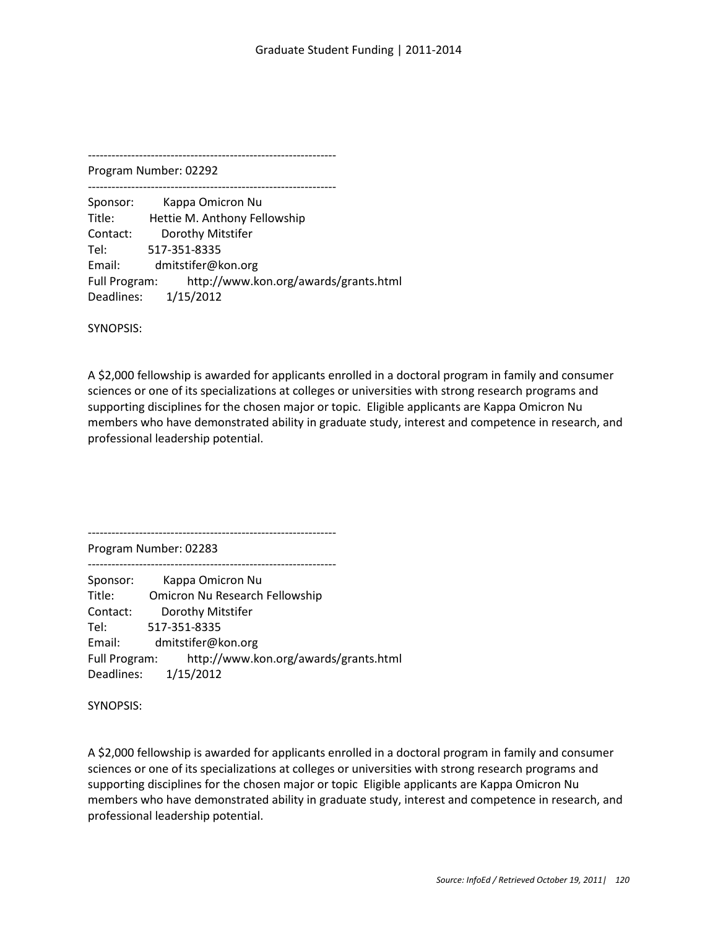Program Number: 02292 ---------------------------------------------------------------

Sponsor: Kappa Omicron Nu Title: Hettie M. Anthony Fellowship Contact: Dorothy Mitstifer Tel: 517-351-8335 Email: dmitstifer@kon.org Full Program: http://www.kon.org/awards/grants.html Deadlines: 1/15/2012

SYNOPSIS:

A \$2,000 fellowship is awarded for applicants enrolled in a doctoral program in family and consumer sciences or one of its specializations at colleges or universities with strong research programs and supporting disciplines for the chosen major or topic. Eligible applicants are Kappa Omicron Nu members who have demonstrated ability in graduate study, interest and competence in research, and professional leadership potential.

---------------------------------------------------------------

Program Number: 02283 ---------------------------------------------------------------

Sponsor: Kappa Omicron Nu Title: Omicron Nu Research Fellowship Contact: Dorothy Mitstifer Tel: 517-351-8335 Email: dmitstifer@kon.org Full Program: http://www.kon.org/awards/grants.html Deadlines: 1/15/2012

SYNOPSIS:

A \$2,000 fellowship is awarded for applicants enrolled in a doctoral program in family and consumer sciences or one of its specializations at colleges or universities with strong research programs and supporting disciplines for the chosen major or topic Eligible applicants are Kappa Omicron Nu members who have demonstrated ability in graduate study, interest and competence in research, and professional leadership potential.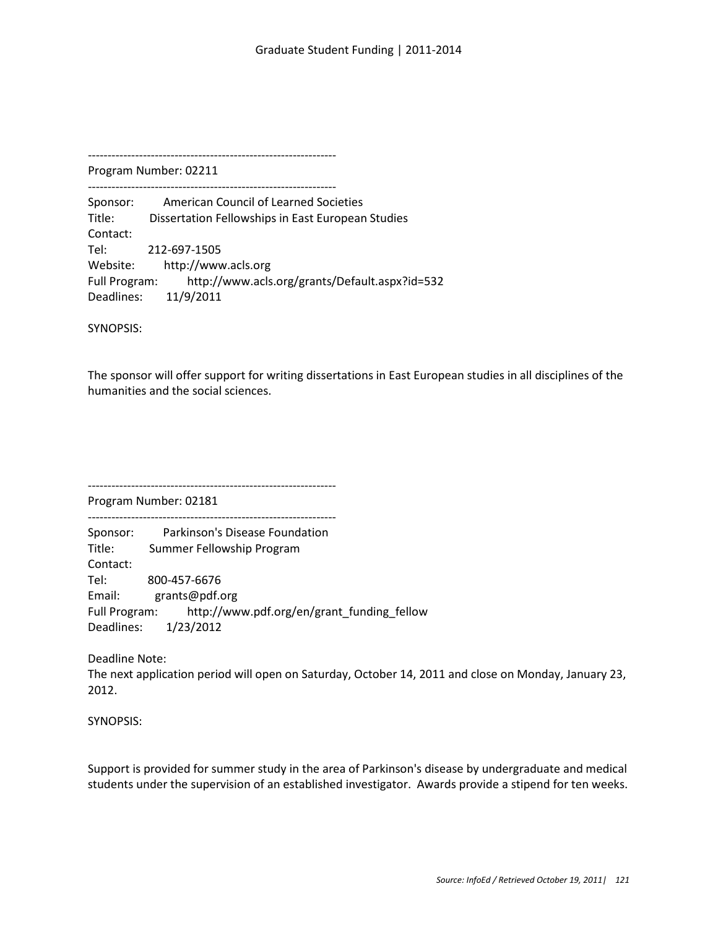Program Number: 02211 ---------------------------------------------------------------

Sponsor: American Council of Learned Societies Title: Dissertation Fellowships in East European Studies Contact: Tel: 212-697-1505 Website: http://www.acls.org Full Program: http://www.acls.org/grants/Default.aspx?id=532 Deadlines: 11/9/2011

SYNOPSIS:

The sponsor will offer support for writing dissertations in East European studies in all disciplines of the humanities and the social sciences.

---------------------------------------------------------------

Program Number: 02181 ---------------------------------------------------------------

Sponsor: Parkinson's Disease Foundation Title: Summer Fellowship Program Contact: Tel: 800-457-6676 Email: grants@pdf.org Full Program: http://www.pdf.org/en/grant\_funding\_fellow Deadlines: 1/23/2012

Deadline Note:

The next application period will open on Saturday, October 14, 2011 and close on Monday, January 23, 2012.

SYNOPSIS:

Support is provided for summer study in the area of Parkinson's disease by undergraduate and medical students under the supervision of an established investigator. Awards provide a stipend for ten weeks.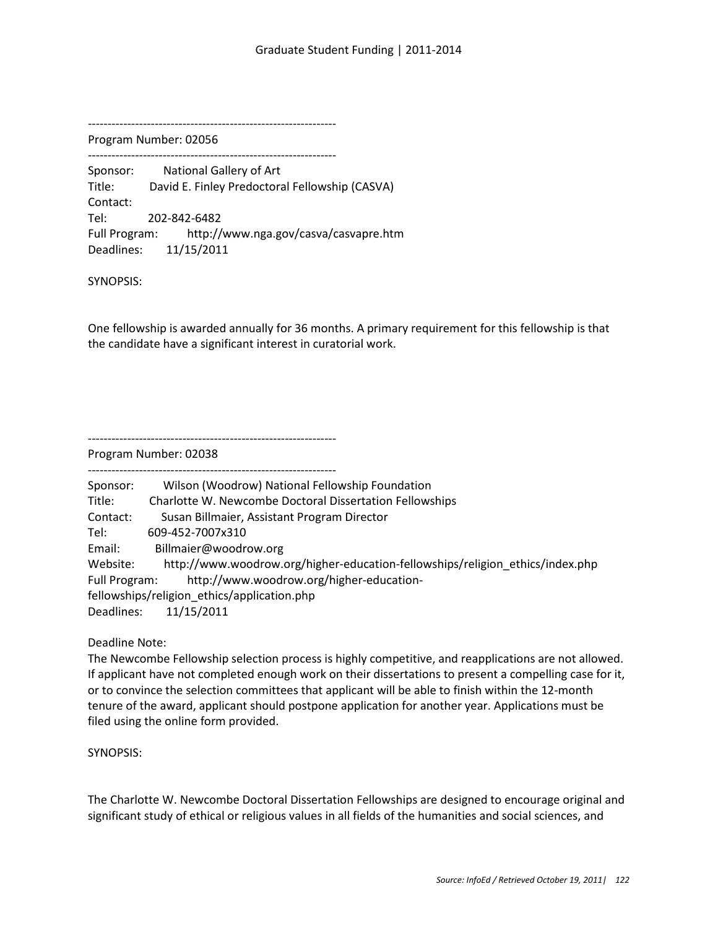Program Number: 02056

--------------------------------------------------------------- Sponsor: National Gallery of Art

Title: David E. Finley Predoctoral Fellowship (CASVA) Contact: Tel: 202-842-6482 Full Program: http://www.nga.gov/casva/casvapre.htm Deadlines: 11/15/2011

SYNOPSIS:

One fellowship is awarded annually for 36 months. A primary requirement for this fellowship is that the candidate have a significant interest in curatorial work.

---------------------------------------------------------------

Program Number: 02038

---------------------------------------------------------------

| Sponsor:      | Wilson (Woodrow) National Fellowship Foundation                               |
|---------------|-------------------------------------------------------------------------------|
| Title:        | Charlotte W. Newcombe Doctoral Dissertation Fellowships                       |
| Contact:      | Susan Billmaier, Assistant Program Director                                   |
| Tel:          | 609-452-7007x310                                                              |
| Email:        | Billmaier@woodrow.org                                                         |
| Website:      | http://www.woodrow.org/higher-education-fellowships/religion ethics/index.php |
| Full Program: | http://www.woodrow.org/higher-education-                                      |
|               | fellowships/religion ethics/application.php                                   |
| Deadlines:    | 11/15/2011                                                                    |

Deadline Note:

The Newcombe Fellowship selection process is highly competitive, and reapplications are not allowed. If applicant have not completed enough work on their dissertations to present a compelling case for it, or to convince the selection committees that applicant will be able to finish within the 12-month tenure of the award, applicant should postpone application for another year. Applications must be filed using the online form provided.

SYNOPSIS:

The Charlotte W. Newcombe Doctoral Dissertation Fellowships are designed to encourage original and significant study of ethical or religious values in all fields of the humanities and social sciences, and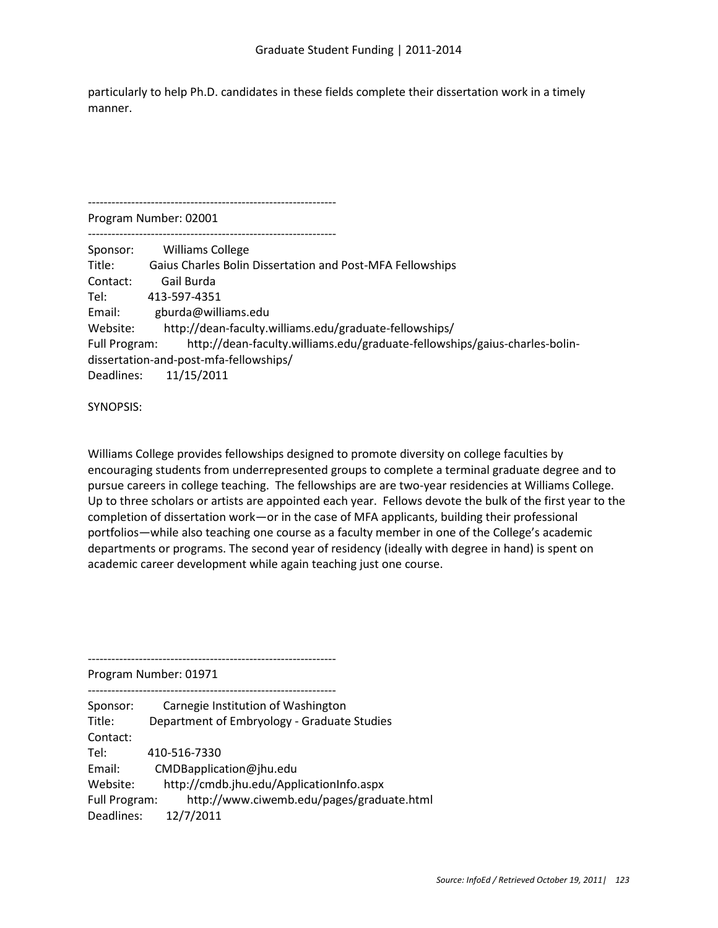particularly to help Ph.D. candidates in these fields complete their dissertation work in a timely manner.

Program Number: 02001

---------------------------------------------------------------

| Sponsor:             | <b>Williams College</b>                                                    |
|----------------------|----------------------------------------------------------------------------|
| Title:               | Gaius Charles Bolin Dissertation and Post-MFA Fellowships                  |
| Contact:             | Gail Burda                                                                 |
| Tel:                 | 413-597-4351                                                               |
| Email:               | gburda@williams.edu                                                        |
| Website:             | http://dean-faculty.williams.edu/graduate-fellowships/                     |
| <b>Full Program:</b> | http://dean-faculty.williams.edu/graduate-fellowships/gaius-charles-bolin- |
|                      | dissertation-and-post-mfa-fellowships/                                     |
| Deadlines:           | 11/15/2011                                                                 |

SYNOPSIS:

Williams College provides fellowships designed to promote diversity on college faculties by encouraging students from underrepresented groups to complete a terminal graduate degree and to pursue careers in college teaching. The fellowships are are two-year residencies at Williams College. Up to three scholars or artists are appointed each year. Fellows devote the bulk of the first year to the completion of dissertation work—or in the case of MFA applicants, building their professional portfolios—while also teaching one course as a faculty member in one of the College's academic departments or programs. The second year of residency (ideally with degree in hand) is spent on academic career development while again teaching just one course.

Program Number: 01971

--------------------------------------------------------------- Sponsor: Carnegie Institution of Washington Title: Department of Embryology - Graduate Studies Contact: Tel: 410-516-7330 Email: CMDBapplication@jhu.edu Website: http://cmdb.jhu.edu/ApplicationInfo.aspx Full Program: http://www.ciwemb.edu/pages/graduate.html Deadlines: 12/7/2011

---------------------------------------------------------------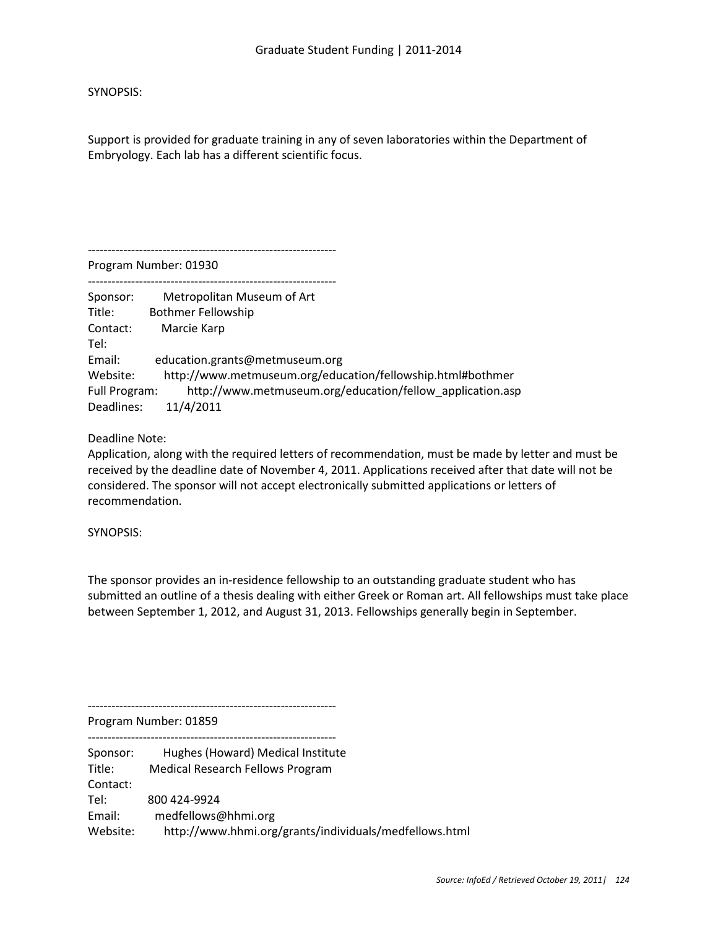SYNOPSIS:

Support is provided for graduate training in any of seven laboratories within the Department of Embryology. Each lab has a different scientific focus.

Program Number: 01930

---------------------------------------------------------------

| Sponsor:      | Metropolitan Museum of Art                                 |
|---------------|------------------------------------------------------------|
| Title:        | <b>Bothmer Fellowship</b>                                  |
| Contact:      | Marcie Karp                                                |
| Tel:          |                                                            |
| Email:        | education.grants@metmuseum.org                             |
| Website:      | http://www.metmuseum.org/education/fellowship.html#bothmer |
| Full Program: | http://www.metmuseum.org/education/fellow application.asp  |
| Deadlines:    | 11/4/2011                                                  |

Deadline Note:

Application, along with the required letters of recommendation, must be made by letter and must be received by the deadline date of November 4, 2011. Applications received after that date will not be considered. The sponsor will not accept electronically submitted applications or letters of recommendation.

SYNOPSIS:

The sponsor provides an in-residence fellowship to an outstanding graduate student who has submitted an outline of a thesis dealing with either Greek or Roman art. All fellowships must take place between September 1, 2012, and August 31, 2013. Fellowships generally begin in September.

---------------------------------------------------------------

Program Number: 01859

--------------------------------------------------------------- Sponsor: Hughes (Howard) Medical Institute Title: Medical Research Fellows Program Contact: Tel: 800 424-9924 Email: medfellows@hhmi.org Website: http://www.hhmi.org/grants/individuals/medfellows.html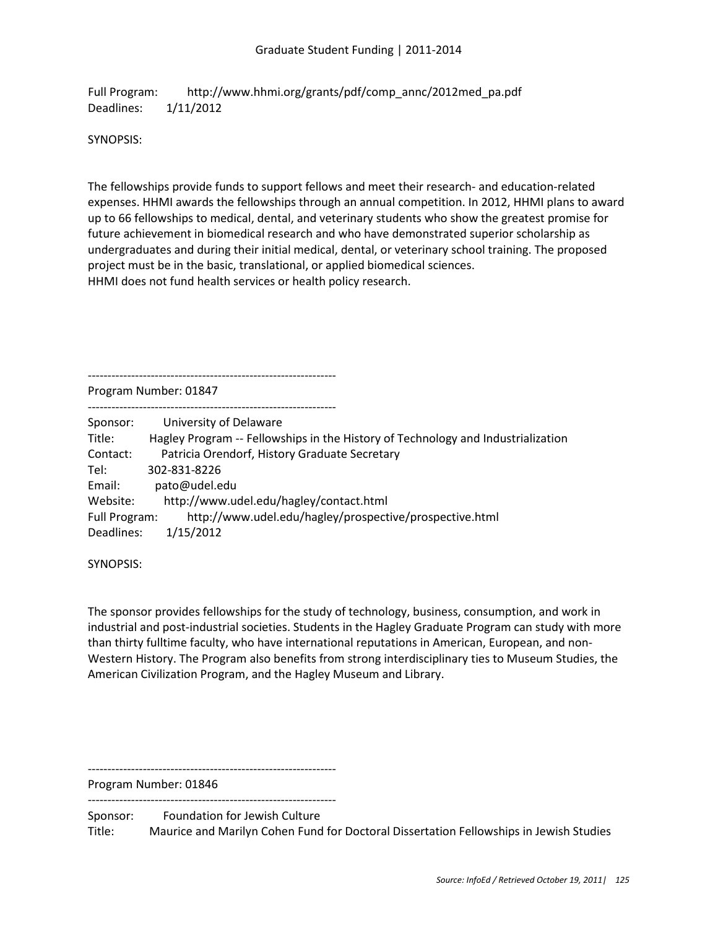Full Program: http://www.hhmi.org/grants/pdf/comp\_annc/2012med\_pa.pdf Deadlines: 1/11/2012

SYNOPSIS:

The fellowships provide funds to support fellows and meet their research- and education-related expenses. HHMI awards the fellowships through an annual competition. In 2012, HHMI plans to award up to 66 fellowships to medical, dental, and veterinary students who show the greatest promise for future achievement in biomedical research and who have demonstrated superior scholarship as undergraduates and during their initial medical, dental, or veterinary school training. The proposed project must be in the basic, translational, or applied biomedical sciences. HHMI does not fund health services or health policy research.

---------------------------------------------------------------

Program Number: 01847

| Sponsor:      | University of Delaware                                                           |
|---------------|----------------------------------------------------------------------------------|
| Title:        | Hagley Program -- Fellowships in the History of Technology and Industrialization |
| Contact:      | Patricia Orendorf, History Graduate Secretary                                    |
| Tel:          | 302-831-8226                                                                     |
| Email:        | pato@udel.edu                                                                    |
| Website:      | http://www.udel.edu/hagley/contact.html                                          |
| Full Program: | http://www.udel.edu/hagley/prospective/prospective.html                          |
| Deadlines:    | 1/15/2012                                                                        |

---------------------------------------------------------------

SYNOPSIS:

The sponsor provides fellowships for the study of technology, business, consumption, and work in industrial and post-industrial societies. Students in the Hagley Graduate Program can study with more than thirty fulltime faculty, who have international reputations in American, European, and non-Western History. The Program also benefits from strong interdisciplinary ties to Museum Studies, the American Civilization Program, and the Hagley Museum and Library.

---------------------------------------------------------------

Program Number: 01846 ---------------------------------------------------------------

Sponsor: Foundation for Jewish Culture Title: Maurice and Marilyn Cohen Fund for Doctoral Dissertation Fellowships in Jewish Studies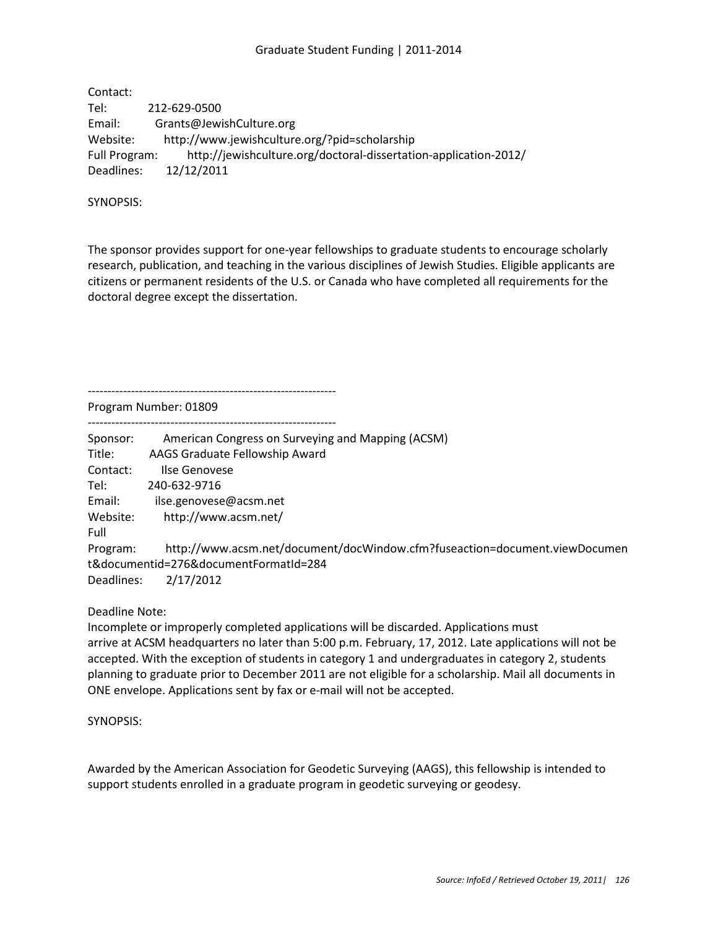## Graduate Student Funding | 2011-2014

Contact: Tel: 212-629-0500 Email: Grants@JewishCulture.org Website: http://www.jewishculture.org/?pid=scholarship Full Program: http://jewishculture.org/doctoral-dissertation-application-2012/ Deadlines: 12/12/2011

SYNOPSIS:

The sponsor provides support for one-year fellowships to graduate students to encourage scholarly research, publication, and teaching in the various disciplines of Jewish Studies. Eligible applicants are citizens or permanent residents of the U.S. or Canada who have completed all requirements for the doctoral degree except the dissertation.

Program Number: 01809

---------------------------------------------------------------

--------------------------------------------------------------- Sponsor: American Congress on Surveying and Mapping (ACSM) Title: AAGS Graduate Fellowship Award Contact: Ilse Genovese Tel: 240-632-9716 Email: ilse.genovese@acsm.net Website: http://www.acsm.net/ Full Program: http://www.acsm.net/document/docWindow.cfm?fuseaction=document.viewDocumen t&documentid=276&documentFormatId=284 Deadlines: 2/17/2012

Deadline Note:

Incomplete or improperly completed applications will be discarded. Applications must arrive at ACSM headquarters no later than 5:00 p.m. February, 17, 2012. Late applications will not be accepted. With the exception of students in category 1 and undergraduates in category 2, students planning to graduate prior to December 2011 are not eligible for a scholarship. Mail all documents in ONE envelope. Applications sent by fax or e-mail will not be accepted.

SYNOPSIS:

Awarded by the American Association for Geodetic Surveying (AAGS), this fellowship is intended to support students enrolled in a graduate program in geodetic surveying or geodesy.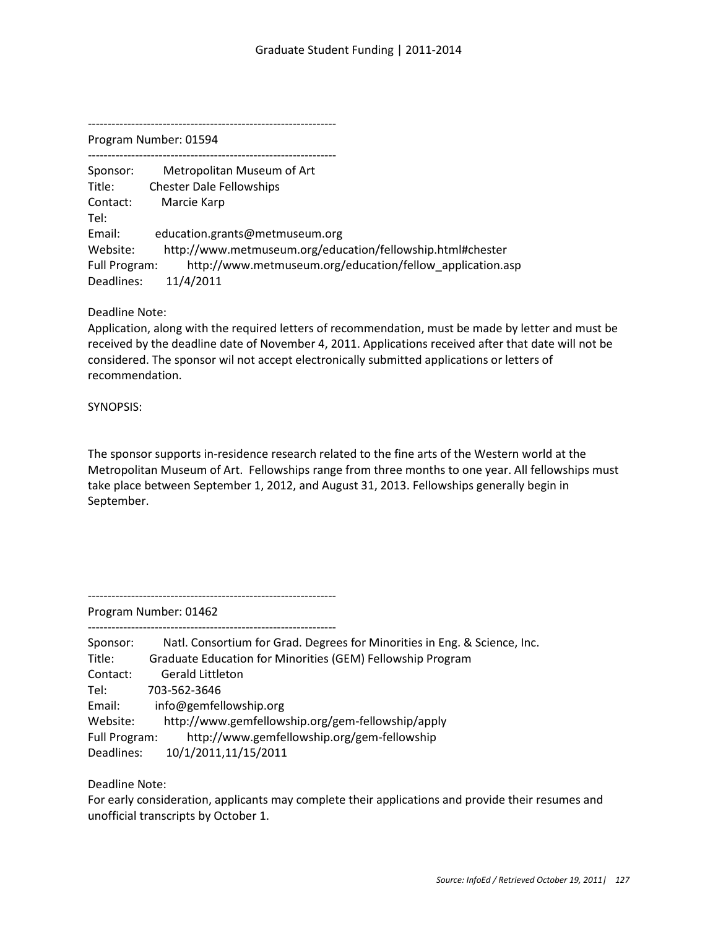Program Number: 01594

--------------------------------------------------------------- Sponsor: Metropolitan Museum of Art Title: Chester Dale Fellowships Contact: Marcie Karp Tel: Email: education.grants@metmuseum.org Website: http://www.metmuseum.org/education/fellowship.html#chester Full Program: http://www.metmuseum.org/education/fellow\_application.asp Deadlines: 11/4/2011

Deadline Note:

Application, along with the required letters of recommendation, must be made by letter and must be received by the deadline date of November 4, 2011. Applications received after that date will not be considered. The sponsor wil not accept electronically submitted applications or letters of recommendation.

SYNOPSIS:

The sponsor supports in-residence research related to the fine arts of the Western world at the Metropolitan Museum of Art. Fellowships range from three months to one year. All fellowships must take place between September 1, 2012, and August 31, 2013. Fellowships generally begin in September.

---------------------------------------------------------------

---------------------------------------------------------------

Program Number: 01462

| Sponsor:      | Natl. Consortium for Grad. Degrees for Minorities in Eng. & Science, Inc. |
|---------------|---------------------------------------------------------------------------|
| Title:        | Graduate Education for Minorities (GEM) Fellowship Program                |
| Contact:      | <b>Gerald Littleton</b>                                                   |
| Tel:          | 703-562-3646                                                              |
| Email:        | info@gemfellowship.org                                                    |
| Website:      | http://www.gemfellowship.org/gem-fellowship/apply                         |
| Full Program: | http://www.gemfellowship.org/gem-fellowship                               |
| Deadlines:    | 10/1/2011,11/15/2011                                                      |

Deadline Note:

For early consideration, applicants may complete their applications and provide their resumes and unofficial transcripts by October 1.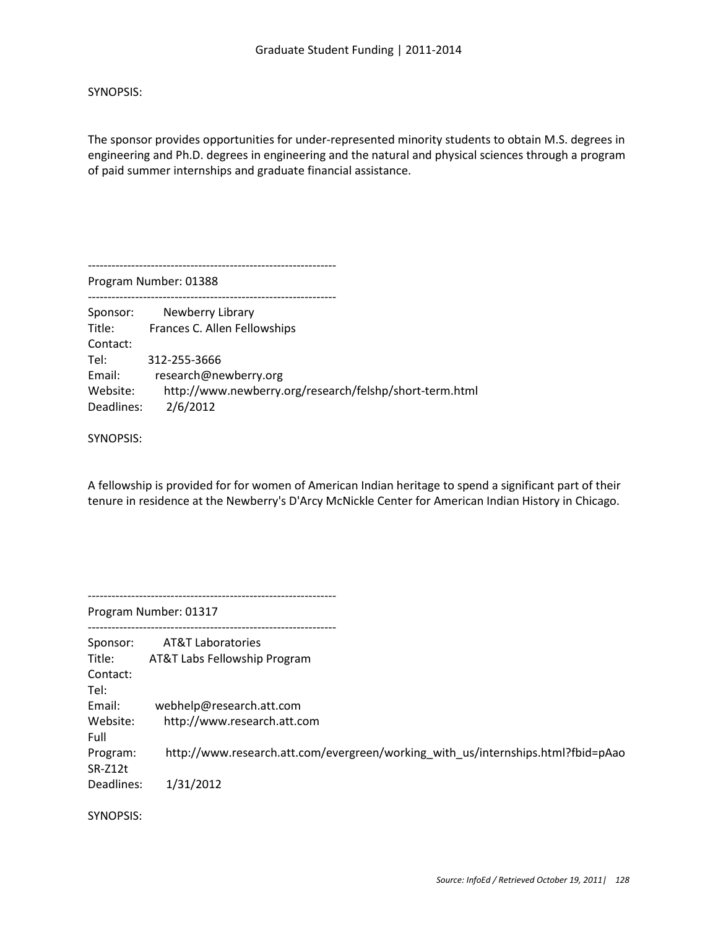SYNOPSIS:

The sponsor provides opportunities for under-represented minority students to obtain M.S. degrees in engineering and Ph.D. degrees in engineering and the natural and physical sciences through a program of paid summer internships and graduate financial assistance.

--------------------------------------------------------------- Program Number: 01388 --------------------------------------------------------------- Sponsor: Newberry Library Title: Frances C. Allen Fellowships Contact: Tel: 312-255-3666 Email: research@newberry.org Website: http://www.newberry.org/research/felshp/short-term.html Deadlines: 2/6/2012

SYNOPSIS:

A fellowship is provided for for women of American Indian heritage to spend a significant part of their tenure in residence at the Newberry's D'Arcy McNickle Center for American Indian History in Chicago.

--------------------------------------------------------------- Program Number: 01317 --------------------------------------------------------------- Sponsor: AT&T Laboratories Title: AT&T Labs Fellowship Program Contact: Tel: Email: webhelp@research.att.com Website: http://www.research.att.com Full Program: http://www.research.att.com/evergreen/working\_with\_us/internships.html?fbid=pAao SR-Z12t Deadlines: 1/31/2012

SYNOPSIS: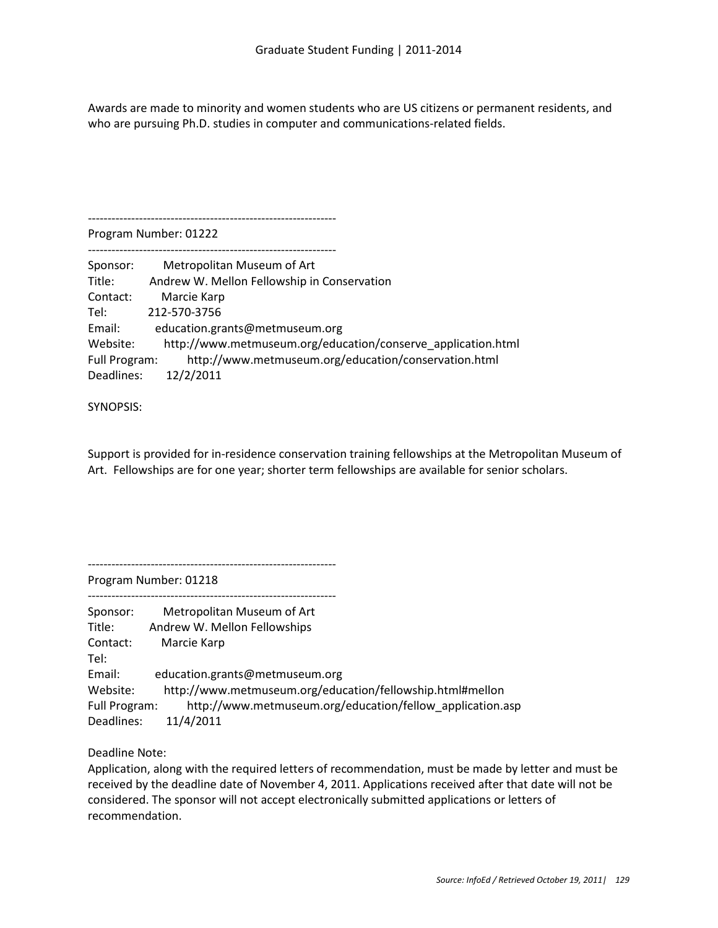Awards are made to minority and women students who are US citizens or permanent residents, and who are pursuing Ph.D. studies in computer and communications-related fields.

---------------------------------------------------------------

Program Number: 01222 ---------------------------------------------------------------

| Sponsor:      | Metropolitan Museum of Art                                   |
|---------------|--------------------------------------------------------------|
| Title:        | Andrew W. Mellon Fellowship in Conservation                  |
| Contact:      | Marcie Karp                                                  |
| Tel:          | 212-570-3756                                                 |
| Email:        | education.grants@metmuseum.org                               |
| Website:      | http://www.metmuseum.org/education/conserve_application.html |
| Full Program: | http://www.metmuseum.org/education/conservation.html         |
| Deadlines:    | 12/2/2011                                                    |

SYNOPSIS:

Support is provided for in-residence conservation training fellowships at the Metropolitan Museum of Art. Fellowships are for one year; shorter term fellowships are available for senior scholars.

---------------------------------------------------------------

Program Number: 01218

| Metropolitan Museum of Art                                                 |
|----------------------------------------------------------------------------|
| Andrew W. Mellon Fellowships                                               |
| Marcie Karp                                                                |
|                                                                            |
| education.grants@metmuseum.org                                             |
| http://www.metmuseum.org/education/fellowship.html#mellon                  |
| http://www.metmuseum.org/education/fellow application.asp<br>Full Program: |
| 11/4/2011                                                                  |
|                                                                            |

Deadline Note:

Application, along with the required letters of recommendation, must be made by letter and must be received by the deadline date of November 4, 2011. Applications received after that date will not be considered. The sponsor will not accept electronically submitted applications or letters of recommendation.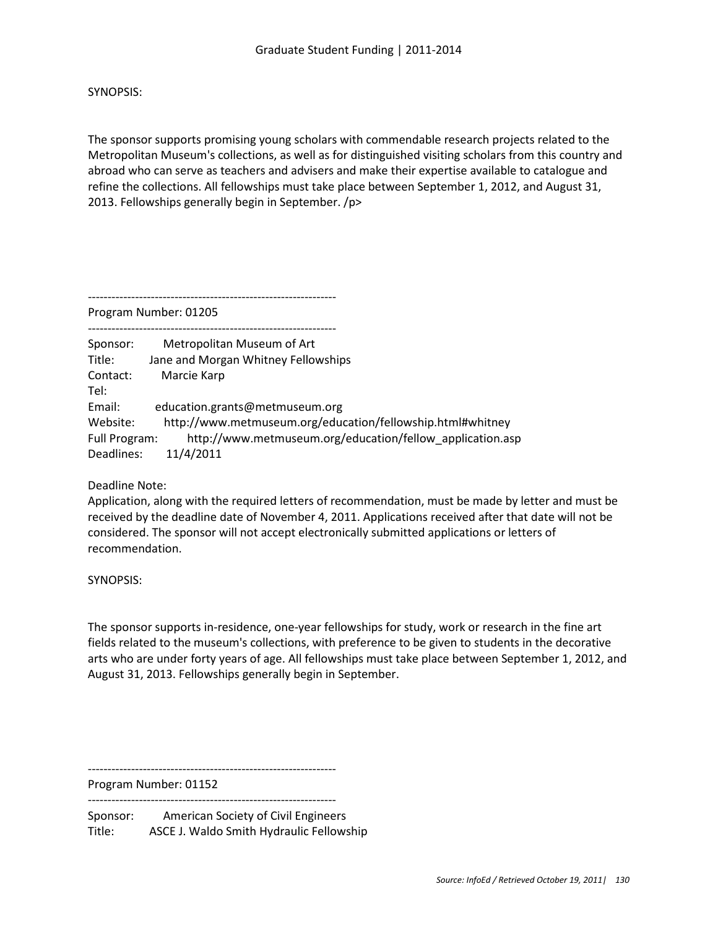SYNOPSIS:

The sponsor supports promising young scholars with commendable research projects related to the Metropolitan Museum's collections, as well as for distinguished visiting scholars from this country and abroad who can serve as teachers and advisers and make their expertise available to catalogue and refine the collections. All fellowships must take place between September 1, 2012, and August 31, 2013. Fellowships generally begin in September. /p>

---------------------------------------------------------------

Program Number: 01205

| Sponsor:      | Metropolitan Museum of Art                                 |
|---------------|------------------------------------------------------------|
| Title:        | Jane and Morgan Whitney Fellowships                        |
| Contact:      | Marcie Karp                                                |
| Tel:          |                                                            |
| Email:        | education.grants@metmuseum.org                             |
| Website:      | http://www.metmuseum.org/education/fellowship.html#whitney |
| Full Program: | http://www.metmuseum.org/education/fellow application.asp  |
| Deadlines:    | 11/4/2011                                                  |

Deadline Note:

Application, along with the required letters of recommendation, must be made by letter and must be received by the deadline date of November 4, 2011. Applications received after that date will not be considered. The sponsor will not accept electronically submitted applications or letters of recommendation.

SYNOPSIS:

The sponsor supports in-residence, one-year fellowships for study, work or research in the fine art fields related to the museum's collections, with preference to be given to students in the decorative arts who are under forty years of age. All fellowships must take place between September 1, 2012, and August 31, 2013. Fellowships generally begin in September.

---------------------------------------------------------------

Program Number: 01152 ---------------------------------------------------------------

Sponsor: American Society of Civil Engineers Title: ASCE J. Waldo Smith Hydraulic Fellowship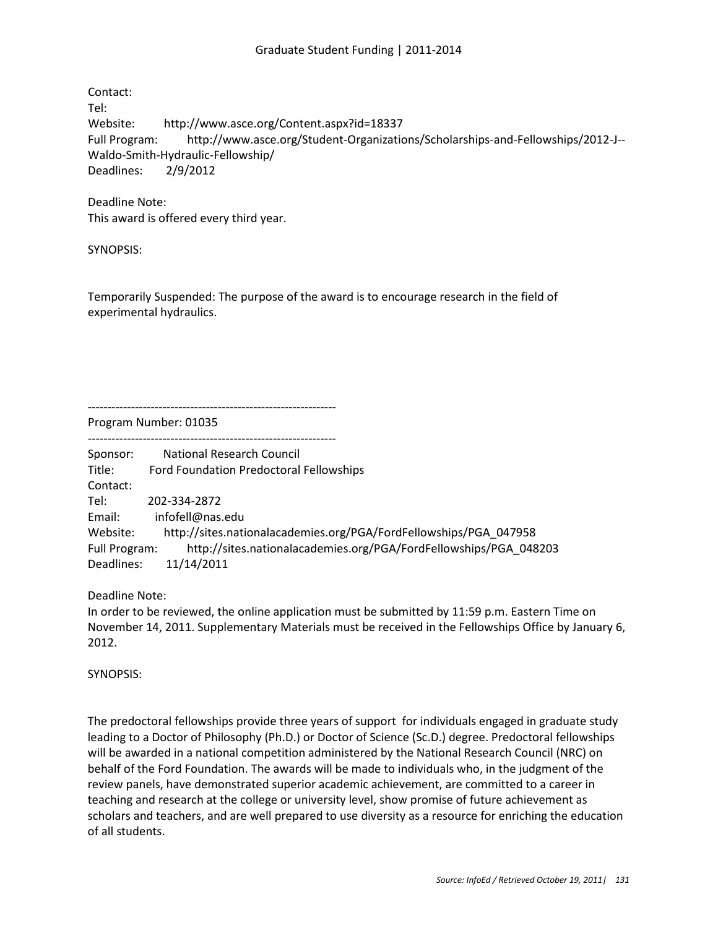Contact: Tel: Website: http://www.asce.org/Content.aspx?id=18337 Full Program: http://www.asce.org/Student-Organizations/Scholarships-and-Fellowships/2012-J-- Waldo-Smith-Hydraulic-Fellowship/ Deadlines: 2/9/2012

Deadline Note: This award is offered every third year.

SYNOPSIS:

Temporarily Suspended: The purpose of the award is to encourage research in the field of experimental hydraulics.

--------------------------------------------------------------- Program Number: 01035

---------------------------------------------------------------

Sponsor: National Research Council Title: Ford Foundation Predoctoral Fellowships Contact: Tel: 202-334-2872 Email: infofell@nas.edu Website: http://sites.nationalacademies.org/PGA/FordFellowships/PGA\_047958 Full Program: http://sites.nationalacademies.org/PGA/FordFellowships/PGA\_048203 Deadlines: 11/14/2011

Deadline Note:

In order to be reviewed, the online application must be submitted by 11:59 p.m. Eastern Time on November 14, 2011. Supplementary Materials must be received in the Fellowships Office by January 6, 2012.

SYNOPSIS:

The predoctoral fellowships provide three years of support for individuals engaged in graduate study leading to a Doctor of Philosophy (Ph.D.) or Doctor of Science (Sc.D.) degree. Predoctoral fellowships will be awarded in a national competition administered by the National Research Council (NRC) on behalf of the Ford Foundation. The awards will be made to individuals who, in the judgment of the review panels, have demonstrated superior academic achievement, are committed to a career in teaching and research at the college or university level, show promise of future achievement as scholars and teachers, and are well prepared to use diversity as a resource for enriching the education of all students.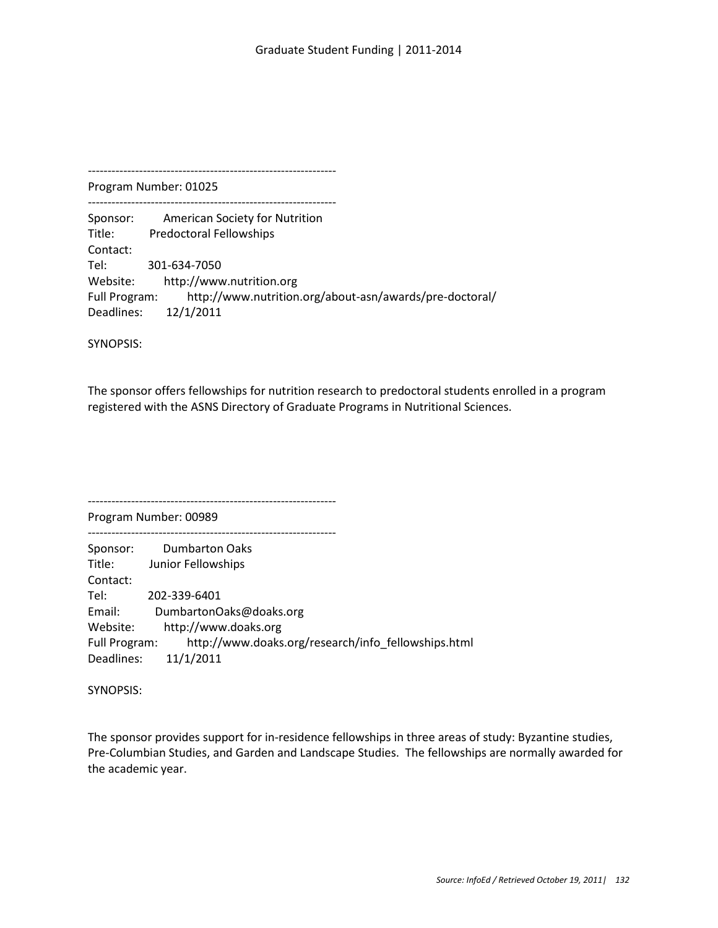Program Number: 01025 ---------------------------------------------------------------

Sponsor: American Society for Nutrition Title: Predoctoral Fellowships Contact: Tel: 301-634-7050 Website: http://www.nutrition.org Full Program: http://www.nutrition.org/about-asn/awards/pre-doctoral/ Deadlines: 12/1/2011

SYNOPSIS:

The sponsor offers fellowships for nutrition research to predoctoral students enrolled in a program registered with the ASNS Directory of Graduate Programs in Nutritional Sciences.

Program Number: 00989 --------------------------------------------------------------- Sponsor: Dumbarton Oaks Title: Junior Fellowships Contact: Tel: 202-339-6401 Email: DumbartonOaks@doaks.org Website: http://www.doaks.org Full Program: http://www.doaks.org/research/info\_fellowships.html Deadlines: 11/1/2011

---------------------------------------------------------------

SYNOPSIS:

The sponsor provides support for in-residence fellowships in three areas of study: Byzantine studies, Pre-Columbian Studies, and Garden and Landscape Studies. The fellowships are normally awarded for the academic year.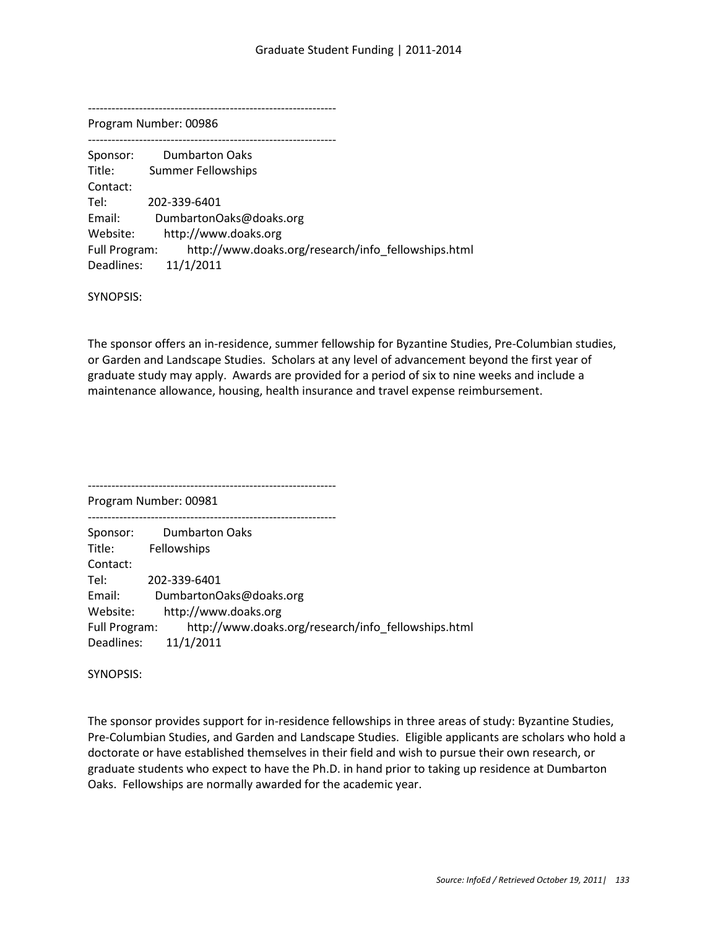Program Number: 00986

--------------------------------------------------------------- Sponsor: Dumbarton Oaks Title: Summer Fellowships Contact: Tel: 202-339-6401 Email: DumbartonOaks@doaks.org Website: http://www.doaks.org Full Program: http://www.doaks.org/research/info\_fellowships.html Deadlines: 11/1/2011

SYNOPSIS:

The sponsor offers an in-residence, summer fellowship for Byzantine Studies, Pre-Columbian studies, or Garden and Landscape Studies. Scholars at any level of advancement beyond the first year of graduate study may apply. Awards are provided for a period of six to nine weeks and include a maintenance allowance, housing, health insurance and travel expense reimbursement.

--------------------------------------------------------------- Program Number: 00981 --------------------------------------------------------------- Sponsor: Dumbarton Oaks Title: Fellowships Contact: Tel: 202-339-6401 Email: DumbartonOaks@doaks.org Website: http://www.doaks.org Full Program: http://www.doaks.org/research/info\_fellowships.html Deadlines: 11/1/2011

SYNOPSIS:

The sponsor provides support for in-residence fellowships in three areas of study: Byzantine Studies, Pre-Columbian Studies, and Garden and Landscape Studies. Eligible applicants are scholars who hold a doctorate or have established themselves in their field and wish to pursue their own research, or graduate students who expect to have the Ph.D. in hand prior to taking up residence at Dumbarton Oaks. Fellowships are normally awarded for the academic year.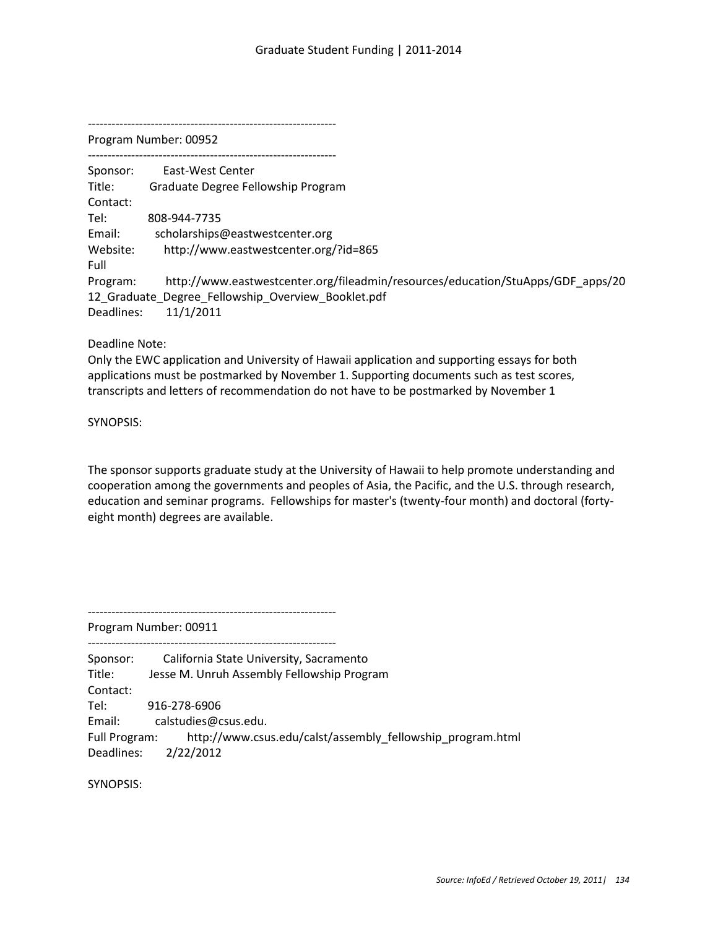Program Number: 00952

--------------------------------------------------------------- Sponsor: East-West Center Title: Graduate Degree Fellowship Program Contact: Tel: 808-944-7735 Email: scholarships@eastwestcenter.org Website: http://www.eastwestcenter.org/?id=865 Full Program: http://www.eastwestcenter.org/fileadmin/resources/education/StuApps/GDF\_apps/20 12\_Graduate\_Degree\_Fellowship\_Overview\_Booklet.pdf Deadlines: 11/1/2011

Deadline Note:

Only the EWC application and University of Hawaii application and supporting essays for both applications must be postmarked by November 1. Supporting documents such as test scores, transcripts and letters of recommendation do not have to be postmarked by November 1

SYNOPSIS:

The sponsor supports graduate study at the University of Hawaii to help promote understanding and cooperation among the governments and peoples of Asia, the Pacific, and the U.S. through research, education and seminar programs. Fellowships for master's (twenty-four month) and doctoral (fortyeight month) degrees are available.

---------------------------------------------------------------

---------------------------------------------------------------

Program Number: 00911

| Sponsor:<br>Title: I | California State University, Sacramento<br>Jesse M. Unruh Assembly Fellowship Program |
|----------------------|---------------------------------------------------------------------------------------|
| Contact:             |                                                                                       |
| Tel: I               | 916-278-6906                                                                          |
| Email:               | calstudies@csus.edu.                                                                  |
|                      | Full Program: http://www.csus.edu/calst/assembly fellowship program.html              |
|                      | Deadlines: 2/22/2012                                                                  |

SYNOPSIS: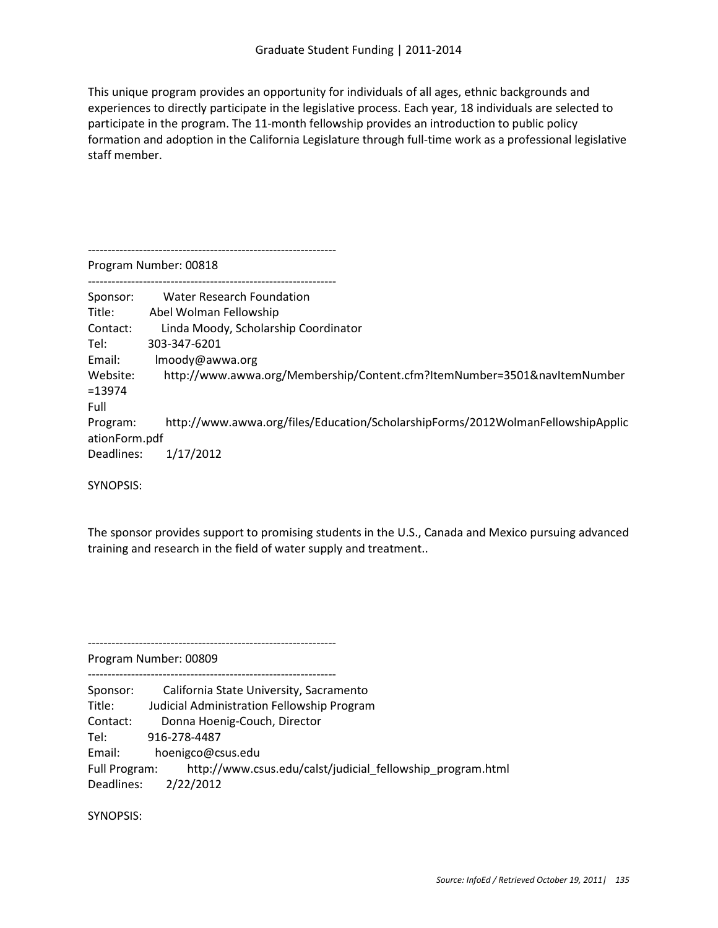This unique program provides an opportunity for individuals of all ages, ethnic backgrounds and experiences to directly participate in the legislative process. Each year, 18 individuals are selected to participate in the program. The 11-month fellowship provides an introduction to public policy formation and adoption in the California Legislature through full-time work as a professional legislative staff member.

--------------------------------------------------------------- Program Number: 00818 --------------------------------------------------------------- Sponsor: Water Research Foundation Title: Abel Wolman Fellowship Contact: Linda Moody, Scholarship Coordinator Tel: 303-347-6201 Email: lmoody@awwa.org Website: http://www.awwa.org/Membership/Content.cfm?ItemNumber=3501&navItemNumber =13974 Full Program: http://www.awwa.org/files/Education/ScholarshipForms/2012WolmanFellowshipApplic ationForm.pdf Deadlines: 1/17/2012

SYNOPSIS:

The sponsor provides support to promising students in the U.S., Canada and Mexico pursuing advanced training and research in the field of water supply and treatment..

---------------------------------------------------------------

Program Number: 00809

---------------------------------------------------------------

Sponsor: California State University, Sacramento

Title: Judicial Administration Fellowship Program

Contact: Donna Hoenig-Couch, Director

Tel: 916-278-4487

Email: hoenigco@csus.edu

Full Program: http://www.csus.edu/calst/judicial\_fellowship\_program.html

Deadlines: 2/22/2012

SYNOPSIS: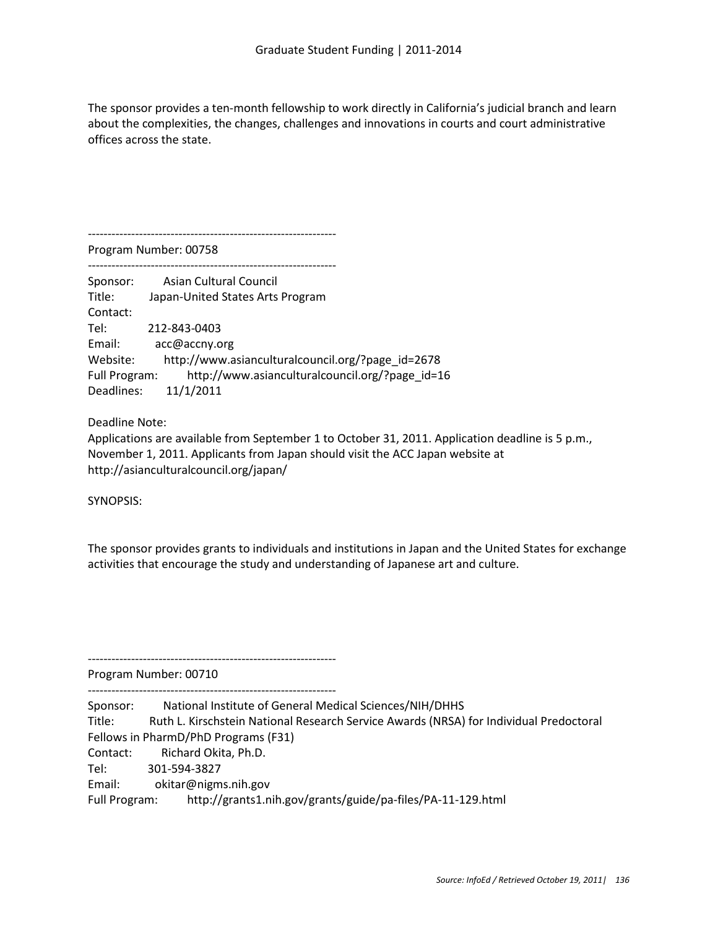The sponsor provides a ten-month fellowship to work directly in California's judicial branch and learn about the complexities, the changes, challenges and innovations in courts and court administrative offices across the state.

--------------------------------------------------------------- Program Number: 00758

--------------------------------------------------------------- Sponsor: Asian Cultural Council Title: Japan-United States Arts Program Contact: Tel: 212-843-0403 Email: acc@accny.org Website: http://www.asianculturalcouncil.org/?page\_id=2678 Full Program: http://www.asianculturalcouncil.org/?page\_id=16 Deadlines: 11/1/2011

Deadline Note:

Applications are available from September 1 to October 31, 2011. Application deadline is 5 p.m., November 1, 2011. Applicants from Japan should visit the ACC Japan website at http://asianculturalcouncil.org/japan/

SYNOPSIS:

The sponsor provides grants to individuals and institutions in Japan and the United States for exchange activities that encourage the study and understanding of Japanese art and culture.

Program Number: 00710

---------------------------------------------------------------

---------------------------------------------------------------

Sponsor: National Institute of General Medical Sciences/NIH/DHHS Title: Ruth L. Kirschstein National Research Service Awards (NRSA) for Individual Predoctoral Fellows in PharmD/PhD Programs (F31) Contact: Richard Okita, Ph.D. Tel: 301-594-3827 Email: okitar@nigms.nih.gov Full Program: http://grants1.nih.gov/grants/guide/pa-files/PA-11-129.html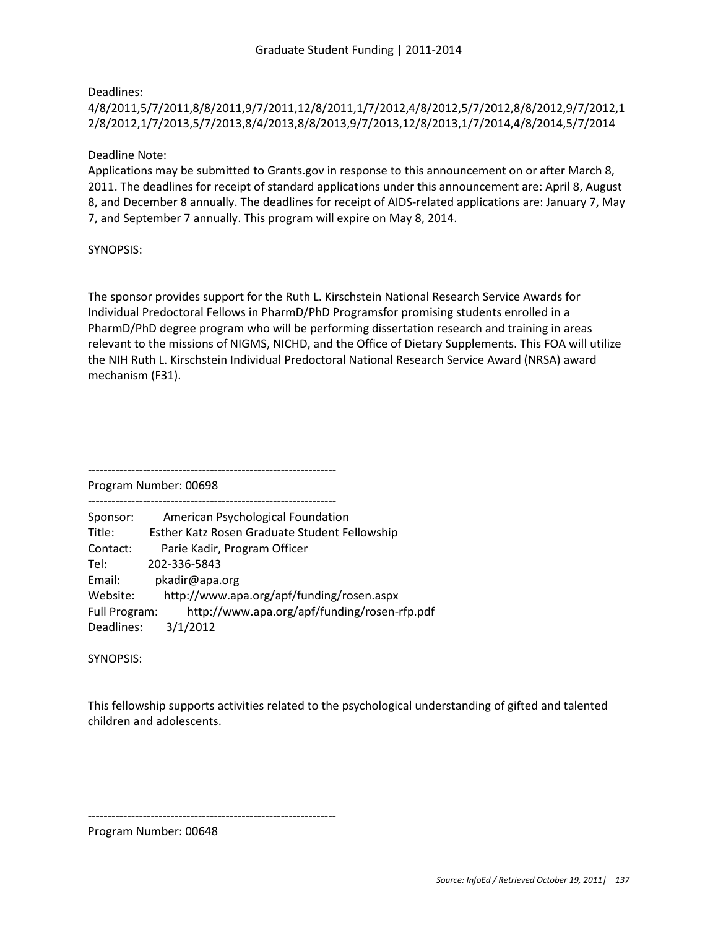Deadlines:

## 4/8/2011,5/7/2011,8/8/2011,9/7/2011,12/8/2011,1/7/2012,4/8/2012,5/7/2012,8/8/2012,9/7/2012,1 2/8/2012,1/7/2013,5/7/2013,8/4/2013,8/8/2013,9/7/2013,12/8/2013,1/7/2014,4/8/2014,5/7/2014

Deadline Note:

Applications may be submitted to Grants.gov in response to this announcement on or after March 8, 2011. The deadlines for receipt of standard applications under this announcement are: April 8, August 8, and December 8 annually. The deadlines for receipt of AIDS-related applications are: January 7, May 7, and September 7 annually. This program will expire on May 8, 2014.

SYNOPSIS:

The sponsor provides support for the Ruth L. Kirschstein National Research Service Awards for Individual Predoctoral Fellows in PharmD/PhD Programsfor promising students enrolled in a PharmD/PhD degree program who will be performing dissertation research and training in areas relevant to the missions of NIGMS, NICHD, and the Office of Dietary Supplements. This FOA will utilize the NIH Ruth L. Kirschstein Individual Predoctoral National Research Service Award (NRSA) award mechanism (F31).

Program Number: 00698

---------------------------------------------------------------

| Sponsor:      | American Psychological Foundation             |
|---------------|-----------------------------------------------|
| Title:        | Esther Katz Rosen Graduate Student Fellowship |
| Contact:      | Parie Kadir, Program Officer                  |
| Tel:          | 202-336-5843                                  |
| Email:        | pkadir@apa.org                                |
| Website:      | http://www.apa.org/apf/funding/rosen.aspx     |
| Full Program: | http://www.apa.org/apf/funding/rosen-rfp.pdf  |
| Deadlines:    | 3/1/2012                                      |

---------------------------------------------------------------

SYNOPSIS:

This fellowship supports activities related to the psychological understanding of gifted and talented children and adolescents.

---------------------------------------------------------------

Program Number: 00648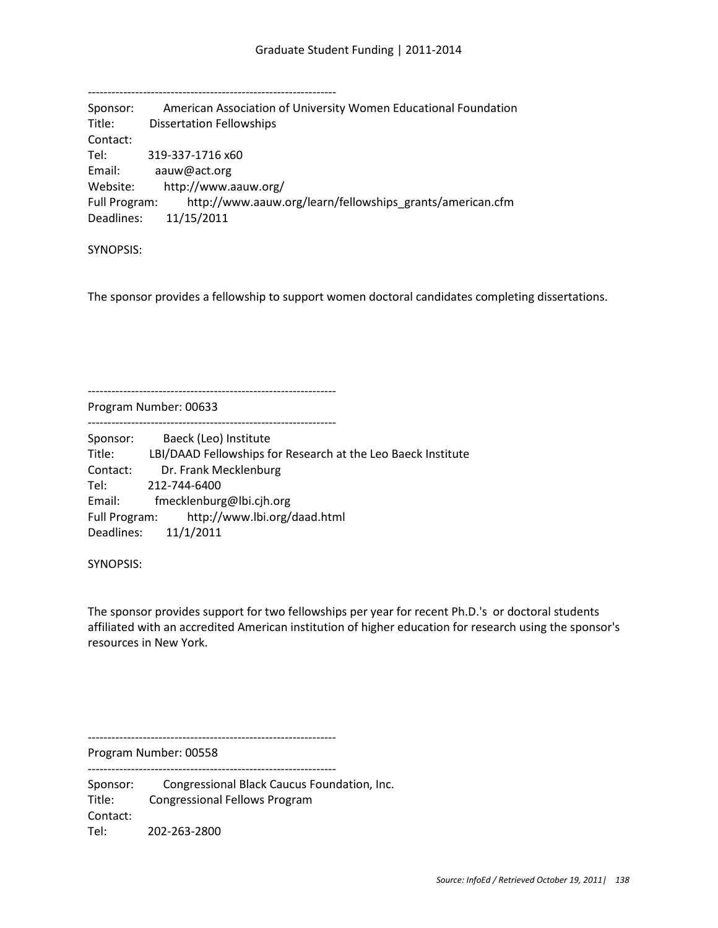| Sponsor:      | American Association of University Women Educational Foundation |
|---------------|-----------------------------------------------------------------|
| Title:        | <b>Dissertation Fellowships</b>                                 |
| Contact:      |                                                                 |
| Tel:          | 319-337-1716 x60                                                |
| Email:        | aauw@act.org                                                    |
| Website:      | http://www.aauw.org/                                            |
| Full Program: | http://www.aauw.org/learn/fellowships grants/american.cfm       |
| Deadlines:    | 11/15/2011                                                      |

SYNOPSIS:

The sponsor provides a fellowship to support women doctoral candidates completing dissertations.

Program Number: 00633

---------------------------------------------------------------

---------------------------------------------------------------

---------------------------------------------------------------

Sponsor: Baeck (Leo) Institute Title: LBI/DAAD Fellowships for Research at the Leo Baeck Institute Contact: Dr. Frank Mecklenburg Tel: 212-744-6400 Email: fmecklenburg@lbi.cjh.org Full Program: http://www.lbi.org/daad.html Deadlines: 11/1/2011

SYNOPSIS:

The sponsor provides support for two fellowships per year for recent Ph.D.'s or doctoral students affiliated with an accredited American institution of higher education for research using the sponsor's resources in New York.

---------------------------------------------------------------

Program Number: 00558 ---------------------------------------------------------------

Sponsor: Congressional Black Caucus Foundation, Inc. Title: Congressional Fellows Program Contact: Tel: 202-263-2800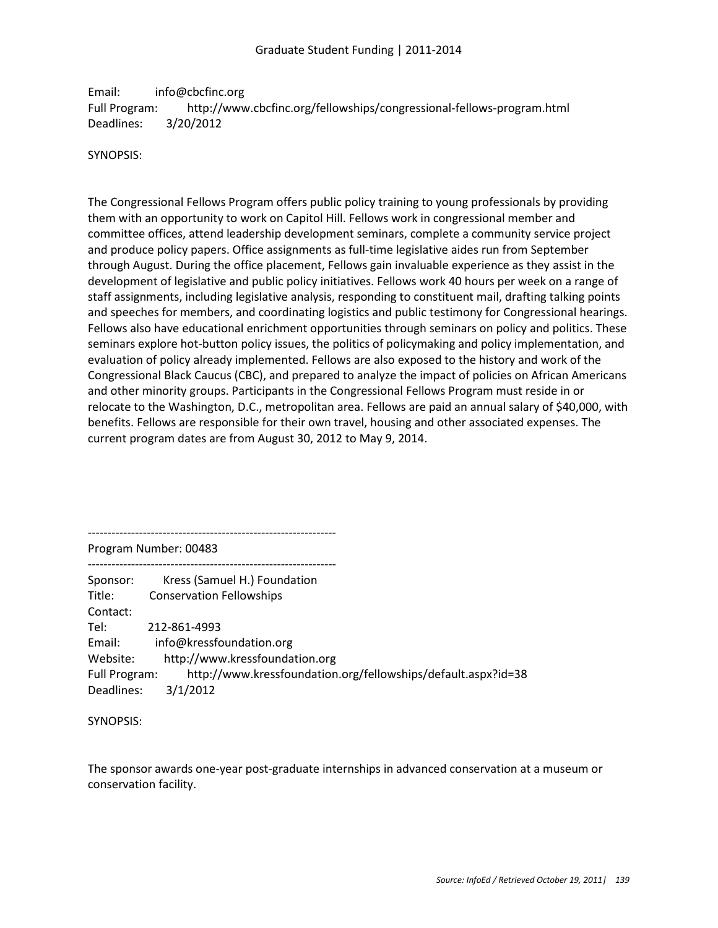Email: info@cbcfinc.org Full Program: http://www.cbcfinc.org/fellowships/congressional-fellows-program.html Deadlines: 3/20/2012

## SYNOPSIS:

The Congressional Fellows Program offers public policy training to young professionals by providing them with an opportunity to work on Capitol Hill. Fellows work in congressional member and committee offices, attend leadership development seminars, complete a community service project and produce policy papers. Office assignments as full-time legislative aides run from September through August. During the office placement, Fellows gain invaluable experience as they assist in the development of legislative and public policy initiatives. Fellows work 40 hours per week on a range of staff assignments, including legislative analysis, responding to constituent mail, drafting talking points and speeches for members, and coordinating logistics and public testimony for Congressional hearings. Fellows also have educational enrichment opportunities through seminars on policy and politics. These seminars explore hot-button policy issues, the politics of policymaking and policy implementation, and evaluation of policy already implemented. Fellows are also exposed to the history and work of the Congressional Black Caucus (CBC), and prepared to analyze the impact of policies on African Americans and other minority groups. Participants in the Congressional Fellows Program must reside in or relocate to the Washington, D.C., metropolitan area. Fellows are paid an annual salary of \$40,000, with benefits. Fellows are responsible for their own travel, housing and other associated expenses. The current program dates are from August 30, 2012 to May 9, 2014.

--------------------------------------------------------------- Program Number: 00483 --------------------------------------------------------------- Sponsor: Kress (Samuel H.) Foundation Title: Conservation Fellowships Contact: Tel: 212-861-4993 Email: info@kressfoundation.org Website: http://www.kressfoundation.org Full Program: http://www.kressfoundation.org/fellowships/default.aspx?id=38 Deadlines: 3/1/2012

SYNOPSIS:

The sponsor awards one-year post-graduate internships in advanced conservation at a museum or conservation facility.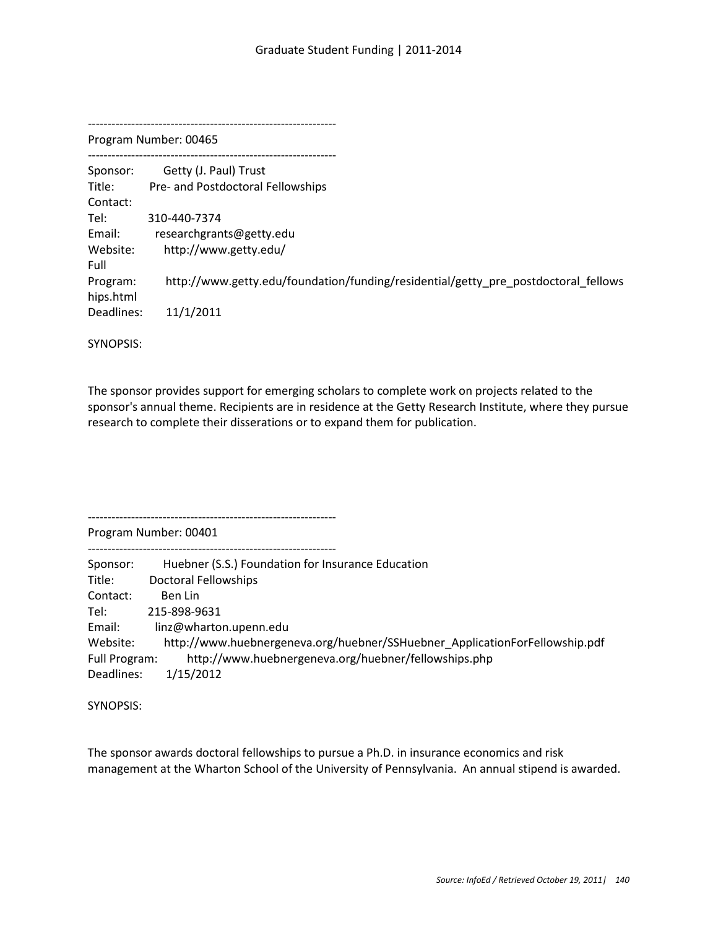Program Number: 00465 --------------------------------------------------------------- Sponsor: Getty (J. Paul) Trust Title: Pre- and Postdoctoral Fellowships Contact: Tel: 310-440-7374 Email: researchgrants@getty.edu Website: http://www.getty.edu/ Full Program: http://www.getty.edu/foundation/funding/residential/getty\_pre\_postdoctoral\_fellows hips.html Deadlines: 11/1/2011

SYNOPSIS:

The sponsor provides support for emerging scholars to complete work on projects related to the sponsor's annual theme. Recipients are in residence at the Getty Research Institute, where they pursue research to complete their disserations or to expand them for publication.

Program Number: 00401

---------------------------------------------------------------

---------------------------------------------------------------

| Sponsor:      | Huebner (S.S.) Foundation for Insurance Education                           |
|---------------|-----------------------------------------------------------------------------|
| Title:        | <b>Doctoral Fellowships</b>                                                 |
| Contact:      | Ben Lin                                                                     |
| Tel:          | 215-898-9631                                                                |
| Email:        | linz@wharton.upenn.edu                                                      |
| Website:      | http://www.huebnergeneva.org/huebner/SSHuebner ApplicationForFellowship.pdf |
| Full Program: | http://www.huebnergeneva.org/huebner/fellowships.php                        |
| Deadlines:    | 1/15/2012                                                                   |

SYNOPSIS:

The sponsor awards doctoral fellowships to pursue a Ph.D. in insurance economics and risk management at the Wharton School of the University of Pennsylvania. An annual stipend is awarded.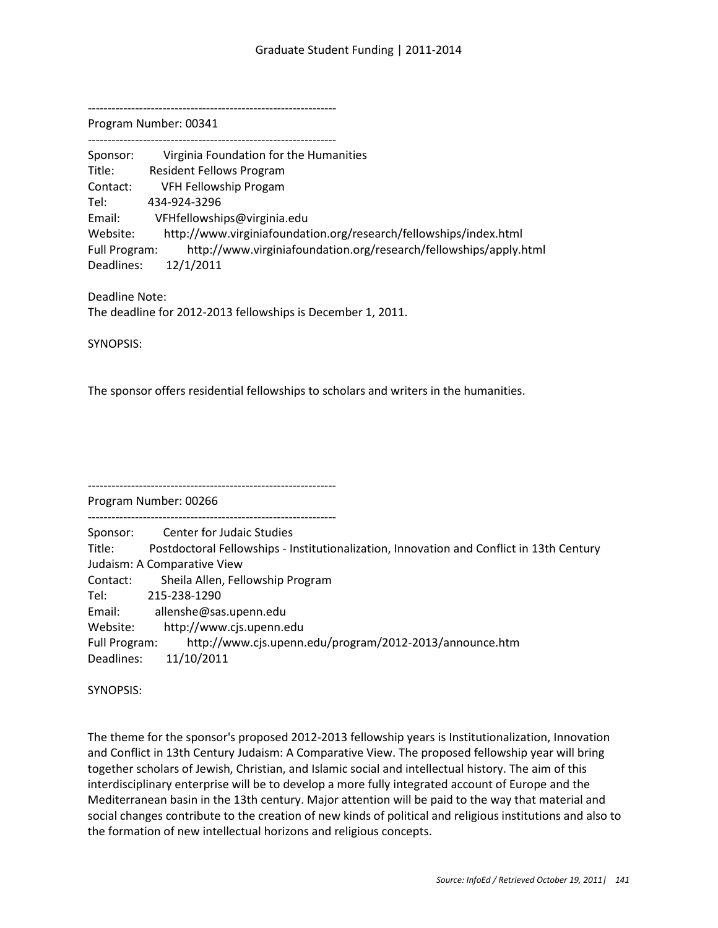Program Number: 00341

| Sponsor:      | Virginia Foundation for the Humanities                            |
|---------------|-------------------------------------------------------------------|
| Title:        | <b>Resident Fellows Program</b>                                   |
| Contact:      | VFH Fellowship Progam                                             |
| Tel:          | 434-924-3296                                                      |
| Email:        | VFHfellowships@virginia.edu                                       |
| Website:      | http://www.virginiafoundation.org/research/fellowships/index.html |
| Full Program: | http://www.virginiafoundation.org/research/fellowships/apply.html |
| Deadlines:    | 12/1/2011                                                         |

Deadline Note: The deadline for 2012-2013 fellowships is December 1, 2011.

SYNOPSIS:

The sponsor offers residential fellowships to scholars and writers in the humanities.

--------------------------------------------------------------- Program Number: 00266

---------------------------------------------------------------

Sponsor: Center for Judaic Studies

Title: Postdoctoral Fellowships - Institutionalization, Innovation and Conflict in 13th Century Judaism: A Comparative View Contact: Sheila Allen, Fellowship Program

Tel: 215-238-1290

Email: allenshe@sas.upenn.edu

Website: http://www.cjs.upenn.edu

Full Program: http://www.cjs.upenn.edu/program/2012-2013/announce.htm Deadlines: 11/10/2011

SYNOPSIS:

The theme for the sponsor's proposed 2012-2013 fellowship years is Institutionalization, Innovation and Conflict in 13th Century Judaism: A Comparative View. The proposed fellowship year will bring together scholars of Jewish, Christian, and Islamic social and intellectual history. The aim of this interdisciplinary enterprise will be to develop a more fully integrated account of Europe and the Mediterranean basin in the 13th century. Major attention will be paid to the way that material and social changes contribute to the creation of new kinds of political and religious institutions and also to the formation of new intellectual horizons and religious concepts.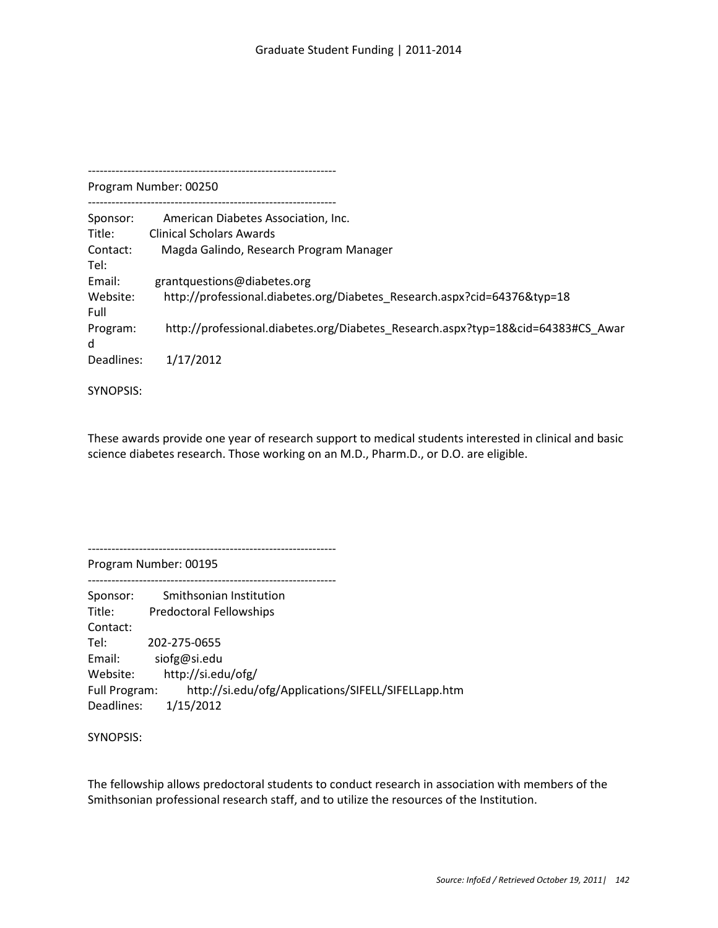--------------------------------------------------------------- Program Number: 00250 --------------------------------------------------------------- Sponsor: American Diabetes Association, Inc. Title: Clinical Scholars Awards Contact: Magda Galindo, Research Program Manager Tel: Email: grantquestions@diabetes.org Website: http://professional.diabetes.org/Diabetes Research.aspx?cid=64376&typ=18 Full Program: http://professional.diabetes.org/Diabetes\_Research.aspx?typ=18&cid=64383#CS\_Awar d Deadlines: 1/17/2012

SYNOPSIS:

These awards provide one year of research support to medical students interested in clinical and basic science diabetes research. Those working on an M.D., Pharm.D., or D.O. are eligible.

---------------------------------------------------------------

---------------------------------------------------------------

Program Number: 00195

Sponsor: Smithsonian Institution Title: Predoctoral Fellowships Contact: Tel: 202-275-0655 Email: siofg@si.edu Website: http://si.edu/ofg/ Full Program: http://si.edu/ofg/Applications/SIFELL/SIFELLapp.htm Deadlines: 1/15/2012

SYNOPSIS:

The fellowship allows predoctoral students to conduct research in association with members of the Smithsonian professional research staff, and to utilize the resources of the Institution.